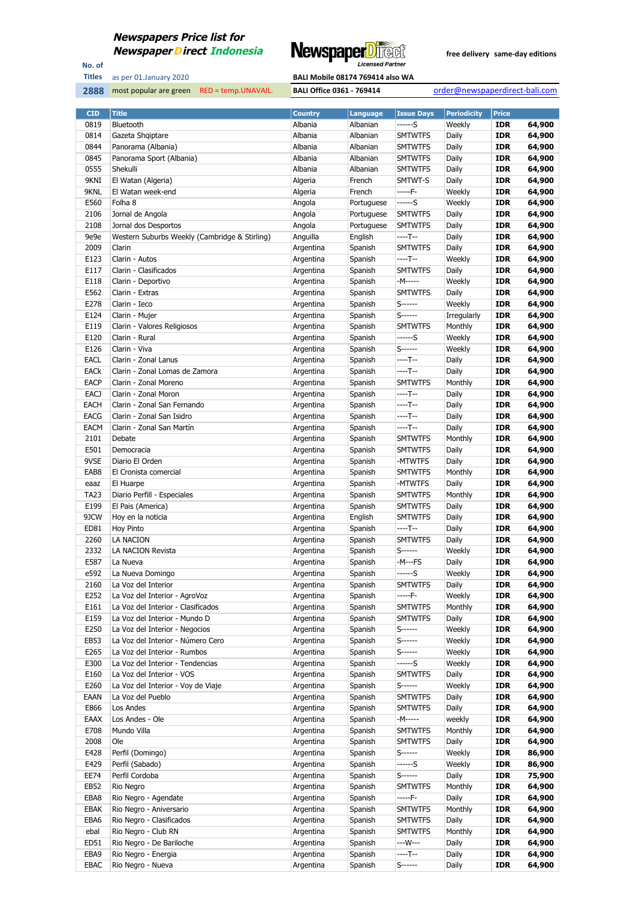

No. of **Titles**



| <b>CID</b>  | <b>Title</b>                                  | <b>Country</b> | Language   | <b>Issue Days</b> | <b>Periodicity</b> | <b>Price</b> |        |
|-------------|-----------------------------------------------|----------------|------------|-------------------|--------------------|--------------|--------|
| 0819        | Bluetooth                                     | Albania        | Albanian   | ------S           | Weekly             | <b>IDR</b>   | 64,900 |
| 0814        | Gazeta Shqiptare                              | Albania        | Albanian   | <b>SMTWTFS</b>    | Daily              | <b>IDR</b>   | 64,900 |
| 0844        | Panorama (Albania)                            | Albania        | Albanian   | <b>SMTWTFS</b>    | Daily              | <b>IDR</b>   | 64,900 |
| 0845        | Panorama Sport (Albania)                      | Albania        | Albanian   | <b>SMTWTFS</b>    | Daily              | <b>IDR</b>   | 64,900 |
| 0555        | Shekulli                                      | Albania        | Albanian   | <b>SMTWTFS</b>    | Daily              | <b>IDR</b>   | 64,900 |
| 9KNI        | El Watan (Algeria)                            | Algeria        | French     | SMTWT-S           | Daily              | <b>IDR</b>   | 64,900 |
| 9KNL        | El Watan week-end                             | Algeria        | French     | -----F-           | Weekly             | <b>IDR</b>   | 64,900 |
| E560        | Folha 8                                       | Angola         | Portuguese | $---S$            | Weekly             | <b>IDR</b>   | 64,900 |
| 2106        | Jornal de Angola                              | Angola         | Portuguese | <b>SMTWTFS</b>    | Daily              | <b>IDR</b>   | 64,900 |
| 2108        | Jornal dos Desportos                          | Angola         | Portuguese | <b>SMTWTFS</b>    | Daily              | <b>IDR</b>   | 64,900 |
| 9e9e        | Western Suburbs Weekly (Cambridge & Stirling) | Anguilla       | English    | ----T--           | Daily              | <b>IDR</b>   | 64,900 |
| 2009        | Clarin                                        |                | Spanish    | <b>SMTWTFS</b>    |                    | <b>IDR</b>   | 64,900 |
|             |                                               | Argentina      |            |                   | Daily              |              |        |
| E123        | Clarin - Autos                                | Argentina      | Spanish    | ----T--           | Weekly             | <b>IDR</b>   | 64,900 |
| E117        | Clarin - Clasificados                         | Argentina      | Spanish    | <b>SMTWTFS</b>    | Daily              | <b>IDR</b>   | 64,900 |
| E118        | Clarin - Deportivo                            | Argentina      | Spanish    | -M-----           | Weekly             | <b>IDR</b>   | 64,900 |
| E562        | Clarin - Extras                               | Argentina      | Spanish    | <b>SMTWTFS</b>    | Daily              | <b>IDR</b>   | 64,900 |
| E278        | Clarin - Ieco                                 | Argentina      | Spanish    | S------           | Weekly             | <b>IDR</b>   | 64,900 |
| E124        | Clarin - Mujer                                | Argentina      | Spanish    | S------           | Irregularly        | <b>IDR</b>   | 64,900 |
| E119        | Clarin - Valores Religiosos                   | Argentina      | Spanish    | <b>SMTWTFS</b>    | Monthly            | <b>IDR</b>   | 64,900 |
| E120        | Clarin - Rural                                | Argentina      | Spanish    | $---S$            | Weekly             | <b>IDR</b>   | 64,900 |
| E126        | Clarin - Viva                                 | Argentina      | Spanish    | $S$ ------        | Weekly             | <b>IDR</b>   | 64,900 |
| EACL        | Clarin - Zonal Lanus                          | Argentina      | Spanish    | ----T--           | Daily              | <b>IDR</b>   | 64,900 |
| <b>EACK</b> | Clarin - Zonal Lomas de Zamora                | Argentina      | Spanish    | $---T--$          | Daily              | <b>IDR</b>   | 64,900 |
| <b>EACP</b> | Clarin - Zonal Moreno                         | Argentina      | Spanish    | <b>SMTWTFS</b>    | Monthly            | <b>IDR</b>   | 64,900 |
| <b>EACJ</b> | Clarin - Zonal Moron                          | Argentina      | Spanish    | ----T--           | Daily              | <b>IDR</b>   | 64,900 |
| <b>EACH</b> | Clarin - Zonal San Fernando                   | Argentina      | Spanish    | ----T--           | Daily              | <b>IDR</b>   | 64,900 |
| <b>EACG</b> | Clarin - Zonal San Isidro                     | Argentina      | Spanish    | ----T--           | Daily              | <b>IDR</b>   | 64,900 |
| EACM        | Clarin - Zonal San Martín                     | Argentina      | Spanish    | $---T--$          | Daily              | <b>IDR</b>   | 64,900 |
| 2101        | Debate                                        | Argentina      | Spanish    | <b>SMTWTFS</b>    | Monthly            | <b>IDR</b>   | 64,900 |
| E501        | Democracia                                    | Argentina      | Spanish    | <b>SMTWTFS</b>    | Daily              | <b>IDR</b>   | 64,900 |
| 9VSE        | Diario El Orden                               | Argentina      | Spanish    | -MTWTFS           | Daily              | <b>IDR</b>   | 64,900 |
| EAB8        |                                               |                |            | <b>SMTWTFS</b>    |                    | <b>IDR</b>   | 64,900 |
|             | El Cronista comercial                         | Argentina      | Spanish    |                   | Monthly            |              |        |
| eaaz        | El Huarpe                                     | Argentina      | Spanish    | -MTWTFS           | Daily              | <b>IDR</b>   | 64,900 |
| <b>TA23</b> | Diario Perfill - Especiales                   | Argentina      | Spanish    | <b>SMTWTFS</b>    | Monthly            | <b>IDR</b>   | 64,900 |
| E199        | El Pais (America)                             | Argentina      | Spanish    | <b>SMTWTFS</b>    | Daily              | IDR          | 64,900 |
| 9JCW        | Hoy en la noticia                             | Argentina      | English    | <b>SMTWTFS</b>    | Daily              | <b>IDR</b>   | 64,900 |
| ED81        | Hoy Pinto                                     | Argentina      | Spanish    | ----T--           | Daily              | <b>IDR</b>   | 64,900 |
| 2260        | LA NACION                                     | Argentina      | Spanish    | <b>SMTWTFS</b>    | Daily              | <b>IDR</b>   | 64,900 |
| 2332        | LA NACION Revista                             | Argentina      | Spanish    | $S$ ------        | Weekly             | IDR          | 64,900 |
| E587        | La Nueva                                      | Argentina      | Spanish    | -M---FS           | Daily              | <b>IDR</b>   | 64,900 |
| e592        | La Nueva Domingo                              | Argentina      | Spanish    | ------S           | Weekly             | <b>IDR</b>   | 64,900 |
| 2160        | La Voz del Interior                           | Argentina      | Spanish    | <b>SMTWTFS</b>    | Daily              | <b>IDR</b>   | 64,900 |
| E252        | La Voz del Interior - AgroVoz                 | Argentina      | Spanish    | -----F-           | Weekly             | IDR          | 64,900 |
| E161        | La Voz del Interior - Clasificados            | Argentina      | Spanish    | <b>SMTWTFS</b>    | Monthly            | <b>IDR</b>   | 64,900 |
| E159        | La Voz del Interior - Mundo D                 | Argentina      | Spanish    | <b>SMTWTFS</b>    | Daily              | <b>IDR</b>   | 64,900 |
| E250        | La Voz del Interior - Negocios                | Argentina      | Spanish    | S------           | Weekly             | <b>IDR</b>   | 64,900 |
| EB53        | La Voz del Interior - Número Cero             | Argentina      | Spanish    | $S$ ------        | Weekly             | IDR          | 64,900 |
| E265        | La Voz del Interior - Rumbos                  | Argentina      | Spanish    | S-------          | Weekly             | <b>IDR</b>   | 64,900 |
| E300        | La Voz del Interior - Tendencias              | Argentina      | Spanish    | ------S           | Weekly             | <b>IDR</b>   | 64,900 |
| E160        | La Voz del Interior - VOS                     | Argentina      | Spanish    | <b>SMTWTFS</b>    | Daily              | <b>IDR</b>   | 64,900 |
| E260        | La Voz del Interior - Voy de Viaje            | Argentina      | Spanish    | $S$ ------        | Weekly             | <b>IDR</b>   | 64,900 |
| EAAN        |                                               | Argentina      |            | <b>SMTWTFS</b>    | Daily              | <b>IDR</b>   | 64,900 |
|             | La Voz del Pueblo                             |                | Spanish    |                   |                    |              |        |
| E866        | Los Andes                                     | Argentina      | Spanish    | <b>SMTWTFS</b>    | Daily              | <b>IDR</b>   | 64,900 |
| EAAX        | Los Andes - Ole                               | Argentina      | Spanish    | -M-----           | weekly             | <b>IDR</b>   | 64,900 |
| E708        | Mundo Villa                                   | Argentina      | Spanish    | <b>SMTWTFS</b>    | Monthly            | IDR          | 64,900 |
| 2008        | Ole                                           | Argentina      | Spanish    | <b>SMTWTFS</b>    | Daily              | <b>IDR</b>   | 64,900 |
| E428        | Perfil (Domingo)                              | Argentina      | Spanish    | $S$ ------        | Weekly             | <b>IDR</b>   | 86,900 |
| E429        | Perfil (Sabado)                               | Argentina      | Spanish    | ------S           | Weekly             | <b>IDR</b>   | 86,900 |
| EE74        | Perfil Cordoba                                | Argentina      | Spanish    | $S$ ------        | Daily              | <b>IDR</b>   | 75,900 |
| EB52        | Rio Negro                                     | Argentina      | Spanish    | <b>SMTWTFS</b>    | Monthly            | <b>IDR</b>   | 64,900 |
| EBA8        | Rio Negro - Agendate                          | Argentina      | Spanish    | -----F-           | Daily              | <b>IDR</b>   | 64,900 |
| EBAK        | Rio Negro - Aniversario                       | Argentina      | Spanish    | <b>SMTWTFS</b>    | Monthly            | <b>IDR</b>   | 64,900 |
| EBA6        | Rio Negro - Clasificados                      | Argentina      | Spanish    | <b>SMTWTFS</b>    | Daily              | IDR          | 64,900 |
| ebal        | Rio Negro - Club RN                           | Argentina      | Spanish    | <b>SMTWTFS</b>    | Monthly            | <b>IDR</b>   | 64,900 |
| ED51        | Rio Negro - De Bariloche                      | Argentina      | Spanish    | ---W---           | Daily              | <b>IDR</b>   | 64,900 |
| EBA9        | Rio Negro - Energia                           | Argentina      | Spanish    | ----T--           | Daily              | <b>IDR</b>   | 64,900 |
| <b>EBAC</b> | Rio Negro - Nueva                             | Argentina      | Spanish    | $S$ ------        | Daily              | <b>IDR</b>   | 64,900 |
|             |                                               |                |            |                   |                    |              |        |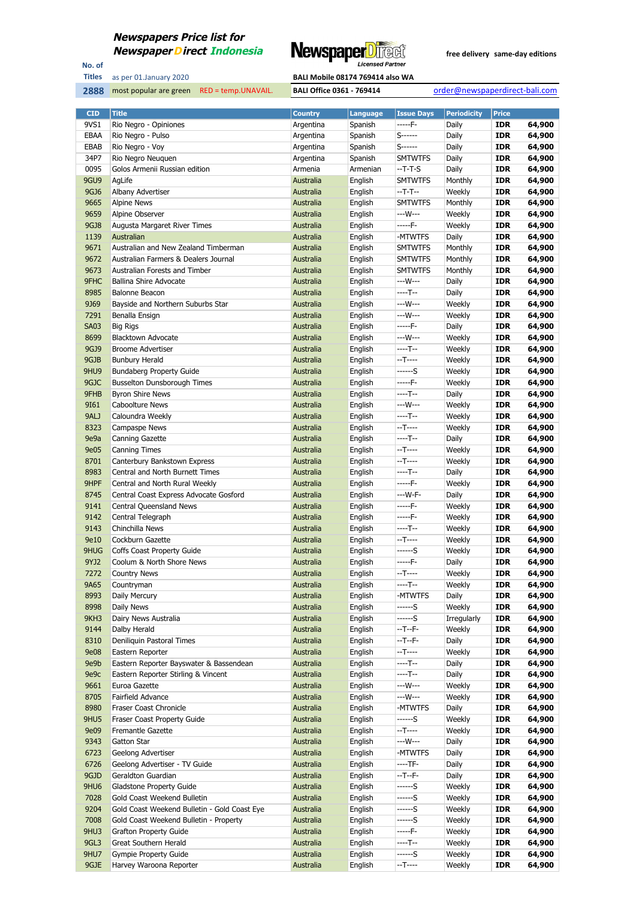

No. of **Titles**

as per 01.January 2020 **BALI Mobile 08174 769414 also WA** 

| <b>CID</b>          | <b>Title</b>                                                | <b>Country</b>         | <b>Language</b>    | <b>Issue Days</b>      | <b>Periodicity</b> | Price                    |                  |
|---------------------|-------------------------------------------------------------|------------------------|--------------------|------------------------|--------------------|--------------------------|------------------|
| 9VS1                | Rio Negro - Opiniones                                       | Argentina              | Spanish            | -----F-                | Daily              | <b>IDR</b>               | 64,900           |
| EBAA                | Rio Negro - Pulso                                           | Argentina              | Spanish            | $S$ ------             | Daily              | <b>IDR</b>               | 64,900           |
| EBAB                | Rio Negro - Voy                                             | Argentina              | Spanish            | $S$ ------             | Daily              | <b>IDR</b>               | 64,900           |
| 34P7                | Rio Negro Neuquen                                           | Argentina              | Spanish            | <b>SMTWTFS</b>         | Daily              | <b>IDR</b>               | 64,900           |
| 0095                | Golos Armenii Russian edition                               | Armenia                | Armenian           | $-T-T-S$               | Daily              | <b>IDR</b>               | 64,900           |
| 9GU9                | AgLife                                                      | Australia              | English            | <b>SMTWTFS</b>         | Monthly            | <b>IDR</b>               | 64,900           |
| 9GJ6                | Albany Advertiser                                           | Australia              | English            | $-T-T-$                | Weekly             | <b>IDR</b>               | 64,900           |
| 9665                | <b>Alpine News</b>                                          | Australia              | English            | <b>SMTWTFS</b>         | Monthly            | <b>IDR</b>               | 64,900           |
| 9659                | Alpine Observer                                             | Australia              | English            | ---W---                | Weekly             | <b>IDR</b>               | 64,900           |
| 9GJ8                | Augusta Margaret River Times                                | Australia              | English            | -----F-                | Weekly             | <b>IDR</b>               | 64,900           |
| 1139                | Australian                                                  | Australia              | English            | -MTWTFS                | Daily              | <b>IDR</b>               | 64,900           |
| 9671                | Australian and New Zealand Timberman                        | Australia              | English            | <b>SMTWTFS</b>         | Monthly            | <b>IDR</b>               | 64,900           |
| 9672                | Australian Farmers & Dealers Journal                        | Australia              | English            | <b>SMTWTFS</b>         | Monthly            | <b>IDR</b>               | 64,900           |
| 9673                | Australian Forests and Timber                               | Australia              | English            | <b>SMTWTFS</b>         | Monthly            | <b>IDR</b>               | 64,900           |
| 9FHC                | <b>Ballina Shire Advocate</b>                               | Australia              | English            | ---W---                | Daily              | <b>IDR</b>               | 64,900           |
| 8985                | Balonne Beacon                                              | Australia              | English            | $---T--$               | Daily              | <b>IDR</b>               | 64,900           |
| 9369                | Bayside and Northern Suburbs Star                           | Australia              | English            | ---W---<br>---W---     | Weekly             | <b>IDR</b>               | 64,900           |
| 7291                | Benalla Ensign                                              | Australia              | English            | $---F-$                | Weekly             | <b>IDR</b><br><b>IDR</b> | 64,900           |
| <b>SA03</b><br>8699 | <b>Big Rigs</b><br><b>Blacktown Advocate</b>                | Australia<br>Australia | English<br>English | $--W---$               | Daily<br>Weekly    | <b>IDR</b>               | 64,900<br>64,900 |
| 9GJ9                | <b>Broome Advertiser</b>                                    | Australia              | English            | $---T--$               | Weekly             | <b>IDR</b>               | 64,900           |
| 9GJB                | <b>Bunbury Herald</b>                                       | Australia              | English            | $-T$ ----              | Weekly             | <b>IDR</b>               | 64,900           |
| 9HU9                | <b>Bundaberg Property Guide</b>                             | Australia              | English            | $---S$                 | Weekly             | <b>IDR</b>               | 64,900           |
| 9GJC                | <b>Busselton Dunsborough Times</b>                          | Australia              | English            | $---F-$                | Weekly             | <b>IDR</b>               | 64,900           |
| 9FHB                | <b>Byron Shire News</b>                                     | Australia              | English            | $---T--$               | Daily              | <b>IDR</b>               | 64,900           |
| 9161                | Caboolture News                                             | Australia              | English            | ---W---                | Weekly             | <b>IDR</b>               | 64,900           |
| 9ALJ                | Caloundra Weekly                                            | Australia              | English            | $---T--$               | Weekly             | <b>IDR</b>               | 64,900           |
| 8323                | Campaspe News                                               | Australia              | English            | $-T$ ----              | Weekly             | <b>IDR</b>               | 64,900           |
| 9e9a                | Canning Gazette                                             | Australia              | English            | $---T--$               | Daily              | <b>IDR</b>               | 64,900           |
| 9e05                | <b>Canning Times</b>                                        | Australia              | English            | $-T$ ----              | Weekly             | <b>IDR</b>               | 64,900           |
| 8701                | Canterbury Bankstown Express                                | Australia              | English            | $-T$ ----              | Weekly             | <b>IDR</b>               | 64,900           |
| 8983                | Central and North Burnett Times                             | Australia              | English            | $---T--$               | Daily              | <b>IDR</b>               | 64,900           |
| 9HPF                | Central and North Rural Weekly                              | Australia              | English            | -----F-                | Weekly             | <b>IDR</b>               | 64,900           |
| 8745                | Central Coast Express Advocate Gosford                      | Australia              | English            | --- W-F-               | Daily              | <b>IDR</b>               | 64,900           |
| 9141                | Central Queensland News                                     | Australia              | English            | $---F-$                | Weekly             | <b>IDR</b>               | 64,900           |
| 9142                | Central Telegraph                                           | Australia              | English            | $---F-$                | Weekly             | <b>IDR</b>               | 64,900           |
| 9143                | Chinchilla News                                             | Australia              | English            | $---T--$               | Weekly             | <b>IDR</b>               | 64,900           |
| 9e10                | Cockburn Gazette                                            | Australia              | English            | $-T$ ----              | Weekly             | <b>IDR</b>               | 64,900           |
| 9HUG                | Coffs Coast Property Guide                                  | Australia              | English            | $---S$                 | Weekly             | <b>IDR</b>               | 64,900           |
| 9YJ2                | Coolum & North Shore News                                   | Australia              | English            | $---F-$                | Daily              | <b>IDR</b>               | 64,900           |
| 7272                | <b>Country News</b>                                         | Australia              | English            | $-T$ -----             | Weekly             | <b>IDR</b>               | 64,900           |
| 9A65                | Countryman                                                  | Australia              | English            | ----T--                | Weekly             | <b>IDR</b>               | 64,900           |
| 8993                | Daily Mercury                                               | Australia              | English            | -MTWTFS                | Daily              | IDR                      | 64,900           |
| 8998                | Daily News                                                  | Australia              | English            | ------S                | Weekly             | <b>IDR</b>               | 64,900           |
| 9KH3                | Dairy News Australia                                        | Australia              | English            | ------S                | Irregularly        | <b>IDR</b>               | 64,900           |
| 9144                | Dalby Herald                                                | Australia              | English            | $-T - F -$             | Weekly             | <b>IDR</b>               | 64,900           |
| 8310                | Deniliquin Pastoral Times                                   | Australia              | English            | $-T - F -$             | Daily              | <b>IDR</b>               | 64,900           |
| <b>9e08</b><br>9e9b | Eastern Reporter<br>Eastern Reporter Bayswater & Bassendean | Australia<br>Australia | English<br>English | $-T$ -----<br>$---T--$ | Weekly<br>Daily    | <b>IDR</b><br><b>IDR</b> | 64,900<br>64,900 |
| 9e9c                | Eastern Reporter Stirling & Vincent                         | Australia              | English            | $---T--$               | Daily              | <b>IDR</b>               | 64,900           |
| 9661                | Euroa Gazette                                               | Australia              | English            | ---W---                | Weekly             | <b>IDR</b>               | 64,900           |
| 8705                | Fairfield Advance                                           | Australia              | English            | ---W---                | Weekly             | <b>IDR</b>               | 64,900           |
| 8980                | Fraser Coast Chronicle                                      | Australia              | English            | -MTWTFS                | Daily              | <b>IDR</b>               | 64,900           |
| 9HU5                | Fraser Coast Property Guide                                 | Australia              | English            | $---S$                 | Weekly             | <b>IDR</b>               | 64,900           |
| <b>9e09</b>         | Fremantle Gazette                                           | Australia              | English            | $-T$ -----             | Weekly             | <b>IDR</b>               | 64,900           |
| 9343                | Gatton Star                                                 | Australia              | English            | ---W---                | Daily              | <b>IDR</b>               | 64,900           |
| 6723                | Geelong Advertiser                                          | Australia              | English            | -MTWTFS                | Daily              | <b>IDR</b>               | 64,900           |
| 6726                | Geelong Advertiser - TV Guide                               | Australia              | English            | $---TF-$               | Daily              | <b>IDR</b>               | 64,900           |
| 9GJD                | Geraldton Guardian                                          | Australia              | English            | $-T-T$                 | Daily              | <b>IDR</b>               | 64,900           |
| 9HU6                | Gladstone Property Guide                                    | Australia              | English            | ------S                | Weekly             | <b>IDR</b>               | 64,900           |
| 7028                | Gold Coast Weekend Bulletin                                 | Australia              | English            | ------S                | Weekly             | <b>IDR</b>               | 64,900           |
| 9204                | Gold Coast Weekend Bulletin - Gold Coast Eye                | Australia              | English            | ------S                | Weekly             | <b>IDR</b>               | 64,900           |
| 7008                | Gold Coast Weekend Bulletin - Property                      | Australia              | English            | ------S                | Weekly             | <b>IDR</b>               | 64,900           |
| 9HU3                | <b>Grafton Property Guide</b>                               | Australia              | English            | -----F-                | Weekly             | <b>IDR</b>               | 64,900           |
| 9GL3                | Great Southern Herald                                       | Australia              | English            | ----T--                | Weekly             | <b>IDR</b>               | 64,900           |
| 9HU7                | <b>Gympie Property Guide</b>                                | Australia              | English            | $---S$                 | Weekly             | <b>IDR</b>               | 64,900           |
| 9GJE                | Harvey Waroona Reporter                                     | Australia              | English            | $-T$ -----             | Weekly             | <b>IDR</b>               | 64,900           |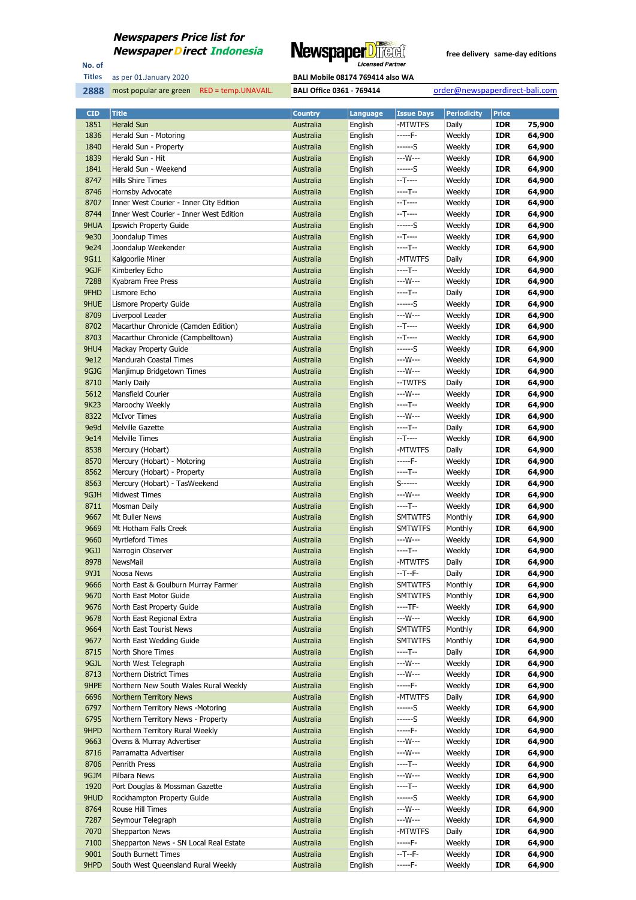

No. of **Titles**

as per 01.January 2020 **BALI Mobile 08174 769414 also WA** 

| <b>CID</b>   | <b>Title</b>                            | <b>Country</b>         | Language           | <b>Issue Days</b>      | <b>Periodicity</b> | <b>Price</b>             |                  |
|--------------|-----------------------------------------|------------------------|--------------------|------------------------|--------------------|--------------------------|------------------|
| 1851         | <b>Herald Sun</b>                       | Australia              | English            | -MTWTFS                | Daily              | <b>IDR</b>               | 75,900           |
| 1836         | Herald Sun - Motoring                   | Australia              | English            | -----F-                | Weekly             | <b>IDR</b>               | 64,900           |
| 1840         | Herald Sun - Property                   | Australia              | English            | $---S$                 | Weekly             | <b>IDR</b>               | 64,900           |
| 1839         | Herald Sun - Hit                        | Australia              | English            | ---W---                | Weekly             | <b>IDR</b>               | 64,900           |
| 1841         | Herald Sun - Weekend                    | Australia              | English            | ------S                | Weekly             | <b>IDR</b>               | 64,900           |
| 8747         | Hills Shire Times                       | Australia              | English            | $-T$ ----              | Weekly             | <b>IDR</b>               | 64,900           |
| 8746         | Hornsby Advocate                        | Australia              | English            | $---T--$               | Weekly             | <b>IDR</b>               | 64,900           |
| 8707         | Inner West Courier - Inner City Edition | Australia              | English            | $-T---$                | Weekly             | <b>IDR</b>               | 64,900           |
| 8744         | Inner West Courier - Inner West Edition | Australia              | English            | $-T---$                | Weekly             | <b>IDR</b>               | 64,900           |
| 9HUA         | <b>Ipswich Property Guide</b>           | Australia              | English            | ------S                | Weekly             | <b>IDR</b>               | 64,900           |
| 9e30         | Joondalup Times                         | Australia              | English            | $-T$ ----              | Weekly             | <b>IDR</b>               | 64,900           |
| 9e24         | Joondalup Weekender                     | <b>Australia</b>       | English            | $---T--$               | Weekly             | <b>IDR</b>               | 64,900           |
| 9G11         | Kalgoorlie Miner                        | Australia              | English            | -MTWTFS                | Daily              | <b>IDR</b>               | 64,900           |
| 9GJF         | Kimberley Echo                          | Australia              | English            | ----T--                | Weekly             | IDR                      | 64,900           |
| 7288         | Kyabram Free Press                      | Australia              | English            | ---W---                | Weekly             | <b>IDR</b>               | 64,900           |
| 9FHD         | Lismore Echo                            | Australia              | English            | $---T--$               | Daily              | <b>IDR</b>               | 64,900           |
| 9HUE         | Lismore Property Guide                  | Australia              | English            | ------S                | Weekly             | <b>IDR</b>               | 64,900           |
| 8709         | Liverpool Leader                        | Australia              | English            | ---W---                | Weekly             | IDR                      | 64,900           |
| 8702         | Macarthur Chronicle (Camden Edition)    | Australia              | English            | $-T$ ----              | Weekly             | <b>IDR</b>               | 64,900           |
| 8703         | Macarthur Chronicle (Campbelltown)      | <b>Australia</b>       | English            | $-T$ ----              | Weekly             | <b>IDR</b>               | 64,900           |
| 9HU4         | Mackay Property Guide                   | Australia              | English            | ------S                | Weekly             | <b>IDR</b>               | 64,900           |
| 9e12         | Mandurah Coastal Times                  | Australia              | English            | ---W---                | Weekly             | <b>IDR</b>               | 64,900           |
| 9GJG         | Manjimup Bridgetown Times               | Australia              | English            | ---W---                | Weekly             | <b>IDR</b>               | 64,900           |
| 8710         | Manly Daily                             | Australia              | English            | --TWTFS                | Daily              | <b>IDR</b>               | 64,900           |
| 5612         | Mansfield Courier                       | Australia              | English            | ---W---                | Weekly             | IDR                      | 64,900           |
| 9K23         | Maroochy Weekly                         | Australia              | English            | ----T--                | Weekly             | IDR                      | 64,900           |
| 8322         | <b>McIvor Times</b>                     | Australia              | English            | ---W---                | Weekly             | <b>IDR</b>               | 64,900           |
| 9e9d         | Melville Gazette                        | Australia              | English            | $---T--$               | Daily              | <b>IDR</b>               | 64,900           |
| 9e14         | <b>Melville Times</b>                   | Australia              | English            | $-T---$                | Weekly             | <b>IDR</b>               | 64,900           |
| 8538         | Mercury (Hobart)                        | Australia              | English            | -MTWTFS                | Daily              | <b>IDR</b>               | 64,900           |
| 8570         | Mercury (Hobart) - Motoring             | Australia              | English            | $---F-$                | Weekly             | <b>IDR</b>               | 64,900           |
| 8562         | Mercury (Hobart) - Property             | Australia              | English            | $---T--$<br>$S$ ------ | Weekly             | <b>IDR</b>               | 64,900           |
| 8563         | Mercury (Hobart) - TasWeekend           | Australia              | English            | ---W---                | Weekly             | <b>IDR</b>               | 64,900           |
| 9GJH         | Midwest Times                           | Australia              | English            | ----T--                | Weekly             | <b>IDR</b><br><b>IDR</b> | 64,900           |
| 8711<br>9667 | Mosman Daily<br>Mt Buller News          | Australia<br>Australia | English            | <b>SMTWTFS</b>         | Weekly<br>Monthly  | <b>IDR</b>               | 64,900<br>64,900 |
| 9669         | Mt Hotham Falls Creek                   | Australia              | English<br>English | <b>SMTWTFS</b>         | Monthly            | IDR                      | 64,900           |
| 9660         | <b>Myrtleford Times</b>                 | Australia              | English            | ---W---                | Weekly             | <b>IDR</b>               | 64,900           |
| 9GJJ         | Narrogin Observer                       | Australia              | English            | ----T--                | Weekly             | IDR                      | 64,900           |
| 8978         | NewsMail                                | Australia              | English            | -MTWTFS                | Daily              | <b>IDR</b>               | 64,900           |
| 9YJ1         | Noosa News                              | Australia              | English            | --T--F-                | Daily              | <b>IDR</b>               | 64,900           |
| 9666         | North East & Goulburn Murray Farmer     | Australia              | English            | <b>SMTWTFS</b>         | Monthly            | <b>IDR</b>               | 64,900           |
| 9670         | North East Motor Guide                  | Australia              | English            | <b>SMTWTFS</b>         | Monthly            | IDR                      | 64,900           |
| 9676         | North East Property Guide               | Australia              | English            | ----TF-                | Weekly             | IDR                      | 64,900           |
| 9678         | North East Regional Extra               | Australia              | English            | ---W---                | Weekly             | <b>IDR</b>               | 64,900           |
| 9664         | North East Tourist News                 | Australia              | English            | <b>SMTWTFS</b>         | Monthly            | <b>IDR</b>               | 64,900           |
| 9677         | North East Wedding Guide                | Australia              | English            | <b>SMTWTFS</b>         | Monthly            | <b>IDR</b>               | 64,900           |
| 8715         | North Shore Times                       | Australia              | English            | ----T--                | Daily              | <b>IDR</b>               | 64,900           |
| 9GJL         | North West Telegraph                    | Australia              | English            | ---W---                | Weekly             | <b>IDR</b>               | 64,900           |
| 8713         | Northern District Times                 | Australia              | English            | ---W---                | Weekly             | IDR                      | 64,900           |
| 9HPE         | Northern New South Wales Rural Weekly   | Australia              | English            | -----F-                | Weekly             | <b>IDR</b>               | 64,900           |
| 6696         | <b>Northern Territory News</b>          | Australia              | English            | -MTWTFS                | Daily              | <b>IDR</b>               | 64,900           |
| 6797         | Northern Territory News -Motoring       | Australia              | English            | ------S                | Weekly             | <b>IDR</b>               | 64,900           |
| 6795         | Northern Territory News - Property      | Australia              | English            | ------S                | Weekly             | <b>IDR</b>               | 64,900           |
| 9HPD         | Northern Territory Rural Weekly         | Australia              | English            | $---F-$                | Weekly             | <b>IDR</b>               | 64,900           |
| 9663         | Ovens & Murray Advertiser               | Australia              | English            | ---W---                | Weekly             | <b>IDR</b>               | 64,900           |
| 8716         | Parramatta Advertiser                   | Australia              | English            | ---W---                | Weekly             | <b>IDR</b>               | 64,900           |
| 8706         | Penrith Press                           | Australia              | English            | ----T--                | Weekly             | <b>IDR</b>               | 64,900           |
| 9GJM         | Pilbara News                            | Australia              | English            | ---W---                | Weekly             | <b>IDR</b>               | 64,900           |
| 1920         | Port Douglas & Mossman Gazette          | Australia              | English            | ----T--                | Weekly             | <b>IDR</b>               | 64,900           |
| 9HUD         | Rockhampton Property Guide              | Australia              | English            | ------S                | Weekly             | <b>IDR</b>               | 64,900           |
| 8764         | Rouse Hill Times                        | Australia              | English            | ---W---                | Weekly             | <b>IDR</b>               | 64,900           |
| 7287         | Seymour Telegraph                       | Australia              | English            | ---W---                | Weekly             | <b>IDR</b>               | 64,900           |
| 7070         | Shepparton News                         | Australia              | English            | -MTWTFS                | Daily              | <b>IDR</b>               | 64,900           |
| 7100         | Shepparton News - SN Local Real Estate  | Australia              | English            | -----F-                | Weekly             | <b>IDR</b>               | 64,900           |
| 9001         | South Burnett Times                     | Australia              | English            | --T--F-                | Weekly             | <b>IDR</b>               | 64,900           |
| 9HPD         | South West Queensland Rural Weekly      | Australia              | English            | -----F-                | Weekly             | <b>IDR</b>               | 64,900           |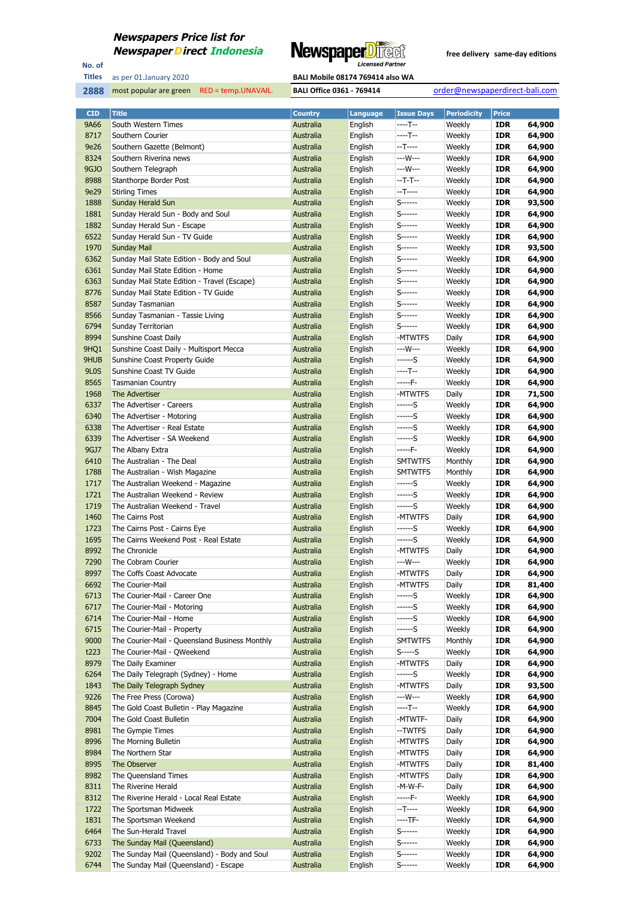

No. of **Titles**

most popular are green RED = temp.UNAVAIL. **BALI Office 0361 - 769414** order@newspaperdirect-bali.com

| <b>CID</b>        | <b>Title</b>                                   | <b>Country</b>         | Language           | <b>Issue Days</b>  | <b>Periodicity</b> | <b>Price</b>             |                  |
|-------------------|------------------------------------------------|------------------------|--------------------|--------------------|--------------------|--------------------------|------------------|
| 9A66              | South Western Times                            | Australia              | English            | $---T--$           | Weekly             | <b>IDR</b>               | 64,900           |
| 8717              | Southern Courier                               | Australia              | English            | $---T--$           | Weekly             | <b>IDR</b>               | 64,900           |
| 9e26              | Southern Gazette (Belmont)                     | Australia              | English            | $-T$ -----         | Weekly             | <b>IDR</b>               | 64,900           |
| 8324              | Southern Riverina news                         | Australia              | English            | ---W---            | Weekly             | <b>IDR</b>               | 64,900           |
| <b>9GJO</b>       | Southern Telegraph                             | Australia              | English            | ---W---            | Weekly             | <b>IDR</b>               | 64,900           |
| 8988              | Stanthorpe Border Post                         | Australia              | English            | $-T-T-$            | Weekly             | <b>IDR</b>               | 64,900           |
| 9e29              | <b>Stirling Times</b>                          | Australia              | English            | $-T$ -----         | Weekly             | <b>IDR</b>               | 64,900           |
| 1888              | Sunday Herald Sun                              | Australia              | English            | $S$ ------         | Weekly             | <b>IDR</b>               | 93,500           |
| 1881              | Sunday Herald Sun - Body and Soul              | Australia              | English            | $S$ ------         | Weekly             | <b>IDR</b>               | 64,900           |
| 1882              | Sunday Herald Sun - Escape                     | Australia              | English            | S------            | Weekly             | <b>IDR</b>               | 64,900           |
| 6522              | Sunday Herald Sun - TV Guide                   | Australia              | English            | $S$ -------        | Weekly             | <b>IDR</b>               | 64,900           |
| 1970              | <b>Sunday Mail</b>                             | Australia              | English            | $S$ ------         | Weekly             | <b>IDR</b>               | 93,500           |
| 6362              | Sunday Mail State Edition - Body and Soul      | Australia              | English            | S------            | Weekly             | <b>IDR</b>               | 64,900           |
| 6361              | Sunday Mail State Edition - Home               | Australia              | English            | S------            | Weekly             | <b>IDR</b>               | 64,900           |
| 6363              | Sunday Mail State Edition - Travel (Escape)    | Australia              | English            | $S$ ------         | Weekly             | <b>IDR</b>               | 64,900           |
| 8776              | Sunday Mail State Edition - TV Guide           | Australia              | English            | S------            | Weekly             | <b>IDR</b>               | 64,900           |
| 8587              | Sunday Tasmanian                               | Australia              | English            | $S$ ------         | Weekly             | <b>IDR</b>               | 64,900           |
| 8566              | Sunday Tasmanian - Tassie Living               | Australia              | English            | $S$ ------         | Weekly             | <b>IDR</b>               | 64,900           |
| 6794              | Sunday Territorian                             | Australia              | English            | $S$ ------         | Weekly             | <b>IDR</b>               | 64,900           |
| 8994              | Sunshine Coast Daily                           | Australia              | English            | -MTWTFS            | Daily              | <b>IDR</b>               | 64,900           |
| 9HQ1              | Sunshine Coast Daily - Multisport Mecca        | Australia              | English            | $--W---$           | Weekly             | <b>IDR</b>               | 64,900           |
| 9HUB              | Sunshine Coast Property Guide                  | Australia              | English            | ------S            | Weekly             | <b>IDR</b>               | 64,900           |
| 9L <sub>0</sub> S | Sunshine Coast TV Guide                        | Australia              | English            | $---T--$           | Weekly             | <b>IDR</b>               | 64,900           |
| 8565              | <b>Tasmanian Country</b>                       | Australia              | English            | $---F-$            | Weekly             | <b>IDR</b>               | 64,900           |
| 1968              | The Advertiser<br>The Advertiser - Careers     | Australia              | English            | -MTWTFS            | Daily              | <b>IDR</b>               | 71,500           |
| 6337<br>6340      | The Advertiser - Motoring                      | Australia<br>Australia | English<br>English | ------S<br>------S | Weekly<br>Weekly   | <b>IDR</b><br><b>IDR</b> | 64,900<br>64,900 |
| 6338              | The Advertiser - Real Estate                   | Australia              |                    | ------S            | Weekly             | <b>IDR</b>               | 64,900           |
| 6339              | The Advertiser - SA Weekend                    | Australia              | English<br>English | ------S            | Weekly             | <b>IDR</b>               | 64,900           |
| 9GJ7              | The Albany Extra                               | Australia              | English            | -----F-            | Weekly             | <b>IDR</b>               | 64,900           |
| 6410              | The Australian - The Deal                      | Australia              | English            | <b>SMTWTFS</b>     | Monthly            | <b>IDR</b>               | 64,900           |
| 1788              | The Australian - Wish Magazine                 | Australia              | English            | <b>SMTWTFS</b>     | Monthly            | <b>IDR</b>               | 64,900           |
| 1717              | The Australian Weekend - Magazine              | Australia              | English            | ------S            | Weekly             | <b>IDR</b>               | 64,900           |
| 1721              | The Australian Weekend - Review                | Australia              | English            | ------S            | Weekly             | <b>IDR</b>               | 64,900           |
| 1719              | The Australian Weekend - Travel                | Australia              | English            | ------S            | Weekly             | <b>IDR</b>               | 64,900           |
| 1460              | The Cairns Post                                | Australia              | English            | -MTWTFS            | Daily              | <b>IDR</b>               | 64,900           |
| 1723              | The Cairns Post - Cairns Eye                   | Australia              | English            | ------S            | Weekly             | <b>IDR</b>               | 64,900           |
| 1695              | The Cairns Weekend Post - Real Estate          | Australia              | English            | ------S            | Weekly             | <b>IDR</b>               | 64,900           |
| 8992              | The Chronicle                                  | Australia              | English            | -MTWTFS            | Daily              | <b>IDR</b>               | 64,900           |
| 7290              | The Cobram Courier                             | Australia              | English            | ---W---            | Weekly             | <b>IDR</b>               | 64,900           |
| 8997              | The Coffs Coast Advocate                       | Australia              | English            | -MTWTFS            | Daily              | <b>IDR</b>               | 64,900           |
| 6692              | The Courier-Mail                               | Australia              | English            | -MTWTFS            | Daily              | <b>IDR</b>               | 81,400           |
| 6713              | The Courier-Mail - Career One                  | Australia              | English            | ------S            | Weekly             | <b>IDR</b>               | 64,900           |
| 6717              | The Courier-Mail - Motoring                    | Australia              | English            | ------S            | Weekly             | <b>IDR</b>               | 64,900           |
| 6714              | The Courier-Mail - Home                        | Australia              | English            | ------S            | Weekly             | <b>IDR</b>               | 64,900           |
| 6715              | The Courier-Mail - Property                    | Australia              | English            | ------S            | Weekly             | <b>IDR</b>               | 64,900           |
| 9000              | The Courier-Mail - Queensland Business Monthly | Australia              | English            | <b>SMTWTFS</b>     | Monthly            | <b>IDR</b>               | 64,900           |
| t223              | The Courier-Mail - QWeekend                    | Australia              | English            | $S$ ----- $S$      | Weekly             | <b>IDR</b>               | 64,900           |
| 8979              | The Daily Examiner                             | Australia              | English            | -MTWTFS            | Daily              | <b>IDR</b>               | 64,900           |
| 6264              | The Daily Telegraph (Sydney) - Home            | Australia              | English            | ------S            | Weekly             | <b>IDR</b>               | 64,900           |
| 1843              | The Daily Telegraph Sydney                     | Australia              | English            | -MTWTFS            | Daily              | <b>IDR</b>               | 93,500           |
| 9226              | The Free Press (Corowa)                        | Australia              | English            | ---W---            | Weekly             | <b>IDR</b>               | 64,900           |
| 8845              | The Gold Coast Bulletin - Play Magazine        | Australia              | English            | $---T--$           | Weekly             | <b>IDR</b>               | 64,900           |
| 7004              | The Gold Coast Bulletin                        | Australia              | English            | -MTWTF-            | Daily              | <b>IDR</b>               | 64,900           |
| 8981              | The Gympie Times                               | Australia              | English            | --TWTFS            | Daily              | <b>IDR</b>               | 64,900           |
| 8996              | The Morning Bulletin                           | Australia              | English            | -MTWTFS            | Daily              | <b>IDR</b>               | 64,900           |
| 8984              | The Northern Star                              | Australia              | English            | -MTWTFS            | Daily              | <b>IDR</b>               | 64,900           |
| 8995              | The Observer                                   | Australia              | English            | -MTWTFS            | Daily              | <b>IDR</b>               | 81,400           |
| 8982              | The Queensland Times                           | Australia              | English            | -MTWTFS            | Daily              | <b>IDR</b>               | 64,900           |
| 8311              | The Riverine Herald                            | Australia              | English            | -M-W-F-            | Daily              | <b>IDR</b>               | 64,900           |
| 8312              | The Riverine Herald - Local Real Estate        | Australia              | English            | -----F-            | Weekly             | <b>IDR</b>               | 64,900           |
| 1722              | The Sportsman Midweek                          | Australia              | English            | $-T$ -----         | Weekly             | <b>IDR</b>               | 64,900           |
| 1831              | The Sportsman Weekend                          | Australia              | English            | $---TF-$           | Weekly             | <b>IDR</b>               | 64,900           |
| 6464              | The Sun-Herald Travel                          | Australia              | English            | $S$ ------         | Weekly             | <b>IDR</b>               | 64,900           |
| 6733              | The Sunday Mail (Queensland)                   | Australia              | English            | $S$ -------        | Weekly             | <b>IDR</b>               | 64,900           |
| 9202              | The Sunday Mail (Queensland) - Body and Soul   | Australia              | English            | S------            | Weekly             | <b>IDR</b>               | 64,900           |
| 6744              | The Sunday Mail (Queensland) - Escape          | Australia              | English            | $S$ ------         | Weekly             | <b>IDR</b>               | 64,900           |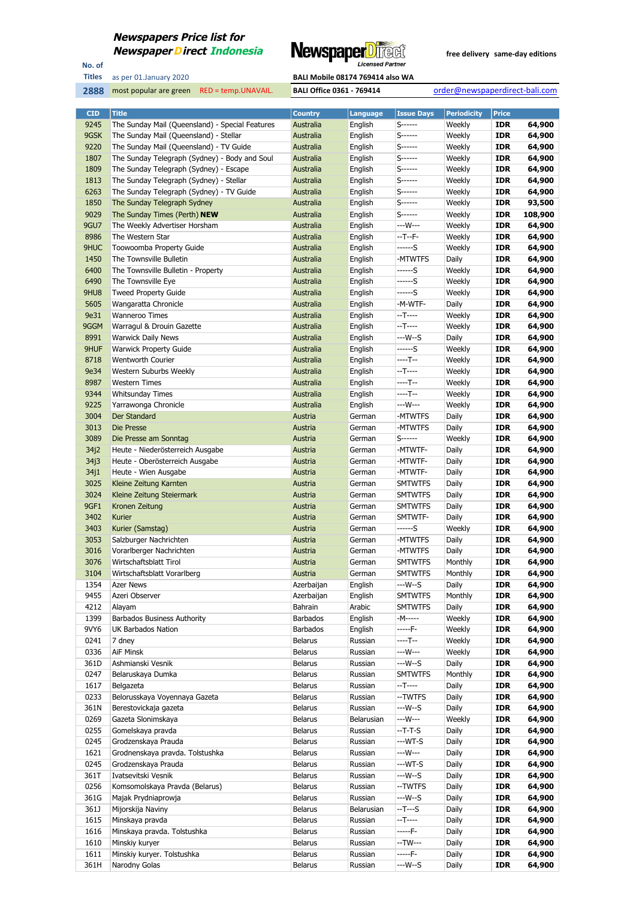

**Titles**

No. of

most popular are green RED = temp.UNAVAIL. **BALI Office 0361 - 769414** order@newspaperdirect-bali.com

| <b>CID</b>   | <b>Title</b>                                    | <b>Country</b>     | Language         | <b>Issue Days</b>  | <b>Periodicity</b> | <b>Price</b>             |                  |
|--------------|-------------------------------------------------|--------------------|------------------|--------------------|--------------------|--------------------------|------------------|
| 9245         | The Sunday Mail (Queensland) - Special Features | Australia          | English          | $S$ ------         | Weekly             | <b>IDR</b>               | 64,900           |
| 9GSK         | The Sunday Mail (Queensland) - Stellar          | Australia          | English          | $S$ ------         | Weekly             | <b>IDR</b>               | 64,900           |
| 9220         | The Sunday Mail (Queensland) - TV Guide         | Australia          | English          | S------            | Weekly             | <b>IDR</b>               | 64,900           |
| 1807         | The Sunday Telegraph (Sydney) - Body and Soul   | Australia          | English          | S-------           | Weekly             | <b>IDR</b>               | 64,900           |
| 1809         | The Sunday Telegraph (Sydney) - Escape          | Australia          | English          | $S$ ------         | Weekly             | <b>IDR</b>               | 64,900           |
| 1813         | The Sunday Telegraph (Sydney) - Stellar         | Australia          | English          | $S$ ------         | Weekly             | <b>IDR</b>               | 64,900           |
| 6263         | The Sunday Telegraph (Sydney) - TV Guide        | Australia          | English          | S------            | Weekly             | <b>IDR</b>               | 64,900           |
| 1850         | The Sunday Telegraph Sydney                     | Australia          | English          | S------            | Weekly             | <b>IDR</b>               | 93,500           |
| 9029         | The Sunday Times (Perth) <b>NEW</b>             | Australia          | English          | S------            | Weekly             | <b>IDR</b>               | 108,900          |
| 9GU7         | The Weekly Advertiser Horsham                   | Australia          | English          | ---W---            | Weekly             | <b>IDR</b>               | 64,900           |
| 8986         | The Western Star                                | Australia          | English          | $-T - F -$         | Weekly             | <b>IDR</b>               | 64,900           |
| 9HUC         | Toowoomba Property Guide                        | Australia          | English          | ------S            | Weekly             | <b>IDR</b>               | 64,900           |
| 1450         | The Townsville Bulletin                         | Australia          | English          | -MTWTFS            | Daily              | <b>IDR</b>               | 64,900           |
| 6400         | The Townsville Bulletin - Property              | Australia          | English          | ------S            | Weekly             | <b>IDR</b>               | 64,900           |
| 6490         | The Townsville Eye                              | Australia          | English          | ------S            | Weekly             | <b>IDR</b>               | 64,900           |
| 9HU8         | <b>Tweed Property Guide</b>                     | Australia          | English          | ------S            | Weekly             | <b>IDR</b>               | 64,900           |
| 5605         | Wangaratta Chronicle                            | Australia          | English          | -M-WTF-            | Daily              | <b>IDR</b>               | 64,900           |
| 9e31         | <b>Wanneroo Times</b>                           | Australia          | English          | $-T---$            | Weekly             | <b>IDR</b>               | 64,900           |
| 9GGM         | Warragul & Drouin Gazette                       | Australia          | English          | $-T$ ----          | Weekly             | <b>IDR</b>               | 64,900           |
| 8991         | <b>Warwick Daily News</b>                       | Australia          | English          | $--W-S$            | Daily              | <b>IDR</b>               | 64,900           |
| 9HUF         | <b>Warwick Property Guide</b>                   | Australia          | English          | ------S            | Weekly             | <b>IDR</b>               | 64,900           |
| 8718         | <b>Wentworth Courier</b>                        | Australia          | English          | $---T--$           | Weekly             | <b>IDR</b>               | 64,900           |
| 9e34         | Western Suburbs Weekly                          | Australia          | English          | --T----            | Weekly             | <b>IDR</b>               | 64,900           |
| 8987         | <b>Western Times</b>                            | Australia          | English          | ----T--            | Weekly             | <b>IDR</b>               | 64,900           |
| 9344         | <b>Whitsunday Times</b>                         | Australia          | English          | ----T--            | Weekly             | <b>IDR</b>               | 64,900           |
| 9225         | Yarrawonga Chronicle                            | Australia          | English          | ---W---            | Weekly             | <b>IDR</b>               | 64,900           |
| 3004         | Der Standard                                    | Austria            | German           | -MTWTFS            | Daily              | <b>IDR</b>               | 64,900           |
| 3013         | Die Presse                                      | Austria            | German           | -MTWTFS            | Daily              | <b>IDR</b>               | 64,900           |
| 3089         | Die Presse am Sonntag                           | Austria            | German           | $S$ ------         | Weekly             | <b>IDR</b>               | 64,900           |
| 34j2         | Heute - Niederösterreich Ausgabe                | Austria            | German           | -MTWTF-            | Daily              | <b>IDR</b>               | 64,900           |
| 34j3         | Heute - Oberösterreich Ausgabe                  | Austria            | German           | -MTWTF-            | Daily              | <b>IDR</b>               | 64,900           |
| 34j1         | Heute - Wien Ausgabe                            | Austria            | German           | -MTWTF-            | Daily              | <b>IDR</b>               | 64,900           |
| 3025         | Kleine Zeitung Karnten                          | Austria            | German           | <b>SMTWTFS</b>     | Daily              | <b>IDR</b>               | 64,900           |
| 3024         | Kleine Zeitung Steiermark                       | Austria            | German           | <b>SMTWTFS</b>     | Daily              | <b>IDR</b>               | 64,900           |
| 9GF1         | Kronen Zeitung                                  | Austria            | German           | <b>SMTWTFS</b>     | Daily              | <b>IDR</b>               | 64,900           |
| 3402<br>3403 | Kurier                                          | Austria<br>Austria | German           | SMTWTF-<br>------S | Daily<br>Weekly    | <b>IDR</b><br><b>IDR</b> | 64,900           |
| 3053         | Kurier (Samstag)<br>Salzburger Nachrichten      | Austria            | German<br>German | -MTWTFS            | Daily              | <b>IDR</b>               | 64,900<br>64,900 |
| 3016         | Vorarlberger Nachrichten                        | Austria            | German           | -MTWTFS            | Daily              | <b>IDR</b>               | 64,900           |
| 3076         | Wirtschaftsblatt Tirol                          | Austria            | German           | <b>SMTWTFS</b>     | Monthly            | <b>IDR</b>               | 64,900           |
| 3104         | Wirtschaftsblatt Vorarlberg                     | Austria            | German           | <b>SMTWTFS</b>     | Monthly            | <b>IDR</b>               | 64,900           |
| 1354         | Azer News                                       | Azerbaijan         | English          | $--W-S$            | Daily              | <b>IDR</b>               | 64,900           |
| 9455         | Azeri Observer                                  | Azerbaijan         | English          | <b>SMTWTFS</b>     | Monthly            | <b>IDR</b>               | 64,900           |
| 4212         | Alayam                                          | Bahrain            | Arabic           | <b>SMTWTFS</b>     | Daily              | <b>IDR</b>               | 64,900           |
| 1399         | <b>Barbados Business Authority</b>              | Barbados           | English          | -M-----            | Weekly             | <b>IDR</b>               | 64,900           |
| 9VY6         | UK Barbados Nation                              | Barbados           | English          | -----F-            | Weekly             | <b>IDR</b>               | 64,900           |
| 0241         | 7 dney                                          | <b>Belarus</b>     | Russian          | ----T--            | Weekly             | <b>IDR</b>               | 64,900           |
| 0336         | AiF Minsk                                       | Belarus            | Russian          | ---W---            | Weekly             | <b>IDR</b>               | 64,900           |
| 361D         | Ashmianski Vesnik                               | <b>Belarus</b>     | Russian          | $--W--S$           | Daily              | <b>IDR</b>               | 64,900           |
| 0247         | Belaruskaya Dumka                               | <b>Belarus</b>     | Russian          | <b>SMTWTFS</b>     | Monthly            | <b>IDR</b>               | 64,900           |
| 1617         | Belgazeta                                       | <b>Belarus</b>     | Russian          | $-T---$            | Daily              | <b>IDR</b>               | 64,900           |
| 0233         | Belorusskaya Voyennaya Gazeta                   | <b>Belarus</b>     | Russian          | --TWTFS            | Daily              | <b>IDR</b>               | 64,900           |
| 361N         | Berestovickaja gazeta                           | <b>Belarus</b>     | Russian          | ---W--S            | Daily              | <b>IDR</b>               | 64,900           |
| 0269         | Gazeta Slonimskaya                              | <b>Belarus</b>     | Belarusian       | $--W---$           | Weekly             | <b>IDR</b>               | 64,900           |
| 0255         | Gomelskaya pravda                               | <b>Belarus</b>     | Russian          | $-T-T-S$           | Daily              | <b>IDR</b>               | 64,900           |
| 0245         | Grodzenskaya Prauda                             | <b>Belarus</b>     | Russian          | $--WT-S$           | Daily              | <b>IDR</b>               | 64,900           |
| 1621         | Grodnenskaya pravda. Tolstushka                 | <b>Belarus</b>     | Russian          | $--W---$           | Daily              | <b>IDR</b>               | 64,900           |
| 0245         | Grodzenskaya Prauda                             | <b>Belarus</b>     | Russian          | $--WT-S$           | Daily              | <b>IDR</b>               | 64,900           |
| 361T         | Ivatsevitski Vesnik                             | <b>Belarus</b>     | Russian          | $--W--S$           | Daily              | <b>IDR</b>               | 64,900           |
| 0256         | Komsomolskaya Pravda (Belarus)                  | <b>Belarus</b>     | Russian          | --TWTFS            | Daily              | <b>IDR</b>               | 64,900           |
| 361G         | Majak Prydniaprowja                             | <b>Belarus</b>     | Russian          | $--W--S$           | Daily              | <b>IDR</b>               | 64,900           |
| 361J         | Mijorskija Naviny                               | <b>Belarus</b>     | Belarusian       | $-T--S$            | Daily              | <b>IDR</b>               | 64,900           |
| 1615         | Minskaya pravda                                 | <b>Belarus</b>     | Russian          | $-T$ -----         | Daily              | <b>IDR</b>               | 64,900           |
| 1616         | Minskaya pravda. Tolstushka                     | <b>Belarus</b>     | Russian          | -----F-            | Daily              | <b>IDR</b>               | 64,900           |
| 1610         | Minskiy kuryer                                  | <b>Belarus</b>     | Russian          | --TW---            | Daily              | <b>IDR</b>               | 64,900           |
| 1611         | Minskiy kuryer. Tolstushka                      | <b>Belarus</b>     | Russian          | -----F-            | Daily              | <b>IDR</b>               | 64,900           |
| 361H         | Narodny Golas                                   | <b>Belarus</b>     | Russian          | $--W--S$           | Daily              | <b>IDR</b>               | 64,900           |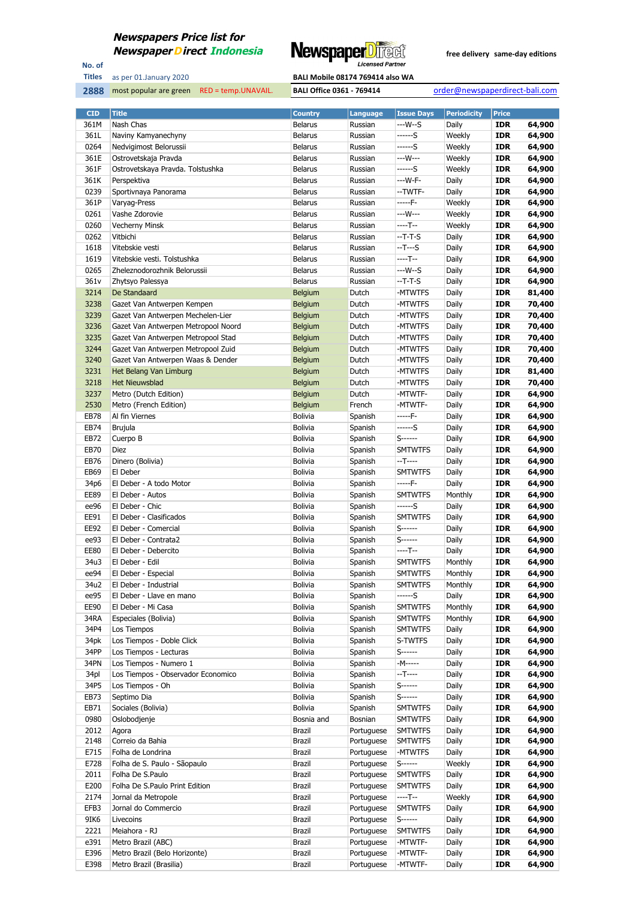

No. of **Titles**



| <b>CID</b>   | <b>Title</b>                                             | <b>Country</b>                 | Language                 | <b>Issue Days</b>                | <b>Periodicity</b> | <b>Price</b>             |                  |
|--------------|----------------------------------------------------------|--------------------------------|--------------------------|----------------------------------|--------------------|--------------------------|------------------|
| 361M         | Nash Chas                                                | <b>Belarus</b>                 | Russian                  | ---W--S                          | Daily              | <b>IDR</b>               | 64,900           |
| 361L         | Naviny Kamyanechyny                                      | <b>Belarus</b>                 | Russian                  | ------S                          | Weekly             | <b>IDR</b>               | 64,900           |
| 0264         | Nedvigimost Belorussii                                   | <b>Belarus</b>                 | Russian                  | ------S                          | Weekly             | <b>IDR</b>               | 64,900           |
| 361E         | Ostrovetskaja Pravda                                     | <b>Belarus</b>                 | Russian                  | ---W---                          | Weekly             | <b>IDR</b>               | 64,900           |
| 361F         | Ostrovetskaya Pravda. Tolstushka                         | <b>Belarus</b>                 | Russian                  | ------S                          | Weekly             | <b>IDR</b>               | 64,900           |
| 361K         | Perspektiva                                              | <b>Belarus</b>                 | Russian                  | --- W-F-                         | Daily              | <b>IDR</b>               | 64,900           |
| 0239         | Sportivnaya Panorama                                     | <b>Belarus</b>                 | Russian                  | --TWTF-                          | Daily              | <b>IDR</b>               | 64,900           |
| 361P         | Varyag-Press                                             | <b>Belarus</b>                 | Russian                  | -----F-                          | Weekly             | <b>IDR</b>               | 64,900           |
| 0261         | Vashe Zdorovie                                           | <b>Belarus</b>                 | Russian                  | ---W---                          | Weekly             | <b>IDR</b>               | 64,900           |
| 0260         | <b>Vecherny Minsk</b>                                    | <b>Belarus</b>                 | Russian                  | $---T--$                         | Weekly             | <b>IDR</b>               | 64,900           |
| 0262         | Vitbichi                                                 | <b>Belarus</b>                 | Russian                  | --T-T-S                          | Daily              | <b>IDR</b>               | 64,900           |
| 1618         | Vitebskie vesti                                          | <b>Belarus</b>                 | Russian                  | --T---S                          | Daily              | <b>IDR</b>               | 64,900           |
| 1619         | Vitebskie vesti. Tolstushka                              | <b>Belarus</b>                 | Russian                  | ----T--                          | Daily              | <b>IDR</b>               | 64,900           |
| 0265         | Zheleznodorozhnik Belorussii                             | <b>Belarus</b>                 | Russian                  | ---W--S                          | Daily              | <b>IDR</b>               | 64,900           |
| 361v<br>3214 | Zhytsyo Palessya<br>De Standaard                         | <b>Belarus</b><br>Belgium      | Russian<br>Dutch         | --T-T-S<br>-MTWTFS               | Daily<br>Daily     | <b>IDR</b><br><b>IDR</b> | 64,900<br>81,400 |
| 3238         | Gazet Van Antwerpen Kempen                               | Belgium                        | Dutch                    | -MTWTFS                          | Daily              | <b>IDR</b>               | 70,400           |
| 3239         | Gazet Van Antwerpen Mechelen-Lier                        | Belgium                        | Dutch                    | -MTWTFS                          | Daily              | <b>IDR</b>               | 70,400           |
| 3236         | Gazet Van Antwerpen Metropool Noord                      | <b>Belgium</b>                 | Dutch                    | -MTWTFS                          | Daily              | <b>IDR</b>               | 70,400           |
| 3235         | Gazet Van Antwerpen Metropool Stad                       | <b>Belgium</b>                 | Dutch                    | -MTWTFS                          | Daily              | <b>IDR</b>               | 70,400           |
| 3244         | Gazet Van Antwerpen Metropool Zuid                       | Belgium                        | Dutch                    | -MTWTFS                          | Daily              | <b>IDR</b>               | 70,400           |
| 3240         | Gazet Van Antwerpen Waas & Dender                        | Belgium                        | Dutch                    | -MTWTFS                          | Daily              | <b>IDR</b>               | 70,400           |
| 3231         | Het Belang Van Limburg                                   | Belgium                        | Dutch                    | -MTWTFS                          | Daily              | <b>IDR</b>               | 81,400           |
| 3218         | <b>Het Nieuwsblad</b>                                    | Belgium                        | Dutch                    | -MTWTFS                          | Daily              | <b>IDR</b>               | 70,400           |
| 3237         | Metro (Dutch Edition)                                    | Belgium                        | Dutch                    | -MTWTF-                          | Daily              | <b>IDR</b>               | 64,900           |
| 2530         | Metro (French Edition)                                   | <b>Belgium</b>                 | French                   | -MTWTF-                          | Daily              | <b>IDR</b>               | 64,900           |
| <b>EB78</b>  | Al fin Viernes                                           | <b>Bolivia</b>                 | Spanish                  | -----F-                          | Daily              | <b>IDR</b>               | 64,900           |
| EB74         | <b>Brujula</b>                                           | <b>Bolivia</b>                 | Spanish                  | ------S                          | Daily              | <b>IDR</b>               | 64,900           |
| EB72         | Cuerpo B                                                 | <b>Bolivia</b>                 | Spanish                  | S-------                         | Daily              | <b>IDR</b>               | 64,900           |
| EB70         | Diez                                                     | <b>Bolivia</b>                 | Spanish                  | <b>SMTWTFS</b>                   | Daily              | <b>IDR</b>               | 64,900           |
| EB76         | Dinero (Bolivia)                                         | <b>Bolivia</b>                 | Spanish                  | --T----                          | Daily              | <b>IDR</b>               | 64,900           |
| EB69         | El Deber                                                 | <b>Bolivia</b>                 | Spanish                  | <b>SMTWTFS</b>                   | Daily              | <b>IDR</b>               | 64,900           |
| 34p6         | El Deber - A todo Motor                                  | <b>Bolivia</b>                 | Spanish                  | -----F-                          | Daily              | <b>IDR</b>               | 64,900           |
| <b>EE89</b>  | El Deber - Autos                                         | <b>Bolivia</b>                 | Spanish                  | <b>SMTWTFS</b>                   | Monthly            | <b>IDR</b>               | 64,900           |
| ee96         | El Deber - Chic                                          | <b>Bolivia</b>                 | Spanish                  | ------S                          | Daily              | <b>IDR</b>               | 64,900           |
| EE91         | El Deber - Clasificados                                  | <b>Bolivia</b>                 | Spanish                  | <b>SMTWTFS</b>                   | Daily              | <b>IDR</b>               | 64,900           |
| EE92         | El Deber - Comercial                                     | <b>Bolivia</b>                 | Spanish                  | S-------                         | Daily              | <b>IDR</b>               | 64,900           |
| ee93         | El Deber - Contrata2                                     | <b>Bolivia</b>                 | Spanish                  | S------                          | Daily              | <b>IDR</b>               | 64,900           |
| <b>EE80</b>  | El Deber - Debercito                                     | <b>Bolivia</b>                 | Spanish                  | ----T--                          | Daily              | <b>IDR</b>               | 64,900           |
| 34u3         | El Deber - Edil                                          | <b>Bolivia</b>                 | Spanish                  | <b>SMTWTFS</b>                   | Monthly            | <b>IDR</b>               | 64,900           |
| ee94         | El Deber - Especial                                      | <b>Bolivia</b>                 | Spanish                  | <b>SMTWTFS</b>                   | Monthly            | <b>IDR</b>               | 64,900           |
| 34u2         | El Deber - Industrial                                    | <b>Bolivia</b>                 | Spanish                  | <b>SMTWTFS</b>                   | Monthly            | <b>IDR</b>               | 64,900           |
| ee95         | El Deber - Llave en mano                                 | <b>Bolivia</b>                 | Spanish                  | ------S                          | Daily              | <b>IDR</b>               | 64,900           |
| EE90<br>34RA | El Deber - Mi Casa                                       | <b>Bolivia</b><br>Bolivia      | Spanish<br>Spanish       | <b>SMTWTFS</b><br><b>SMTWTFS</b> | Monthly<br>Monthly | <b>IDR</b><br><b>IDR</b> | 64,900<br>64,900 |
| 34P4         | Especiales (Bolivia)<br>Los Tiempos                      | <b>Bolivia</b>                 | Spanish                  | <b>SMTWTFS</b>                   | Daily              | <b>IDR</b>               | 64,900           |
| 34pk         | Los Tiempos - Doble Click                                | <b>Bolivia</b>                 | Spanish                  | S-TWTFS                          | Daily              | <b>IDR</b>               | 64,900           |
| 34PP         | Los Tiempos - Lecturas                                   | <b>Bolivia</b>                 | Spanish                  | S-------                         | Daily              | <b>IDR</b>               | 64,900           |
| 34PN         | Los Tiempos - Numero 1                                   | <b>Bolivia</b>                 | Spanish                  | -M-----                          | Daily              | <b>IDR</b>               | 64,900           |
| 34pl         | Los Tiempos - Observador Economico                       | <b>Bolivia</b>                 | Spanish                  | $-T$ -----                       | Daily              | <b>IDR</b>               | 64,900           |
| 34P5         | Los Tiempos - Oh                                         | <b>Bolivia</b>                 | Spanish                  | $S$ ------                       | Daily              | <b>IDR</b>               | 64,900           |
| EB73         | Septimo Dia                                              | <b>Bolivia</b>                 | Spanish                  | S-------                         | Daily              | <b>IDR</b>               | 64,900           |
| EB71         | Sociales (Bolivia)                                       | <b>Bolivia</b>                 | Spanish                  | <b>SMTWTFS</b>                   | Daily              | <b>IDR</b>               | 64,900           |
| 0980         | Oslobodjenje                                             | Bosnia and                     | Bosnian                  | <b>SMTWTFS</b>                   | Daily              | <b>IDR</b>               | 64,900           |
| 2012         | Agora                                                    | Brazil                         | Portuguese               | <b>SMTWTFS</b>                   | Daily              | <b>IDR</b>               | 64,900           |
| 2148         | Correio da Bahia                                         | Brazil                         | Portuguese               | <b>SMTWTFS</b>                   | Daily              | <b>IDR</b>               | 64,900           |
| E715         | Folha de Londrina                                        | <b>Brazil</b>                  | Portuguese               | -MTWTFS                          | Daily              | <b>IDR</b>               | 64,900           |
| E728         | Folha de S. Paulo - Sãopaulo                             | Brazil                         | Portuguese               | S------                          | Weekly             | <b>IDR</b>               | 64,900           |
| 2011         | Folha De S.Paulo                                         | Brazil                         | Portuguese               | <b>SMTWTFS</b>                   | Daily              | <b>IDR</b>               | 64,900           |
| E200         | Folha De S.Paulo Print Edition                           | Brazil                         | Portuguese               | <b>SMTWTFS</b>                   | Daily              | <b>IDR</b>               | 64,900           |
| 2174         | Jornal da Metropole                                      | <b>Brazil</b>                  | Portuguese               | $---T--$                         | Weekly             | <b>IDR</b>               | 64,900           |
| EFB3         | Jornal do Commercio                                      | <b>Brazil</b>                  | Portuguese               | <b>SMTWTFS</b>                   | Daily              | <b>IDR</b>               | 64,900           |
| 9IK6         | Livecoins                                                | Brazil                         | Portuguese               | S------                          | Daily              | <b>IDR</b>               | 64,900           |
| 2221         | Meiahora - RJ                                            | Brazil                         | Portuguese               | <b>SMTWTFS</b>                   | Daily              | <b>IDR</b>               | 64,900           |
| e391         | Metro Brazil (ABC)                                       | <b>Brazil</b>                  | Portuguese               | -MTWTF-                          | Daily              | <b>IDR</b>               | 64,900<br>64,900 |
| E396<br>E398 | Metro Brazil (Belo Horizonte)<br>Metro Brazil (Brasilia) | <b>Brazil</b><br><b>Brazil</b> | Portuguese<br>Portuguese | -MTWTF-<br>-MTWTF-               | Daily<br>Daily     | <b>IDR</b><br><b>IDR</b> | 64,900           |
|              |                                                          |                                |                          |                                  |                    |                          |                  |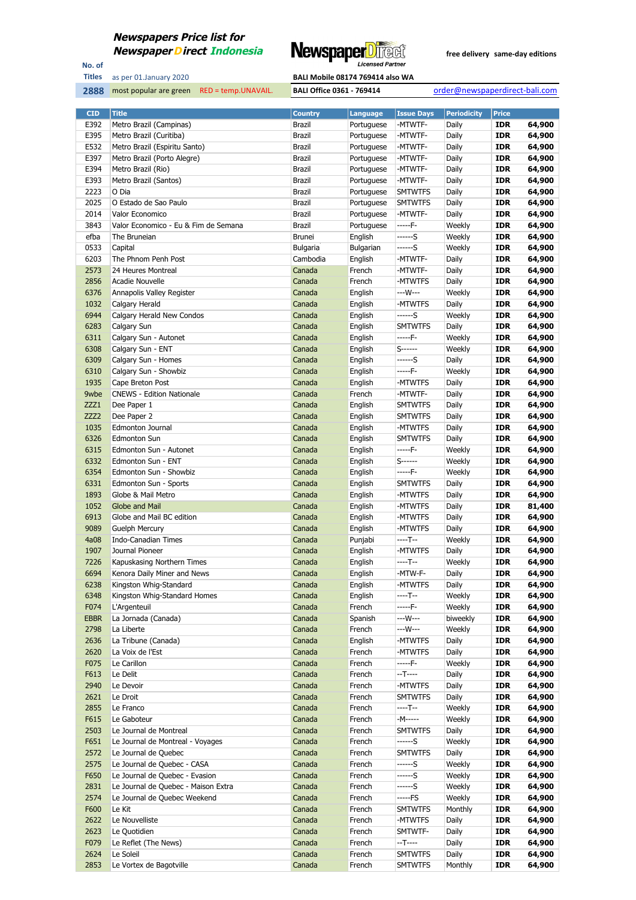

No. of **Titles**

as per 01.January 2020 **BALI Mobile 08174 769414 also WA** 

| <b>CID</b>   | <b>Title</b>                                | <b>Country</b>   | <b>Language</b>    | <b>Issue Days</b>  | <b>Periodicity</b> | <b>Price</b>             |                  |
|--------------|---------------------------------------------|------------------|--------------------|--------------------|--------------------|--------------------------|------------------|
| E392         | Metro Brazil (Campinas)                     | Brazil           | Portuguese         | -MTWTF-            | Daily              | <b>IDR</b>               | 64,900           |
| E395         | Metro Brazil (Curitiba)                     | Brazil           | Portuguese         | -MTWTF-            | Daily              | <b>IDR</b>               | 64,900           |
| E532         | Metro Brazil (Espiritu Santo)               | <b>Brazil</b>    | Portuguese         | -MTWTF-            | Daily              | <b>IDR</b>               | 64,900           |
| E397         | Metro Brazil (Porto Alegre)                 | Brazil           | Portuguese         | -MTWTF-            | Daily              | <b>IDR</b>               | 64,900           |
| E394         | Metro Brazil (Rio)                          | Brazil           | Portuguese         | -MTWTF-            | Daily              | <b>IDR</b>               | 64,900           |
| E393         | Metro Brazil (Santos)                       | Brazil           | Portuguese         | -MTWTF-            | Daily              | <b>IDR</b>               | 64,900           |
| 2223         | O Dia                                       | <b>Brazil</b>    | Portuguese         | <b>SMTWTFS</b>     | Daily              | <b>IDR</b>               | 64,900           |
| 2025         | O Estado de Sao Paulo                       | Brazil           | Portuguese         | <b>SMTWTFS</b>     | Daily              | <b>IDR</b>               | 64,900           |
| 2014         | Valor Economico                             | <b>Brazil</b>    | Portuguese         | -MTWTF-            | Daily              | <b>IDR</b>               | 64,900           |
| 3843         | Valor Economico - Eu & Fim de Semana        | Brazil           | Portuguese         | -----F-            | Weekly             | <b>IDR</b>               | 64,900           |
| efba         | The Bruneian                                | <b>Brunei</b>    | English            | ------S            | Weekly             | <b>IDR</b>               | 64,900           |
| 0533         | Capital                                     | Bulgaria         | Bulgarian          | ------S            | Weekly             | <b>IDR</b>               | 64,900           |
| 6203         | The Phnom Penh Post                         | Cambodia         | English            | -MTWTF-            | Daily              | <b>IDR</b>               | 64,900           |
| 2573         | 24 Heures Montreal                          | Canada           | French             | -MTWTF-            | Daily              | <b>IDR</b>               | 64,900           |
| 2856         | Acadie Nouvelle                             | Canada           | French             | -MTWTFS<br>---W--- | Daily              | <b>IDR</b>               | 64,900           |
| 6376<br>1032 | Annapolis Valley Register<br>Calgary Herald | Canada<br>Canada | English            | -MTWTFS            | Weekly<br>Daily    | <b>IDR</b><br><b>IDR</b> | 64,900<br>64,900 |
| 6944         | Calgary Herald New Condos                   | Canada           | English<br>English | ------S            | Weekly             | <b>IDR</b>               | 64,900           |
| 6283         | Calgary Sun                                 | Canada           | English            | <b>SMTWTFS</b>     | Daily              | <b>IDR</b>               | 64,900           |
| 6311         | Calgary Sun - Autonet                       | Canada           | English            | -----F-            | Weekly             | <b>IDR</b>               | 64,900           |
| 6308         | Calgary Sun - ENT                           | Canada           | English            | $S$ ------         | Weekly             | <b>IDR</b>               | 64,900           |
| 6309         | Calgary Sun - Homes                         | Canada           | English            | $---S$             | Daily              | <b>IDR</b>               | 64,900           |
| 6310         | Calgary Sun - Showbiz                       | Canada           | English            | -----F-            | Weekly             | <b>IDR</b>               | 64,900           |
| 1935         | Cape Breton Post                            | Canada           | English            | -MTWTFS            | Daily              | <b>IDR</b>               | 64,900           |
| 9wbe         | <b>CNEWS - Edition Nationale</b>            | Canada           | French             | -MTWTF-            | Daily              | <b>IDR</b>               | 64,900           |
| ZZZ1         | Dee Paper 1                                 | Canada           | English            | <b>SMTWTFS</b>     | Daily              | <b>IDR</b>               | 64,900           |
| ZZZ2         | Dee Paper 2                                 | Canada           | English            | <b>SMTWTFS</b>     | Daily              | <b>IDR</b>               | 64,900           |
| 1035         | Edmonton Journal                            | Canada           | English            | -MTWTFS            | Daily              | <b>IDR</b>               | 64,900           |
| 6326         | <b>Edmonton Sun</b>                         | Canada           | English            | <b>SMTWTFS</b>     | Daily              | <b>IDR</b>               | 64,900           |
| 6315         | Edmonton Sun - Autonet                      | Canada           | English            | $---F-$            | Weekly             | <b>IDR</b>               | 64,900           |
| 6332         | Edmonton Sun - ENT                          | Canada           | English            | $S$ ------         | Weekly             | <b>IDR</b>               | 64,900           |
| 6354         | Edmonton Sun - Showbiz                      | Canada           | English            | -----F-            | Weekly             | <b>IDR</b>               | 64,900           |
| 6331         | Edmonton Sun - Sports                       | Canada           | English            | <b>SMTWTFS</b>     | Daily              | <b>IDR</b>               | 64,900           |
| 1893         | Globe & Mail Metro                          | Canada           | English            | -MTWTFS            | Daily              | <b>IDR</b>               | 64,900           |
| 1052         | Globe and Mail                              | Canada           | English            | -MTWTFS            | Daily              | <b>IDR</b>               | 81,400           |
| 6913         | Globe and Mail BC edition                   | Canada           | English            | -MTWTFS            | Daily              | <b>IDR</b>               | 64,900           |
| 9089         | <b>Guelph Mercury</b>                       | Canada           | English            | -MTWTFS            | Daily              | <b>IDR</b>               | 64,900           |
| 4a08         | <b>Indo-Canadian Times</b>                  | Canada           | Punjabi            | ----T--            | Weekly             | <b>IDR</b>               | 64,900           |
| 1907         | Journal Pioneer                             | Canada           | English            | -MTWTFS            | Daily              | <b>IDR</b>               | 64,900           |
| 7226         | Kapuskasing Northern Times                  | Canada           | English            | ----T--            | Weekly             | <b>IDR</b>               | 64,900           |
| 6694         | Kenora Daily Miner and News                 | Canada           | English            | -MTW-F-            | Daily              | <b>IDR</b>               | 64,900           |
| 6238         | Kingston Whig-Standard                      | Canada           | English            | -MTWTFS            | Daily              | <b>IDR</b>               | 64,900           |
| 6348         | Kingston Whig-Standard Homes                | Canada           | English            | $---T--$           | Weekly             | IDR                      | 64,900           |
| F074         | L'Argenteuil                                | Canada           | French             | $---F-$            | Weekly             | <b>IDR</b>               | 64,900           |
| EBBR         | La Jornada (Canada)                         | Canada           | Spanish            | ---W---            | biweekly           | <b>IDR</b>               | 64,900           |
| 2798         | La Liberte                                  | Canada           | French             | ---W---            | Weekly             | <b>IDR</b>               | 64,900           |
| 2636         | La Tribune (Canada)<br>La Voix de l'Est     | Canada           | English            | -MTWTFS            | Daily              | <b>IDR</b>               | 64,900           |
| 2620<br>F075 | Le Carillon                                 | Canada<br>Canada | French<br>French   | -MTWTFS<br>-----F- | Daily<br>Weekly    | <b>IDR</b><br><b>IDR</b> | 64,900<br>64,900 |
| F613         | Le Delit                                    | Canada           | French             | $-T---$            | Daily              | <b>IDR</b>               | 64,900           |
| 2940         | Le Devoir                                   | Canada           | French             | -MTWTFS            | Daily              | <b>IDR</b>               | 64,900           |
| 2621         | Le Droit                                    | Canada           | French             | <b>SMTWTFS</b>     | Daily              | <b>IDR</b>               | 64,900           |
| 2855         | Le Franco                                   | Canada           | French             | ----T--            | Weekly             | <b>IDR</b>               | 64,900           |
| F615         | Le Gaboteur                                 | Canada           | French             | -M-----            | Weekly             | <b>IDR</b>               | 64,900           |
| 2503         | Le Journal de Montreal                      | Canada           | French             | <b>SMTWTFS</b>     | Daily              | <b>IDR</b>               | 64,900           |
| F651         | Le Journal de Montreal - Voyages            | Canada           | French             | $---S$             | Weekly             | <b>IDR</b>               | 64,900           |
| 2572         | Le Journal de Quebec                        | Canada           | French             | <b>SMTWTFS</b>     | Daily              | <b>IDR</b>               | 64,900           |
| 2575         | Le Journal de Quebec - CASA                 | Canada           | French             | ------S            | Weekly             | <b>IDR</b>               | 64,900           |
| F650         | Le Journal de Quebec - Evasion              | Canada           | French             | ------S            | Weekly             | <b>IDR</b>               | 64,900           |
| 2831         | Le Journal de Quebec - Maison Extra         | Canada           | French             | ------S            | Weekly             | <b>IDR</b>               | 64,900           |
| 2574         | Le Journal de Quebec Weekend                | Canada           | French             | -----FS            | Weekly             | <b>IDR</b>               | 64,900           |
| F600         | Le Kit                                      | Canada           | French             | <b>SMTWTFS</b>     | Monthly            | <b>IDR</b>               | 64,900           |
| 2622         | Le Nouvelliste                              | Canada           | French             | -MTWTFS            | Daily              | <b>IDR</b>               | 64,900           |
| 2623         | Le Quotidien                                | Canada           | French             | SMTWTF-            | Daily              | <b>IDR</b>               | 64,900           |
| F079         | Le Reflet (The News)                        | Canada           | French             | $-T$ -----         | Daily              | <b>IDR</b>               | 64,900           |
| 2624         | Le Soleil                                   | Canada           | French             | <b>SMTWTFS</b>     | Daily              | <b>IDR</b>               | 64,900           |
| 2853         | Le Vortex de Bagotville                     | Canada           | French             | <b>SMTWTFS</b>     | Monthly            | <b>IDR</b>               | 64,900           |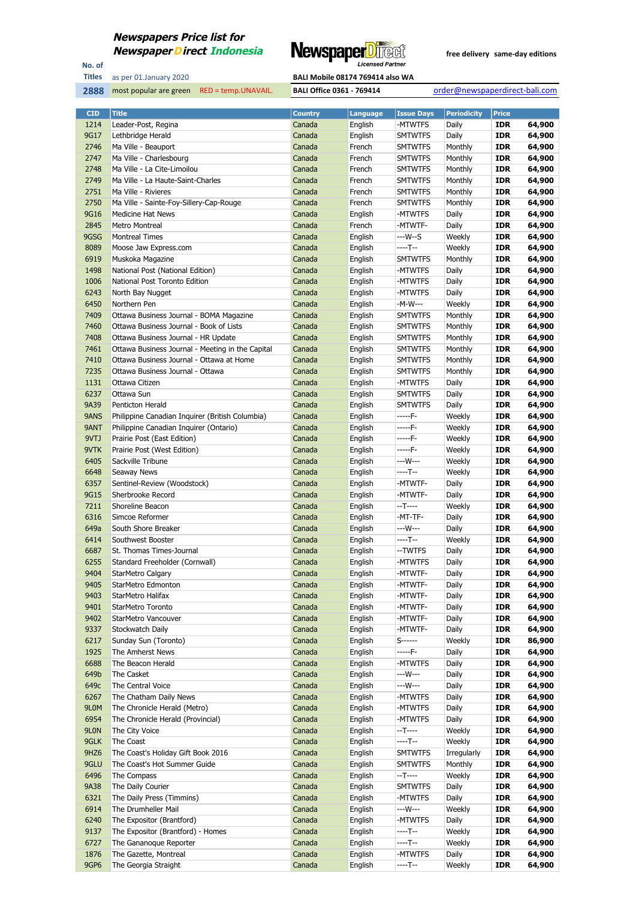

No. of **Titles**

as per 01.January 2020 **BALI Mobile 08174 769414 also WA** 

| <b>CID</b>       | <b>Title</b>                                     | <b>Country</b> | <b>Language</b> | <b>Issue Days</b> | <b>Periodicity</b> | <b>Price</b> |        |
|------------------|--------------------------------------------------|----------------|-----------------|-------------------|--------------------|--------------|--------|
| 1214             | Leader-Post, Regina                              | Canada         | English         | -MTWTFS           | Daily              | <b>IDR</b>   | 64,900 |
| 9G17             | Lethbridge Herald                                | Canada         | English         | <b>SMTWTFS</b>    | Daily              | <b>IDR</b>   | 64,900 |
| 2746             | Ma Ville - Beauport                              | Canada         | French          | SMTWTFS           | Monthly            | <b>IDR</b>   | 64,900 |
| 2747             | Ma Ville - Charlesbourg                          | Canada         | French          | <b>SMTWTFS</b>    | Monthly            | <b>IDR</b>   | 64,900 |
| 2748             | Ma Ville - La Cite-Limoilou                      | Canada         | French          | SMTWTFS           | Monthly            | <b>IDR</b>   | 64,900 |
| 2749             | Ma Ville - La Haute-Saint-Charles                | Canada         | French          | <b>SMTWTFS</b>    | Monthly            | <b>IDR</b>   | 64,900 |
| 2751             | Ma Ville - Rivieres                              | Canada         | French          | SMTWTFS           | Monthly            | <b>IDR</b>   | 64,900 |
| 2750             | Ma Ville - Sainte-Foy-Sillery-Cap-Rouge          | Canada         | French          | <b>SMTWTFS</b>    | Monthly            | <b>IDR</b>   | 64,900 |
| 9G16             | <b>Medicine Hat News</b>                         | Canada         | English         | -MTWTFS           | Daily              | <b>IDR</b>   | 64,900 |
| 2845             | <b>Metro Montreal</b>                            | Canada         | French          | -MTWTF-           | Daily              | <b>IDR</b>   | 64,900 |
| 9GSG             | <b>Montreal Times</b>                            | Canada         | English         | ---W--S           | Weekly             | <b>IDR</b>   | 64,900 |
| 8089             | Moose Jaw Express.com                            | Canada         | English         | ----T--           | Weekly             | <b>IDR</b>   | 64,900 |
| 6919             | Muskoka Magazine                                 | Canada         | English         | <b>SMTWTFS</b>    | Monthly            | <b>IDR</b>   | 64,900 |
| 1498             | National Post (National Edition)                 | Canada         | English         | -MTWTFS           | Daily              | <b>IDR</b>   | 64,900 |
| 1006             | National Post Toronto Edition                    | Canada         | English         | -MTWTFS           | Daily              | <b>IDR</b>   | 64,900 |
| 6243             | North Bay Nugget                                 | Canada         | English         | -MTWTFS           | Daily              | <b>IDR</b>   | 64,900 |
| 6450             | Northern Pen                                     | Canada         | English         | -M-W---           | Weekly             | <b>IDR</b>   | 64,900 |
| 7409             | Ottawa Business Journal - BOMA Magazine          | Canada         | English         | <b>SMTWTFS</b>    | Monthly            | <b>IDR</b>   | 64,900 |
| 7460             | Ottawa Business Journal - Book of Lists          | Canada         | English         | SMTWTFS           | Monthly            | <b>IDR</b>   | 64,900 |
| 7408             | Ottawa Business Journal - HR Update              | Canada         | English         | <b>SMTWTFS</b>    | Monthly            | <b>IDR</b>   | 64,900 |
| 7461             | Ottawa Business Journal - Meeting in the Capital | Canada         | English         | SMTWTFS           | Monthly            | <b>IDR</b>   | 64,900 |
| 7410             | Ottawa Business Journal - Ottawa at Home         | Canada         | English         | <b>SMTWTFS</b>    | Monthly            | <b>IDR</b>   | 64,900 |
| 7235             | Ottawa Business Journal - Ottawa                 | Canada         | English         | SMTWTFS           | Monthly            | <b>IDR</b>   | 64,900 |
| 1131             | Ottawa Citizen                                   | Canada         | English         | -MTWTFS           | Daily              | <b>IDR</b>   | 64,900 |
| 6237             | Ottawa Sun                                       | Canada         | English         | SMTWTFS           | Daily              | <b>IDR</b>   | 64,900 |
| 9A39             | Penticton Herald                                 | Canada         | English         | <b>SMTWTFS</b>    | Daily              | <b>IDR</b>   | 64,900 |
| 9ANS             | Philippine Canadian Inquirer (British Columbia)  | Canada         | English         | -----F-           | Weekly             | <b>IDR</b>   | 64,900 |
| 9ANT             | Philippine Canadian Inquirer (Ontario)           | Canada         | English         | -----F-           | Weekly             | <b>IDR</b>   | 64,900 |
| 9VTJ             | Prairie Post (East Edition)                      | Canada         | English         | -----F-           | Weekly             | <b>IDR</b>   | 64,900 |
| 9VTK             | Prairie Post (West Edition)                      | Canada         | English         | $---F-$           | Weekly             | <b>IDR</b>   | 64,900 |
| 6405             | Sackville Tribune                                | Canada         | English         | ---W---           | Weekly             | <b>IDR</b>   | 64,900 |
| 6648             | Seaway News                                      | Canada         | English         | ----T--           | Weekly             | <b>IDR</b>   | 64,900 |
| 6357             | Sentinel-Review (Woodstock)                      | Canada         | English         | -MTWTF-           | Daily              | <b>IDR</b>   | 64,900 |
| 9G15             | Sherbrooke Record                                | Canada         | English         | -MTWTF-           | Daily              | <b>IDR</b>   | 64,900 |
| 7211             | Shoreline Beacon                                 | Canada         | English         | $-T---$           | Weekly             | <b>IDR</b>   | 64,900 |
| 6316             | Simcoe Reformer                                  | Canada         | English         | -MT-TF-           | Daily              | <b>IDR</b>   | 64,900 |
| 649a             | South Shore Breaker                              | Canada         | English         | ---W---           | Daily              | <b>IDR</b>   | 64,900 |
| 6414             | Southwest Booster                                | Canada         | English         | ----T--           | Weekly             | <b>IDR</b>   | 64,900 |
| 6687             | St. Thomas Times-Journal                         | Canada         | English         | --TWTFS           | Daily              | <b>IDR</b>   | 64,900 |
| 6255             | Standard Freeholder (Cornwall)                   | Canada         | English         | -MTWTFS           | Daily              | <b>IDR</b>   | 64,900 |
| 9404             | <b>StarMetro Calgary</b>                         | Canada         | English         | -MTWTF-           | Daily              | <b>IDR</b>   | 64,900 |
| 9405             | StarMetro Edmonton                               | Canada         | English         | -MTWTF-           | Daily              | <b>IDR</b>   | 64,900 |
| 9403             | StarMetro Halifax                                | Canada         | English         | -MTWTF-           | Daily              | IDR          | 64,900 |
| 9401             | StarMetro Toronto                                | Canada         | English         | -MTWTF-           | Daily              | <b>IDR</b>   | 64,900 |
| 9402             | StarMetro Vancouver                              | Canada         | English         | -MTWTF-           | Daily              | <b>IDR</b>   | 64,900 |
| 9337             | Stockwatch Daily                                 | Canada         | English         | -MTWTF-           | Daily              | <b>IDR</b>   | 64,900 |
| 6217             | Sunday Sun (Toronto)                             | Canada         | English         | S-------          | Weekly             | <b>IDR</b>   | 86,900 |
| 1925             | The Amherst News                                 | Canada         | English         | -----F-           | Daily              | <b>IDR</b>   | 64,900 |
| 6688             | The Beacon Herald                                | Canada         | English         | -MTWTFS           | Daily              | IDR          | 64,900 |
| 649b             | The Casket                                       | Canada         | English         | ---W---           | Daily              | <b>IDR</b>   | 64,900 |
| 649c             | The Central Voice                                | Canada         | English         | ---W---           | Daily              | IDR          | 64,900 |
| 6267             | The Chatham Daily News                           | Canada         | English         | -MTWTFS           | Daily              | <b>IDR</b>   | 64,900 |
| 9L0M             | The Chronicle Herald (Metro)                     | Canada         | English         | -MTWTFS           | Daily              | IDR          | 64,900 |
| 6954             | The Chronicle Herald (Provincial)                | Canada         | English         | -MTWTFS           | Daily              | <b>IDR</b>   | 64,900 |
| 9LON             | The City Voice                                   | Canada         | English         | --T----           | Weekly             | <b>IDR</b>   | 64,900 |
| 9GLK             | The Coast                                        | Canada         | English         | ----T--           | Weekly             | <b>IDR</b>   | 64,900 |
| 9HZ <sub>6</sub> | The Coast's Holiday Gift Book 2016               | Canada         | English         | <b>SMTWTFS</b>    | Irregularly        | <b>IDR</b>   | 64,900 |
| 9GLU             | The Coast's Hot Summer Guide                     | Canada         | English         | <b>SMTWTFS</b>    | Monthly            | <b>IDR</b>   | 64,900 |
| 6496             | The Compass                                      | Canada         | English         | --T----           | Weekly             | <b>IDR</b>   | 64,900 |
| 9A38             | The Daily Courier                                | Canada         | English         | <b>SMTWTFS</b>    | Daily              | <b>IDR</b>   | 64,900 |
| 6321             | The Daily Press (Timmins)                        | Canada         | English         | -MTWTFS           | Daily              | <b>IDR</b>   | 64,900 |
| 6914             | The Drumheller Mail                              | Canada         | English         | ---W---           | Weekly             | <b>IDR</b>   | 64,900 |
| 6240             | The Expositor (Brantford)                        | Canada         | English         | -MTWTFS           | Daily              | <b>IDR</b>   | 64,900 |
| 9137             | The Expositor (Brantford) - Homes                | Canada         | English         | ----T--           | Weekly             | <b>IDR</b>   | 64,900 |
| 6727             | The Gananoque Reporter                           | Canada         | English         | ----T--           | Weekly             | IDR          | 64,900 |
| 1876             | The Gazette, Montreal                            | Canada         | English         | -MTWTFS           | Daily              | <b>IDR</b>   | 64,900 |
| <b>9GP6</b>      | The Georgia Straight                             | Canada         | English         | ----T--           | Weekly             | <b>IDR</b>   | 64,900 |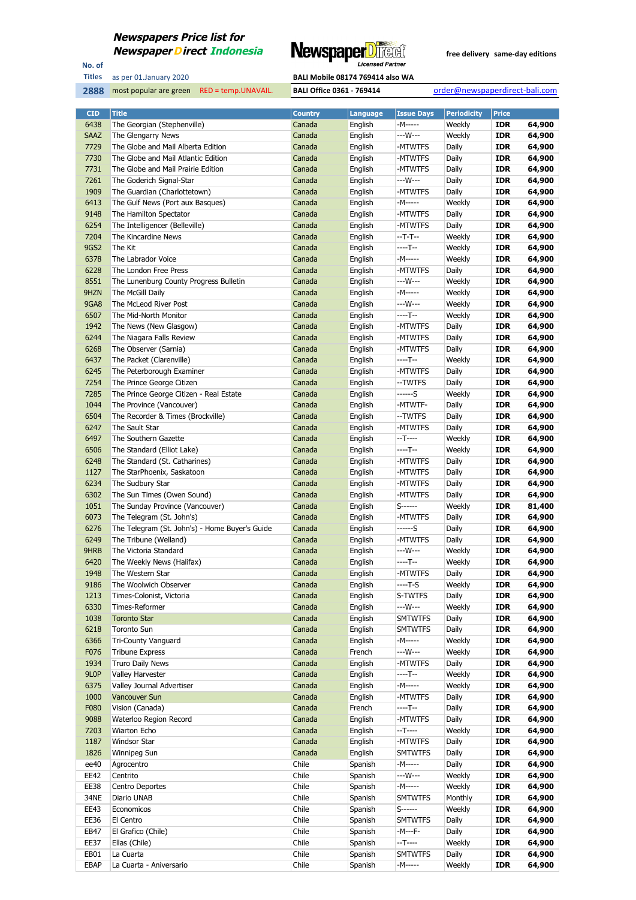

No. of **Titles**



| <b>CID</b>       | <b>Title</b>                                   | <b>Country</b> | <b>Language</b> | <b>Issue Days</b> | <b>Periodicity</b> | <b>Price</b> |        |
|------------------|------------------------------------------------|----------------|-----------------|-------------------|--------------------|--------------|--------|
| 6438             | The Georgian (Stephenville)                    | Canada         | English         | -M-----           | Weekly             | <b>IDR</b>   | 64,900 |
| <b>SAAZ</b>      | The Glengarry News                             | Canada         | English         | ---W---           | Weekly             | <b>IDR</b>   | 64,900 |
| 7729             | The Globe and Mail Alberta Edition             | Canada         | English         | -MTWTFS           | Daily              | <b>IDR</b>   | 64,900 |
| 7730             | The Globe and Mail Atlantic Edition            | Canada         | English         | -MTWTFS           | Daily              | <b>IDR</b>   | 64,900 |
| 7731             | The Globe and Mail Prairie Edition             | Canada         | English         | -MTWTFS           | Daily              | <b>IDR</b>   | 64,900 |
| 7261             | The Goderich Signal-Star                       | Canada         | English         | ---W---           | Daily              | <b>IDR</b>   | 64,900 |
| 1909             | The Guardian (Charlottetown)                   | Canada         | English         | -MTWTFS           | Daily              | <b>IDR</b>   | 64,900 |
| 6413             | The Gulf News (Port aux Basques)               | Canada         | English         | -M-----           | Weekly             | <b>IDR</b>   | 64,900 |
| 9148             | The Hamilton Spectator                         | Canada         | English         | -MTWTFS           | Daily              | <b>IDR</b>   | 64,900 |
| 6254             | The Intelligencer (Belleville)                 | Canada         | English         | -MTWTFS           | Daily              | <b>IDR</b>   | 64,900 |
| 7204             | The Kincardine News                            | Canada         | English         | $-T-T-$           | Weekly             | <b>IDR</b>   | 64,900 |
| <b>9GS2</b>      | The Kit                                        | Canada         | English         | $---T--$          | Weekly             | <b>IDR</b>   | 64,900 |
| 6378             | The Labrador Voice                             | Canada         | English         | -M-----           | Weekly             | <b>IDR</b>   | 64,900 |
| 6228             | The London Free Press                          | Canada         | English         | -MTWTFS           | Daily              | <b>IDR</b>   | 64,900 |
| 8551             | The Lunenburg County Progress Bulletin         | Canada         | English         | ---W---           | Weekly             | <b>IDR</b>   | 64,900 |
| 9HZN             | The McGill Daily                               | Canada         | English         | -M-----           | Weekly             | <b>IDR</b>   | 64,900 |
| <b>9GA8</b>      | The McLeod River Post                          | Canada         | English         | ---W---           | Weekly             | <b>IDR</b>   | 64,900 |
| 6507             | The Mid-North Monitor                          | Canada         | English         | ----T--           | Weekly             | <b>IDR</b>   | 64,900 |
| 1942             | The News (New Glasgow)                         | Canada         | English         | -MTWTFS           | Daily              | <b>IDR</b>   | 64,900 |
| 6244             | The Niagara Falls Review                       | Canada         | English         | -MTWTFS           | Daily              | <b>IDR</b>   | 64,900 |
| 6268             | The Observer (Sarnia)                          | Canada         | English         | -MTWTFS           | Daily              | IDR          | 64,900 |
| 6437             | The Packet (Clarenville)                       | Canada         | English         | ----T--           | Weekly             | <b>IDR</b>   | 64,900 |
| 6245             | The Peterborough Examiner                      | Canada         | English         | -MTWTFS           | Daily              | <b>IDR</b>   | 64,900 |
| 7254             | The Prince George Citizen                      | Canada         | English         | --TWTFS           | Daily              | <b>IDR</b>   | 64,900 |
| 7285             | The Prince George Citizen - Real Estate        | Canada         | English         | ------S           | Weekly             | <b>IDR</b>   | 64,900 |
| 1044             | The Province (Vancouver)                       | Canada         | English         | -MTWTF-           | Daily              | <b>IDR</b>   | 64,900 |
| 6504             | The Recorder & Times (Brockville)              | Canada         | English         | --TWTFS           | Daily              | <b>IDR</b>   | 64,900 |
| 6247             | The Sault Star                                 | Canada         | English         | -MTWTFS           | Daily              | <b>IDR</b>   | 64,900 |
| 6497             | The Southern Gazette                           | Canada         | English         | --T----           | Weekly             | IDR          | 64,900 |
| 6506             | The Standard (Elliot Lake)                     | Canada         | English         | $---T--$          | Weekly             | <b>IDR</b>   | 64,900 |
| 6248             | The Standard (St. Catharines)                  | Canada         | English         | -MTWTFS           | Daily              | <b>IDR</b>   | 64,900 |
| 1127             | The StarPhoenix, Saskatoon                     | Canada         | English         | -MTWTFS           | Daily              | <b>IDR</b>   | 64,900 |
| 6234             | The Sudbury Star                               | Canada         | English         | -MTWTFS           | Daily              | <b>IDR</b>   | 64,900 |
| 6302             | The Sun Times (Owen Sound)                     | Canada         | English         | -MTWTFS           | Daily              | <b>IDR</b>   | 64,900 |
| 1051             | The Sunday Province (Vancouver)                | Canada         | English         | $S$ ------        | Weekly             | <b>IDR</b>   | 81,400 |
| 6073             | The Telegram (St. John's)                      | Canada         | English         | -MTWTFS           | Daily              | <b>IDR</b>   | 64,900 |
| 6276             | The Telegram (St. John's) - Home Buyer's Guide | Canada         | English         | ------S           | Daily              | IDR          | 64,900 |
| 6249             | The Tribune (Welland)                          | Canada         | English         | -MTWTFS           | Daily              | <b>IDR</b>   | 64,900 |
| 9HRB             | The Victoria Standard                          | Canada         | English         | ---W---           | Weekly             | <b>IDR</b>   | 64,900 |
| 6420             | The Weekly News (Halifax)                      | Canada         | English         | $---T--$          | Weekly             | <b>IDR</b>   | 64,900 |
| 1948             | The Western Star                               | Canada         | English         | -MTWTFS           | Daily              | <b>IDR</b>   | 64,900 |
| 9186             | The Woolwich Observer                          | Canada         | English         | ----T-S           | Weekly             | <b>IDR</b>   | 64,900 |
| 1213             | Times-Colonist, Victoria                       | Canada         | English         | S-TWTFS           | Daily              | IDR          | 64,900 |
| 6330             | Times-Reformer                                 | Canada         | English         | ---W---           | Weekly             | <b>IDR</b>   | 64,900 |
| 1038             | <b>Toronto Star</b>                            | Canada         | English         | <b>SMTWTFS</b>    | Daily              | <b>IDR</b>   | 64,900 |
| 6218             | Toronto Sun                                    | Canada         | English         | <b>SMTWTFS</b>    | Daily              | <b>IDR</b>   | 64,900 |
| 6366             | Tri-County Vanguard                            | Canada         | English         | -M-----           | Weekly             | <b>IDR</b>   | 64,900 |
| F076             | <b>Tribune Express</b>                         | Canada         | French          | ---W---           | Weekly             | <b>IDR</b>   | 64,900 |
| 1934             | Truro Daily News                               | Canada         | English         | -MTWTFS           | Daily              | <b>IDR</b>   | 64,900 |
| 9L <sub>OP</sub> | Valley Harvester                               | Canada         | English         | $---T--$          | Weekly             | <b>IDR</b>   | 64,900 |
| 6375             | Valley Journal Advertiser                      | Canada         | English         | -M-----           | Weekly             | <b>IDR</b>   | 64,900 |
| 1000             | Vancouver Sun                                  | Canada         | English         | -MTWTFS           | Daily              | <b>IDR</b>   | 64,900 |
| F080             | Vision (Canada)                                | Canada         | French          | $---T--$          | Daily              | <b>IDR</b>   | 64,900 |
| 9088             | Waterloo Region Record                         | Canada         | English         | -MTWTFS           | Daily              | <b>IDR</b>   | 64,900 |
| 7203             | Wiarton Echo                                   | Canada         | English         | $-T---$           | Weekly             | <b>IDR</b>   | 64,900 |
| 1187             | Windsor Star                                   | Canada         | English         | -MTWTFS           | Daily              | <b>IDR</b>   | 64,900 |
| 1826             | Winnipeg Sun                                   | Canada         | English         | <b>SMTWTFS</b>    | Daily              | <b>IDR</b>   | 64,900 |
| ee40             | Agrocentro                                     | Chile          | Spanish         | -M-----           | Daily              | <b>IDR</b>   | 64,900 |
| EE42             | Centrito                                       | Chile          | Spanish         | ---W---           | Weekly             | <b>IDR</b>   | 64,900 |
| EE38             | Centro Deportes                                | Chile          | Spanish         | -M-----           | Weekly             | <b>IDR</b>   | 64,900 |
| 34NE             | Diario UNAB                                    | Chile          | Spanish         | <b>SMTWTFS</b>    | Monthly            | <b>IDR</b>   | 64,900 |
| EE43             | Economicos                                     | Chile          | Spanish         | $S$ ------        | Weekly             | <b>IDR</b>   | 64,900 |
| EE36             | El Centro                                      | Chile          | Spanish         | <b>SMTWTFS</b>    | Daily              | <b>IDR</b>   | 64,900 |
| EB47             | El Grafico (Chile)                             | Chile          | Spanish         | -M---F-           | Daily              | <b>IDR</b>   | 64,900 |
| EE37             | Ellas (Chile)                                  | Chile          | Spanish         | $-T---$           | Weekly             | <b>IDR</b>   | 64,900 |
| EB01             | La Cuarta                                      | Chile          | Spanish         | <b>SMTWTFS</b>    | Daily              | <b>IDR</b>   | 64,900 |
| EBAP             | La Cuarta - Aniversario                        | Chile          | Spanish         | -M-----           | Weekly             | <b>IDR</b>   | 64,900 |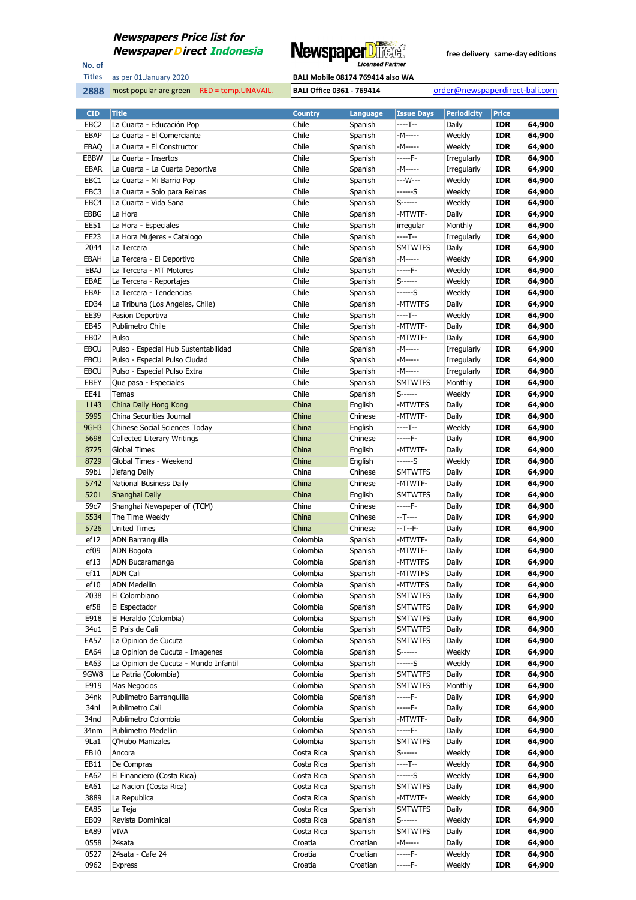

No. of **Titles**



| <b>CID</b>       | <b>Title</b>                          | <b>Country</b>           | <b>Language</b>     | <b>Issue Days</b>         | <b>Periodicity</b> | <b>Price</b>             |                  |
|------------------|---------------------------------------|--------------------------|---------------------|---------------------------|--------------------|--------------------------|------------------|
| EBC <sub>2</sub> | La Cuarta - Educación Pop             | Chile                    | Spanish             | ----T--                   | Daily              | <b>IDR</b>               | 64,900           |
| <b>EBAP</b>      | La Cuarta - El Comerciante            | Chile                    | Spanish             | -M-----                   | Weekly             | <b>IDR</b>               | 64,900           |
| EBAQ             | La Cuarta - El Constructor            | Chile                    | Spanish             | -M-----                   | Weekly             | <b>IDR</b>               | 64,900           |
| EBBW             | La Cuarta - Insertos                  | Chile                    | Spanish             | -----F-                   | Irregularly        | <b>IDR</b>               | 64,900           |
| <b>EBAR</b>      | La Cuarta - La Cuarta Deportiva       | Chile                    | Spanish             | -M-----                   | Irregularly        | <b>IDR</b>               | 64,900           |
| EBC1             | La Cuarta - Mi Barrio Pop             | Chile                    | Spanish             | ---W---                   | Weekly             | <b>IDR</b>               | 64,900           |
| EBC3             | La Cuarta - Solo para Reinas          | Chile                    | Spanish             | ------S                   | Weekly             | <b>IDR</b>               | 64,900           |
| EBC4             | La Cuarta - Vida Sana                 | Chile                    | Spanish             | S-------                  | Weekly             | <b>IDR</b>               | 64,900           |
| <b>EBBG</b>      | La Hora                               | Chile                    | Spanish             | -MTWTF-                   | Daily              | <b>IDR</b>               | 64,900           |
| EE51             | La Hora - Especiales                  | Chile                    | Spanish             | irregular                 | Monthly            | <b>IDR</b>               | 64,900           |
| EE23             | La Hora Mujeres - Catalogo            | Chile                    | Spanish             | $---T--$                  | Irregularly        | <b>IDR</b>               | 64,900           |
| 2044             | La Tercera                            | Chile                    | Spanish             | <b>SMTWTFS</b>            | Daily              | <b>IDR</b>               | 64,900           |
| EBAH             | La Tercera - El Deportivo             | Chile                    | Spanish             | -M-----                   | Weekly             | <b>IDR</b>               | 64,900           |
| <b>EBAJ</b>      | La Tercera - MT Motores               | Chile                    | Spanish             | -----F-                   | Weekly             | <b>IDR</b>               | 64,900           |
| EBAE             | La Tercera - Reportajes               | Chile                    | Spanish             | $S$ -------               | Weekly             | <b>IDR</b>               | 64,900           |
| <b>EBAF</b>      | La Tercera - Tendencias               | Chile                    | Spanish             | ------S                   | Weekly             | <b>IDR</b>               | 64,900           |
| ED34             | La Tribuna (Los Angeles, Chile)       | Chile                    | Spanish             | -MTWTFS                   | Daily              | <b>IDR</b>               | 64,900           |
| <b>EE39</b>      | Pasion Deportiva                      | Chile                    | Spanish             | ----T--                   | Weekly             | <b>IDR</b>               | 64,900           |
| EB45             | Publimetro Chile                      | Chile                    | Spanish             | -MTWTF-                   | Daily              | <b>IDR</b>               | 64,900           |
| EB02             | Pulso                                 | Chile                    | Spanish             | -MTWTF-                   | Daily              | <b>IDR</b>               | 64,900           |
| <b>EBCU</b>      | Pulso - Especial Hub Sustentabilidad  | Chile                    | Spanish             | -M-----                   | Irregularly        | <b>IDR</b>               | 64,900           |
| <b>EBCU</b>      | Pulso - Especial Pulso Ciudad         | Chile                    | Spanish             | -M-----                   | Irregularly        | <b>IDR</b>               | 64,900           |
| <b>EBCU</b>      | Pulso - Especial Pulso Extra          | Chile                    | Spanish             | -M-----                   | Irregularly        | <b>IDR</b>               | 64,900           |
| EBEY             | Que pasa - Especiales                 | Chile                    | Spanish             | <b>SMTWTFS</b>            | Monthly            | <b>IDR</b>               | 64,900           |
| EE41             | Temas                                 | Chile                    | Spanish             | S-------                  | Weekly             | <b>IDR</b>               | 64,900           |
| 1143             | China Daily Hong Kong                 | China                    | English             | -MTWTFS                   | Daily              | <b>IDR</b>               | 64,900           |
| 5995             | China Securities Journal              | China                    | Chinese             | -MTWTF-                   | Daily              | <b>IDR</b>               | 64,900           |
| 9GH3             | Chinese Social Sciences Today         | China                    | English             | ----T--                   | Weekly             | <b>IDR</b>               | 64,900           |
| 5698             | <b>Collected Literary Writings</b>    | China                    | Chinese             | -----F-                   | Daily              | <b>IDR</b>               | 64,900           |
| 8725             | <b>Global Times</b>                   | China                    | English             | -MTWTF-                   | Daily              | <b>IDR</b>               | 64,900           |
| 8729             | Global Times - Weekend                | China                    | English             | ------S                   | Weekly             | <b>IDR</b>               | 64,900           |
| 59b1             | Jiefang Daily                         | China                    | Chinese             | <b>SMTWTFS</b>            | Daily              | <b>IDR</b>               | 64,900           |
| 5742             | National Business Daily               | China                    | Chinese             | -MTWTF-                   | Daily              | <b>IDR</b>               | 64,900           |
| 5201             | Shanghai Daily                        | China                    | English             | <b>SMTWTFS</b>            | Daily              | <b>IDR</b>               | 64,900           |
| 59c7             | Shanghai Newspaper of (TCM)           | China                    | Chinese             | -----F-                   | Daily              | <b>IDR</b>               | 64,900           |
| 5534             | The Time Weekly                       | China                    | Chinese             | $-T$ -----                | Daily              | <b>IDR</b>               | 64,900           |
| 5726             | <b>United Times</b>                   | China                    | Chinese             | $-T - F -$                | Daily              | <b>IDR</b>               | 64,900           |
| ef12             | ADN Barranquilla                      | Colombia                 | Spanish             | -MTWTF-                   | Daily              | <b>IDR</b>               | 64,900           |
| ef09             | <b>ADN Bogota</b>                     | Colombia                 | Spanish             | -MTWTF-                   | Daily              | <b>IDR</b>               | 64,900           |
| ef13             | ADN Bucaramanga                       | Colombia                 | Spanish             | -MTWTFS                   | Daily              | <b>IDR</b>               | 64,900           |
| ef11             | <b>ADN Cali</b>                       | Colombia                 | Spanish             | -MTWTFS                   | Daily              | <b>IDR</b>               | 64,900           |
| ef10             | <b>ADN Medellin</b>                   | Colombia                 | Spanish             | -MTWTFS                   | Daily              | <b>IDR</b>               | 64,900           |
| 2038             | El Colombiano                         | Colombia                 | Spanish             | <b>SMTWTFS</b>            | Daily              | IDR                      | 64,900           |
| ef58             | El Espectador                         | Colombia                 | Spanish             | <b>SMTWTFS</b>            | Daily              | <b>IDR</b>               | 64,900           |
| E918             | El Heraldo (Colombia)                 | Colombia                 | Spanish             | <b>SMTWTFS</b>            | Daily              | <b>IDR</b>               | 64,900           |
| 34u1             | El Pais de Cali                       | Colombia                 | Spanish             | <b>SMTWTFS</b>            | Daily              | <b>IDR</b>               | 64,900           |
| <b>EA57</b>      | La Opinion de Cucuta                  | Colombia                 | Spanish             | <b>SMTWTFS</b>            | Daily              | <b>IDR</b>               | 64,900           |
| EA64             | La Opinion de Cucuta - Imagenes       | Colombia                 | Spanish             | S-------                  | Weekly             | <b>IDR</b>               | 64,900           |
| EA63             | La Opinion de Cucuta - Mundo Infantil | Colombia                 | Spanish             | ------S                   | Weekly             | <b>IDR</b>               | 64,900           |
| 9GW8             | La Patria (Colombia)                  | Colombia                 | Spanish             | <b>SMTWTFS</b>            | Daily              | <b>IDR</b>               | 64,900           |
| E919             | Mas Negocios                          | Colombia                 | Spanish             | <b>SMTWTFS</b>            | Monthly            | <b>IDR</b>               | 64,900           |
| 34nk             | Publimetro Barranquilla               | Colombia                 | Spanish             | -----F-                   | Daily              | <b>IDR</b>               | 64,900           |
| 34nl             | Publimetro Cali                       | Colombia                 | Spanish             | -----F-                   | Daily              | <b>IDR</b>               | 64,900           |
| 34nd             | Publimetro Colombia                   | Colombia                 | Spanish             | -MTWTF-                   | Daily              | <b>IDR</b>               | 64,900           |
| 34nm             | Publimetro Medellin                   | Colombia                 | Spanish             | -----F-                   | Daily              | <b>IDR</b>               | 64,900           |
| 9La1             | Q'Hubo Manizales                      | Colombia                 | Spanish             | <b>SMTWTFS</b>            | Daily              | <b>IDR</b>               | 64,900           |
| EB10             | Ancora                                | Costa Rica               | Spanish             | S-------                  | Weekly             | <b>IDR</b>               | 64,900           |
| EB11             | De Compras                            | Costa Rica               | Spanish             | ----T--                   | Weekly             | <b>IDR</b>               | 64,900           |
| EA62             | El Financiero (Costa Rica)            | Costa Rica               | Spanish             | ------S                   | Weekly             | <b>IDR</b>               | 64,900           |
| EA61             | La Nacion (Costa Rica)                | Costa Rica               | Spanish             | <b>SMTWTFS</b>            | Daily              | <b>IDR</b>               | 64,900           |
| 3889             | La Republica                          | Costa Rica               | Spanish             | -MTWTF-                   | Weekly             | <b>IDR</b>               | 64,900           |
| EA85             | La Teja                               | Costa Rica               | Spanish             | <b>SMTWTFS</b>            | Daily              | <b>IDR</b>               | 64,900           |
| EB09<br>EA89     | Revista Dominical<br>VIVA             | Costa Rica<br>Costa Rica | Spanish             | S------<br><b>SMTWTFS</b> | Weekly<br>Daily    | <b>IDR</b><br><b>IDR</b> | 64,900           |
| 0558             | 24sata                                | Croatia                  | Spanish<br>Croatian | -M-----                   | Daily              | <b>IDR</b>               | 64,900<br>64,900 |
| 0527             | 24sata - Cafe 24                      | Croatia                  | Croatian            | -----F-                   | Weekly             | <b>IDR</b>               | 64,900           |
|                  |                                       | Croatia                  | Croatian            | $---F-$                   | Weekly             | <b>IDR</b>               | 64,900           |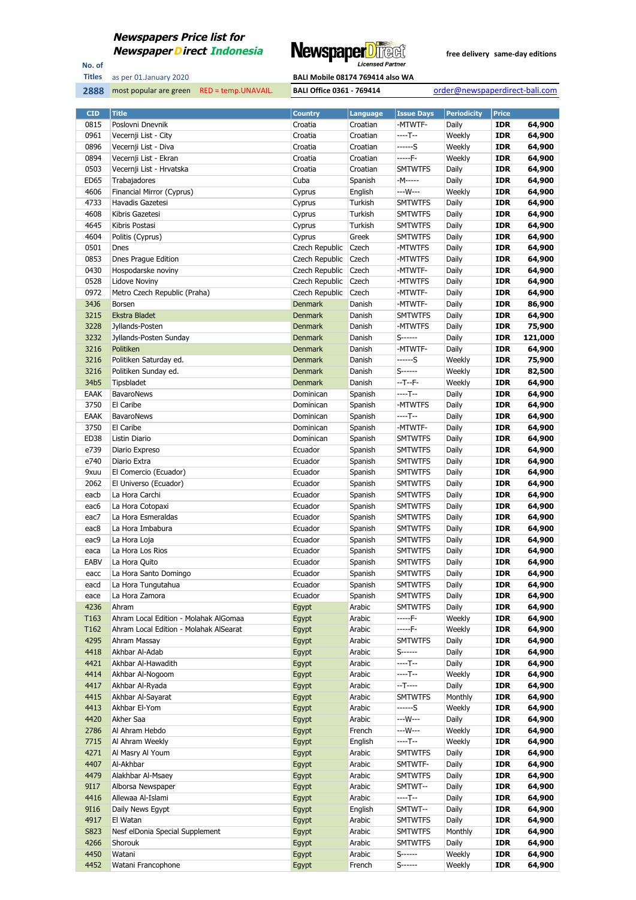

No. of **Titles**

as per 01.January 2020 **BALI Mobile 08174 769414 also WA** 

| <b>CID</b>   | <b>Title</b>                           | <b>Country</b> | Language         | <b>Issue Days</b>         | <b>Periodicity</b> | <b>Price</b>             |                  |
|--------------|----------------------------------------|----------------|------------------|---------------------------|--------------------|--------------------------|------------------|
| 0815         | Poslovni Dnevnik                       | Croatia        | Croatian         | -MTWTF-                   | Daily              | <b>IDR</b>               | 64,900           |
| 0961         | Vecernji List - City                   | Croatia        | Croatian         | ----T--                   | Weekly             | <b>IDR</b>               | 64,900           |
| 0896         | Vecernji List - Diva                   | Croatia        | Croatian         | ------S                   | Weekly             | <b>IDR</b>               | 64,900           |
| 0894         | Vecernji List - Ekran                  | Croatia        | Croatian         | -----F-                   | Weekly             | <b>IDR</b>               | 64,900           |
| 0503         | Vecernji List - Hrvatska               | Croatia        | Croatian         | <b>SMTWTFS</b>            | Daily              | <b>IDR</b>               | 64,900           |
| ED65         | Trabajadores                           | Cuba           | Spanish          | -M-----                   | Daily              | <b>IDR</b>               | 64,900           |
| 4606         | Financial Mirror (Cyprus)              | Cyprus         | English          | ---W---                   | Weekly             | <b>IDR</b>               | 64,900           |
| 4733         | Havadis Gazetesi                       | Cyprus         | Turkish          | <b>SMTWTFS</b>            | Daily              | <b>IDR</b>               | 64,900           |
| 4608         | Kibris Gazetesi                        | Cyprus         | Turkish          | <b>SMTWTFS</b>            | Daily              | <b>IDR</b>               | 64,900           |
| 4645         | Kibris Postasi                         | Cyprus         | Turkish          | <b>SMTWTFS</b>            | Daily              | <b>IDR</b>               | 64,900           |
| 4604         | Politis (Cyprus)                       | Cyprus         | Greek            | <b>SMTWTFS</b>            | Daily              | <b>IDR</b>               | 64,900           |
| 0501         | Dnes                                   | Czech Republic | Czech            | -MTWTFS                   | Daily              | <b>IDR</b>               | 64,900           |
| 0853         | Dnes Prague Edition                    | Czech Republic | Czech            | -MTWTFS                   | Daily              | <b>IDR</b>               | 64,900           |
| 0430         | Hospodarske noviny                     | Czech Republic | Czech            | -MTWTF-                   | Daily              | <b>IDR</b>               | 64,900           |
| 0528         | Lidove Noviny                          | Czech Republic | Czech            | -MTWTFS                   | Daily              | <b>IDR</b>               | 64,900           |
| 0972         | Metro Czech Republic (Praha)           | Czech Republic | Czech            | -MTWTF-                   | Daily              | <b>IDR</b>               | 64,900           |
| 34J6         | Borsen                                 | <b>Denmark</b> | Danish           | -MTWTF-                   | Daily              | <b>IDR</b>               | 86,900           |
| 3215         | Ekstra Bladet                          | <b>Denmark</b> | Danish           | <b>SMTWTFS</b>            | Daily              | <b>IDR</b>               | 64,900           |
| 3228         | Jyllands-Posten                        | <b>Denmark</b> | Danish           | -MTWTFS                   | Daily              | <b>IDR</b>               | 75,900           |
| 3232         | Jyllands-Posten Sunday                 | <b>Denmark</b> | Danish           | S------                   | Daily              | <b>IDR</b>               | 121,000          |
| 3216         | Politiken                              | <b>Denmark</b> | Danish           | -MTWTF-                   | Daily              | <b>IDR</b>               | 64,900           |
| 3216         | Politiken Saturday ed.                 | <b>Denmark</b> | Danish           | ------S                   | Weekly             | <b>IDR</b>               | 75,900           |
| 3216         | Politiken Sunday ed.                   | <b>Denmark</b> | Danish           | S-------                  | Weekly             | <b>IDR</b>               | 82,500           |
| 34b5         | Tipsbladet                             | <b>Denmark</b> | Danish           | --T--F-                   | Weekly             | <b>IDR</b>               | 64,900           |
| EAAK         | <b>BavaroNews</b>                      | Dominican      | Spanish          | ----T--                   | Daily              | <b>IDR</b>               | 64,900           |
| 3750         | El Caribe                              | Dominican      | Spanish          | -MTWTFS                   | Daily              | <b>IDR</b>               | 64,900           |
| EAAK         | <b>BavaroNews</b>                      | Dominican      | Spanish          | ----T--                   | Daily              | <b>IDR</b>               | 64,900           |
| 3750         | El Caribe                              | Dominican      | Spanish          | -MTWTF-                   | Daily              | <b>IDR</b>               | 64,900           |
| ED38         | Listin Diario                          | Dominican      | Spanish          | <b>SMTWTFS</b>            | Daily              | <b>IDR</b>               | 64,900           |
| e739         | Diario Expreso                         | Ecuador        | Spanish          | <b>SMTWTFS</b>            | Daily              | <b>IDR</b>               | 64,900           |
| e740         | Diario Extra                           | Ecuador        | Spanish          | <b>SMTWTFS</b>            | Daily              | <b>IDR</b>               | 64,900           |
| 9xuu         | El Comercio (Ecuador)                  | Ecuador        | Spanish          | <b>SMTWTFS</b>            | Daily              | <b>IDR</b>               | 64,900           |
| 2062         | El Universo (Ecuador)                  | Ecuador        | Spanish          | <b>SMTWTFS</b>            | Daily              | <b>IDR</b>               | 64,900           |
| eacb         | La Hora Carchi                         | Ecuador        | Spanish          | <b>SMTWTFS</b>            | Daily              | <b>IDR</b>               | 64,900           |
| eac6         | La Hora Cotopaxi                       | Ecuador        | Spanish          | <b>SMTWTFS</b>            | Daily              | <b>IDR</b>               | 64,900           |
| eac7         | La Hora Esmeraldas                     | Ecuador        | Spanish          | <b>SMTWTFS</b>            | Daily              | <b>IDR</b>               | 64,900           |
| eac8         | La Hora Imbabura                       | Ecuador        | Spanish          | <b>SMTWTFS</b>            | Daily              | <b>IDR</b>               | 64,900           |
| eac9         | La Hora Loja                           | Ecuador        | Spanish          | <b>SMTWTFS</b>            | Daily              | <b>IDR</b>               | 64,900           |
| eaca         | La Hora Los Rios                       | Ecuador        | Spanish          | <b>SMTWTFS</b>            | Daily              | <b>IDR</b>               | 64,900           |
| <b>EABV</b>  | La Hora Quito                          | Ecuador        | Spanish          | <b>SMTWTFS</b>            | Daily              | IDR                      | 64,900           |
| eacc         | La Hora Santo Domingo                  | Ecuador        | Spanish          | <b>SMTWTFS</b>            | Daily              | <b>IDR</b>               | 64,900           |
| eacd         | La Hora Tungutahua                     | Ecuador        | Spanish          | <b>SMTWTFS</b>            | Daily              | <b>IDR</b>               | 64,900           |
| eace         | La Hora Zamora                         | Ecuador        | Spanish          | <b>SMTWTFS</b>            | Daily              | <b>IDR</b>               | 64,900           |
| 4236         | Ahram                                  | Egypt          | Arabic           | <b>SMTWTFS</b>            | Daily              | <b>IDR</b>               | 64,900           |
| T163         | Ahram Local Edition - Molahak AlGomaa  | Egypt          | Arabic           | -----F-                   | Weekly             | <b>IDR</b>               | 64,900           |
| T162         | Ahram Local Edition - Molahak AlSearat | Egypt          | Arabic           | -----F-                   | Weekly             | <b>IDR</b>               | 64,900           |
| 4295         | Ahram Massay                           | Egypt          | Arabic           | <b>SMTWTFS</b>            | Daily              | <b>IDR</b>               | 64,900           |
| 4418         | Akhbar Al-Adab                         | Egypt          | Arabic           | $S$ ------                | Daily              | <b>IDR</b>               | 64,900           |
| 4421         | Akhbar Al-Hawadith                     | Egypt          | Arabic           | ----T--                   | Daily              | <b>IDR</b>               | 64,900           |
| 4414         | Akhbar Al-Nogoom                       | Egypt          | Arabic           | ----T--                   | Weekly             | <b>IDR</b>               | 64,900           |
| 4417<br>4415 | Akhbar Al-Ryada<br>Akhbar Al-Sayarat   | Egypt          | Arabic<br>Arabic | --T----<br><b>SMTWTFS</b> | Daily<br>Monthly   | <b>IDR</b><br><b>IDR</b> | 64,900<br>64,900 |
|              |                                        | Egypt          |                  |                           |                    |                          |                  |
| 4413<br>4420 | Akhbar El-Yom<br>Akher Saa             | Egypt<br>Egypt | Arabic<br>Arabic | ------S<br>---W---        | Weekly<br>Daily    | <b>IDR</b><br><b>IDR</b> | 64,900<br>64,900 |
| 2786         | Al Ahram Hebdo                         | Egypt          | French           | ---W---                   | Weekly             | <b>IDR</b>               | 64,900           |
| 7715         | Al Ahram Weekly                        | Egypt          | English          | ----T--                   | Weekly             | <b>IDR</b>               | 64,900           |
| 4271         | Al Masry Al Youm                       | Egypt          | Arabic           | <b>SMTWTFS</b>            | Daily              | <b>IDR</b>               | 64,900           |
| 4407         | Al-Akhbar                              | Egypt          | Arabic           | SMTWTF-                   | Daily              | <b>IDR</b>               | 64,900           |
| 4479         | Alakhbar Al-Msaey                      | Egypt          | Arabic           | <b>SMTWTFS</b>            | Daily              | <b>IDR</b>               | 64,900           |
| 9I17         | Alborsa Newspaper                      | Egypt          | Arabic           | SMTWT--                   | Daily              | <b>IDR</b>               | 64,900           |
| 4416         | Allewaa Al-Islami                      | Egypt          | Arabic           | ----T--                   | Daily              | <b>IDR</b>               | 64,900           |
| 9116         | Daily News Egypt                       | Egypt          | English          | SMTWT--                   | Daily              | <b>IDR</b>               | 64,900           |
| 4917         | El Watan                               | Egypt          | Arabic           | <b>SMTWTFS</b>            | Daily              | <b>IDR</b>               | 64,900           |
| S823         | Nesf elDonia Special Supplement        | Egypt          | Arabic           | <b>SMTWTFS</b>            | Monthly            | IDR                      | 64,900           |
| 4266         | Shorouk                                | Egypt          | Arabic           | <b>SMTWTFS</b>            | Daily              | <b>IDR</b>               | 64,900           |
| 4450         | Watani                                 | Egypt          | Arabic           | S------                   | Weekly             | <b>IDR</b>               | 64,900           |
| 4452         | Watani Francophone                     | Egypt          | French           | S-------                  | Weekly             | <b>IDR</b>               | 64,900           |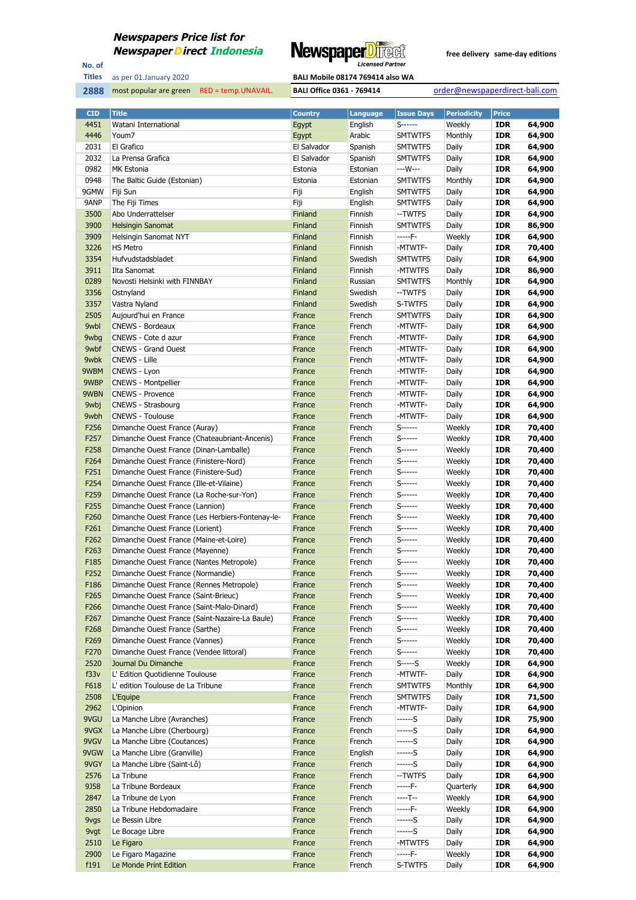

No. of **Titles**

| as per 01.January 2020 | <b>BALI Mobile 08174 769414 also WA</b> |
|------------------------|-----------------------------------------|
|                        |                                         |

| <b>CID</b>       | <b>Title</b>                                     | <b>Country</b> | Language | <b>Issue Days</b> | <b>Periodicity</b> | <b>Price</b> |        |
|------------------|--------------------------------------------------|----------------|----------|-------------------|--------------------|--------------|--------|
| 4451             | Watani International                             | Egypt          | English  | S------           | Weekly             | <b>IDR</b>   | 64,900 |
| 4446             | Youm7                                            | Egypt          | Arabic   | <b>SMTWTFS</b>    | Monthly            | <b>IDR</b>   | 64,900 |
| 2031             | El Grafico                                       | El Salvador    | Spanish  | <b>SMTWTFS</b>    | Daily              | <b>IDR</b>   | 64,900 |
| 2032             | La Prensa Grafica                                | El Salvador    | Spanish  | <b>SMTWTFS</b>    | Daily              | <b>IDR</b>   | 64,900 |
| 0982             | <b>MK Estonia</b>                                | Estonia        | Estonian | ---W---           | Daily              | <b>IDR</b>   | 64,900 |
| 0948             | The Baltic Guide (Estonian)                      | Estonia        | Estonian | <b>SMTWTFS</b>    | Monthly            | <b>IDR</b>   | 64,900 |
| 9GMW             | Fiji Sun                                         | Fiji           | English  | <b>SMTWTFS</b>    | Daily              | <b>IDR</b>   | 64,900 |
| 9ANP             | The Fiji Times                                   | Fiji           | English  | <b>SMTWTFS</b>    | Daily              | <b>IDR</b>   | 64,900 |
| 3500             | Abo Underrattelser                               | Finland        | Finnish  | --TWTFS           | Daily              | <b>IDR</b>   | 64,900 |
| 3900             | <b>Helsingin Sanomat</b>                         | Finland        | Finnish  | <b>SMTWTFS</b>    | Daily              | <b>IDR</b>   | 86,900 |
| 3909             | Helsingin Sanomat NYT                            | Finland        | Finnish  | -----F-           | Weekly             | <b>IDR</b>   | 64,900 |
|                  |                                                  |                | Finnish  | -MTWTF-           |                    | <b>IDR</b>   | 70,400 |
| 3226             | <b>HS Metro</b>                                  | Finland        |          |                   | Daily              |              |        |
| 3354             | Hufvudstadsbladet                                | Finland        | Swedish  | <b>SMTWTFS</b>    | Daily              | IDR          | 64,900 |
| 3911             | Ilta Sanomat                                     | Finland        | Finnish  | -MTWTFS           | Daily              | <b>IDR</b>   | 86,900 |
| 0289             | Novosti Helsinki with FINNBAY                    | Finland        | Russian  | <b>SMTWTFS</b>    | Monthly            | <b>IDR</b>   | 64,900 |
| 3356             | Ostnyland                                        | Finland        | Swedish  | --TWTFS           | Daily              | <b>IDR</b>   | 64,900 |
| 3357             | Vastra Nyland                                    | Finland        | Swedish  | S-TWTFS           | Daily              | IDR          | 64,900 |
| 2505             | Aujourd'hui en France                            | France         | French   | <b>SMTWTFS</b>    | Daily              | <b>IDR</b>   | 64,900 |
| 9wbl             | <b>CNEWS - Bordeaux</b>                          | France         | French   | -MTWTF-           | Daily              | <b>IDR</b>   | 64,900 |
| 9wbg             | CNEWS - Cote d azur                              | France         | French   | -MTWTF-           | Daily              | <b>IDR</b>   | 64,900 |
| 9wbf             | <b>CNEWS - Grand Ouest</b>                       | France         | French   | -MTWTF-           | Daily              | IDR          | 64,900 |
| 9wbk             | <b>CNEWS - Lille</b>                             | France         | French   | -MTWTF-           | Daily              | <b>IDR</b>   | 64,900 |
| 9WBM             | CNEWS - Lyon                                     | France         | French   | -MTWTF-           | Daily              | <b>IDR</b>   | 64,900 |
| 9WBP             | <b>CNEWS - Montpellier</b>                       | France         | French   | -MTWTF-           | Daily              | <b>IDR</b>   | 64,900 |
| 9WBN             | <b>CNEWS - Provence</b>                          | France         | French   | -MTWTF-           | Daily              | <b>IDR</b>   | 64,900 |
| 9wbj             | CNEWS - Strasbourg                               | France         | French   | -MTWTF-           | Daily              | <b>IDR</b>   | 64,900 |
| 9wbh             | <b>CNEWS - Toulouse</b>                          | France         | French   | -MTWTF-           | Daily              | <b>IDR</b>   | 64,900 |
| F256             | Dimanche Ouest France (Auray)                    | France         | French   | S------           | Weekly             | <b>IDR</b>   | 70,400 |
| F257             | Dimanche Ouest France (Chateaubriant-Ancenis)    | France         | French   | S------           | Weekly             | IDR          | 70,400 |
| F <sub>258</sub> | Dimanche Ouest France (Dinan-Lamballe)           | France         | French   | S------           | Weekly             | <b>IDR</b>   | 70,400 |
| F264             | Dimanche Ouest France (Finistere-Nord)           | France         | French   | S------           | Weekly             | <b>IDR</b>   | 70,400 |
| F251             | Dimanche Ouest France (Finistere-Sud)            | France         | French   | S------           | Weekly             | <b>IDR</b>   | 70,400 |
| F254             | Dimanche Ouest France (Ille-et-Vilaine)          | France         | French   | S------           | Weekly             | <b>IDR</b>   | 70,400 |
| F259             | Dimanche Ouest France (La Roche-sur-Yon)         | France         | French   | S------           | Weekly             | <b>IDR</b>   | 70,400 |
| F255             | Dimanche Ouest France (Lannion)                  | France         | French   | S------           | Weekly             | <b>IDR</b>   | 70,400 |
| F260             |                                                  | France         | French   | S------           | Weekly             | <b>IDR</b>   | 70,400 |
|                  | Dimanche Ouest France (Les Herbiers-Fontenay-le- |                |          | S------           |                    |              |        |
| F261             | Dimanche Ouest France (Lorient)                  | France         | French   |                   | Weekly             | IDR          | 70,400 |
| F <sub>262</sub> | Dimanche Ouest France (Maine-et-Loire)           | France         | French   | S------           | Weekly             | <b>IDR</b>   | 70,400 |
| F263             | Dimanche Ouest France (Mayenne)                  | France         | French   | $S$ -------       | Weekly             | <b>IDR</b>   | 70,400 |
| F185             | Dimanche Ouest France (Nantes Metropole)         | France         | French   | $S$ ------        | Weekly             | <b>IDR</b>   | 70,400 |
| F252             | Dimanche Ouest France (Normandie)                | France         | French   | S-------          | Weekly             | <b>IDR</b>   | 70,400 |
| F186             | Dimanche Ouest France (Rennes Metropole)         | France         | French   | S                 | Weekly             | <b>IDR</b>   | 70,400 |
| F <sub>265</sub> | Dimanche Ouest France (Saint-Brieuc)             | France         | French   | $S$ ------        | Weekly             | IDR          | 70,400 |
| F266             | Dimanche Ouest France (Saint-Malo-Dinard)        | France         | French   | S------           | Weekly             | <b>IDR</b>   | 70,400 |
| F267             | Dimanche Ouest France (Saint-Nazaire-La Baule)   | France         | French   | S------           | Weekly             | <b>IDR</b>   | 70,400 |
| F268             | Dimanche Ouest France (Sarthe)                   | France         | French   | S-------          | Weekly             | <b>IDR</b>   | 70,400 |
| F269             | Dimanche Ouest France (Vannes)                   | France         | French   | S-------          | Weekly             | <b>IDR</b>   | 70,400 |
| F270             | Dimanche Ouest France (Vendee littoral)          | France         | French   | S-------          | Weekly             | <b>IDR</b>   | 70,400 |
| 2520             | Journal Du Dimanche                              | France         | French   | $S$ ----- $S$     | Weekly             | <b>IDR</b>   | 64,900 |
| f33v             | L' Edition Quotidienne Toulouse                  | France         | French   | -MTWTF-           | Daily              | <b>IDR</b>   | 64,900 |
| F618             | L' edition Toulouse de La Tribune                | France         | French   | <b>SMTWTFS</b>    | Monthly            | <b>IDR</b>   | 64,900 |
| 2508             | L'Equipe                                         | France         | French   | <b>SMTWTFS</b>    | Daily              | <b>IDR</b>   | 71,500 |
| 2962             | L'Opinion                                        | France         | French   | -MTWTF-           | Daily              | <b>IDR</b>   | 64,900 |
| 9VGU             | La Manche Libre (Avranches)                      | France         | French   | ------S           | Daily              | <b>IDR</b>   | 75,900 |
| 9VGX             | La Manche Libre (Cherbourg)                      | France         | French   | ------S           | Daily              | <b>IDR</b>   | 64,900 |
| 9VGV             | La Manche Libre (Coutances)                      | France         | French   | ------S           | Daily              | <b>IDR</b>   | 64,900 |
| 9VGW             | La Manche Libre (Granville)                      | France         | English  | ------S           | Daily              | <b>IDR</b>   | 64,900 |
| 9VGY             | La Manche Libre (Saint-Lô)                       | France         | French   | ------S           | Daily              | <b>IDR</b>   | 64,900 |
| 2576             | La Tribune                                       | France         | French   | --TWTFS           | Daily              | <b>IDR</b>   | 64,900 |
| 9J58             | La Tribune Bordeaux                              | France         | French   | -----F-           | Quarterly          | <b>IDR</b>   | 64,900 |
| 2847             | La Tribune de Lyon                               | France         | French   | $---T--$          | Weekly             | <b>IDR</b>   | 64,900 |
| 2850             | La Tribune Hebdomadaire                          | France         | French   | -----F-           | Weekly             | <b>IDR</b>   | 64,900 |
| 9vgs             | Le Bessin Libre                                  | France         | French   | ------S           | Daily              | <b>IDR</b>   | 64,900 |
| 9vgt             | Le Bocage Libre                                  | France         | French   | ------S           | Daily              | <b>IDR</b>   | 64,900 |
| 2510             | Le Figaro                                        | France         | French   | -MTWTFS           | Daily              | <b>IDR</b>   | 64,900 |
| 2900             | Le Figaro Magazine                               | France         | French   | -----F-           | Weekly             | <b>IDR</b>   | 64,900 |
|                  |                                                  |                |          | S-TWTFS           |                    |              | 64,900 |
| f191             | Le Monde Print Edition                           | France         | French   |                   | Daily              | <b>IDR</b>   |        |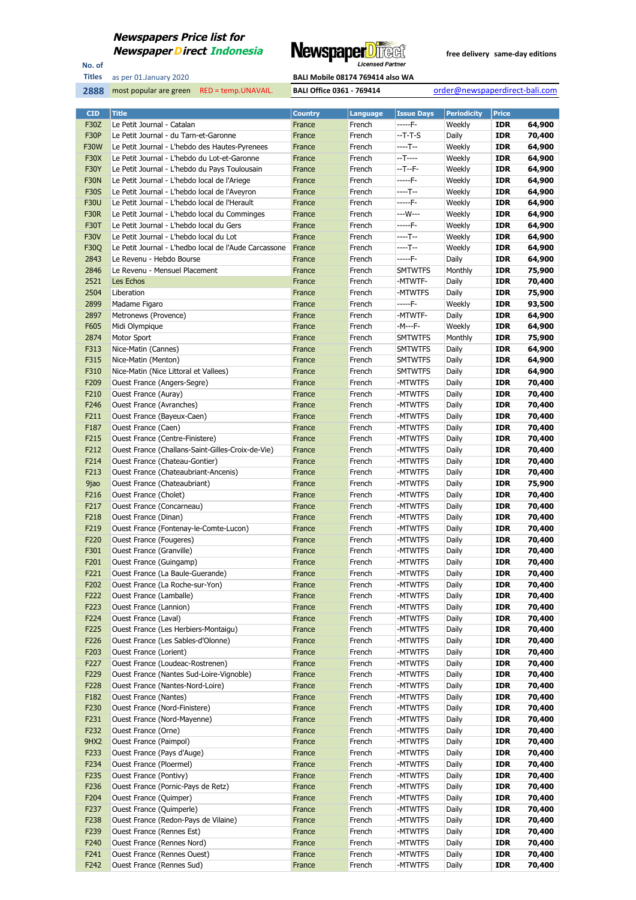

No. of **Titles**



| <b>CID</b>       | <b>Title</b>                                                 | <b>Country</b>   | Language         | <b>Issue Days</b>  | <b>Periodicity</b> | <b>Price</b>             |                  |
|------------------|--------------------------------------------------------------|------------------|------------------|--------------------|--------------------|--------------------------|------------------|
| <b>F30Z</b>      | Le Petit Journal - Catalan                                   | France           | French           | -----F-            | Weekly             | <b>IDR</b>               | 64,900           |
| <b>F30P</b>      | Le Petit Journal - du Tarn-et-Garonne                        | France           | French           | $-T-T-S$           | Daily              | <b>IDR</b>               | 70,400           |
| <b>F30W</b>      | Le Petit Journal - L'hebdo des Hautes-Pyrenees               | France           | French           | ----T--            | Weekly             | <b>IDR</b>               | 64,900           |
| <b>F30X</b>      | Le Petit Journal - L'hebdo du Lot-et-Garonne                 | France           | French           | --T----            | Weekly             | <b>IDR</b>               | 64,900           |
| <b>F30Y</b>      | Le Petit Journal - L'hebdo du Pays Toulousain                | France           | French           | --T--F-            | Weekly             | <b>IDR</b>               | 64,900           |
| <b>F30N</b>      | Le Petit Journal - L'hebdo local de l'Ariege                 | France           | French           | $---F-$            | Weekly             | <b>IDR</b>               | 64,900           |
| <b>F30S</b>      | Le Petit Journal - L'hebdo local de l'Aveyron                | France           | French           | ----T--            | Weekly             | <b>IDR</b>               | 64,900           |
| <b>F30U</b>      | Le Petit Journal - L'hebdo local de l'Herault                | France           | French           | -----F-            | Weekly             | <b>IDR</b>               | 64,900           |
| <b>F30R</b>      | Le Petit Journal - L'hebdo local du Comminges                | France           | French           | ---W---            | Weekly             | <b>IDR</b>               | 64,900           |
| F30T             | Le Petit Journal - L'hebdo local du Gers                     | France           | French           | $---F-$            | Weekly             | <b>IDR</b>               | 64,900           |
| <b>F30V</b>      | Le Petit Journal - L'hebdo local du Lot                      | France           | French           | ----T--            | Weekly             | <b>IDR</b>               | 64,900           |
| F30Q             | Le Petit Journal - L'hedbo local de l'Aude Carcassone        | France           | French           | ----T--            | Weekly             | <b>IDR</b>               | 64,900           |
| 2843             | Le Revenu - Hebdo Bourse                                     | France           | French           | -----F-            | Daily              | <b>IDR</b>               | 64,900           |
| 2846             | Le Revenu - Mensuel Placement                                | France           | French           | <b>SMTWTFS</b>     | Monthly            | <b>IDR</b>               | 75,900           |
| 2521             | Les Echos                                                    | France           | French           | -MTWTF-            | Daily              | <b>IDR</b>               | 70,400           |
| 2504             | Liberation                                                   | France           | French           | -MTWTFS            | Daily              | <b>IDR</b>               | 75,900           |
| 2899             | Madame Figaro                                                | France           | French           | -----F-            | Weekly             | <b>IDR</b>               | 93,500           |
| 2897             | Metronews (Provence)                                         | France           | French           | -MTWTF-            | Daily              | <b>IDR</b>               | 64,900           |
| F605             | Midi Olympique                                               | France           | French           | -M---F-            | Weekly             | <b>IDR</b>               | 64,900           |
| 2874             | Motor Sport                                                  | France           | French           | <b>SMTWTFS</b>     | Monthly            | <b>IDR</b>               | 75,900           |
| F313             | Nice-Matin (Cannes)                                          | France           | French           | <b>SMTWTFS</b>     | Daily              | <b>IDR</b>               | 64,900           |
| F315             | Nice-Matin (Menton)                                          | France           | French           | <b>SMTWTFS</b>     | Daily              | <b>IDR</b>               | 64,900           |
| F310             | Nice-Matin (Nice Littoral et Vallees)                        | France           | French           | <b>SMTWTFS</b>     | Daily              | <b>IDR</b>               | 64,900           |
| F209             | Ouest France (Angers-Segre)                                  | France           | French           | -MTWTFS<br>-MTWTFS | Daily              | <b>IDR</b>               | 70,400           |
| F210<br>F246     | Ouest France (Auray)<br><b>Ouest France (Avranches)</b>      | France           | French           |                    | Daily              | <b>IDR</b>               | 70,400<br>70,400 |
| F211             | Ouest France (Bayeux-Caen)                                   | France<br>France | French<br>French | -MTWTFS<br>-MTWTFS | Daily<br>Daily     | <b>IDR</b><br><b>IDR</b> | 70,400           |
| F187             | Ouest France (Caen)                                          | France           | French           | -MTWTFS            | Daily              | <b>IDR</b>               | 70,400           |
| F215             | Ouest France (Centre-Finistere)                              | France           | French           | -MTWTFS            | Daily              | <b>IDR</b>               | 70,400           |
| F212             | Ouest France (Challans-Saint-Gilles-Croix-de-Vie)            | France           | French           | -MTWTFS            | Daily              | <b>IDR</b>               | 70,400           |
| F214             | Ouest France (Chateau-Gontier)                               | France           | French           | -MTWTFS            | Daily              | <b>IDR</b>               | 70,400           |
| F213             | Ouest France (Chateaubriant-Ancenis)                         | France           | French           | -MTWTFS            | Daily              | <b>IDR</b>               | 70,400           |
| 9jao             | Ouest France (Chateaubriant)                                 | France           | French           | -MTWTFS            | Daily              | <b>IDR</b>               | 75,900           |
| F216             | Ouest France (Cholet)                                        | France           | French           | -MTWTFS            | Daily              | <b>IDR</b>               | 70,400           |
| F217             | Ouest France (Concarneau)                                    | France           | French           | -MTWTFS            | Daily              | <b>IDR</b>               | 70,400           |
| F218             | Ouest France (Dinan)                                         | France           | French           | -MTWTFS            | Daily              | <b>IDR</b>               | 70,400           |
| F219             | Ouest France (Fontenay-le-Comte-Lucon)                       | France           | French           | -MTWTFS            | Daily              | <b>IDR</b>               | 70,400           |
| F <sub>220</sub> | <b>Ouest France (Fougeres)</b>                               | France           | French           | -MTWTFS            | Daily              | <b>IDR</b>               | 70,400           |
| F301             | Ouest France (Granville)                                     | France           | French           | -MTWTFS            | Daily              | <b>IDR</b>               | 70,400           |
| F201             | Ouest France (Guingamp)                                      | France           | French           | -MTWTFS            | Daily              | <b>IDR</b>               | 70,400           |
| F221             | Ouest France (La Baule-Guerande)                             | France           | French           | -MTWTFS            | Daily              | <b>IDR</b>               | 70,400           |
| F202             | Ouest France (La Roche-sur-Yon)                              | France           | French           | -MTWTFS            | Daily              | <b>IDR</b>               | 70,400           |
| F222             | Ouest France (Lamballe)                                      | France           | French           | -MTWTFS            | Daily              | IDR                      | 70,400           |
| F223             | Ouest France (Lannion)                                       | France           | French           | -MTWTFS            | Daily              | <b>IDR</b>               | 70,400           |
| F224             | Ouest France (Laval)                                         | France           | French           | -MTWTFS            | Daily              | <b>IDR</b>               | 70,400           |
| F225             | Ouest France (Les Herbiers-Montaigu)                         | France           | French           | -MTWTFS            | Daily              | <b>IDR</b>               | 70,400           |
| F226             | Ouest France (Les Sables-d'Olonne)                           | France           | French           | -MTWTFS            | Daily              | <b>IDR</b>               | 70,400           |
| F203             | Ouest France (Lorient)                                       | France           | French           | -MTWTFS            | Daily              | <b>IDR</b>               | 70,400           |
| F227             | Ouest France (Loudeac-Rostrenen)                             | France           | French           | -MTWTFS            | Daily              | <b>IDR</b>               | 70,400           |
| F229             | Ouest France (Nantes Sud-Loire-Vignoble)                     | France           | French           | -MTWTFS            | Daily              | <b>IDR</b>               | 70,400           |
| F228             | Ouest France (Nantes-Nord-Loire)                             | France           | French           | -MTWTFS            | Daily              | <b>IDR</b>               | 70,400           |
| F182             | <b>Ouest France (Nantes)</b>                                 | France           | French           | -MTWTFS            | Daily              | <b>IDR</b>               | 70,400           |
| F230             | Ouest France (Nord-Finistere)                                | France           | French           | -MTWTFS            | Daily              | <b>IDR</b>               | 70,400           |
| F231             | Ouest France (Nord-Mayenne)                                  | France           | French           | -MTWTFS            | Daily              | <b>IDR</b>               | 70,400           |
| F232             | Ouest France (Orne)                                          | France           | French           | -MTWTFS            | Daily              | <b>IDR</b>               | 70,400           |
| 9HX2             | Ouest France (Paimpol)                                       | France           | French           | -MTWTFS            | Daily              | <b>IDR</b>               | 70,400           |
| F233             | Ouest France (Pays d'Auge)                                   | France           | French           | -MTWTFS            | Daily              | <b>IDR</b>               | 70,400           |
| F234             | Ouest France (Ploermel)                                      | France           | French           | -MTWTFS            | Daily              | <b>IDR</b>               | 70,400           |
| F235<br>F236     | Ouest France (Pontivy)<br>Ouest France (Pornic-Pays de Retz) | France<br>France | French<br>French | -MTWTFS<br>-MTWTFS | Daily<br>Daily     | <b>IDR</b><br><b>IDR</b> | 70,400<br>70,400 |
| F204             | Ouest France (Quimper)                                       | France           | French           | -MTWTFS            | Daily              | <b>IDR</b>               | 70,400           |
| F237             | Ouest France (Quimperle)                                     | France           | French           | -MTWTFS            | Daily              | <b>IDR</b>               | 70,400           |
| F238             | Ouest France (Redon-Pays de Vilaine)                         | France           | French           | -MTWTFS            | Daily              | <b>IDR</b>               | 70,400           |
| F239             | Ouest France (Rennes Est)                                    | France           | French           | -MTWTFS            | Daily              | <b>IDR</b>               | 70,400           |
| F240             | Ouest France (Rennes Nord)                                   | France           | French           | -MTWTFS            | Daily              | <b>IDR</b>               | 70,400           |
| F241             | <b>Ouest France (Rennes Ouest)</b>                           | France           | French           | -MTWTFS            | Daily              | <b>IDR</b>               | 70,400           |
| F242             | Ouest France (Rennes Sud)                                    | France           | French           | -MTWTFS            | Daily              | <b>IDR</b>               | 70,400           |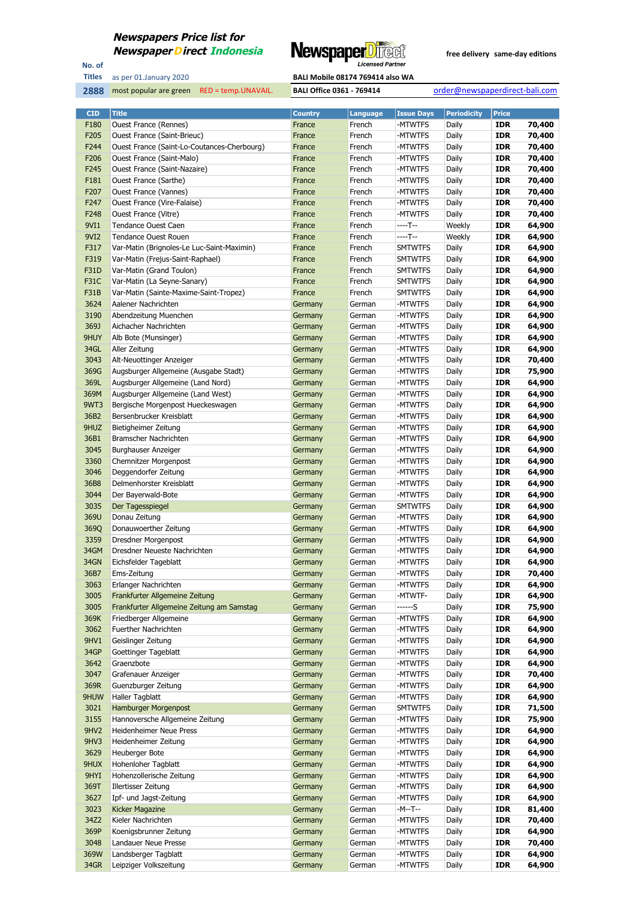

No. of **Titles**



| <b>CID</b>       | <b>Title</b>                                                              | <b>Country</b>     | <b>Language</b>  | <b>Issue Days</b>         | <b>Periodicity</b> | <b>Price</b>             |                  |
|------------------|---------------------------------------------------------------------------|--------------------|------------------|---------------------------|--------------------|--------------------------|------------------|
| F180             | Ouest France (Rennes)                                                     | France             | French           | -MTWTFS                   | Daily              | <b>IDR</b>               | 70,400           |
| F205             | Ouest France (Saint-Brieuc)                                               | France             | French           | -MTWTFS                   | Daily              | <b>IDR</b>               | 70,400           |
| F244             | Ouest France (Saint-Lo-Coutances-Cherbourg)                               | France             | French           | -MTWTFS                   | Daily              | <b>IDR</b>               | 70,400           |
| F <sub>206</sub> | Ouest France (Saint-Malo)                                                 | France             | French           | -MTWTFS                   | Daily              | <b>IDR</b>               | 70,400           |
| F <sub>245</sub> | Ouest France (Saint-Nazaire)                                              | France             | French           | -MTWTFS                   | Daily              | <b>IDR</b>               | 70,400           |
| F181             | Ouest France (Sarthe)                                                     | France             | French           | -MTWTFS                   | Daily              | <b>IDR</b>               | 70,400           |
| F207             | Ouest France (Vannes)                                                     | France             | French           | -MTWTFS                   | Daily              | <b>IDR</b>               | 70,400           |
| F <sub>247</sub> | Ouest France (Vire-Falaise)                                               | France             | French           | -MTWTFS                   | Daily              | <b>IDR</b>               | 70,400           |
| F248             | Ouest France (Vitre)                                                      | France             | French           | -MTWTFS                   | Daily              | <b>IDR</b>               | 70,400           |
| 9VI1             | <b>Tendance Ouest Caen</b>                                                | France             | French           | $---T-$                   | Weekly             | <b>IDR</b>               | 64,900           |
| 9VI2<br>F317     | <b>Tendance Ouest Rouen</b><br>Var-Matin (Brignoles-Le Luc-Saint-Maximin) | France<br>France   | French<br>French | $---T-$<br><b>SMTWTFS</b> | Weekly<br>Daily    | <b>IDR</b><br><b>IDR</b> | 64,900<br>64,900 |
| F319             | Var-Matin (Frejus-Saint-Raphael)                                          | France             | French           | <b>SMTWTFS</b>            | Daily              | <b>IDR</b>               | 64,900           |
| F31D             | Var-Matin (Grand Toulon)                                                  | France             | French           | <b>SMTWTFS</b>            | Daily              | <b>IDR</b>               | 64,900           |
| <b>F31C</b>      | Var-Matin (La Seyne-Sanary)                                               | France             | French           | <b>SMTWTFS</b>            | Daily              | <b>IDR</b>               | 64,900           |
| F31B             | Var-Matin (Sainte-Maxime-Saint-Tropez)                                    | France             | French           | <b>SMTWTFS</b>            | Daily              | <b>IDR</b>               | 64,900           |
| 3624             | Aalener Nachrichten                                                       | Germany            | German           | -MTWTFS                   | Daily              | <b>IDR</b>               | 64,900           |
| 3190             | Abendzeitung Muenchen                                                     | Germany            | German           | -MTWTFS                   | Daily              | <b>IDR</b>               | 64,900           |
| 369J             | Aichacher Nachrichten                                                     | Germany            | German           | -MTWTFS                   | Daily              | <b>IDR</b>               | 64,900           |
| 9HUY             | Alb Bote (Munsinger)                                                      | Germany            | German           | -MTWTFS                   | Daily              | <b>IDR</b>               | 64,900           |
| 34GL             | Aller Zeitung                                                             | Germany            | German           | -MTWTFS                   | Daily              | <b>IDR</b>               | 64,900           |
| 3043             | Alt-Neuottinger Anzeiger                                                  | Germany            | German           | -MTWTFS                   | Daily              | <b>IDR</b>               | 70,400           |
| 369G             | Augsburger Allgemeine (Ausgabe Stadt)                                     | Germany            | German           | -MTWTFS                   | Daily              | <b>IDR</b>               | 75,900           |
| 369L             | Augsburger Allgemeine (Land Nord)                                         | Germany            | German           | -MTWTFS                   | Daily              | <b>IDR</b>               | 64,900           |
| 369M             | Augsburger Allgemeine (Land West)                                         | Germany            | German           | -MTWTFS                   | Daily              | <b>IDR</b>               | 64,900           |
| 9WT3             | Bergische Morgenpost Hueckeswagen                                         | Germany            | German           | -MTWTFS                   | Daily              | <b>IDR</b>               | 64,900           |
| 36B2             | Bersenbrucker Kreisblatt                                                  | Germany            | German           | -MTWTFS                   | Daily              | <b>IDR</b>               | 64,900           |
| 9HUZ<br>36B1     | Bietigheimer Zeitung<br>Bramscher Nachrichten                             | Germany<br>Germany | German<br>German | -MTWTFS<br>-MTWTFS        | Daily<br>Daily     | <b>IDR</b><br><b>IDR</b> | 64,900<br>64,900 |
| 3045             | Burghauser Anzeiger                                                       | Germany            | German           | -MTWTFS                   | Daily              | <b>IDR</b>               | 64,900           |
| 3360             | Chemnitzer Morgenpost                                                     | Germany            | German           | -MTWTFS                   | Daily              | <b>IDR</b>               | 64,900           |
| 3046             | Deggendorfer Zeitung                                                      | Germany            | German           | -MTWTFS                   | Daily              | <b>IDR</b>               | 64,900           |
| 36B8             | Delmenhorster Kreisblatt                                                  | Germany            | German           | -MTWTFS                   | Daily              | <b>IDR</b>               | 64,900           |
| 3044             | Der Bayerwald-Bote                                                        | Germany            | German           | -MTWTFS                   | Daily              | <b>IDR</b>               | 64,900           |
| 3035             | Der Tagesspiegel                                                          | Germany            | German           | <b>SMTWTFS</b>            | Daily              | <b>IDR</b>               | 64,900           |
| 369U             | Donau Zeitung                                                             | Germany            | German           | -MTWTFS                   | Daily              | <b>IDR</b>               | 64,900           |
| 369Q             | Donauwoerther Zeitung                                                     | Germany            | German           | -MTWTFS                   | Daily              | <b>IDR</b>               | 64,900           |
| 3359             | Dresdner Morgenpost                                                       | Germany            | German           | -MTWTFS                   | Daily              | <b>IDR</b>               | 64,900           |
| 34GM             | Dresdner Neueste Nachrichten                                              | Germany            | German           | -MTWTFS                   | Daily              | <b>IDR</b>               | 64,900           |
| 34GN             | Eichsfelder Tageblatt                                                     | Germany            | German           | -MTWTFS                   | Daily              | IDR                      | 64,900           |
| 36B7             | Ems-Zeitung                                                               | Germany            | German           | -MTWTFS                   | Daily              | <b>IDR</b><br><b>IDR</b> | 70,400           |
| 3063<br>3005     | Erlanger Nachrichten<br>Frankfurter Allgemeine Zeitung                    | Germany<br>Germany | German<br>German | -MTWTFS<br>-MTWTF-        | Daily<br>Daily     | IDR                      | 64,900<br>64,900 |
| 3005             | Frankfurter Allgemeine Zeitung am Samstag                                 | Germany            | German           | ------S                   | Daily              | <b>IDR</b>               | 75,900           |
| 369K             | Friedberger Allgemeine                                                    | Germany            | German           | -MTWTFS                   | Daily              | <b>IDR</b>               | 64,900           |
| 3062             | Fuerther Nachrichten                                                      | Germany            | German           | -MTWTFS                   | Daily              | <b>IDR</b>               | 64,900           |
| 9HV1             | Geislinger Zeitung                                                        | Germany            | German           | -MTWTFS                   | Daily              | <b>IDR</b>               | 64,900           |
| 34GP             | Goettinger Tageblatt                                                      | Germany            | German           | -MTWTFS                   | Daily              | <b>IDR</b>               | 64,900           |
| 3642             | Graenzbote                                                                | Germany            | German           | -MTWTFS                   | Daily              | IDR                      | 64,900           |
| 3047             | Grafenauer Anzeiger                                                       | Germany            | German           | -MTWTFS                   | Daily              | <b>IDR</b>               | 70,400           |
| 369R             | Guenzburger Zeitung                                                       | Germany            | German           | -MTWTFS                   | Daily              | IDR                      | 64,900           |
| 9HUW             | Haller Tagblatt                                                           | Germany            | German           | -MTWTFS                   | Daily              | <b>IDR</b>               | 64,900           |
| 3021             | Hamburger Morgenpost                                                      | Germany            | German           | <b>SMTWTFS</b>            | Daily              | IDR                      | 71,500           |
| 3155             | Hannoversche Allgemeine Zeitung                                           | Germany            | German           | -MTWTFS                   | Daily              | <b>IDR</b>               | 75,900           |
| 9HV <sub>2</sub> | Heidenheimer Neue Press                                                   | Germany            | German           | -MTWTFS                   | Daily              | <b>IDR</b>               | 64,900           |
| 9HV3             | Heidenheimer Zeitung                                                      | Germany            | German           | -MTWTFS                   | Daily              | <b>IDR</b>               | 64,900           |
| 3629<br>9HUX     | Heuberger Bote<br>Hohenloher Tagblatt                                     | Germany<br>Germany | German<br>German | -MTWTFS<br>-MTWTFS        | Daily<br>Daily     | IDR<br><b>IDR</b>        | 64,900<br>64,900 |
| 9HYI             | Hohenzollerische Zeitung                                                  | Germany            | German           | -MTWTFS                   | Daily              | <b>IDR</b>               | 64,900           |
| 369T             | Illertisser Zeitung                                                       | Germany            | German           | -MTWTFS                   | Daily              | <b>IDR</b>               | 64,900           |
| 3627             | Ipf- und Jagst-Zeitung                                                    | Germany            | German           | -MTWTFS                   | Daily              | IDR                      | 64,900           |
| 3023             | Kicker Magazine                                                           | Germany            | German           | -M--T--                   | Daily              | <b>IDR</b>               | 81,400           |
| 34Z2             | Kieler Nachrichten                                                        | Germany            | German           | -MTWTFS                   | Daily              | <b>IDR</b>               | 70,400           |
| 369P             | Koenigsbrunner Zeitung                                                    | Germany            | German           | -MTWTFS                   | Daily              | <b>IDR</b>               | 64,900           |
| 3048             | Landauer Neue Presse                                                      | Germany            | German           | -MTWTFS                   | Daily              | IDR                      | 70,400           |
| 369W             | Landsberger Tagblatt                                                      | Germany            | German           | -MTWTFS                   | Daily              | <b>IDR</b>               | 64,900           |
| 34GR             | Leipziger Volkszeitung                                                    | Germany            | German           | -MTWTFS                   | Daily              | IDR                      | 64,900           |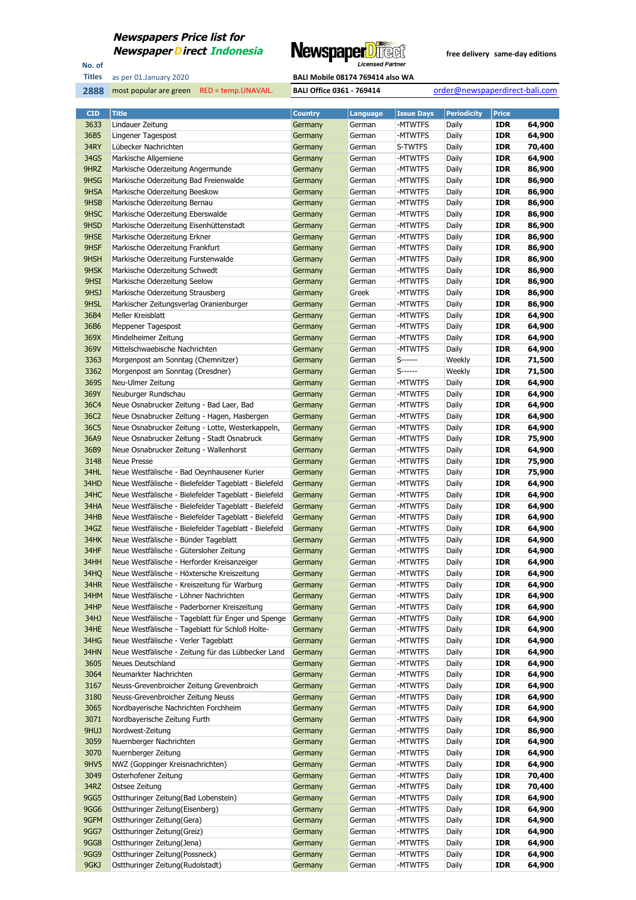

No. of **Titles**

**2888** most popular are green RED = temp.UNAVAIL. **BALI Office 0361 - 769414** order@newspaperdirect-bali.com

| <b>CID</b>   | <b>Title</b>                                                                                       | <b>Country</b> | Language         | <b>Issue Days</b>  | <b>Periodicity</b> | <b>Price</b>      |                  |
|--------------|----------------------------------------------------------------------------------------------------|----------------|------------------|--------------------|--------------------|-------------------|------------------|
| 3633         | Lindauer Zeitung                                                                                   | Germany        | German           | -MTWTFS            | Daily              | <b>IDR</b>        | 64,900           |
| 36B5         | Lingener Tagespost                                                                                 | Germany        | German           | -MTWTFS            | Daily              | <b>IDR</b>        | 64,900           |
| 34RY         | Lübecker Nachrichten                                                                               | Germany        | German           | S-TWTFS            | Daily              | <b>IDR</b>        | 70,400           |
| 34GS         | Markische Allgemiene                                                                               | Germany        | German           | -MTWTFS            | Daily              | <b>IDR</b>        | 64,900           |
| 9HRZ         | Markische Oderzeitung Angermunde                                                                   | Germany        | German           | -MTWTFS            | Daily              | <b>IDR</b>        | 86,900           |
| 9HSG         | Markische Oderzeitung Bad Freienwalde                                                              | Germany        | German           | -MTWTFS            | Daily              | <b>IDR</b>        | 86,900           |
| 9HSA         | Markische Oderzeitung Beeskow                                                                      | Germany        | German           | -MTWTFS            | Daily              | <b>IDR</b>        | 86,900           |
| 9HSB         | Markische Oderzeitung Bernau                                                                       | Germany        | German           | -MTWTFS            | Daily              | <b>IDR</b>        | 86,900           |
| 9HSC         | Markische Oderzeitung Eberswalde                                                                   | Germany        | German           | -MTWTFS            | Daily              | <b>IDR</b>        | 86,900           |
| 9HSD         | Markische Oderzeitung Eisenhüttenstadt                                                             | Germany        | German           | -MTWTFS            | Daily              | <b>IDR</b>        | 86,900           |
| 9HSE         | Markische Oderzeitung Erkner                                                                       | Germany        | German           | -MTWTFS            | Daily              | <b>IDR</b>        | 86,900           |
| 9HSF         | Markische Oderzeitung Frankfurt                                                                    | Germany        | German           | -MTWTFS            | Daily              | <b>IDR</b>        | 86,900           |
| 9HSH         | Markische Oderzeitung Furstenwalde                                                                 | Germany        | German           | -MTWTFS            | Daily              | <b>IDR</b>        | 86,900           |
| 9HSK         | Markische Oderzeitung Schwedt                                                                      | Germany        | German           | -MTWTFS            | Daily              | <b>IDR</b>        | 86,900           |
| 9HSI         | Markische Oderzeitung Seelow                                                                       | Germany        | German           | -MTWTFS            | Daily              | <b>IDR</b>        | 86,900           |
| 9HSJ         | Markische Oderzeitung Strausberg                                                                   | Germany        | Greek            | -MTWTFS            | Daily              | <b>IDR</b>        | 86,900           |
| 9HSL         | Markischer Zeitungsverlag Oranienburger                                                            | Germany        | German           | -MTWTFS            | Daily              | <b>IDR</b>        | 86,900           |
| 36B4         | Meller Kreisblatt                                                                                  | Germany        | German           | -MTWTFS            | Daily              | <b>IDR</b>        | 64,900           |
| 36B6         | Meppener Tagespost                                                                                 | Germany        | German           | -MTWTFS            | Daily              | <b>IDR</b>        | 64,900           |
| 369X         | Mindelheimer Zeitung                                                                               | Germany        | German           | -MTWTFS            | Daily              | <b>IDR</b>        | 64,900           |
| 369V         | Mittelschwaebische Nachrichten                                                                     | Germany        | German           | -MTWTFS            | Daily              | <b>IDR</b>        | 64,900           |
| 3363         | Morgenpost am Sonntag (Chemnitzer)                                                                 | Germany        | German           | S------            | Weekly             | <b>IDR</b>        | 71,500           |
| 3362         | Morgenpost am Sonntag (Dresdner)                                                                   | Germany        | German           | S------            | Weekly             | <b>IDR</b>        | 71,500           |
| 369S         | Neu-Ulmer Zeitung                                                                                  | Germany        | German           | -MTWTFS            | Daily              | <b>IDR</b>        | 64,900           |
| 369Y         | Neuburger Rundschau                                                                                | Germany        | German           | -MTWTFS            | Daily              | <b>IDR</b>        | 64,900           |
| 36C4         | Neue Osnabrucker Zeitung - Bad Laer, Bad                                                           | Germany        | German           | -MTWTFS            | Daily              | <b>IDR</b>        | 64,900           |
| 36C2         | Neue Osnabrucker Zeitung - Hagen, Hasbergen                                                        | Germany        | German           | -MTWTFS            | Daily              | <b>IDR</b>        | 64,900           |
| 36C5         | Neue Osnabrucker Zeitung - Lotte, Westerkappeln,                                                   | Germany        | German           | -MTWTFS            | Daily              | <b>IDR</b>        | 64,900           |
| 36A9         | Neue Osnabrucker Zeitung - Stadt Osnabruck                                                         | Germany        | German           | -MTWTFS            | Daily              | <b>IDR</b>        | 75,900           |
| 36B9         | Neue Osnabrucker Zeitung - Wallenhorst                                                             | Germany        | German           | -MTWTFS            | Daily              | <b>IDR</b>        | 64,900           |
| 3148         | <b>Neue Presse</b>                                                                                 | Germany        | German           | -MTWTFS            | Daily              | <b>IDR</b>        | 75,900           |
| 34HL         | Neue Westfälische - Bad Oeynhausener Kurier                                                        | Germany        | German           | -MTWTFS            | Daily              | <b>IDR</b>        | 75,900           |
| 34HD         | Neue Westfälische - Bielefelder Tageblatt - Bielefeld                                              | Germany        | German           | -MTWTFS            | Daily              | <b>IDR</b>        | 64,900           |
| 34HC         | Neue Westfälische - Bielefelder Tageblatt - Bielefeld                                              | Germany        | German           | -MTWTFS            | Daily              | <b>IDR</b>        | 64,900           |
| 34HA         | Neue Westfälische - Bielefelder Tageblatt - Bielefeld                                              | Germany        | German           | -MTWTFS            | Daily              | <b>IDR</b>        | 64,900           |
| 34HB         | Neue Westfälische - Bielefelder Tageblatt - Bielefeld                                              | Germany        | German           | -MTWTFS            | Daily              | <b>IDR</b>        | 64,900           |
| 34GZ         | Neue Westfälische - Bielefelder Tageblatt - Bielefeld                                              | Germany        | German           | -MTWTFS            | Daily              | <b>IDR</b>        | 64,900           |
| 34HK         | Neue Westfälische - Bünder Tageblatt                                                               | Germany        | German           | -MTWTFS            | Daily              | <b>IDR</b>        | 64,900           |
| 34HF         | Neue Westfälische - Gütersloher Zeitung                                                            | Germany        | German           | -MTWTFS            | Daily              | <b>IDR</b>        | 64,900           |
| 34HH         | Neue Westfälische - Herforder Kreisanzeiger                                                        | Germany        | German           | -MTWTFS            | Daily              | <b>IDR</b>        | 64,900           |
| 34HQ         | Neue Westfälische - Höxtersche Kreiszeitung                                                        | Germany        | German           | -MTWTFS            | Daily              | <b>IDR</b>        | 64,900           |
| 34HR         | Neue Westfälische - Kreiszeitung für Warburg                                                       | Germany        | German           | -MTWTFS            | Daily              | <b>IDR</b>        | 64,900           |
| 34HM         |                                                                                                    | Germany        | German           | -MTWTFS            | Daily              | <b>IDR</b>        | 64,900           |
|              | Neue Westfälische - Löhner Nachrichten                                                             |                |                  |                    |                    |                   |                  |
| 34HP<br>34HJ | Neue Westfälische - Paderborner Kreiszeitung<br>Neue Westfälische - Tageblatt für Enger und Spenge | Germany        | German<br>German | -MTWTFS<br>-MTWTFS | Daily<br>Daily     | IDR<br><b>IDR</b> | 64,900<br>64,900 |
|              |                                                                                                    | Germany        |                  |                    |                    |                   |                  |
| 34HE         | Neue Westfälische - Tageblatt für Schloß Holte-                                                    | Germany        | German           | -MTWTFS            | Daily              | <b>IDR</b>        | 64,900           |
| 34HG         | Neue Westfälische - Verler Tageblatt                                                               | Germany        | German           | -MTWTFS            | Daily              | <b>IDR</b>        | 64,900           |
| 34HN         | Neue Westfälische - Zeitung für das Lübbecker Land                                                 | Germany        | German           | -MTWTFS            | Daily              | IDR               | 64,900           |
| 3605         | Neues Deutschland                                                                                  | Germany        | German           | -MTWTFS            | Daily              | <b>IDR</b>        | 64,900<br>64,900 |
| 3064         | Neumarkter Nachrichten                                                                             | Germany        | German           | -MTWTFS            | Daily              | IDR               |                  |
| 3167         | Neuss-Grevenbroicher Zeitung Grevenbroich                                                          | Germany        | German           | -MTWTFS            | Daily              | <b>IDR</b>        | 64,900           |
| 3180         | Neuss-Grevenbroicher Zeitung Neuss                                                                 | Germany        | German           | -MTWTFS            | Daily              | IDR               | 64,900           |
| 3065         | Nordbayerische Nachrichten Forchheim                                                               | Germany        | German           | -MTWTFS            | Daily              | <b>IDR</b>        | 64,900           |
| 3071         | Nordbayerische Zeitung Furth                                                                       | Germany        | German           | -MTWTFS            | Daily              | <b>IDR</b>        | 64,900           |
| 9HUJ         | Nordwest-Zeitung                                                                                   | Germany        | German           | -MTWTFS            | Daily              | <b>IDR</b>        | 86,900           |
| 3059         | Nuernberger Nachrichten                                                                            | Germany        | German           | -MTWTFS            | Daily              | IDR               | 64,900           |
| 3070         | Nuernberger Zeitung                                                                                | Germany        | German           | -MTWTFS            | Daily              | <b>IDR</b>        | 64,900           |
| 9HV5         | NWZ (Goppinger Kreisnachrichten)                                                                   | Germany        | German           | -MTWTFS            | Daily              | IDR               | 64,900           |
| 3049         | Osterhofener Zeitung                                                                               | Germany        | German           | -MTWTFS            | Daily              | IDR               | 70,400           |
| 34RZ         | Ostsee Zeitung                                                                                     | Germany        | German           | -MTWTFS            | Daily              | IDR               | 70,400           |
| <b>9GG5</b>  | Ostthuringer Zeitung(Bad Lobenstein)                                                               | Germany        | German           | -MTWTFS            | Daily              | <b>IDR</b>        | 64,900           |
| 9GG6         | Ostthuringer Zeitung (Eisenberg)                                                                   | Germany        | German           | -MTWTFS            | Daily              | IDR               | 64,900           |
| 9GFM         | Ostthuringer Zeitung(Gera)                                                                         | Germany        | German           | -MTWTFS            | Daily              | <b>IDR</b>        | 64,900           |
| <b>9GG7</b>  | Ostthuringer Zeitung(Greiz)                                                                        | Germany        | German           | -MTWTFS            | Daily              | IDR               | 64,900           |
| 9GG8         | Ostthuringer Zeitung(Jena)                                                                         | Germany        | German           | -MTWTFS            | Daily              | <b>IDR</b>        | 64,900           |
| 9GG9         | Ostthuringer Zeitung(Possneck)                                                                     | Germany        | German           | -MTWTFS            | Daily              | IDR               | 64,900           |
| 9GKJ         | Ostthuringer Zeitung(Rudolstadt)                                                                   | Germany        | German           | -MTWTFS            | Daily              | <b>IDR</b>        | 64,900           |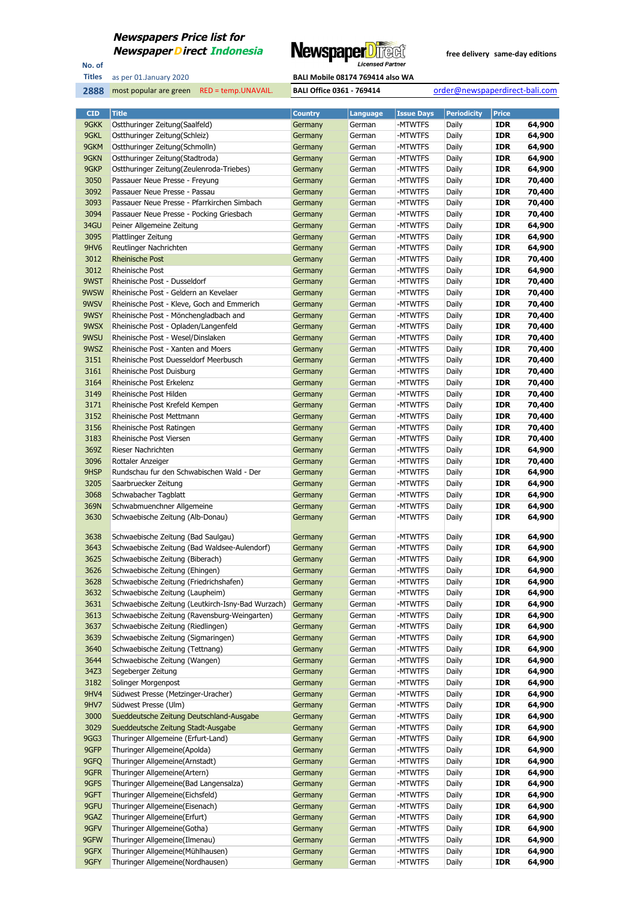

No. of **Titles**

#### as per 01.January 2020 **BALI Mobile 08174 769414 also WA**

| <b>CID</b>       | <b>Title</b>                                      | <b>Country</b> | Language | <b>Issue Days</b> | <b>Periodicity</b> | <b>Price</b> |        |
|------------------|---------------------------------------------------|----------------|----------|-------------------|--------------------|--------------|--------|
| 9GKK             | Ostthuringer Zeitung(Saalfeld)                    | Germany        | German   | -MTWTFS           | Daily              | <b>IDR</b>   | 64,900 |
| 9GKL             | Ostthuringer Zeitung(Schleiz)                     | Germany        | German   | -MTWTFS           | Daily              | <b>IDR</b>   | 64,900 |
| 9GKM             | Ostthuringer Zeitung(Schmolln)                    | Germany        | German   | -MTWTFS           | Daily              | <b>IDR</b>   | 64,900 |
| 9GKN             | Ostthuringer Zeitung (Stadtroda)                  | Germany        | German   | -MTWTFS           | Daily              | <b>IDR</b>   | 64,900 |
| 9GKP             | Ostthuringer Zeitung (Zeulenroda-Triebes)         | Germany        | German   | -MTWTFS           | Daily              | <b>IDR</b>   | 64,900 |
| 3050             | Passauer Neue Presse - Freyung                    |                | German   | -MTWTFS           | Daily              | <b>IDR</b>   | 70,400 |
|                  |                                                   | Germany        |          |                   |                    |              |        |
| 3092             | Passauer Neue Presse - Passau                     | Germany        | German   | -MTWTFS           | Daily              | <b>IDR</b>   | 70,400 |
| 3093             | Passauer Neue Presse - Pfarrkirchen Simbach       | Germany        | German   | -MTWTFS           | Daily              | <b>IDR</b>   | 70,400 |
| 3094             | Passauer Neue Presse - Pocking Griesbach          | Germany        | German   | -MTWTFS           | Daily              | <b>IDR</b>   | 70,400 |
| 34GU             | Peiner Allgemeine Zeitung                         | Germany        | German   | -MTWTFS           | Daily              | <b>IDR</b>   | 64,900 |
| 3095             | Plattlinger Zeitung                               | Germany        | German   | -MTWTFS           | Daily              | <b>IDR</b>   | 64,900 |
| 9HV <sub>6</sub> | Reutlinger Nachrichten                            | Germany        | German   | -MTWTFS           | Daily              | <b>IDR</b>   | 64,900 |
| 3012             | <b>Rheinische Post</b>                            | Germany        | German   | -MTWTFS           | Daily              | <b>IDR</b>   | 70,400 |
| 3012             | Rheinische Post                                   | Germany        | German   | -MTWTFS           | Daily              | <b>IDR</b>   | 64,900 |
| 9WST             | Rheinische Post - Dusseldorf                      | Germany        | German   | -MTWTFS           | Daily              | <b>IDR</b>   | 70,400 |
| 9WSW             | Rheinische Post - Geldern an Kevelaer             | Germany        | German   | -MTWTFS           | Daily              | <b>IDR</b>   | 70,400 |
| 9WSV             | Rheinische Post - Kleve, Goch and Emmerich        | Germany        | German   | -MTWTFS           | Daily              | <b>IDR</b>   | 70,400 |
| 9WSY             | Rheinische Post - Mönchengladbach and             | Germany        | German   | -MTWTFS           | Daily              | <b>IDR</b>   | 70,400 |
| 9WSX             | Rheinische Post - Opladen/Langenfeld              | Germany        | German   | -MTWTFS           | Daily              | <b>IDR</b>   | 70,400 |
| 9WSU             | Rheinische Post - Wesel/Dinslaken                 | Germany        | German   | -MTWTFS           | Daily              | <b>IDR</b>   | 70,400 |
| 9WSZ             | Rheinische Post - Xanten and Moers                | Germany        | German   | -MTWTFS           | Daily              | <b>IDR</b>   | 70,400 |
| 3151             | Rheinische Post Duesseldorf Meerbusch             | Germany        | German   | -MTWTFS           | Daily              | <b>IDR</b>   | 70,400 |
| 3161             | Rheinische Post Duisburg                          | Germany        | German   | -MTWTFS           | Daily              | <b>IDR</b>   | 70,400 |
| 3164             | Rheinische Post Erkelenz                          | Germany        | German   | -MTWTFS           | Daily              | <b>IDR</b>   | 70,400 |
| 3149             | Rheinische Post Hilden                            | Germany        | German   | -MTWTFS           | Daily              | <b>IDR</b>   | 70,400 |
| 3171             | Rheinische Post Krefeld Kempen                    | Germany        | German   | -MTWTFS           | Daily              | <b>IDR</b>   | 70,400 |
| 3152             | Rheinische Post Mettmann                          | Germany        | German   | -MTWTFS           | Daily              | <b>IDR</b>   | 70,400 |
| 3156             | Rheinische Post Ratingen                          | Germany        | German   | -MTWTFS           | Daily              | <b>IDR</b>   | 70,400 |
| 3183             | Rheinische Post Viersen                           | Germany        | German   | -MTWTFS           | Daily              | <b>IDR</b>   | 70,400 |
| 369Z             | Rieser Nachrichten                                | Germany        | German   | -MTWTFS           | Daily              | <b>IDR</b>   | 64,900 |
| 3096             | Rottaler Anzeiger                                 | Germany        | German   | -MTWTFS           | Daily              | <b>IDR</b>   | 70,400 |
| 9HSP             | Rundschau fur den Schwabischen Wald - Der         | Germany        | German   | -MTWTFS           | Daily              | <b>IDR</b>   | 64,900 |
| 3205             | Saarbruecker Zeitung                              | Germany        | German   | -MTWTFS           | Daily              | <b>IDR</b>   | 64,900 |
| 3068             | Schwabacher Tagblatt                              | Germany        | German   | -MTWTFS           | Daily              | <b>IDR</b>   | 64,900 |
| 369N             | Schwabmuenchner Allgemeine                        | Germany        | German   | -MTWTFS           | Daily              | <b>IDR</b>   | 64,900 |
| 3630             | Schwaebische Zeitung (Alb-Donau)                  | Germany        | German   | -MTWTFS           | Daily              | <b>IDR</b>   | 64,900 |
|                  |                                                   |                |          |                   |                    |              |        |
| 3638             | Schwaebische Zeitung (Bad Saulgau)                | Germany        | German   | -MTWTFS           | Daily              | <b>IDR</b>   | 64,900 |
| 3643             | Schwaebische Zeitung (Bad Waldsee-Aulendorf)      | Germany        | German   | -MTWTFS           | Daily              | <b>IDR</b>   | 64,900 |
| 3625             | Schwaebische Zeitung (Biberach)                   | Germany        | German   | -MTWTFS           | Daily              | <b>IDR</b>   | 64,900 |
| 3626             | Schwaebische Zeitung (Ehingen)                    | Germany        | German   | -MTWTFS           | Daily              | <b>IDR</b>   | 64,900 |
| 3628             | Schwaebische Zeitung (Friedrichshafen)            | Germany        | German   | -MTWTFS           | Daily              | IDR          | 64,900 |
| 3632             | Schwaebische Zeitung (Laupheim)                   | Germany        | German   | -MTWTFS           | Daily              | IDR          | 64,900 |
| 3631             | Schwaebische Zeitung (Leutkirch-Isny-Bad Wurzach) | Germany        | German   | -MTWTFS           | Daily              | IDR          | 64,900 |
| 3613             | Schwaebische Zeitung (Ravensburg-Weingarten)      | Germany        | German   | -MTWTFS           | Daily              | <b>IDR</b>   | 64,900 |
| 3637             | Schwaebische Zeitung (Riedlingen)                 | Germany        | German   | -MTWTFS           | Daily              | <b>IDR</b>   | 64,900 |
| 3639             | Schwaebische Zeitung (Sigmaringen)                | Germany        | German   | -MTWTFS           | Daily              | <b>IDR</b>   | 64,900 |
| 3640             | Schwaebische Zeitung (Tettnang)                   | Germany        | German   | -MTWTFS           | Daily              | IDR          | 64,900 |
| 3644             | Schwaebische Zeitung (Wangen)                     | Germany        | German   | -MTWTFS           | Daily              | <b>IDR</b>   | 64,900 |
| 34Z3             | Segeberger Zeitung                                | Germany        | German   | -MTWTFS           | Daily              | IDR          | 64,900 |
| 3182             | Solinger Morgenpost                               | Germany        | German   | -MTWTFS           | Daily              | <b>IDR</b>   | 64,900 |
| 9HV4             | Südwest Presse (Metzinger-Uracher)                | Germany        | German   | -MTWTFS           | Daily              | IDR          | 64,900 |
| 9HV7             | Südwest Presse (Ulm)                              | Germany        | German   | -MTWTFS           | Daily              | <b>IDR</b>   | 64,900 |
| 3000             | Sueddeutsche Zeitung Deutschland-Ausgabe          | Germany        | German   | -MTWTFS           | Daily              | <b>IDR</b>   | 64,900 |
| 3029             | Sueddeutsche Zeitung Stadt-Ausgabe                | Germany        | German   | -MTWTFS           | Daily              | <b>IDR</b>   | 64,900 |
| 9GG3             | Thuringer Allgemeine (Erfurt-Land)                | Germany        | German   | -MTWTFS           | Daily              | IDR          | 64,900 |
| 9GFP             | Thuringer Allgemeine(Apolda)                      | Germany        | German   | -MTWTFS           | Daily              | <b>IDR</b>   | 64,900 |
| 9GFQ             | Thuringer Allgemeine(Arnstadt)                    | Germany        | German   | -MTWTFS           | Daily              | IDR          | 64,900 |
| 9GFR             | Thuringer Allgemeine(Artern)                      | Germany        | German   | -MTWTFS           | Daily              | <b>IDR</b>   | 64,900 |
| 9GFS             | Thuringer Allgemeine(Bad Langensalza)             | Germany        | German   | -MTWTFS           | Daily              | IDR          | 64,900 |
| 9GFT             | Thuringer Allgemeine(Eichsfeld)                   | Germany        | German   | -MTWTFS           | Daily              | <b>IDR</b>   | 64,900 |
| 9GFU             | Thuringer Allgemeine(Eisenach)                    | Germany        | German   | -MTWTFS           | Daily              | <b>IDR</b>   | 64,900 |
| 9GAZ             | Thuringer Allgemeine(Erfurt)                      | Germany        | German   | -MTWTFS           | Daily              | <b>IDR</b>   | 64,900 |
| 9GFV             | Thuringer Allgemeine(Gotha)                       | Germany        | German   | -MTWTFS           | Daily              | IDR          | 64,900 |
| 9GFW             | Thuringer Allgemeine(Ilmenau)                     | Germany        | German   | -MTWTFS           | Daily              | <b>IDR</b>   | 64,900 |
| 9GFX             | Thuringer Allgemeine(Mühlhausen)                  | Germany        | German   | -MTWTFS           | Daily              | <b>IDR</b>   | 64,900 |
| 9GFY             | Thuringer Allgemeine(Nordhausen)                  | Germany        | German   | -MTWTFS           | Daily              | <b>IDR</b>   | 64,900 |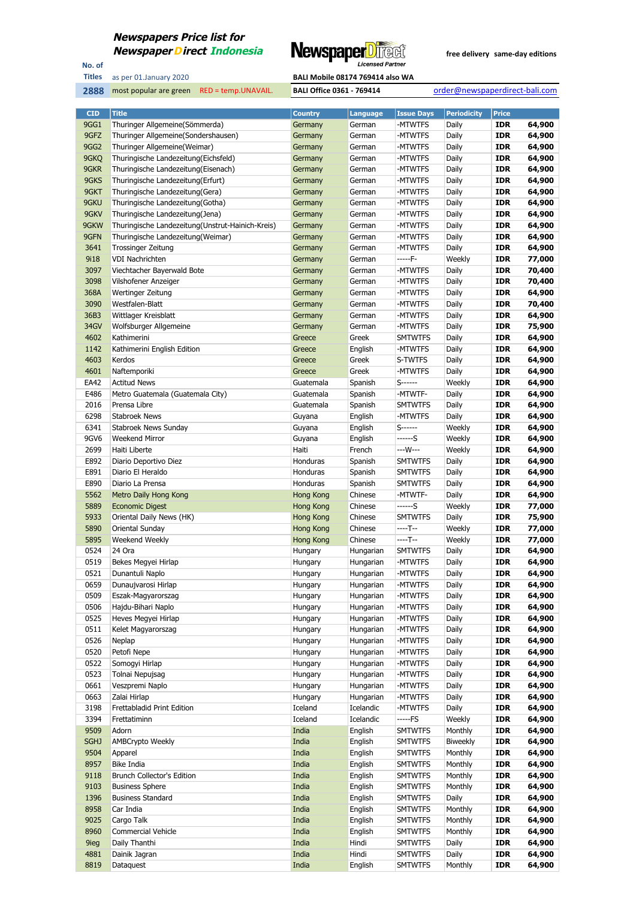

No. of **Titles**



| <b>CID</b>   | <b>Title</b>                                      | <b>Country</b>     | Language               | <b>Issue Days</b>  | <b>Periodicity</b> | <b>Price</b>             |                  |
|--------------|---------------------------------------------------|--------------------|------------------------|--------------------|--------------------|--------------------------|------------------|
| 9GG1         | Thuringer Allgemeine(Sömmerda)                    | Germany            | German                 | -MTWTFS            | Daily              | <b>IDR</b>               | 64,900           |
| 9GFZ         | Thuringer Allgemeine (Sondershausen)              | Germany            | German                 | -MTWTFS            | Daily              | <b>IDR</b>               | 64,900           |
| 9GG2         | Thuringer Allgemeine(Weimar)                      | Germany            | German                 | -MTWTFS            | Daily              | <b>IDR</b>               | 64,900           |
| 9GKQ         | Thuringische Landezeitung(Eichsfeld)              | Germany            | German                 | -MTWTFS            | Daily              | <b>IDR</b>               | 64,900           |
| 9GKR         | Thuringische Landezeitung (Eisenach)              | Germany            | German                 | -MTWTFS            | Daily              | <b>IDR</b>               | 64,900           |
| 9GKS         | Thuringische Landezeitung(Erfurt)                 | Germany            | German                 | -MTWTFS            | Daily              | <b>IDR</b>               | 64,900           |
| 9GKT         | Thuringische Landezeitung(Gera)                   | Germany            | German                 | -MTWTFS            | Daily              | <b>IDR</b>               | 64,900           |
| 9GKU         | Thuringische Landezeitung(Gotha)                  | Germany            | German                 | -MTWTFS            | Daily              | <b>IDR</b>               | 64,900           |
| 9GKV         | Thuringische Landezeitung(Jena)                   | Germany            | German                 | -MTWTFS            | Daily              | <b>IDR</b>               | 64,900           |
| 9GKW         | Thuringische Landezeitung (Unstrut-Hainich-Kreis) | Germany            | German                 | -MTWTFS            | Daily              | <b>IDR</b>               | 64,900           |
| 9GFN         | Thuringische Landezeitung(Weimar)                 | Germany            | German                 | -MTWTFS            | Daily              | <b>IDR</b>               | 64,900           |
| 3641         | <b>Trossinger Zeitung</b>                         | Germany            | German                 | -MTWTFS            | Daily              | <b>IDR</b>               | 64,900           |
| 9i18         | <b>VDI Nachrichten</b>                            | Germany            | German                 | -----F-            | Weekly             | <b>IDR</b>               | 77,000           |
| 3097         | Viechtacher Bayerwald Bote                        | Germany            | German                 | -MTWTFS            | Daily              | <b>IDR</b>               | 70,400           |
| 3098         | Vilshofener Anzeiger                              | Germany            | German                 | -MTWTFS            | Daily              | <b>IDR</b>               | 70,400           |
| 368A         | Wertinger Zeitung                                 | Germany            | German                 | -MTWTFS            | Daily              | <b>IDR</b><br><b>IDR</b> | 64,900           |
| 3090<br>36B3 | Westfalen-Blatt<br>Wittlager Kreisblatt           | Germany            | German                 | -MTWTFS<br>-MTWTFS | Daily<br>Daily     | <b>IDR</b>               | 70,400<br>64,900 |
| 34GV         | Wolfsburger Allgemeine                            | Germany<br>Germany | German<br>German       | -MTWTFS            | Daily              | <b>IDR</b>               | 75,900           |
| 4602         | Kathimerini                                       | Greece             | Greek                  | <b>SMTWTFS</b>     | Daily              | <b>IDR</b>               | 64,900           |
| 1142         | Kathimerini English Edition                       | Greece             | English                | -MTWTFS            | Daily              | <b>IDR</b>               | 64,900           |
| 4603         | Kerdos                                            | Greece             | Greek                  | S-TWTFS            | Daily              | <b>IDR</b>               | 64,900           |
| 4601         | Naftemporiki                                      | Greece             | Greek                  | -MTWTFS            | Daily              | <b>IDR</b>               | 64,900           |
| EA42         | <b>Actitud News</b>                               | Guatemala          | Spanish                | S------            | Weekly             | <b>IDR</b>               | 64,900           |
| E486         | Metro Guatemala (Guatemala City)                  | Guatemala          | Spanish                | -MTWTF-            | Daily              | <b>IDR</b>               | 64,900           |
| 2016         | Prensa Libre                                      | Guatemala          | Spanish                | <b>SMTWTFS</b>     | Daily              | <b>IDR</b>               | 64,900           |
| 6298         | <b>Stabroek News</b>                              | Guyana             | English                | -MTWTFS            | Daily              | <b>IDR</b>               | 64,900           |
| 6341         | Stabroek News Sunday                              | Guyana             | English                | S-------           | Weekly             | <b>IDR</b>               | 64,900           |
| 9GV6         | <b>Weekend Mirror</b>                             | Guyana             | English                | ------S            | Weekly             | <b>IDR</b>               | 64,900           |
| 2699         | Haiti Liberte                                     | Haiti              | French                 | ---W---            | Weekly             | <b>IDR</b>               | 64,900           |
| E892         | Diario Deportivo Diez                             | Honduras           | Spanish                | <b>SMTWTFS</b>     | Daily              | <b>IDR</b>               | 64,900           |
| E891         | Diario El Heraldo                                 | Honduras           | Spanish                | <b>SMTWTFS</b>     | Daily              | <b>IDR</b>               | 64,900           |
| E890         | Diario La Prensa                                  | Honduras           | Spanish                | <b>SMTWTFS</b>     | Daily              | <b>IDR</b>               | 64,900           |
| 5562         | Metro Daily Hong Kong                             | Hong Kong          | Chinese                | -MTWTF-            | Daily              | <b>IDR</b>               | 64,900           |
| 5889         | <b>Economic Digest</b>                            | Hong Kong          | Chinese                | ------S            | Weekly             | <b>IDR</b>               | 77,000           |
| 5933         | Oriental Daily News (HK)                          | Hong Kong          | Chinese                | <b>SMTWTFS</b>     | Daily              | <b>IDR</b>               | 75,900           |
| 5890         | Oriental Sunday                                   | <b>Hong Kong</b>   | Chinese                | ----T--            | Weekly             | <b>IDR</b>               | 77,000           |
| 5895         | Weekend Weekly                                    | <b>Hong Kong</b>   | Chinese                | ----T--            | Weekly             | <b>IDR</b>               | 77,000           |
| 0524         | 24 Ora                                            | Hungary            | Hungarian              | <b>SMTWTFS</b>     | Daily              | <b>IDR</b>               | 64,900           |
| 0519         | Bekes Megyei Hirlap                               | Hungary            | Hungarian              | -MTWTFS            | Daily              | <b>IDR</b>               | 64,900           |
| 0521         | Dunantuli Naplo                                   | Hungary            | Hungarian              | -MTWTFS            | Daily              | <b>IDR</b>               | 64,900           |
| 0659         | Dunaujvarosi Hirlap                               | Hungary            | Hungarian              | -MTWTFS            | Daily              | <b>IDR</b>               | 64,900           |
| 0509         | Eszak-Magyarorszag                                | Hungary            | Hungarian              | -MTWTFS            | Daily              | <b>IDR</b>               | 64,900           |
| 0506         | Hajdu-Bihari Naplo                                | Hungary            | Hungarian              | -MTWTFS            | Daily              | <b>IDR</b>               | 64,900           |
| 0525         | Heves Megyei Hirlap                               | Hungary            | Hungarian              | -MTWTFS            | Daily              | <b>IDR</b>               | 64,900           |
| 0511         | Kelet Magyarorszag                                | Hungary            | Hungarian              | -MTWTFS            | Daily              | <b>IDR</b>               | 64,900           |
| 0526         | Neplap                                            | Hungary            | Hungarian              | -MTWTFS            | Daily              | <b>IDR</b>               | 64,900           |
| 0520         | Petofi Nepe                                       | Hungary            | Hungarian              | -MTWTFS            | Daily              | <b>IDR</b>               | 64,900           |
| 0522<br>0523 | Somogyi Hirlap<br>Tolnai Nepujsag                 | Hungary            | Hungarian              | -MTWTFS<br>-MTWTFS | Daily              | <b>IDR</b><br><b>IDR</b> | 64,900<br>64,900 |
| 0661         | Veszpremi Naplo                                   | Hungary<br>Hungary | Hungarian<br>Hungarian | -MTWTFS            | Daily<br>Daily     | <b>IDR</b>               | 64,900           |
| 0663         | Zalai Hirlap                                      | Hungary            | Hungarian              | -MTWTFS            | Daily              | <b>IDR</b>               | 64,900           |
| 3198         | Frettabladid Print Edition                        | Iceland            | Icelandic              | -MTWTFS            | Daily              | <b>IDR</b>               | 64,900           |
| 3394         | Frettatiminn                                      | Iceland            | Icelandic              | -----FS            | Weekly             | <b>IDR</b>               | 64,900           |
| 9509         | Adorn                                             | India              | English                | <b>SMTWTFS</b>     | Monthly            | <b>IDR</b>               | 64,900           |
| <b>SGHJ</b>  | AMBCrypto Weekly                                  | India              | English                | <b>SMTWTFS</b>     | Biweekly           | <b>IDR</b>               | 64,900           |
| 9504         | Apparel                                           | India              | English                | <b>SMTWTFS</b>     | Monthly            | <b>IDR</b>               | 64,900           |
| 8957         | <b>Bike India</b>                                 | India              | English                | <b>SMTWTFS</b>     | Monthly            | <b>IDR</b>               | 64,900           |
| 9118         | Brunch Collector's Edition                        | India              | English                | <b>SMTWTFS</b>     | Monthly            | <b>IDR</b>               | 64,900           |
| 9103         | <b>Business Sphere</b>                            | India              | English                | <b>SMTWTFS</b>     | Monthly            | <b>IDR</b>               | 64,900           |
| 1396         | <b>Business Standard</b>                          | India              | English                | <b>SMTWTFS</b>     | Daily              | <b>IDR</b>               | 64,900           |
| 8958         | Car India                                         | India              | English                | <b>SMTWTFS</b>     | Monthly            | <b>IDR</b>               | 64,900           |
| 9025         | Cargo Talk                                        | India              | English                | <b>SMTWTFS</b>     | Monthly            | <b>IDR</b>               | 64,900           |
| 8960         | <b>Commercial Vehicle</b>                         | India              | English                | <b>SMTWTFS</b>     | Monthly            | <b>IDR</b>               | 64,900           |
| 9ieg         | Daily Thanthi                                     | India              | Hindi                  | <b>SMTWTFS</b>     | Daily              | <b>IDR</b>               | 64,900           |
| 4881         | Dainik Jagran                                     | India              | Hindi                  | <b>SMTWTFS</b>     | Daily              | <b>IDR</b>               | 64,900           |
| 8819         | Dataquest                                         | India              | English                | <b>SMTWTFS</b>     | Monthly            | <b>IDR</b>               | 64,900           |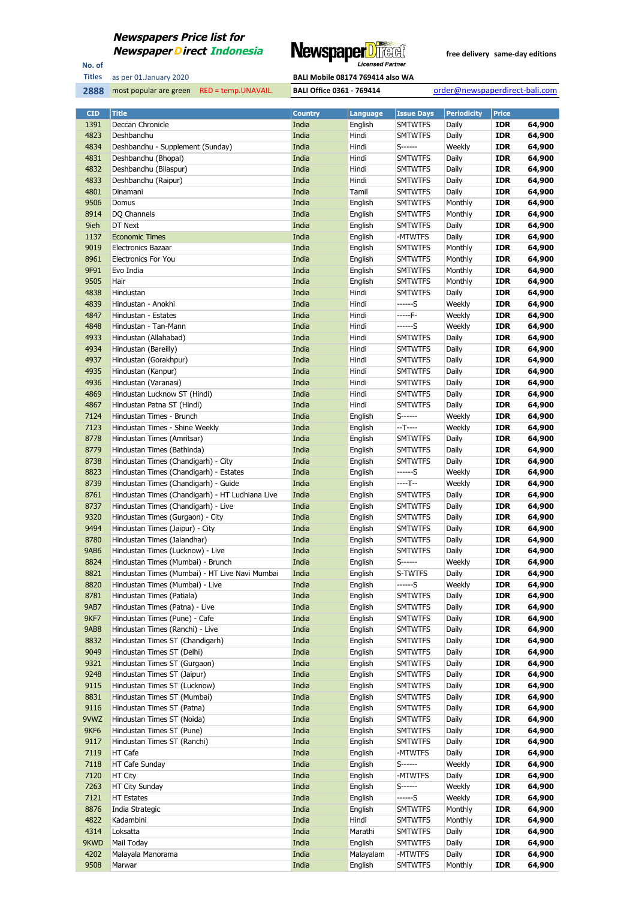

No. of **Titles**

most popular are green RED = temp.UNAVAIL. **BALI Office 0361 - 769414** order@newspaperdirect-bali.com

| <b>CID</b>       | Title                                           | Country | <b>Language</b> | <b>Issue Days</b> | <b>Periodicity</b> | Price      |        |
|------------------|-------------------------------------------------|---------|-----------------|-------------------|--------------------|------------|--------|
| 1391             | Deccan Chronicle                                | India   | English         | <b>SMTWTFS</b>    | Daily              | <b>IDR</b> | 64,900 |
| 4823             | Deshbandhu                                      | India   | Hindi           | <b>SMTWTFS</b>    | Daily              | <b>IDR</b> | 64,900 |
|                  |                                                 |         | Hindi           |                   |                    |            |        |
| 4834             | Deshbandhu - Supplement (Sunday)                | India   |                 | S------           | Weekly             | <b>IDR</b> | 64,900 |
| 4831             | Deshbandhu (Bhopal)                             | India   | Hindi           | <b>SMTWTFS</b>    | Daily              | <b>IDR</b> | 64,900 |
| 4832             | Deshbandhu (Bilaspur)                           | India   | Hindi           | <b>SMTWTFS</b>    | Daily              | <b>IDR</b> | 64,900 |
| 4833             | Deshbandhu (Raipur)                             | India   | Hindi           | <b>SMTWTFS</b>    | Daily              | <b>IDR</b> | 64,900 |
| 4801             | Dinamani                                        | India   | Tamil           | <b>SMTWTFS</b>    | Daily              | <b>IDR</b> | 64,900 |
| 9506             | Domus                                           | India   | English         | <b>SMTWTFS</b>    | Monthly            | <b>IDR</b> | 64,900 |
| 8914             | DQ Channels                                     | India   | English         | <b>SMTWTFS</b>    | Monthly            | <b>IDR</b> | 64,900 |
| 9ieh             | DT Next                                         | India   | English         | <b>SMTWTFS</b>    | Daily              | <b>IDR</b> | 64,900 |
|                  |                                                 |         |                 |                   |                    |            |        |
| 1137             | <b>Economic Times</b>                           | India   | English         | -MTWTFS           | Daily              | <b>IDR</b> | 64,900 |
| 9019             | <b>Electronics Bazaar</b>                       | India   | English         | <b>SMTWTFS</b>    | Monthly            | <b>IDR</b> | 64,900 |
| 8961             | <b>Electronics For You</b>                      | India   | English         | <b>SMTWTFS</b>    | Monthly            | <b>IDR</b> | 64,900 |
| 9F91             | Evo India                                       | India   | English         | <b>SMTWTFS</b>    | Monthly            | <b>IDR</b> | 64,900 |
| 9505             | Hair                                            | India   | English         | <b>SMTWTFS</b>    | Monthly            | <b>IDR</b> | 64,900 |
| 4838             | Hindustan                                       | India   | Hindi           | <b>SMTWTFS</b>    | Daily              | <b>IDR</b> | 64,900 |
| 4839             | Hindustan - Anokhi                              | India   | Hindi           | ------S           | Weekly             | <b>IDR</b> | 64,900 |
| 4847             | Hindustan - Estates                             | India   | Hindi           | -----F-           | Weekly             | <b>IDR</b> | 64,900 |
|                  |                                                 |         |                 |                   |                    |            |        |
| 4848             | Hindustan - Tan-Mann                            | India   | Hindi           | ------S           | Weekly             | <b>IDR</b> | 64,900 |
| 4933             | Hindustan (Allahabad)                           | India   | Hindi           | <b>SMTWTFS</b>    | Daily              | <b>IDR</b> | 64,900 |
| 4934             | Hindustan (Bareilly)                            | India   | Hindi           | <b>SMTWTFS</b>    | Daily              | <b>IDR</b> | 64,900 |
| 4937             | Hindustan (Gorakhpur)                           | India   | Hindi           | <b>SMTWTFS</b>    | Daily              | <b>IDR</b> | 64,900 |
| 4935             | Hindustan (Kanpur)                              | India   | Hindi           | <b>SMTWTFS</b>    | Daily              | <b>IDR</b> | 64,900 |
| 4936             | Hindustan (Varanasi)                            | India   | Hindi           | <b>SMTWTFS</b>    | Daily              | <b>IDR</b> | 64,900 |
| 4869             | Hindustan Lucknow ST (Hindi)                    | India   | Hindi           | <b>SMTWTFS</b>    | Daily              | <b>IDR</b> | 64,900 |
| 4867             | Hindustan Patna ST (Hindi)                      | India   | Hindi           | <b>SMTWTFS</b>    | Daily              | <b>IDR</b> | 64,900 |
|                  |                                                 |         |                 |                   |                    |            |        |
| 7124             | Hindustan Times - Brunch                        | India   | English         | S------           | Weekly             | <b>IDR</b> | 64,900 |
| 7123             | Hindustan Times - Shine Weekly                  | India   | English         | --T----           | Weekly             | <b>IDR</b> | 64,900 |
| 8778             | Hindustan Times (Amritsar)                      | India   | English         | <b>SMTWTFS</b>    | Daily              | <b>IDR</b> | 64,900 |
| 8779             | Hindustan Times (Bathinda)                      | India   | English         | <b>SMTWTFS</b>    | Daily              | <b>IDR</b> | 64,900 |
| 8738             | Hindustan Times (Chandigarh) - City             | India   | English         | <b>SMTWTFS</b>    | Daily              | <b>IDR</b> | 64,900 |
| 8823             | Hindustan Times (Chandigarh) - Estates          | India   | English         | ------S           | Weekly             | <b>IDR</b> | 64,900 |
| 8739             | Hindustan Times (Chandigarh) - Guide            | India   | English         | ----T--           | Weekly             | <b>IDR</b> | 64,900 |
| 8761             | Hindustan Times (Chandigarh) - HT Ludhiana Live | India   | English         | <b>SMTWTFS</b>    | Daily              | <b>IDR</b> | 64,900 |
|                  |                                                 |         |                 |                   |                    |            |        |
| 8737             | Hindustan Times (Chandigarh) - Live             | India   | English         | <b>SMTWTFS</b>    | Daily              | <b>IDR</b> | 64,900 |
| 9320             | Hindustan Times (Gurgaon) - City                | India   | English         | <b>SMTWTFS</b>    | Daily              | <b>IDR</b> | 64,900 |
| 9494             | Hindustan Times (Jaipur) - City                 | India   | English         | <b>SMTWTFS</b>    | Daily              | <b>IDR</b> | 64,900 |
| 8780             | Hindustan Times (Jalandhar)                     | India   | English         | <b>SMTWTFS</b>    | Daily              | <b>IDR</b> | 64,900 |
| <b>9AB6</b>      | Hindustan Times (Lucknow) - Live                | India   | English         | <b>SMTWTFS</b>    | Daily              | <b>IDR</b> | 64,900 |
| 8824             | Hindustan Times (Mumbai) - Brunch               | India   | English         | S------           | Weekly             | <b>IDR</b> | 64,900 |
| 8821             | Hindustan Times (Mumbai) - HT Live Navi Mumbai  | India   | English         | S-TWTFS           | Daily              | <b>IDR</b> | 64,900 |
| 8820             | Hindustan Times (Mumbai) - Live                 | India   | English         | ------S           | Weekly             | <b>IDR</b> | 64,900 |
| 8781             | Hindustan Times (Patiala)                       | India   | English         | <b>SMTWTFS</b>    | Daily              | <b>IDR</b> | 64,900 |
|                  |                                                 |         |                 |                   |                    |            |        |
| <b>9AB7</b>      | Hindustan Times (Patna) - Live                  | India   | English         | <b>SMTWTFS</b>    | Daily              | <b>IDR</b> | 64,900 |
| 9KF7             | Hindustan Times (Pune) - Cafe                   | India   | English         | <b>SMTWTFS</b>    | Daily              | <b>IDR</b> | 64,900 |
| 9AB8             | Hindustan Times (Ranchi) - Live                 | India   | English         | <b>SMTWTFS</b>    | Daily              | <b>IDR</b> | 64,900 |
| 8832             | Hindustan Times ST (Chandigarh)                 | India   | English         | <b>SMTWTFS</b>    | Daily              | <b>IDR</b> | 64,900 |
| 9049             | Hindustan Times ST (Delhi)                      | India   | English         | <b>SMTWTFS</b>    | Daily              | <b>IDR</b> | 64,900 |
| 9321             | Hindustan Times ST (Gurgaon)                    | India   | English         | <b>SMTWTFS</b>    | Daily              | <b>IDR</b> | 64,900 |
| 9248             | Hindustan Times ST (Jaipur)                     | India   | English         | <b>SMTWTFS</b>    | Daily              | <b>IDR</b> | 64,900 |
| 9115             | Hindustan Times ST (Lucknow)                    | India   | English         | <b>SMTWTFS</b>    | Daily              | <b>IDR</b> | 64,900 |
| 8831             | Hindustan Times ST (Mumbai)                     | India   | English         | <b>SMTWTFS</b>    | Daily              | <b>IDR</b> | 64,900 |
|                  |                                                 |         |                 |                   |                    |            |        |
| 9116             | Hindustan Times ST (Patna)                      | India   | English         | <b>SMTWTFS</b>    | Daily              | <b>IDR</b> | 64,900 |
| 9VWZ             | Hindustan Times ST (Noida)                      | India   | English         | <b>SMTWTFS</b>    | Daily              | <b>IDR</b> | 64,900 |
| 9KF <sub>6</sub> | Hindustan Times ST (Pune)                       | India   | English         | <b>SMTWTFS</b>    | Daily              | <b>IDR</b> | 64,900 |
| 9117             | Hindustan Times ST (Ranchi)                     | India   | English         | <b>SMTWTFS</b>    | Daily              | <b>IDR</b> | 64,900 |
| 7119             | HT Cafe                                         | India   | English         | -MTWTFS           | Daily              | <b>IDR</b> | 64,900 |
| 7118             | HT Cafe Sunday                                  | India   | English         | S------           | Weekly             | <b>IDR</b> | 64,900 |
| 7120             | HT City                                         | India   | English         | -MTWTFS           | Daily              | <b>IDR</b> | 64,900 |
| 7263             | HT City Sunday                                  | India   | English         | $S$ ------        | Weekly             | <b>IDR</b> | 64,900 |
| 7121             |                                                 |         |                 |                   |                    |            |        |
|                  | <b>HT Estates</b>                               | India   | English         | ------S           | Weekly             | <b>IDR</b> | 64,900 |
| 8876             | India Strategic                                 | India   | English         | <b>SMTWTFS</b>    | Monthly            | <b>IDR</b> | 64,900 |
| 4822             | Kadambini                                       | India   | Hindi           | <b>SMTWTFS</b>    | Monthly            | <b>IDR</b> | 64,900 |
| 4314             | Loksatta                                        | India   | Marathi         | <b>SMTWTFS</b>    | Daily              | <b>IDR</b> | 64,900 |
| 9KWD             | Mail Today                                      | India   | English         | <b>SMTWTFS</b>    | Daily              | <b>IDR</b> | 64,900 |
| 4202             | Malayala Manorama                               | India   | Malayalam       | -MTWTFS           | Daily              | <b>IDR</b> | 64,900 |
| 9508             | Marwar                                          | India   | English         | <b>SMTWTFS</b>    | Monthly            | <b>IDR</b> | 64,900 |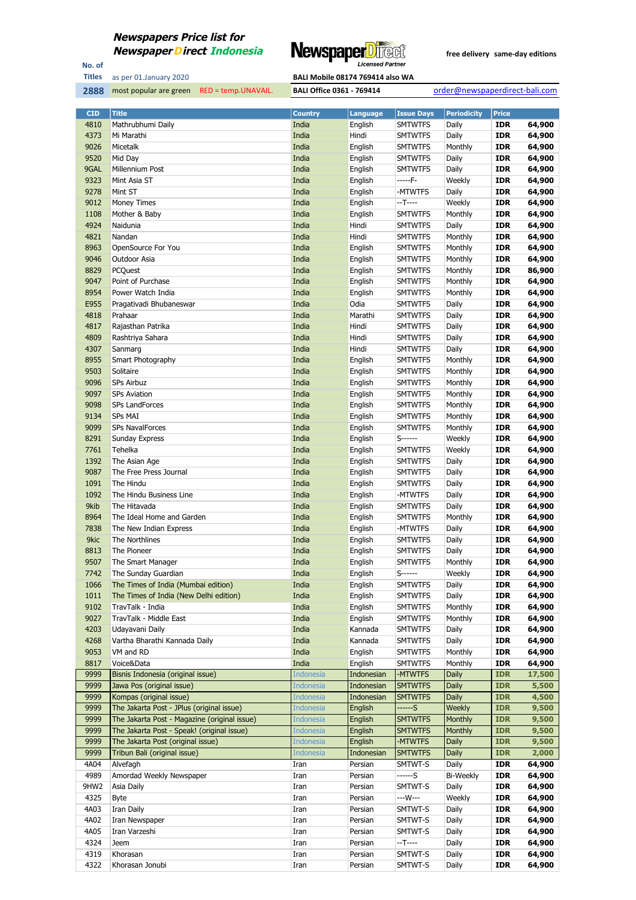

No. of **Titles**



| <b>CID</b> | <b>Title</b>                                 | <b>Country</b>   | <b>Language</b> | <b>Issue Days</b> | <b>Periodicity</b> | <b>Price</b> |        |
|------------|----------------------------------------------|------------------|-----------------|-------------------|--------------------|--------------|--------|
| 4810       | Mathrubhumi Daily                            | India            | English         | <b>SMTWTFS</b>    | Daily              | <b>IDR</b>   | 64,900 |
| 4373       | Mi Marathi                                   | India            | Hindi           | <b>SMTWTFS</b>    | Daily              | <b>IDR</b>   | 64,900 |
| 9026       | Micetalk                                     | India            | English         | <b>SMTWTFS</b>    | Monthly            | <b>IDR</b>   | 64,900 |
| 9520       | Mid Day                                      | India            | English         | <b>SMTWTFS</b>    | Daily              | <b>IDR</b>   | 64,900 |
| 9GAL       | Millennium Post                              | India            | English         | <b>SMTWTFS</b>    | Daily              | <b>IDR</b>   | 64,900 |
| 9323       | Mint Asia ST                                 | India            | English         | -----F-           | Weekly             | <b>IDR</b>   | 64,900 |
| 9278       | Mint ST                                      | India            | English         | -MTWTFS           | Daily              | <b>IDR</b>   | 64,900 |
| 9012       | <b>Money Times</b>                           | India            | English         | $-T$ ----         | Weekly             | <b>IDR</b>   | 64,900 |
| 1108       | Mother & Baby                                | India            | English         | <b>SMTWTFS</b>    | Monthly            | <b>IDR</b>   | 64,900 |
| 4924       | Naidunia                                     | India            | Hindi           | <b>SMTWTFS</b>    | Daily              | <b>IDR</b>   | 64,900 |
| 4821       | Nandan                                       | India            | Hindi           | <b>SMTWTFS</b>    | Monthly            | <b>IDR</b>   | 64,900 |
| 8963       | OpenSource For You                           | India            | English         | <b>SMTWTFS</b>    | Monthly            | <b>IDR</b>   | 64,900 |
| 9046       | Outdoor Asia                                 | India            | English         | <b>SMTWTFS</b>    | Monthly            | <b>IDR</b>   | 64,900 |
| 8829       | PCQuest                                      | India            | English         | <b>SMTWTFS</b>    | Monthly            | <b>IDR</b>   | 86,900 |
| 9047       | Point of Purchase                            | India            | English         |                   | Monthly            | <b>IDR</b>   | 64,900 |
|            |                                              |                  |                 | <b>SMTWTFS</b>    |                    |              |        |
| 8954       | Power Watch India                            | India            | English         | <b>SMTWTFS</b>    | Monthly            | <b>IDR</b>   | 64,900 |
| E955       | Pragativadi Bhubaneswar                      | India            | Odia            | <b>SMTWTFS</b>    | Daily              | <b>IDR</b>   | 64,900 |
| 4818       | Prahaar                                      | India            | Marathi         | <b>SMTWTFS</b>    | Daily              | <b>IDR</b>   | 64,900 |
| 4817       | Rajasthan Patrika                            | India            | Hindi           | <b>SMTWTFS</b>    | Daily              | <b>IDR</b>   | 64,900 |
| 4809       | Rashtriya Sahara                             | India            | Hindi           | <b>SMTWTFS</b>    | Daily              | <b>IDR</b>   | 64,900 |
| 4307       | Sanmarg                                      | India            | Hindi           | <b>SMTWTFS</b>    | Daily              | <b>IDR</b>   | 64,900 |
| 8955       | Smart Photography                            | India            | English         | <b>SMTWTFS</b>    | Monthly            | <b>IDR</b>   | 64,900 |
| 9503       | Solitaire                                    | India            | English         | <b>SMTWTFS</b>    | Monthly            | <b>IDR</b>   | 64,900 |
| 9096       | <b>SPs Airbuz</b>                            | India            | English         | <b>SMTWTFS</b>    | Monthly            | <b>IDR</b>   | 64,900 |
| 9097       | <b>SPs Aviation</b>                          | India            | English         | <b>SMTWTFS</b>    | Monthly            | <b>IDR</b>   | 64,900 |
| 9098       | <b>SPs LandForces</b>                        | India            | English         | <b>SMTWTFS</b>    | Monthly            | <b>IDR</b>   | 64,900 |
| 9134       | <b>SPs MAI</b>                               | India            | English         | <b>SMTWTFS</b>    | Monthly            | <b>IDR</b>   | 64,900 |
| 9099       | <b>SPs NavalForces</b>                       | India            | English         | <b>SMTWTFS</b>    | Monthly            | <b>IDR</b>   | 64,900 |
| 8291       | Sunday Express                               | India            | English         | S-------          | Weekly             | <b>IDR</b>   | 64,900 |
| 7761       | Tehelka                                      | India            | English         | <b>SMTWTFS</b>    | Weekly             | <b>IDR</b>   | 64,900 |
| 1392       | The Asian Age                                | India            | English         | <b>SMTWTFS</b>    | Daily              | <b>IDR</b>   | 64,900 |
| 9087       | The Free Press Journal                       | India            | English         | <b>SMTWTFS</b>    | Daily              | <b>IDR</b>   | 64,900 |
| 1091       | The Hindu                                    | India            | English         | <b>SMTWTFS</b>    | Daily              | <b>IDR</b>   | 64,900 |
| 1092       | The Hindu Business Line                      | India            | English         | -MTWTFS           | Daily              | <b>IDR</b>   | 64,900 |
| 9kib       | The Hitavada                                 | India            | English         | <b>SMTWTFS</b>    | Daily              | <b>IDR</b>   | 64,900 |
| 8964       | The Ideal Home and Garden                    | India            | English         | <b>SMTWTFS</b>    | Monthly            | <b>IDR</b>   | 64,900 |
| 7838       | The New Indian Express                       | India            | English         | -MTWTFS           | Daily              | <b>IDR</b>   | 64,900 |
| 9kic       | The Northlines                               | India            | English         | <b>SMTWTFS</b>    | Daily              | <b>IDR</b>   | 64,900 |
| 8813       | The Pioneer                                  | India            | English         | <b>SMTWTFS</b>    | Daily              | <b>IDR</b>   | 64,900 |
| 9507       | The Smart Manager                            | India            | English         | <b>SMTWTFS</b>    | Monthly            | <b>IDR</b>   | 64,900 |
| 7742       | The Sunday Guardian                          | India            | English         | $S$ -------       | Weekly             | <b>IDR</b>   | 64,900 |
| 1066       | The Times of India (Mumbai edition)          | India            | English         | <b>SMTWTFS</b>    | Daily              | <b>IDR</b>   | 64,900 |
| 1011       | The Times of India (New Delhi edition)       | India            | English         |                   |                    |              | 64,900 |
| 9102       |                                              |                  |                 | <b>SMTWTFS</b>    | Daily              | IDR          |        |
|            | TravTalk - India                             | India            | English         | <b>SMTWTFS</b>    | Monthly            | <b>IDR</b>   | 64,900 |
| 9027       | TravTalk - Middle East                       | India            | English         | <b>SMTWTFS</b>    | Monthly            | <b>IDR</b>   | 64,900 |
| 4203       | Udayavani Daily                              | India            | Kannada         | <b>SMTWTFS</b>    | Daily              | <b>IDR</b>   | 64,900 |
| 4268       | Vartha Bharathi Kannada Daily                | India            | Kannada         | <b>SMTWTFS</b>    | Daily              | <b>IDR</b>   | 64,900 |
| 9053       | VM and RD                                    | India            | English         | <b>SMTWTFS</b>    | Monthly            | <b>IDR</b>   | 64,900 |
| 8817       | Voice&Data                                   | India            | English         | <b>SMTWTFS</b>    | Monthly            | <b>IDR</b>   | 64,900 |
| 9999       | Bisnis Indonesia (original issue)            | <b>Indonesia</b> | Indonesian      | -MTWTFS           | Daily              | <b>IDR</b>   | 17,500 |
| 9999       | Jawa Pos (original issue)                    | <b>Indonesia</b> | Indonesian      | <b>SMTWTFS</b>    | Daily              | <b>IDR</b>   | 5,500  |
| 9999       | Kompas (original issue)                      | <b>Indonesia</b> | Indonesian      | <b>SMTWTFS</b>    | <b>Daily</b>       | <b>IDR</b>   | 4,500  |
| 9999       | The Jakarta Post - JPlus (original issue)    | <b>Indonesia</b> | English         | ------S           | Weekly             | <b>IDR</b>   | 9,500  |
| 9999       | The Jakarta Post - Magazine (original issue) | <b>Indonesia</b> | English         | <b>SMTWTFS</b>    | Monthly            | <b>IDR</b>   | 9,500  |
| 9999       | The Jakarta Post - Speak! (original issue)   | <b>Indonesia</b> | English         | <b>SMTWTFS</b>    | Monthly            | <b>IDR</b>   | 9,500  |
| 9999       | The Jakarta Post (original issue)            | <b>Indonesia</b> | English         | -MTWTFS           | <b>Daily</b>       | <b>IDR</b>   | 9,500  |
| 9999       | Tribun Bali (original issue)                 | <b>Indonesia</b> | Indonesian      | <b>SMTWTFS</b>    | <b>Daily</b>       | <b>IDR</b>   | 2,000  |
| 4A04       | Alvefagh                                     | Iran             | Persian         | SMTWT-S           | Daily              | <b>IDR</b>   | 64,900 |
| 4989       | Amordad Weekly Newspaper                     | Iran             | Persian         | ------S           | <b>Bi-Weekly</b>   | <b>IDR</b>   | 64,900 |
| 9HW2       | Asia Daily                                   | Iran             | Persian         | SMTWT-S           | Daily              | <b>IDR</b>   | 64,900 |
| 4325       | <b>Byte</b>                                  | Iran             | Persian         | ---W---           | Weekly             | <b>IDR</b>   | 64,900 |
| 4A03       | Iran Daily                                   | Iran             | Persian         | SMTWT-S           | Daily              | <b>IDR</b>   | 64,900 |
| 4A02       | Iran Newspaper                               | Iran             | Persian         | SMTWT-S           | Daily              | <b>IDR</b>   | 64,900 |
| 4A05       | Iran Varzeshi                                | Iran             | Persian         | SMTWT-S           | Daily              | <b>IDR</b>   | 64,900 |
| 4324       | Jeem                                         | Iran             | Persian         | $-T-$             | Daily              | <b>IDR</b>   | 64,900 |
| 4319       | Khorasan                                     | Iran             | Persian         | SMTWT-S           | Daily              | <b>IDR</b>   | 64,900 |
| 4322       | Khorasan Jonubi                              | Iran             | Persian         | SMTWT-S           | Daily              | <b>IDR</b>   | 64,900 |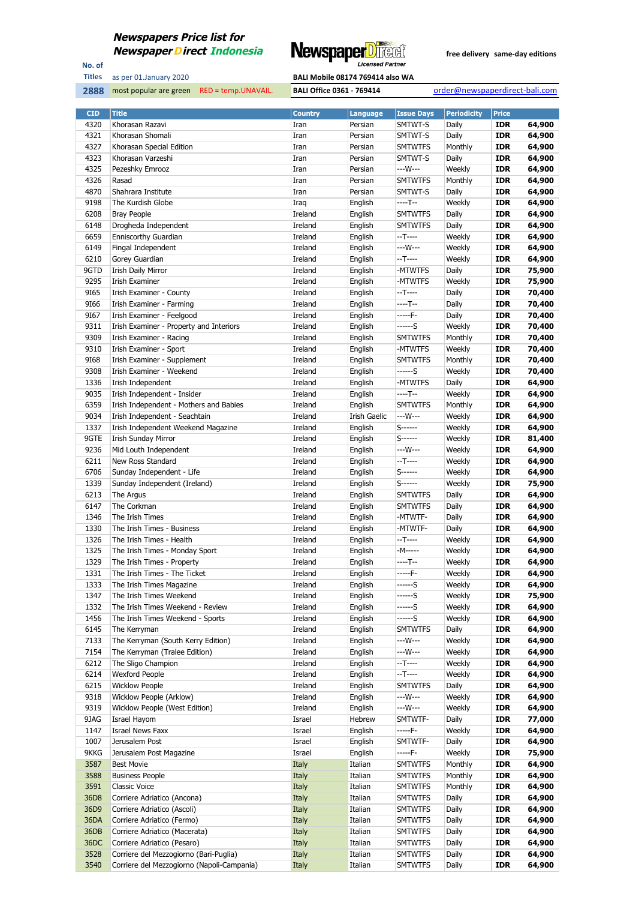

No. of **Titles**

| as per 01.January 2020 | <b>BALI Mobile 08174 769414 also WA</b> |
|------------------------|-----------------------------------------|

| <b>CID</b> | <b>Title</b>                               | <b>Country</b> | <b>Language</b> | <b>Issue Days</b> | <b>Periodicity</b> | <b>Price</b> |        |
|------------|--------------------------------------------|----------------|-----------------|-------------------|--------------------|--------------|--------|
| 4320       | Khorasan Razavi                            | Iran           | Persian         | SMTWT-S           | Daily              | <b>IDR</b>   | 64,900 |
| 4321       | Khorasan Shomali                           | Iran           | Persian         | SMTWT-S           | Daily              | <b>IDR</b>   | 64,900 |
| 4327       | Khorasan Special Edition                   | Iran           | Persian         | <b>SMTWTFS</b>    | Monthly            | <b>IDR</b>   | 64,900 |
| 4323       | Khorasan Varzeshi                          | Iran           | Persian         | SMTWT-S           | Daily              | <b>IDR</b>   | 64,900 |
| 4325       | Pezeshky Emrooz                            | Iran           | Persian         | ---W---           | Weekly             | <b>IDR</b>   | 64,900 |
| 4326       | Rasad                                      | Iran           | Persian         | <b>SMTWTFS</b>    | Monthly            | <b>IDR</b>   | 64,900 |
| 4870       | Shahrara Institute                         | Iran           | Persian         | SMTWT-S           | Daily              | <b>IDR</b>   | 64,900 |
| 9198       | The Kurdish Globe                          | Iraq           | English         | $---T--$          | Weekly             | <b>IDR</b>   | 64,900 |
| 6208       | <b>Bray People</b>                         | Ireland        | English         | <b>SMTWTFS</b>    | Daily              | <b>IDR</b>   | 64,900 |
| 6148       | Drogheda Independent                       | Ireland        | English         | <b>SMTWTFS</b>    | Daily              | <b>IDR</b>   | 64,900 |
| 6659       | Enniscorthy Guardian                       | Ireland        | English         | $-T$ ----         | Weekly             | <b>IDR</b>   | 64,900 |
| 6149       | Fingal Independent                         | Ireland        | English         | ---W---           | Weekly             | <b>IDR</b>   | 64,900 |
| 6210       | Gorey Guardian                             | Ireland        | English         | $-T$ -----        | Weekly             | <b>IDR</b>   | 64,900 |
| 9GTD       | <b>Irish Daily Mirror</b>                  | Ireland        | English         | -MTWTFS           | Daily              | <b>IDR</b>   | 75,900 |
| 9295       | <b>Irish Examiner</b>                      | Ireland        | English         | -MTWTFS           | Weekly             | <b>IDR</b>   | 75,900 |
|            |                                            |                |                 | $-T$ ----         |                    |              |        |
| 9165       | Irish Examiner - County                    | Ireland        | English         | $---T--$          | Daily              | <b>IDR</b>   | 70,400 |
| 9166       | Irish Examiner - Farming                   | Ireland        | English         | $---F-$           | Daily              | <b>IDR</b>   | 70,400 |
| 9167       | Irish Examiner - Feelgood                  | Ireland        | English         |                   | Daily              | <b>IDR</b>   | 70,400 |
| 9311       | Irish Examiner - Property and Interiors    | Ireland        | English         | ------S           | Weekly             | <b>IDR</b>   | 70,400 |
| 9309       | Irish Examiner - Racing                    | Ireland        | English         | <b>SMTWTFS</b>    | Monthly            | <b>IDR</b>   | 70,400 |
| 9310       | Irish Examiner - Sport                     | Ireland        | English         | -MTWTFS           | Weekly             | <b>IDR</b>   | 70,400 |
| 9168       | Irish Examiner - Supplement                | Ireland        | English         | <b>SMTWTFS</b>    | Monthly            | <b>IDR</b>   | 70,400 |
| 9308       | Irish Examiner - Weekend                   | Ireland        | English         | ------S           | Weekly             | <b>IDR</b>   | 70,400 |
| 1336       | Irish Independent                          | Ireland        | English         | -MTWTFS           | Daily              | <b>IDR</b>   | 64,900 |
| 9035       | Irish Independent - Insider                | Ireland        | English         | ----T--           | Weekly             | <b>IDR</b>   | 64,900 |
| 6359       | Irish Independent - Mothers and Babies     | Ireland        | English         | <b>SMTWTFS</b>    | Monthly            | <b>IDR</b>   | 64,900 |
| 9034       | Irish Independent - Seachtain              | Ireland        | Irish Gaelic    | ---W---           | Weekly             | <b>IDR</b>   | 64,900 |
| 1337       | Irish Independent Weekend Magazine         | Ireland        | English         | $S$ ------        | Weekly             | <b>IDR</b>   | 64,900 |
| 9GTE       | <b>Irish Sunday Mirror</b>                 | Ireland        | English         | $S$ ------        | Weekly             | <b>IDR</b>   | 81,400 |
| 9236       | Mid Louth Independent                      | Ireland        | English         | $--W---$          | Weekly             | <b>IDR</b>   | 64,900 |
| 6211       | New Ross Standard                          | Ireland        | English         | $-T$ -----        | Weekly             | <b>IDR</b>   | 64,900 |
| 6706       | Sunday Independent - Life                  | Ireland        | English         | $S$ -------       | Weekly             | <b>IDR</b>   | 64,900 |
| 1339       | Sunday Independent (Ireland)               | Ireland        | English         | $S$ ------        | Weekly             | <b>IDR</b>   | 75,900 |
| 6213       | The Argus                                  | Ireland        | English         | <b>SMTWTFS</b>    | Daily              | <b>IDR</b>   | 64,900 |
| 6147       | The Corkman                                | Ireland        | English         | <b>SMTWTFS</b>    | Daily              | <b>IDR</b>   | 64,900 |
| 1346       | The Irish Times                            | Ireland        | English         | -MTWTF-           | Daily              | <b>IDR</b>   | 64,900 |
| 1330       | The Irish Times - Business                 | Ireland        | English         | -MTWTF-           | Daily              | <b>IDR</b>   | 64,900 |
| 1326       | The Irish Times - Health                   | Ireland        | English         | $-T---$           | Weekly             | <b>IDR</b>   | 64,900 |
| 1325       | The Irish Times - Monday Sport             | Ireland        | English         | -M-----           | Weekly             | <b>IDR</b>   | 64,900 |
| 1329       | The Irish Times - Property                 | Ireland        | English         | ----T--           | Weekly             | <b>IDR</b>   | 64,900 |
| 1331       | The Irish Times - The Ticket               | Ireland        | English         | $---F-$           | Weekly             | <b>IDR</b>   | 64,900 |
| 1333       | The Irish Times Magazine                   | Ireland        | English         | $---S$            | Weekly             | <b>IDR</b>   | 64,900 |
| 1347       | The Irish Times Weekend                    | Ireland        | English         | ------S           | Weekly             | IDR          | 75,900 |
| 1332       | The Irish Times Weekend - Review           | Ireland        | English         | $---S$            | Weekly             | <b>IDR</b>   | 64,900 |
| 1456       | The Irish Times Weekend - Sports           | Ireland        | English         | $---S$            | Weekly             | <b>IDR</b>   | 64,900 |
|            |                                            |                |                 |                   |                    |              | 64,900 |
| 6145       | The Kerryman                               | Ireland        | English         | <b>SMTWTFS</b>    | Daily              | <b>IDR</b>   |        |
| 7133       | The Kerryman (South Kerry Edition)         | Ireland        | English         | ---W---           | Weekly             | <b>IDR</b>   | 64,900 |
| 7154       | The Kerryman (Tralee Edition)              | Ireland        | English         | ---W---           | Weekly             | <b>IDR</b>   | 64,900 |
| 6212       | The Sligo Champion                         | Ireland        | English         | $-T$ -----        | Weekly             | <b>IDR</b>   | 64,900 |
| 6214       | <b>Wexford People</b>                      | Ireland        | English         | $-T$ -----        | Weekly             | <b>IDR</b>   | 64,900 |
| 6215       | <b>Wicklow People</b>                      | Ireland        | English         | <b>SMTWTFS</b>    | Daily              | <b>IDR</b>   | 64,900 |
| 9318       | Wicklow People (Arklow)                    | Ireland        | English         | ---W---           | Weekly             | <b>IDR</b>   | 64,900 |
| 9319       | Wicklow People (West Edition)              | Ireland        | English         | ---W---           | Weekly             | <b>IDR</b>   | 64,900 |
| 9JAG       | Israel Hayom                               | Israel         | Hebrew          | SMTWTF-           | Daily              | <b>IDR</b>   | 77,000 |
| 1147       | <b>Israel News Faxx</b>                    | Israel         | English         | $---F-$           | Weekly             | <b>IDR</b>   | 64,900 |
| 1007       | Jerusalem Post                             | Israel         | English         | SMTWTF-           | Daily              | <b>IDR</b>   | 64,900 |
| 9KKG       | Jerusalem Post Magazine                    | Israel         | English         | $---F-$           | Weekly             | <b>IDR</b>   | 75,900 |
| 3587       | <b>Best Movie</b>                          | Italy          | Italian         | <b>SMTWTFS</b>    | Monthly            | <b>IDR</b>   | 64,900 |
| 3588       | <b>Business People</b>                     | Italy          | Italian         | <b>SMTWTFS</b>    | Monthly            | <b>IDR</b>   | 64,900 |
| 3591       | Classic Voice                              | Italy          | Italian         | <b>SMTWTFS</b>    | Monthly            | <b>IDR</b>   | 64,900 |
| 36D8       | Corriere Adriatico (Ancona)                | Italy          | Italian         | <b>SMTWTFS</b>    | Daily              | <b>IDR</b>   | 64,900 |
| 36D9       | Corriere Adriatico (Ascoli)                | Italy          | Italian         | <b>SMTWTFS</b>    | Daily              | <b>IDR</b>   | 64,900 |
| 36DA       | Corriere Adriatico (Fermo)                 | Italy          | Italian         | <b>SMTWTFS</b>    | Daily              | <b>IDR</b>   | 64,900 |
| 36DB       | Corriere Adriatico (Macerata)              | Italy          | Italian         | <b>SMTWTFS</b>    | Daily              | <b>IDR</b>   | 64,900 |
| 36DC       | Corriere Adriatico (Pesaro)                | Italy          | Italian         | <b>SMTWTFS</b>    | Daily              | <b>IDR</b>   | 64,900 |
| 3528       | Corriere del Mezzogiorno (Bari-Puglia)     | Italy          | Italian         | <b>SMTWTFS</b>    | Daily              | <b>IDR</b>   | 64,900 |
| 3540       | Corriere del Mezzogiorno (Napoli-Campania) | Italy          | Italian         | <b>SMTWTFS</b>    | Daily              | <b>IDR</b>   | 64,900 |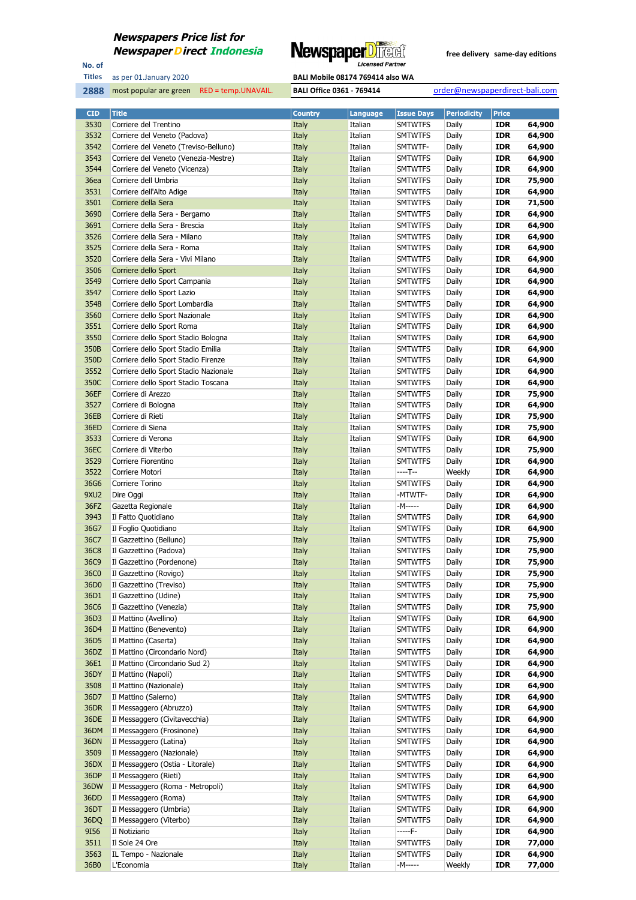

No. of **Titles**



| <b>CID</b>   | <b>Title</b>                                             | <b>Country</b> | <b>Language</b>    | <b>Issue Days</b>                | <b>Periodicity</b> | <b>Price</b>             |                  |
|--------------|----------------------------------------------------------|----------------|--------------------|----------------------------------|--------------------|--------------------------|------------------|
| 3530         | Corriere del Trentino                                    | Italy          | Italian            | <b>SMTWTFS</b>                   | Daily              | <b>IDR</b>               | 64,900           |
| 3532         | Corriere del Veneto (Padova)                             | Italy          | Italian            | <b>SMTWTFS</b>                   | Daily              | <b>IDR</b>               | 64,900           |
| 3542         | Corriere del Veneto (Treviso-Belluno)                    | Italy          | Italian            | SMTWTF-                          | Daily              | <b>IDR</b>               | 64,900           |
| 3543         | Corriere del Veneto (Venezia-Mestre)                     | Italy          | Italian            | <b>SMTWTFS</b>                   | Daily              | <b>IDR</b>               | 64,900           |
| 3544         | Corriere del Veneto (Vicenza)                            | Italy          | Italian            | <b>SMTWTFS</b>                   | Daily              | <b>IDR</b>               | 64,900           |
| 36ea         | Corriere dell Umbria                                     | Italy          | Italian            | <b>SMTWTFS</b>                   | Daily              | <b>IDR</b>               | 75,900           |
| 3531         | Corriere dell'Alto Adige                                 | Italy          | Italian            | <b>SMTWTFS</b>                   | Daily              | <b>IDR</b>               | 64,900           |
| 3501         | Corriere della Sera                                      | Italy          | Italian            | <b>SMTWTFS</b>                   | Daily              | <b>IDR</b>               | 71,500           |
| 3690         | Corriere della Sera - Bergamo                            | Italy          | Italian            | <b>SMTWTFS</b>                   | Daily              | <b>IDR</b>               | 64,900           |
| 3691         | Corriere della Sera - Brescia                            | Italy          | Italian            | <b>SMTWTFS</b>                   | Daily              | <b>IDR</b>               | 64,900           |
| 3526         | Corriere della Sera - Milano                             | Italy          | Italian            | <b>SMTWTFS</b>                   | Daily              | <b>IDR</b>               | 64,900           |
| 3525         | Corriere della Sera - Roma                               | Italy          | Italian            | <b>SMTWTFS</b>                   | Daily              | <b>IDR</b>               | 64,900           |
| 3520         | Corriere della Sera - Vivi Milano                        | Italy          | Italian            | <b>SMTWTFS</b>                   | Daily              | <b>IDR</b>               | 64,900           |
| 3506         | Corriere dello Sport                                     | Italy          | Italian            | <b>SMTWTFS</b>                   | Daily              | <b>IDR</b>               | 64,900           |
| 3549         | Corriere dello Sport Campania                            | Italy          | Italian            | <b>SMTWTFS</b>                   | Daily              | <b>IDR</b>               | 64,900           |
| 3547         | Corriere dello Sport Lazio                               | Italy          | Italian            | <b>SMTWTFS</b>                   | Daily              | <b>IDR</b>               | 64,900           |
| 3548         | Corriere dello Sport Lombardia                           | Italy          | Italian            | <b>SMTWTFS</b>                   | Daily              | <b>IDR</b>               | 64,900           |
| 3560         | Corriere dello Sport Nazionale                           | Italy          | Italian            | <b>SMTWTFS</b>                   | Daily              | <b>IDR</b>               | 64,900           |
| 3551         | Corriere dello Sport Roma                                | Italy          | Italian            | <b>SMTWTFS</b>                   | Daily              | <b>IDR</b>               | 64,900           |
| 3550         | Corriere dello Sport Stadio Bologna                      | Italy          | Italian            | <b>SMTWTFS</b>                   | Daily              | <b>IDR</b>               | 64,900           |
| 350B         | Corriere dello Sport Stadio Emilia                       | Italy          | Italian            | <b>SMTWTFS</b>                   | Daily              | <b>IDR</b>               | 64,900           |
| 350D         | Corriere dello Sport Stadio Firenze                      | Italy          | Italian            | <b>SMTWTFS</b>                   | Daily              | <b>IDR</b>               | 64,900           |
| 3552         | Corriere dello Sport Stadio Nazionale                    | Italy          | Italian            | <b>SMTWTFS</b>                   | Daily              | <b>IDR</b>               | 64,900           |
| 350C         | Corriere dello Sport Stadio Toscana                      | Italy          | Italian            | <b>SMTWTFS</b>                   | Daily              | <b>IDR</b>               | 64,900           |
| 36EF         | Corriere di Arezzo                                       | Italy          | Italian            | <b>SMTWTFS</b>                   | Daily              | <b>IDR</b>               | 75,900           |
| 3527         | Corriere di Bologna                                      | Italy          | Italian            | <b>SMTWTFS</b>                   | Daily              | <b>IDR</b>               | 64,900           |
| 36EB         | Corriere di Rieti                                        | Italy          | Italian            | <b>SMTWTFS</b>                   | Daily              | IDR                      | 75,900           |
| 36ED         | Corriere di Siena                                        | Italy          | Italian            | <b>SMTWTFS</b>                   | Daily              | <b>IDR</b>               | 75,900           |
| 3533         | Corriere di Verona                                       | Italy          | Italian            | <b>SMTWTFS</b>                   | Daily              | <b>IDR</b>               | 64,900           |
| 36EC         | Corriere di Viterbo                                      | Italy          | Italian            | <b>SMTWTFS</b>                   | Daily              | <b>IDR</b>               | 75,900           |
| 3529         | Corriere Fiorentino                                      | Italy          | Italian            | <b>SMTWTFS</b>                   | Daily              | <b>IDR</b>               | 64,900           |
| 3522         | Corriere Motori                                          | Italy          | Italian            | ----T--                          | Weekly             | <b>IDR</b>               | 64,900           |
| 36G6         | Corriere Torino                                          | Italy          | Italian            | <b>SMTWTFS</b>                   | Daily              | <b>IDR</b>               | 64,900           |
| 9XU2         | Dire Oggi                                                | Italy          | Italian            | -MTWTF-                          | Daily              | <b>IDR</b>               | 64,900           |
| 36FZ         | Gazetta Regionale                                        | Italy          | Italian            | -M-----                          | Daily              | <b>IDR</b>               | 64,900           |
| 3943         | Il Fatto Quotidiano                                      | Italy          | Italian            | <b>SMTWTFS</b>                   | Daily              | <b>IDR</b>               | 64,900           |
| 36G7         | Il Foglio Quotidiano                                     | Italy          | Italian            | <b>SMTWTFS</b>                   | Daily              | <b>IDR</b>               | 64,900           |
| 36C7         | Il Gazzettino (Belluno)                                  | Italy          | Italian            | <b>SMTWTFS</b>                   | Daily              | <b>IDR</b>               | 75,900           |
| <b>36C8</b>  | Il Gazzettino (Padova)                                   | Italy          | Italian            | <b>SMTWTFS</b>                   | Daily              | <b>IDR</b>               | 75,900           |
| 36C9         | Il Gazzettino (Pordenone)                                | Italy          | Italian            | <b>SMTWTFS</b>                   | Daily              | <b>IDR</b>               | 75,900           |
| 36C0         | Il Gazzettino (Rovigo)                                   | Italy          | Italian            | <b>SMTWTFS</b>                   | Daily              | <b>IDR</b>               | 75,900           |
| 36D0         | Il Gazzettino (Treviso)                                  | Italy          | Italian            | <b>SMTWTFS</b>                   | Daily              | <b>IDR</b>               | 75,900           |
| 36D1         | Il Gazzettino (Udine)                                    | Italy          | Italian            | <b>SMTWTFS</b>                   | Daily              | IDR                      | 75,900           |
| 36C6         | Il Gazzettino (Venezia)                                  | Italy          | Italian            | <b>SMTWTFS</b>                   | Daily              | <b>IDR</b>               | 75,900           |
| 36D3         | Il Mattino (Avellino)                                    | Italy          | Italian            | <b>SMTWTFS</b>                   | Daily              | <b>IDR</b>               | 64,900           |
| 36D4         | Il Mattino (Benevento)                                   | Italy          | Italian            | <b>SMTWTFS</b>                   | Daily              | <b>IDR</b>               | 64,900           |
| 36D5         | Il Mattino (Caserta)                                     | Italy          | Italian            | <b>SMTWTFS</b>                   | Daily              | <b>IDR</b>               | 64,900           |
| 36DZ         | Il Mattino (Circondario Nord)                            | Italy          | Italian            | <b>SMTWTFS</b>                   | Daily              | <b>IDR</b>               | 64,900           |
| 36E1         | Il Mattino (Circondario Sud 2)                           | Italy          | Italian            | <b>SMTWTFS</b>                   | Daily              | <b>IDR</b>               | 64,900           |
| 36DY         | Il Mattino (Napoli)                                      | Italy          | Italian            | <b>SMTWTFS</b>                   | Daily              | <b>IDR</b>               | 64,900           |
| 3508         | Il Mattino (Nazionale)                                   | Italy          | Italian            | <b>SMTWTFS</b>                   | Daily              | <b>IDR</b>               | 64,900           |
| 36D7         | Il Mattino (Salerno)                                     | Italy          | Italian            | <b>SMTWTFS</b>                   | Daily              | <b>IDR</b>               | 64,900           |
| 36DR<br>36DE | Il Messaggero (Abruzzo)<br>Il Messaggero (Civitavecchia) | Italy<br>Italy | Italian<br>Italian | <b>SMTWTFS</b><br><b>SMTWTFS</b> | Daily<br>Daily     | <b>IDR</b><br><b>IDR</b> | 64,900<br>64,900 |
|              |                                                          |                |                    |                                  |                    |                          |                  |
| 36DM<br>36DN | Il Messaggero (Frosinone)<br>Il Messaggero (Latina)      | Italy<br>Italy | Italian<br>Italian | <b>SMTWTFS</b><br><b>SMTWTFS</b> | Daily<br>Daily     | <b>IDR</b><br><b>IDR</b> | 64,900<br>64,900 |
| 3509         | Il Messaggero (Nazionale)                                | Italy          | Italian            | <b>SMTWTFS</b>                   | Daily              | <b>IDR</b>               | 64,900           |
| 36DX         | Il Messaggero (Ostia - Litorale)                         | Italy          | Italian            | <b>SMTWTFS</b>                   | Daily              | <b>IDR</b>               | 64,900           |
| 36DP         | Il Messaggero (Rieti)                                    | Italy          | Italian            | <b>SMTWTFS</b>                   | Daily              | <b>IDR</b>               | 64,900           |
| 36DW         | Il Messaggero (Roma - Metropoli)                         | Italy          | Italian            | <b>SMTWTFS</b>                   | Daily              | <b>IDR</b>               | 64,900           |
| 36DD         | Il Messaggero (Roma)                                     | Italy          | Italian            | <b>SMTWTFS</b>                   | Daily              | <b>IDR</b>               | 64,900           |
| 36DT         | Il Messaggero (Umbria)                                   | Italy          | Italian            | <b>SMTWTFS</b>                   | Daily              | <b>IDR</b>               | 64,900           |
| 36DQ         | Il Messaggero (Viterbo)                                  | Italy          | Italian            | <b>SMTWTFS</b>                   | Daily              | <b>IDR</b>               | 64,900           |
| 9156         | Il Notiziario                                            | Italy          | Italian            | -----F-                          | Daily              | <b>IDR</b>               | 64,900           |
| 3511         | Il Sole 24 Ore                                           | Italy          | Italian            | <b>SMTWTFS</b>                   | Daily              | <b>IDR</b>               | 77,000           |
| 3563         | IL Tempo - Nazionale                                     | Italy          | Italian            | <b>SMTWTFS</b>                   | Daily              | <b>IDR</b>               | 64,900           |
| 36B0         | L'Economia                                               | Italy          | Italian            | -M-----                          | Weekly             | <b>IDR</b>               | 77,000           |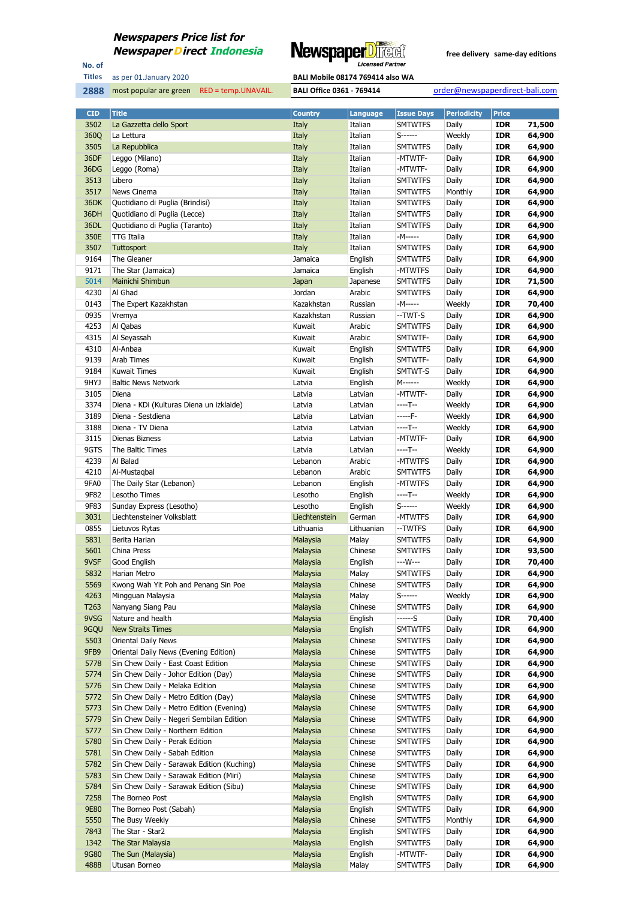

No. of **Titles**

most popular are green RED = temp.UNAVAIL. **BALI Office 0361 - 769414** order@newspaperdirect-bali.com

| <b>CID</b>   | <b>Title</b>                                                     | <b>Country</b>        | Language           | <b>Issue Days</b>                | <b>Periodicity</b> | <b>Price</b>             |                  |
|--------------|------------------------------------------------------------------|-----------------------|--------------------|----------------------------------|--------------------|--------------------------|------------------|
| 3502         | La Gazzetta dello Sport                                          | Italy                 | Italian            | <b>SMTWTFS</b>                   | Daily              | <b>IDR</b>               | 71,500           |
| 360Q         | La Lettura                                                       | Italy                 | Italian            | $S$ ------                       | Weekly             | <b>IDR</b>               | 64,900           |
| 3505         | La Repubblica                                                    | Italy                 | Italian            | <b>SMTWTFS</b>                   | Daily              | <b>IDR</b>               | 64,900           |
| 36DF         | Leggo (Milano)                                                   | Italy                 | Italian            | -MTWTF-                          | Daily              | <b>IDR</b>               | 64,900           |
| 36DG         | Leggo (Roma)                                                     | Italy                 | Italian            | -MTWTF-                          | Daily              | <b>IDR</b>               | 64,900           |
| 3513         | Libero                                                           | Italy                 | Italian            | <b>SMTWTFS</b>                   | Daily              | <b>IDR</b>               | 64,900           |
| 3517         | News Cinema                                                      | Italy                 | Italian            | <b>SMTWTFS</b>                   | Monthly            | <b>IDR</b>               | 64,900           |
| 36DK         | Quotidiano di Puglia (Brindisi)                                  | Italy                 | Italian            | <b>SMTWTFS</b>                   | Daily              | <b>IDR</b>               | 64,900           |
| 36DH         | Quotidiano di Puglia (Lecce)                                     | Italy                 | Italian            | <b>SMTWTFS</b>                   | Daily              | <b>IDR</b>               | 64,900           |
| 36DL         | Quotidiano di Puglia (Taranto)                                   | Italy                 | Italian            | <b>SMTWTFS</b>                   | Daily              | <b>IDR</b>               | 64,900           |
| 350E         | <b>TTG Italia</b>                                                | Italy                 | Italian            | -M-----                          | Daily              | <b>IDR</b>               | 64,900           |
| 3507<br>9164 | <b>Tuttosport</b><br>The Gleaner                                 | Italy<br>Jamaica      | Italian<br>English | <b>SMTWTFS</b>                   | Daily              | <b>IDR</b><br><b>IDR</b> | 64,900<br>64,900 |
| 9171         | The Star (Jamaica)                                               | Jamaica               | English            | <b>SMTWTFS</b><br>-MTWTFS        | Daily<br>Daily     | <b>IDR</b>               | 64,900           |
| 5014         | Mainichi Shimbun                                                 | Japan                 | Japanese           | <b>SMTWTFS</b>                   | Daily              | <b>IDR</b>               | 71,500           |
| 4230         | Al Ghad                                                          | Jordan                | Arabic             | <b>SMTWTFS</b>                   | Daily              | <b>IDR</b>               | 64,900           |
| 0143         | The Expert Kazakhstan                                            | Kazakhstan            | Russian            | -M-----                          | Weekly             | <b>IDR</b>               | 70,400           |
| 0935         | Vremya                                                           | Kazakhstan            | Russian            | --TWT-S                          | Daily              | <b>IDR</b>               | 64,900           |
| 4253         | Al Qabas                                                         | Kuwait                | Arabic             | <b>SMTWTFS</b>                   | Daily              | <b>IDR</b>               | 64,900           |
| 4315         | Al Seyassah                                                      | Kuwait                | Arabic             | SMTWTF-                          | Daily              | <b>IDR</b>               | 64,900           |
| 4310         | Al-Anbaa                                                         | Kuwait                | English            | <b>SMTWTFS</b>                   | Daily              | <b>IDR</b>               | 64,900           |
| 9139         | Arab Times                                                       | Kuwait                | English            | SMTWTF-                          | Daily              | <b>IDR</b>               | 64,900           |
| 9184         | Kuwait Times                                                     | Kuwait                | English            | SMTWT-S                          | Daily              | <b>IDR</b>               | 64,900           |
| 9HYJ         | <b>Baltic News Network</b>                                       | Latvia                | English            | M------                          | Weekly             | <b>IDR</b>               | 64,900           |
| 3105         | Diena                                                            | Latvia                | Latvian            | -MTWTF-                          | Daily              | <b>IDR</b>               | 64,900           |
| 3374         | Diena - KDi (Kulturas Diena un izklaide)                         | Latvia                | Latvian            | ----T--                          | Weekly             | <b>IDR</b>               | 64,900           |
| 3189         | Diena - Sestdiena                                                | Latvia                | Latvian            | -----F-                          | Weekly             | <b>IDR</b>               | 64,900           |
| 3188         | Diena - TV Diena                                                 | Latvia                | Latvian            | ----T--                          | Weekly             | <b>IDR</b>               | 64,900           |
| 3115         | Dienas Bizness                                                   | Latvia                | Latvian            | -MTWTF-                          | Daily              | <b>IDR</b>               | 64,900           |
| 9GTS         | The Baltic Times                                                 | Latvia                | Latvian            | ----T--                          | Weekly             | <b>IDR</b>               | 64,900           |
| 4239         | Al Balad                                                         | Lebanon               | Arabic             | -MTWTFS                          | Daily              | <b>IDR</b>               | 64,900           |
| 4210         | Al-Mustaqbal                                                     | Lebanon               | Arabic             | <b>SMTWTFS</b>                   | Daily              | <b>IDR</b>               | 64,900           |
| 9FA0         | The Daily Star (Lebanon)                                         | Lebanon               | English            | -MTWTFS                          | Daily              | <b>IDR</b>               | 64,900           |
| 9F82         | Lesotho Times                                                    | Lesotho               | English            | ----T--                          | Weekly             | <b>IDR</b>               | 64,900           |
| 9F83         | Sunday Express (Lesotho)                                         | Lesotho               | English            | S------                          | Weekly             | <b>IDR</b>               | 64,900           |
| 3031         | Liechtensteiner Volksblatt                                       | Liechtenstein         | German             | -MTWTFS                          | Daily              | <b>IDR</b>               | 64,900           |
| 0855<br>5831 | Lietuvos Rytas<br>Berita Harian                                  | Lithuania<br>Malaysia | Lithuanian         | --TWTFS<br><b>SMTWTFS</b>        | Daily<br>Daily     | <b>IDR</b><br><b>IDR</b> | 64,900<br>64,900 |
| 5601         | China Press                                                      | Malaysia              | Malay<br>Chinese   | <b>SMTWTFS</b>                   | Daily              | <b>IDR</b>               | 93,500           |
| 9VSF         | Good English                                                     | Malaysia              | English            | ---W---                          | Daily              | IDR                      | 70,400           |
| 5832         | <b>Harian Metro</b>                                              | Malaysia              | Malay              | <b>SMTWTFS</b>                   | Daily              | <b>IDR</b>               | 64,900           |
| 5569         | Kwong Wah Yit Poh and Penang Sin Poe                             | Malaysia              | Chinese            | <b>SMTWTFS</b>                   | Daily              | <b>IDR</b>               | 64,900           |
| 4263         | Mingguan Malaysia                                                | Malaysia              | Malay              | S-------                         | Weekly             | <b>IDR</b>               | 64,900           |
| T263         | Nanyang Siang Pau                                                | Malaysia              | Chinese            | <b>SMTWTFS</b>                   | Daily              | <b>IDR</b>               | 64,900           |
| 9VSG         | Nature and health                                                | Malaysia              | English            | ------S                          | Daily              | <b>IDR</b>               | 70,400           |
| 9GQU         | <b>New Straits Times</b>                                         | Malaysia              | English            | <b>SMTWTFS</b>                   | Daily              | <b>IDR</b>               | 64,900           |
| 5503         | Oriental Daily News                                              | Malaysia              | Chinese            | <b>SMTWTFS</b>                   | Daily              | <b>IDR</b>               | 64,900           |
| 9FB9         | Oriental Daily News (Evening Edition)                            | Malaysia              | Chinese            | <b>SMTWTFS</b>                   | Daily              | <b>IDR</b>               | 64,900           |
| 5778         | Sin Chew Daily - East Coast Edition                              | Malaysia              | Chinese            | <b>SMTWTFS</b>                   | Daily              | <b>IDR</b>               | 64,900           |
| 5774         | Sin Chew Daily - Johor Edition (Day)                             | Malaysia              | Chinese            | <b>SMTWTFS</b>                   | Daily              | <b>IDR</b>               | 64,900           |
| 5776         | Sin Chew Daily - Melaka Edition                                  | Malaysia              | Chinese            | <b>SMTWTFS</b>                   | Daily              | <b>IDR</b>               | 64,900           |
| 5772         | Sin Chew Daily - Metro Edition (Day)                             | Malaysia              | Chinese            | <b>SMTWTFS</b>                   | Daily              | <b>IDR</b>               | 64,900           |
| 5773         | Sin Chew Daily - Metro Edition (Evening)                         | Malaysia              | Chinese            | <b>SMTWTFS</b>                   | Daily              | <b>IDR</b>               | 64,900           |
| 5779         | Sin Chew Daily - Negeri Sembilan Edition                         | Malaysia              | Chinese            | <b>SMTWTFS</b>                   | Daily              | <b>IDR</b>               | 64,900           |
| 5777         | Sin Chew Daily - Northern Edition                                | Malaysia              | Chinese            | <b>SMTWTFS</b>                   | Daily              | <b>IDR</b>               | 64,900           |
| 5780<br>5781 | Sin Chew Daily - Perak Edition<br>Sin Chew Daily - Sabah Edition | Malaysia              | Chinese            | <b>SMTWTFS</b>                   | Daily              | <b>IDR</b><br><b>IDR</b> | 64,900<br>64,900 |
| 5782         | Sin Chew Daily - Sarawak Edition (Kuching)                       | Malaysia<br>Malaysia  | Chinese<br>Chinese | <b>SMTWTFS</b><br><b>SMTWTFS</b> | Daily<br>Daily     | <b>IDR</b>               | 64,900           |
| 5783         | Sin Chew Daily - Sarawak Edition (Miri)                          | Malaysia              | Chinese            | <b>SMTWTFS</b>                   | Daily              | <b>IDR</b>               | 64,900           |
| 5784         | Sin Chew Daily - Sarawak Edition (Sibu)                          | Malaysia              | Chinese            | <b>SMTWTFS</b>                   | Daily              | <b>IDR</b>               | 64,900           |
| 7258         | The Borneo Post                                                  | Malaysia              | English            | <b>SMTWTFS</b>                   | Daily              | <b>IDR</b>               | 64,900           |
| 9E80         | The Borneo Post (Sabah)                                          | Malaysia              | English            | <b>SMTWTFS</b>                   | Daily              | <b>IDR</b>               | 64,900           |
| 5550         | The Busy Weekly                                                  | Malaysia              | Chinese            | <b>SMTWTFS</b>                   | Monthly            | <b>IDR</b>               | 64,900           |
| 7843         | The Star - Star2                                                 | Malaysia              | English            | <b>SMTWTFS</b>                   | Daily              | <b>IDR</b>               | 64,900           |
| 1342         | The Star Malaysia                                                | Malaysia              | English            | <b>SMTWTFS</b>                   | Daily              | <b>IDR</b>               | 64,900           |
| 9G80         | The Sun (Malaysia)                                               | Malaysia              | English            | -MTWTF-                          | Daily              | <b>IDR</b>               | 64,900           |
| 4888         | Utusan Borneo                                                    | Malaysia              | Malay              | <b>SMTWTFS</b>                   | Daily              | <b>IDR</b>               | 64,900           |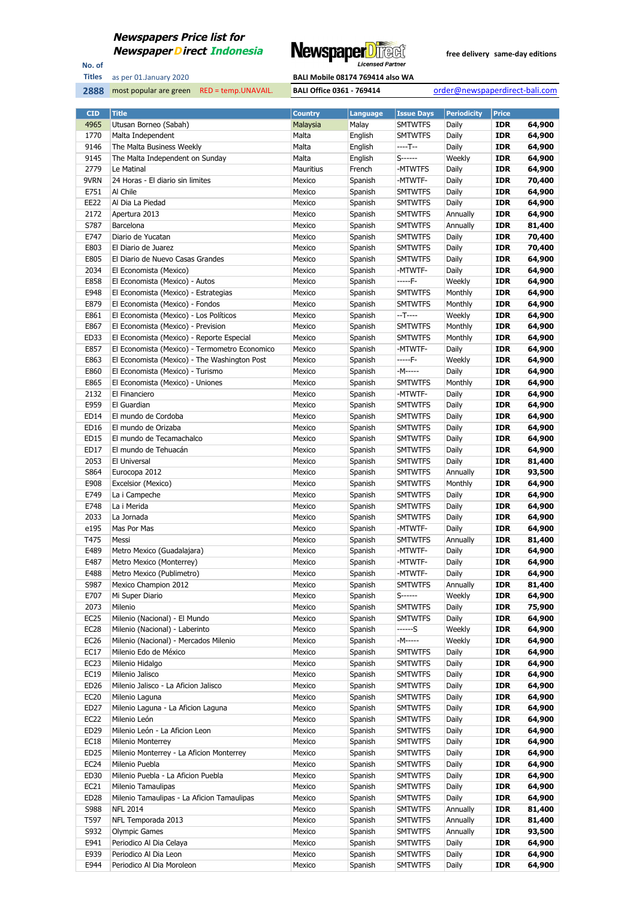

No. of **Titles**



| <b>CID</b>       | <b>Title</b>                                  | <b>Country</b> | <b>Language</b> | <b>Issue Days</b> | <b>Periodicity</b> | <b>Price</b> |        |
|------------------|-----------------------------------------------|----------------|-----------------|-------------------|--------------------|--------------|--------|
| 4965             | Utusan Borneo (Sabah)                         | Malaysia       | Malay           | <b>SMTWTFS</b>    | Daily              | <b>IDR</b>   | 64,900 |
| 1770             | Malta Independent                             | Malta          | English         | <b>SMTWTFS</b>    | Daily              | <b>IDR</b>   | 64,900 |
| 9146             | The Malta Business Weekly                     | Malta          | English         | ----T--           | Daily              | <b>IDR</b>   | 64,900 |
| 9145             | The Malta Independent on Sunday               | Malta          | English         | S------           | Weekly             | <b>IDR</b>   | 64,900 |
| 2779             | Le Matinal                                    | Mauritius      | French          | -MTWTFS           | Daily              | <b>IDR</b>   | 64,900 |
| 9VRN             | 24 Horas - El diario sin limites              | Mexico         | Spanish         | -MTWTF-           | Daily              | <b>IDR</b>   | 70,400 |
| E751             | Al Chile                                      | Mexico         | Spanish         | <b>SMTWTFS</b>    | Daily              | <b>IDR</b>   | 64,900 |
| EE22             | Al Dia La Piedad                              | Mexico         |                 | <b>SMTWTFS</b>    |                    | <b>IDR</b>   | 64,900 |
|                  |                                               |                | Spanish         |                   | Daily              |              |        |
| 2172             | Apertura 2013                                 | Mexico         | Spanish         | <b>SMTWTFS</b>    | Annually           | <b>IDR</b>   | 64,900 |
| S787             | Barcelona                                     | Mexico         | Spanish         | <b>SMTWTFS</b>    | Annually           | <b>IDR</b>   | 81,400 |
| E747             | Diario de Yucatan                             | Mexico         | Spanish         | <b>SMTWTFS</b>    | Daily              | IDR          | 70,400 |
| E803             | El Diario de Juarez                           | Mexico         | Spanish         | <b>SMTWTFS</b>    | Daily              | <b>IDR</b>   | 70,400 |
| E805             | El Diario de Nuevo Casas Grandes              | Mexico         | Spanish         | <b>SMTWTFS</b>    | Daily              | IDR          | 64,900 |
| 2034             | El Economista (Mexico)                        | Mexico         | Spanish         | -MTWTF-           | Daily              | <b>IDR</b>   | 64,900 |
| E858             | El Economista (Mexico) - Autos                | Mexico         | Spanish         | -----F-           | Weekly             | IDR          | 64,900 |
| E948             | El Economista (Mexico) - Estrategias          | Mexico         | Spanish         | <b>SMTWTFS</b>    | Monthly            | <b>IDR</b>   | 64,900 |
| E879             | El Economista (Mexico) - Fondos               | Mexico         | Spanish         | <b>SMTWTFS</b>    | Monthly            | <b>IDR</b>   | 64,900 |
| E861             | El Economista (Mexico) - Los Políticos        | Mexico         | Spanish         | --T----           | Weekly             | <b>IDR</b>   | 64,900 |
| E867             | El Economista (Mexico) - Prevision            | Mexico         | Spanish         | <b>SMTWTFS</b>    | Monthly            | IDR          | 64,900 |
| ED33             | El Economista (Mexico) - Reporte Especial     | Mexico         | Spanish         | <b>SMTWTFS</b>    | Monthly            | <b>IDR</b>   | 64,900 |
| E857             | El Economista (Mexico) - Termometro Economico | Mexico         | Spanish         | -MTWTF-           | Daily              | <b>IDR</b>   | 64,900 |
| E863             | El Economista (Mexico) - The Washington Post  | Mexico         | Spanish         | -----F-           | Weekly             | <b>IDR</b>   | 64,900 |
| E860             | El Economista (Mexico) - Turismo              | Mexico         | Spanish         | -M-----           | Daily              | <b>IDR</b>   | 64,900 |
| E865             | El Economista (Mexico) - Uniones              | Mexico         | Spanish         | <b>SMTWTFS</b>    | Monthly            | <b>IDR</b>   | 64,900 |
| 2132             | El Financiero                                 | Mexico         | Spanish         | -MTWTF-           | Daily              | <b>IDR</b>   | 64,900 |
|                  |                                               | Mexico         |                 |                   |                    |              |        |
| E959             | El Guardian                                   |                | Spanish         | <b>SMTWTFS</b>    | Daily              | <b>IDR</b>   | 64,900 |
| ED14             | El mundo de Cordoba                           | Mexico         | Spanish         | <b>SMTWTFS</b>    | Daily              | <b>IDR</b>   | 64,900 |
| ED16             | El mundo de Orizaba                           | Mexico         | Spanish         | <b>SMTWTFS</b>    | Daily              | <b>IDR</b>   | 64,900 |
| ED15             | El mundo de Tecamachalco                      | Mexico         | Spanish         | <b>SMTWTFS</b>    | Daily              | <b>IDR</b>   | 64,900 |
| ED17             | El mundo de Tehuacán                          | Mexico         | Spanish         | <b>SMTWTFS</b>    | Daily              | <b>IDR</b>   | 64,900 |
| 2053             | El Universal                                  | Mexico         | Spanish         | <b>SMTWTFS</b>    | Daily              | <b>IDR</b>   | 81,400 |
| S864             | Eurocopa 2012                                 | Mexico         | Spanish         | <b>SMTWTFS</b>    | Annually           | <b>IDR</b>   | 93,500 |
| E908             | Excelsior (Mexico)                            | Mexico         | Spanish         | <b>SMTWTFS</b>    | Monthly            | <b>IDR</b>   | 64,900 |
| E749             | La i Campeche                                 | Mexico         | Spanish         | <b>SMTWTFS</b>    | Daily              | <b>IDR</b>   | 64,900 |
| E748             | La i Merida                                   | Mexico         | Spanish         | <b>SMTWTFS</b>    | Daily              | <b>IDR</b>   | 64,900 |
| 2033             | La Jornada                                    | Mexico         | Spanish         | <b>SMTWTFS</b>    | Daily              | <b>IDR</b>   | 64,900 |
| e195             | Mas Por Mas                                   | Mexico         | Spanish         | -MTWTF-           | Daily              | <b>IDR</b>   | 64,900 |
| T475             | Messi                                         | Mexico         | Spanish         | <b>SMTWTFS</b>    | Annually           | <b>IDR</b>   | 81,400 |
| E489             | Metro Mexico (Guadalajara)                    | Mexico         | Spanish         | -MTWTF-           | Daily              | IDR          | 64,900 |
| E487             | Metro Mexico (Monterrey)                      | Mexico         | Spanish         | -MTWTF-           | Daily              | <b>IDR</b>   | 64,900 |
| E488             | Metro Mexico (Publimetro)                     | Mexico         | Spanish         | -MTWTF-           | Daily              | <b>IDR</b>   | 64,900 |
| S987             | Mexico Champion 2012                          | Mexico         | Spanish         | <b>SMTWTFS</b>    | Annually           | <b>IDR</b>   | 81,400 |
| E707             | Mi Super Diario                               | Mexico         | Spanish         | S------           | Weekly             | IDR          | 64,900 |
| 2073             | Milenio                                       | Mexico         | Spanish         | SMTWTFS           | Daily              | <b>IDR</b>   | 75,900 |
| EC25             | Milenio (Nacional) - El Mundo                 | Mexico         | Spanish         | <b>SMTWTFS</b>    | Daily              | <b>IDR</b>   | 64,900 |
|                  |                                               |                |                 |                   |                    |              |        |
| EC <sub>28</sub> | Milenio (Nacional) - Laberinto                | Mexico         | Spanish         | ------S           | Weekly             | <b>IDR</b>   | 64,900 |
| EC26             | Milenio (Nacional) - Mercados Milenio         | Mexico         | Spanish         | -M-----           | Weekly             | IDR          | 64,900 |
| EC17             | Milenio Edo de México                         | Mexico         | Spanish         | SMTWTFS           | Daily              | <b>IDR</b>   | 64,900 |
| EC <sub>23</sub> | Milenio Hidalgo                               | Mexico         | Spanish         | <b>SMTWTFS</b>    | Daily              | <b>IDR</b>   | 64,900 |
| EC19             | Milenio Jalisco                               | Mexico         | Spanish         | SMTWTFS           | Daily              | <b>IDR</b>   | 64,900 |
| ED26             | Milenio Jalisco - La Aficion Jalisco          | Mexico         | Spanish         | <b>SMTWTFS</b>    | Daily              | <b>IDR</b>   | 64,900 |
| EC20             | Milenio Laguna                                | Mexico         | Spanish         | SMTWTFS           | Daily              | <b>IDR</b>   | 64,900 |
| ED27             | Milenio Laguna - La Aficion Laguna            | Mexico         | Spanish         | <b>SMTWTFS</b>    | Daily              | <b>IDR</b>   | 64,900 |
| EC22             | Milenio León                                  | Mexico         | Spanish         | SMTWTFS           | Daily              | <b>IDR</b>   | 64,900 |
| ED <sub>29</sub> | Milenio León - La Aficion Leon                | Mexico         | Spanish         | <b>SMTWTFS</b>    | Daily              | <b>IDR</b>   | 64,900 |
| EC18             | Milenio Monterrey                             | Mexico         | Spanish         | SMTWTFS           | Daily              | <b>IDR</b>   | 64,900 |
| ED25             | Milenio Monterrey - La Aficion Monterrey      | Mexico         | Spanish         | <b>SMTWTFS</b>    | Daily              | <b>IDR</b>   | 64,900 |
| EC24             | Milenio Puebla                                | Mexico         | Spanish         | SMTWTFS           | Daily              | <b>IDR</b>   | 64,900 |
| ED30             | Milenio Puebla - La Aficion Puebla            | Mexico         | Spanish         | <b>SMTWTFS</b>    | Daily              | <b>IDR</b>   | 64,900 |
| EC21             | Milenio Tamaulipas                            | Mexico         | Spanish         | SMTWTFS           | Daily              | <b>IDR</b>   | 64,900 |
| ED <sub>28</sub> | Milenio Tamaulipas - La Aficion Tamaulipas    | Mexico         | Spanish         | <b>SMTWTFS</b>    | Daily              | <b>IDR</b>   | 64,900 |
| S988             | <b>NFL 2014</b>                               | Mexico         | Spanish         | SMTWTFS           | Annually           | <b>IDR</b>   | 81,400 |
| T597             | NFL Temporada 2013                            | Mexico         | Spanish         | <b>SMTWTFS</b>    | Annually           | <b>IDR</b>   | 81,400 |
| S932             | <b>Olympic Games</b>                          | Mexico         | Spanish         | <b>SMTWTFS</b>    | Annually           | <b>IDR</b>   | 93,500 |
| E941             |                                               |                |                 |                   |                    |              |        |
|                  | Periodico Al Dia Celaya                       | Mexico         | Spanish         | <b>SMTWTFS</b>    | Daily              | <b>IDR</b>   | 64,900 |
| E939             | Periodico Al Dia Leon                         | Mexico         | Spanish         | SMTWTFS           | Daily              | <b>IDR</b>   | 64,900 |
| E944             | Periodico Al Dia Moroleon                     | Mexico         | Spanish         | <b>SMTWTFS</b>    | Daily              | <b>IDR</b>   | 64,900 |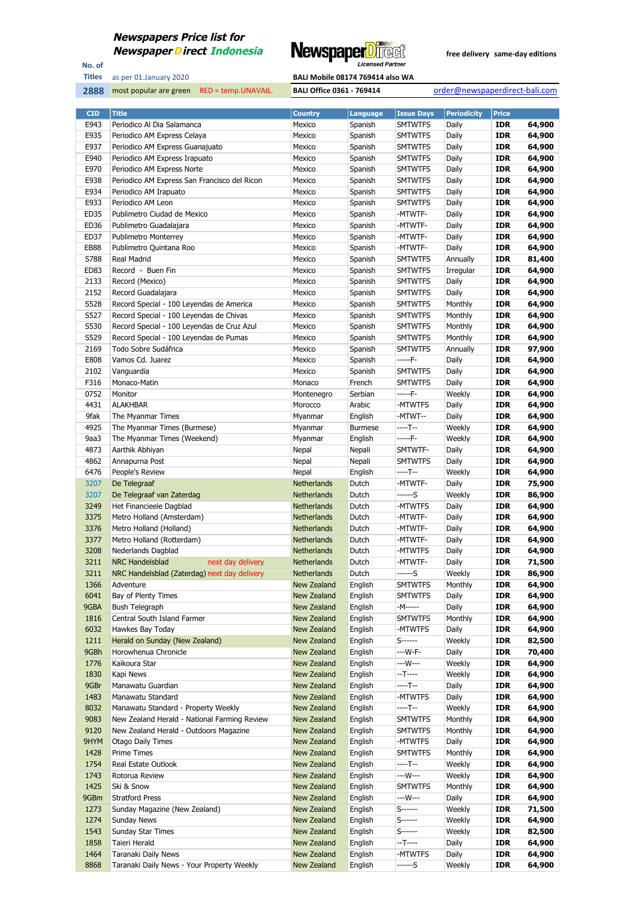

No. of **Titles**



| <b>CID</b> | <b>Title</b>                                 | <b>Country</b>     | <b>Language</b> | <b>Issue Days</b> | <b>Periodicity</b> | <b>Price</b> |        |
|------------|----------------------------------------------|--------------------|-----------------|-------------------|--------------------|--------------|--------|
| E943       | Periodico Al Dia Salamanca                   | Mexico             | Spanish         | <b>SMTWTFS</b>    | Daily              | <b>IDR</b>   | 64,900 |
| E935       | Periodico AM Express Celaya                  | Mexico             | Spanish         | <b>SMTWTFS</b>    | Daily              | <b>IDR</b>   | 64,900 |
| E937       | Periodico AM Express Guanajuato              | Mexico             | Spanish         | <b>SMTWTFS</b>    | Daily              | <b>IDR</b>   | 64,900 |
| E940       | Periodico AM Express Irapuato                | Mexico             | Spanish         | <b>SMTWTFS</b>    | Daily              | <b>IDR</b>   | 64,900 |
| E970       | Periodico AM Express Norte                   | Mexico             | Spanish         | <b>SMTWTFS</b>    | Daily              | <b>IDR</b>   | 64,900 |
| E938       | Periodico AM Express San Francisco del Ricon | Mexico             | Spanish         | <b>SMTWTFS</b>    | Daily              | <b>IDR</b>   | 64,900 |
| E934       | Periodico AM Irapuato                        | Mexico             | Spanish         | <b>SMTWTFS</b>    | Daily              | <b>IDR</b>   | 64,900 |
| E933       | Periodico AM Leon                            | Mexico             | Spanish         | <b>SMTWTFS</b>    | Daily              | <b>IDR</b>   | 64,900 |
| ED35       | Publimetro Ciudad de Mexico                  | Mexico             | Spanish         | -MTWTF-           | Daily              | <b>IDR</b>   | 64,900 |
| ED36       | Publimetro Guadalajara                       | Mexico             | Spanish         | -MTWTF-           | Daily              | <b>IDR</b>   | 64,900 |
| ED37       | <b>Publimetro Monterrey</b>                  | Mexico             | Spanish         | -MTWTF-           | Daily              | <b>IDR</b>   | 64,900 |
| EB88       | Publimetro Quintana Roo                      | Mexico             | Spanish         | -MTWTF-           | Daily              | <b>IDR</b>   | 64,900 |
| S788       | <b>Real Madrid</b>                           | Mexico             | Spanish         | <b>SMTWTFS</b>    | Annually           | <b>IDR</b>   | 81,400 |
| ED83       | Record - Buen Fin                            | Mexico             | Spanish         | <b>SMTWTFS</b>    | Irregular          | <b>IDR</b>   | 64,900 |
| 2133       | Record (Mexico)                              | Mexico             | Spanish         | <b>SMTWTFS</b>    | Daily              | <b>IDR</b>   | 64,900 |
| 2152       | Record Guadalajara                           | Mexico             | Spanish         | <b>SMTWTFS</b>    | Daily              | <b>IDR</b>   | 64,900 |
| S528       | Record Special - 100 Leyendas de America     | Mexico             | Spanish         | <b>SMTWTFS</b>    | Monthly            | <b>IDR</b>   | 64,900 |
| S527       | Record Special - 100 Leyendas de Chivas      | Mexico             | Spanish         | <b>SMTWTFS</b>    | Monthly            | <b>IDR</b>   | 64,900 |
| S530       | Record Special - 100 Leyendas de Cruz Azul   | Mexico             | Spanish         | <b>SMTWTFS</b>    | Monthly            | <b>IDR</b>   | 64,900 |
| S529       | Record Special - 100 Leyendas de Pumas       | Mexico             | Spanish         | <b>SMTWTFS</b>    | Monthly            | <b>IDR</b>   | 64,900 |
| 2169       | Todo Sobre Sudáfrica                         | Mexico             | Spanish         | <b>SMTWTFS</b>    | Annually           | <b>IDR</b>   | 97,900 |
| E808       | Vamos Cd. Juarez                             | Mexico             | Spanish         | -----F-           | Daily              | <b>IDR</b>   | 64,900 |
| 2102       | Vanguardia                                   | Mexico             | Spanish         | <b>SMTWTFS</b>    | Daily              | <b>IDR</b>   | 64,900 |
| F316       | Monaco-Matin                                 | Monaco             | French          | <b>SMTWTFS</b>    | Daily              | <b>IDR</b>   | 64,900 |
| 0752       | Monitor                                      | Montenegro         | Serbian         | -----F-           | Weekly             | <b>IDR</b>   | 64,900 |
| 4431       | <b>ALAKHBAR</b>                              | Morocco            | Arabic          | -MTWTFS           | Daily              | <b>IDR</b>   | 64,900 |
| 9fak       | The Myanmar Times                            | Myanmar            | English         | -MTWT--           | Daily              | <b>IDR</b>   | 64,900 |
| 4925       | The Myanmar Times (Burmese)                  | Myanmar            | <b>Burmese</b>  | ----T--           | Weekly             | <b>IDR</b>   | 64,900 |
| 9aa3       | The Myanmar Times (Weekend)                  | Myanmar            | English         | -----F-           | Weekly             | <b>IDR</b>   | 64,900 |
| 4873       | Aarthik Abhiyan                              | Nepal              | Nepali          | SMTWTF-           | Daily              | <b>IDR</b>   | 64,900 |
| 4862       | Annapurna Post                               | Nepal              | Nepali          | <b>SMTWTFS</b>    | Daily              | <b>IDR</b>   | 64,900 |
| 6476       | People's Review                              | Nepal              | English         | ----T--           | Weekly             | <b>IDR</b>   | 64,900 |
| 3207       | De Telegraaf                                 | Netherlands        | Dutch           | -MTWTF-           | Daily              | <b>IDR</b>   | 75,900 |
| 3207       | De Telegraaf van Zaterdag                    | Netherlands        | Dutch           | ------S           | Weekly             | <b>IDR</b>   | 86,900 |
| 3249       | Het Financieele Dagblad                      | <b>Netherlands</b> | Dutch           | -MTWTFS           | Daily              | <b>IDR</b>   | 64,900 |
| 3375       | Metro Holland (Amsterdam)                    | Netherlands        | Dutch           | -MTWTF-           | Daily              | <b>IDR</b>   | 64,900 |
| 3376       | Metro Holland (Holland)                      | Netherlands        | Dutch           | -MTWTF-           | Daily              | <b>IDR</b>   | 64,900 |
| 3377       | Metro Holland (Rotterdam)                    | Netherlands        | Dutch           | -MTWTF-           | Daily              | <b>IDR</b>   | 64,900 |
| 3208       | Nederlands Dagblad                           | <b>Netherlands</b> | Dutch           | -MTWTFS           | Daily              | <b>IDR</b>   | 64,900 |
| 3211       | <b>NRC Handelsblad</b><br>next day delivery  | Netherlands        | Dutch           | -MTWTF-           | Daily              | <b>IDR</b>   | 71,500 |
| 3211       | NRC Handelsblad (Zaterdag) next day delivery | <b>Netherlands</b> | Dutch           | ------S           | Weekly             | <b>IDR</b>   | 86,900 |
| 1366       | Adventure                                    | New Zealand        | English         | <b>SMTWTFS</b>    | Monthly            | <b>IDR</b>   | 64,900 |
| 6041       | Bay of Plenty Times                          | New Zealand        | English         | <b>SMTWTFS</b>    | Daily              | <b>IDR</b>   | 64,900 |
| 9GBA       | <b>Bush Telegraph</b>                        | New Zealand        | English         | -M-----           | Daily              | <b>IDR</b>   | 64,900 |
| 1816       | Central South Island Farmer                  | New Zealand        | English         | SMTWTFS           | Monthly            | <b>IDR</b>   | 64,900 |
| 6032       | Hawkes Bay Today                             | New Zealand        | English         | -MTWTFS           | Daily              | <b>IDR</b>   | 64,900 |
| 1211       | Herald on Sunday (New Zealand)               | New Zealand        | English         | S-------          | Weekly             | <b>IDR</b>   | 82,500 |
| 9GBh       | Horowhenua Chronicle                         | New Zealand        | English         | ---W-F-           | Daily              | <b>IDR</b>   | 70,400 |
| 1776       | Kaikoura Star                                | New Zealand        | English         | ---W---           | Weekly             | <b>IDR</b>   | 64,900 |
| 1830       | Kapi News                                    | New Zealand        | English         | --T----           | Weekly             | <b>IDR</b>   | 64,900 |
| 9GBr       | Manawatu Guardian                            | New Zealand        | English         | ----T--           | Daily              | <b>IDR</b>   | 64,900 |
| 1483       | Manawatu Standard                            | New Zealand        | English         | -MTWTFS           | Daily              | <b>IDR</b>   | 64,900 |
| 8032       | Manawatu Standard - Property Weekly          | New Zealand        | English         | ----T--           | Weekly             | <b>IDR</b>   | 64,900 |
| 9083       | New Zealand Herald - National Farming Review | New Zealand        | English         | <b>SMTWTFS</b>    | Monthly            | <b>IDR</b>   | 64,900 |
| 9120       | New Zealand Herald - Outdoors Magazine       | New Zealand        | English         | <b>SMTWTFS</b>    | Monthly            | <b>IDR</b>   | 64,900 |
| 9HYM       | <b>Otago Daily Times</b>                     | New Zealand        | English         | -MTWTFS           | Daily              | <b>IDR</b>   | 64,900 |
| 1428       | Prime Times                                  | New Zealand        | English         | <b>SMTWTFS</b>    | Monthly            | <b>IDR</b>   | 64,900 |
| 1754       | Real Estate Outlook                          | New Zealand        | English         | ----T--           | Weekly             | <b>IDR</b>   | 64,900 |
| 1743       | Rotorua Review                               | New Zealand        | English         | ---W---           | Weekly             | <b>IDR</b>   | 64,900 |
| 1425       | Ski & Snow                                   | New Zealand        | English         | <b>SMTWTFS</b>    | Monthly            | <b>IDR</b>   | 64,900 |
| 9GBm       | <b>Stratford Press</b>                       | New Zealand        | English         | ---W---           | Daily              | <b>IDR</b>   | 64,900 |
| 1273       | Sunday Magazine (New Zealand)                | New Zealand        | English         | S-------          | Weekly             | <b>IDR</b>   | 71,500 |
| 1274       | Sunday News                                  | New Zealand        | English         | S-------          | Weekly             | <b>IDR</b>   | 64,900 |
| 1543       | Sunday Star Times                            | New Zealand        | English         | S------           | Weekly             | <b>IDR</b>   | 82,500 |
| 1858       | Taieri Herald                                | New Zealand        | English         | --T----           | Daily              | <b>IDR</b>   | 64,900 |
| 1464       | Taranaki Daily News                          | New Zealand        | English         | -MTWTFS           | Daily              | <b>IDR</b>   | 64,900 |
| 8868       | Taranaki Daily News - Your Property Weekly   | New Zealand        | English         | ------S           | Weekly             | <b>IDR</b>   | 64,900 |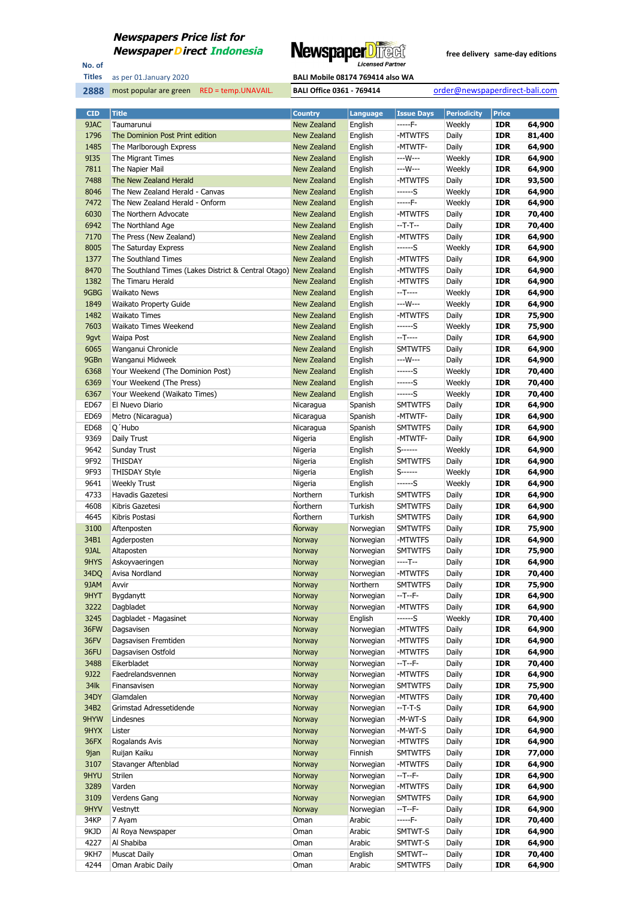

No. of **Titles**

**2888** most popular are green RED = temp.UNAVAIL. **BALI Office 0361 - 769414** order@newspaperdirect-bali.com

| <b>CID</b>       | <b>Title</b>                                                     | <b>Country</b>     | Language               | <b>Issue Days</b>  | <b>Periodicity</b> | <b>Price</b>             |                  |
|------------------|------------------------------------------------------------------|--------------------|------------------------|--------------------|--------------------|--------------------------|------------------|
| 9JAC             | Taumarunui                                                       | New Zealand        | English                | -----F-            | Weekly             | <b>IDR</b>               | 64,900           |
| 1796             | The Dominion Post Print edition                                  | New Zealand        | English                | -MTWTFS            | Daily              | <b>IDR</b>               | 81,400           |
| 1485             | The Marlborough Express                                          | New Zealand        | English                | -MTWTF-            | Daily              | <b>IDR</b>               | 64,900           |
| 9135             | The Migrant Times                                                | New Zealand        | English                | ---W---            | Weekly             | <b>IDR</b>               | 64,900           |
| 7811             | The Napier Mail                                                  | New Zealand        | English                | ---W---            | Weekly             | <b>IDR</b>               | 64,900           |
| 7488             | The New Zealand Herald                                           | New Zealand        | English                | -MTWTFS            | Daily              | <b>IDR</b>               | 93,500           |
| 8046             | The New Zealand Herald - Canvas                                  | New Zealand        | English                | ------S            | Weekly             | <b>IDR</b>               | 64,900           |
| 7472             | The New Zealand Herald - Onform                                  | New Zealand        | English                | -----F-            | Weekly             | <b>IDR</b>               | 64,900           |
| 6030             | The Northern Advocate                                            | New Zealand        | English                | -MTWTFS            | Daily              | <b>IDR</b>               | 70,400           |
| 6942             | The Northland Age                                                | New Zealand        | English                | --T-T--            | Daily              | <b>IDR</b>               | 70,400           |
| 7170             | The Press (New Zealand)                                          | New Zealand        | English                | -MTWTFS            | Daily              | <b>IDR</b>               | 64,900           |
| 8005             | The Saturday Express                                             | New Zealand        | English                | ------S            | Weekly             | IDR                      | 64,900           |
| 1377             | The Southland Times                                              | New Zealand        | English                | -MTWTFS            | Daily              | <b>IDR</b>               | 64,900           |
| 8470             | The Southland Times (Lakes District & Central Otago) New Zealand |                    | English                | -MTWTFS            | Daily              | <b>IDR</b>               | 64,900           |
| 1382             | The Timaru Herald                                                | New Zealand        | English                | -MTWTFS            | Daily              | <b>IDR</b>               | 64,900           |
| 9GBG             | <b>Waikato News</b>                                              | New Zealand        | English                | --T----            | Weekly             | <b>IDR</b>               | 64,900           |
| 1849             | <b>Waikato Property Guide</b>                                    | New Zealand        | English                | ---W---            | Weekly             | <b>IDR</b>               | 64,900           |
| 1482             | <b>Waikato Times</b>                                             | New Zealand        | English                | -MTWTFS            | Daily              | <b>IDR</b>               | 75,900           |
| 7603             | Waikato Times Weekend                                            | New Zealand        | English                | ------S            | Weekly             | <b>IDR</b>               | 75,900           |
| 9gvt             | Waipa Post                                                       | New Zealand        | English                | $-T$ -----         | Daily              | <b>IDR</b>               | 64,900           |
| 6065             | Wanganui Chronicle                                               | New Zealand        | English                | <b>SMTWTFS</b>     | Daily              | <b>IDR</b>               | 64,900           |
| 9GBn             | Wanganui Midweek                                                 | New Zealand        | English                | ---W---            | Daily              | <b>IDR</b>               | 64,900           |
| 6368             | Your Weekend (The Dominion Post)                                 | <b>New Zealand</b> | English                | ------S            | Weekly             | <b>IDR</b>               | 70,400           |
| 6369             | Your Weekend (The Press)                                         | <b>New Zealand</b> | English                | ------S            | Weekly             | <b>IDR</b>               | 70,400           |
| 6367             | Your Weekend (Waikato Times)                                     | <b>New Zealand</b> | English                | ------S            | Weekly             | <b>IDR</b>               | 70,400           |
| ED67             | El Nuevo Diario                                                  | Nicaragua          | Spanish                | <b>SMTWTFS</b>     | Daily              | <b>IDR</b>               | 64,900           |
| ED69             | Metro (Nicaragua)                                                | Nicaragua          | Spanish                | -MTWTF-            | Daily              | <b>IDR</b>               | 64,900           |
| ED <sub>68</sub> | Q'Hubo                                                           | Nicaragua          | Spanish                | <b>SMTWTFS</b>     | Daily              | IDR                      | 64,900           |
| 9369             | Daily Trust                                                      | Nigeria            | English                | -MTWTF-            | Daily              | <b>IDR</b>               | 64,900           |
| 9642             | Sunday Trust                                                     | Nigeria            | English                | $S$ ------         | Weekly             | <b>IDR</b>               | 64,900           |
| 9F92             | <b>THISDAY</b>                                                   | Nigeria            | English                | <b>SMTWTFS</b>     | Daily              | <b>IDR</b>               | 64,900           |
| 9F93             | THISDAY Style                                                    | Nigeria            | English                | S-------           | Weekly             | <b>IDR</b>               | 64,900           |
| 9641             | <b>Weekly Trust</b>                                              | Nigeria            | English                | ------S            | Weekly             | <b>IDR</b>               | 64,900           |
| 4733             | Havadis Gazetesi                                                 | Northern           | Turkish                | <b>SMTWTFS</b>     | Daily              | <b>IDR</b>               | 64,900           |
| 4608             | Kibris Gazetesi                                                  | Northern           | Turkish                | <b>SMTWTFS</b>     | Daily              | <b>IDR</b>               | 64,900           |
| 4645             | Kibris Postasi                                                   | Northern           | Turkish                | <b>SMTWTFS</b>     | Daily              | IDR                      | 64,900           |
| 3100             | Aftenposten                                                      | Norway             | Norwegian              | <b>SMTWTFS</b>     | Daily              | <b>IDR</b>               | 75,900           |
| 34B1             | Agderposten                                                      | Norway             | Norwegian              | -MTWTFS            | Daily              | <b>IDR</b>               | 64,900           |
| 9JAL             | Altaposten                                                       | <b>Norway</b>      | Norwegian              | <b>SMTWTFS</b>     | Daily              | <b>IDR</b>               | 75,900           |
| 9HYS             | Askoyvaeringen                                                   | Norway             | Norwegian              | ----T--            | Daily              | <b>IDR</b>               | 64,900           |
| 34DQ             | Avisa Nordland                                                   | Norway             | Norwegian              | -MTWTFS            | Daily              | <b>IDR</b>               | 70,400           |
| 9JAM             | Avvir                                                            | Norway             | Northern               | <b>SMTWTFS</b>     | Daily              | <b>IDR</b>               | 75,900           |
| 9HYT             | Bygdanytt                                                        | Norway             | Norwegian              | --T--F-            | Daily              | <b>IDR</b>               | 64,900           |
| 3222             | Dagbladet                                                        | Norway             | Norwegian              | -MTWTFS            | Daily              | <b>IDR</b>               | 64,900           |
| 3245             | Dagbladet - Magasinet                                            | Norway             | English                | ------S            | Weekly             | <b>IDR</b>               | 70,400           |
| 36FW             | Dagsavisen                                                       | Norway             | Norwegian              | -MTWTFS            | Daily              | <b>IDR</b>               | 64,900           |
| 36FV             | Dagsavisen Fremtiden                                             | Norway             | Norwegian              | -MTWTFS            | Daily              | <b>IDR</b>               | 64,900           |
| 36FU             | Dagsavisen Ostfold                                               | Norway             | Norwegian              | -MTWTFS            | Daily              | <b>IDR</b>               | 64,900           |
| 3488             | Eikerbladet                                                      | Norway             | Norwegian              | --T--F-            | Daily              | <b>IDR</b>               | 70,400           |
| 9J22             | Faedrelandsvennen                                                | Norway             | Norwegian              | -MTWTFS            | Daily              | <b>IDR</b>               | 64,900           |
| 34lk             | Finansavisen                                                     | Norway             | Norwegian              | <b>SMTWTFS</b>     | Daily              | <b>IDR</b>               | 75,900           |
| 34DY             | Glamdalen                                                        | Norway             | Norwegian              | -MTWTFS            | Daily              | <b>IDR</b>               | 70,400           |
| 34B2             | Grimstad Adressetidende                                          | Norway             | Norwegian              | --T-T-S            | Daily              | <b>IDR</b>               | 64,900           |
| 9HYW             | Lindesnes                                                        | Norway             | Norwegian              | -M-WT-S            | Daily              | <b>IDR</b>               | 64,900           |
| 9HYX<br>36FX     | Lister                                                           | Norway             | Norwegian<br>Norwegian | -M-WT-S<br>-MTWTFS | Daily<br>Daily     | <b>IDR</b><br><b>IDR</b> | 64,900<br>64,900 |
| 9jan             | Rogalands Avis<br>Ruijan Kaiku                                   | Norway<br>Norway   | Finnish                | <b>SMTWTFS</b>     | Daily              | <b>IDR</b>               | 77,000           |
| 3107             | Stavanger Aftenblad                                              | Norway             | Norwegian              | -MTWTFS            | Daily              | <b>IDR</b>               | 64,900           |
| 9HYU             | Strilen                                                          | Norway             | Norwegian              | --T--F-            | Daily              | <b>IDR</b>               | 64,900           |
| 3289             | Varden                                                           | Norway             | Norwegian              | -MTWTFS            | Daily              | <b>IDR</b>               | 64,900           |
| 3109             | Verdens Gang                                                     | Norway             | Norwegian              | <b>SMTWTFS</b>     | Daily              | <b>IDR</b>               | 64,900           |
| 9HYV             | Vestnytt                                                         | Norway             | Norwegian              | --T--F-            | Daily              | <b>IDR</b>               | 64,900           |
| 34KP             | 7 Ayam                                                           | Oman               | Arabic                 | -----F-            | Daily              | <b>IDR</b>               | 70,400           |
| 9KJD             | Al Roya Newspaper                                                | Oman               | Arabic                 | SMTWT-S            | Daily              | <b>IDR</b>               | 64,900           |
| 4227             | Al Shabiba                                                       | Oman               | Arabic                 | SMTWT-S            | Daily              | <b>IDR</b>               | 64,900           |
| 9KH7             | <b>Muscat Daily</b>                                              | Oman               | English                | SMTWT--            | Daily              | <b>IDR</b>               | 70,400           |
| 4244             | Oman Arabic Daily                                                | Oman               | Arabic                 | <b>SMTWTFS</b>     | Daily              | <b>IDR</b>               | 64,900           |
|                  |                                                                  |                    |                        |                    |                    |                          |                  |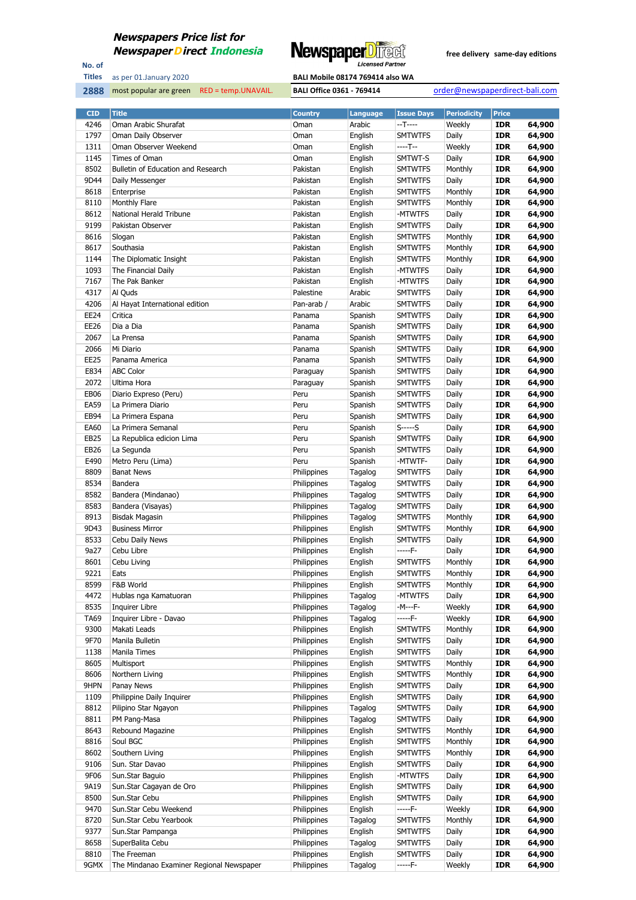

No. of **Titles**



| <b>CID</b>   | <b>Title</b>                             | <b>Country</b>       | <b>Language</b> | <b>Issue Days</b> | <b>Periodicity</b> | <b>Price</b> |        |
|--------------|------------------------------------------|----------------------|-----------------|-------------------|--------------------|--------------|--------|
| 4246         | Oman Arabic Shurafat                     | Oman                 | Arabic          | --T----           | Weekly             | <b>IDR</b>   | 64,900 |
| 1797         | Oman Daily Observer                      | Oman                 | English         | <b>SMTWTFS</b>    | Daily              | <b>IDR</b>   | 64,900 |
| 1311         | Oman Observer Weekend                    | Oman                 | English         | $---T-$           | Weekly             | <b>IDR</b>   | 64,900 |
| 1145         | Times of Oman                            | Oman                 | English         | SMTWT-S           | Daily              | <b>IDR</b>   | 64,900 |
| 8502         | Bulletin of Education and Research       | Pakistan             | English         | <b>SMTWTFS</b>    | Monthly            | <b>IDR</b>   | 64,900 |
| 9D44         | Daily Messenger                          | Pakistan             | English         | <b>SMTWTFS</b>    | Daily              | <b>IDR</b>   | 64,900 |
| 8618         | Enterprise                               | Pakistan             | English         | <b>SMTWTFS</b>    | Monthly            | <b>IDR</b>   | 64,900 |
| 8110         | Monthly Flare                            | Pakistan             | English         | <b>SMTWTFS</b>    | Monthly            | <b>IDR</b>   | 64,900 |
| 8612         | National Herald Tribune                  | Pakistan             | English         | -MTWTFS           | Daily              | <b>IDR</b>   | 64,900 |
| 9199         | Pakistan Observer                        | Pakistan             | English         | <b>SMTWTFS</b>    | Daily              | <b>IDR</b>   | 64,900 |
| 8616         | Slogan                                   | Pakistan             | English         | <b>SMTWTFS</b>    | Monthly            | <b>IDR</b>   | 64,900 |
| 8617         | Southasia                                | Pakistan             | English         | <b>SMTWTFS</b>    | Monthly            | <b>IDR</b>   | 64,900 |
| 1144         | The Diplomatic Insight                   | Pakistan             | English         | <b>SMTWTFS</b>    | Monthly            | <b>IDR</b>   | 64,900 |
| 1093         | The Financial Daily                      | Pakistan             | English         | -MTWTFS           | Daily              | <b>IDR</b>   | 64,900 |
| 7167         | The Pak Banker                           | Pakistan             |                 | -MTWTFS           | Daily              | <b>IDR</b>   | 64,900 |
| 4317         | Al Quds                                  |                      | English         |                   |                    | <b>IDR</b>   |        |
|              |                                          | Palestine            | Arabic          | <b>SMTWTFS</b>    | Daily              | <b>IDR</b>   | 64,900 |
| 4206<br>EE24 | Al Hayat International edition           | Pan-arab /<br>Panama | Arabic          | <b>SMTWTFS</b>    | Daily              |              | 64,900 |
|              | Critica                                  |                      | Spanish         | <b>SMTWTFS</b>    | Daily              | <b>IDR</b>   | 64,900 |
| EE26         | Dia a Dia                                | Panama               | Spanish         | <b>SMTWTFS</b>    | Daily              | <b>IDR</b>   | 64,900 |
| 2067         | La Prensa                                | Panama               | Spanish         | <b>SMTWTFS</b>    | Daily              | <b>IDR</b>   | 64,900 |
| 2066         | Mi Diario                                | Panama               | Spanish         | <b>SMTWTFS</b>    | Daily              | <b>IDR</b>   | 64,900 |
| <b>EE25</b>  | Panama America                           | Panama               | Spanish         | <b>SMTWTFS</b>    | Daily              | <b>IDR</b>   | 64,900 |
| E834         | <b>ABC Color</b>                         | Paraguay             | Spanish         | <b>SMTWTFS</b>    | Daily              | <b>IDR</b>   | 64,900 |
| 2072         | Ultima Hora                              | Paraguay             | Spanish         | <b>SMTWTFS</b>    | Daily              | <b>IDR</b>   | 64,900 |
| <b>EB06</b>  | Diario Expreso (Peru)                    | Peru                 | Spanish         | <b>SMTWTFS</b>    | Daily              | <b>IDR</b>   | 64,900 |
| <b>EA59</b>  | La Primera Diario                        | Peru                 | Spanish         | <b>SMTWTFS</b>    | Daily              | <b>IDR</b>   | 64,900 |
| EB94         | La Primera Espana                        | Peru                 | Spanish         | <b>SMTWTFS</b>    | Daily              | <b>IDR</b>   | 64,900 |
| EA60         | La Primera Semanal                       | Peru                 | Spanish         | $S$ -----S        | Daily              | <b>IDR</b>   | 64,900 |
| EB25         | La Republica edicion Lima                | Peru                 | Spanish         | <b>SMTWTFS</b>    | Daily              | <b>IDR</b>   | 64,900 |
| EB26         | La Segunda                               | Peru                 | Spanish         | <b>SMTWTFS</b>    | Daily              | <b>IDR</b>   | 64,900 |
| E490         | Metro Peru (Lima)                        | Peru                 | Spanish         | -MTWTF-           | Daily              | <b>IDR</b>   | 64,900 |
| 8809         | <b>Banat News</b>                        | Philippines          | Tagalog         | <b>SMTWTFS</b>    | Daily              | <b>IDR</b>   | 64,900 |
| 8534         | Bandera                                  | Philippines          | Tagalog         | <b>SMTWTFS</b>    | Daily              | <b>IDR</b>   | 64,900 |
| 8582         | Bandera (Mindanao)                       | Philippines          | Tagalog         | <b>SMTWTFS</b>    | Daily              | <b>IDR</b>   | 64,900 |
| 8583         | Bandera (Visayas)                        | Philippines          | Tagalog         | <b>SMTWTFS</b>    | Daily              | <b>IDR</b>   | 64,900 |
| 8913         | Bisdak Magasin                           | Philippines          | Tagalog         | <b>SMTWTFS</b>    | Monthly            | <b>IDR</b>   | 64,900 |
| 9D43         | <b>Business Mirror</b>                   | Philippines          | English         | <b>SMTWTFS</b>    | Monthly            | <b>IDR</b>   | 64,900 |
| 8533         | Cebu Daily News                          | Philippines          | English         | <b>SMTWTFS</b>    | Daily              | <b>IDR</b>   | 64,900 |
| 9a27         | Cebu Libre                               | Philippines          | English         | -----F-           | Daily              | <b>IDR</b>   | 64,900 |
| 8601         | Cebu Living                              | Philippines          | English         | <b>SMTWTFS</b>    | Monthly            | <b>IDR</b>   | 64,900 |
| 9221         | Eats                                     | Philippines          | English         | <b>SMTWTFS</b>    | Monthly            | <b>IDR</b>   | 64,900 |
| 8599         | F&B World                                | Philippines          | English         | <b>SMTWTFS</b>    | Monthly            | <b>IDR</b>   | 64,900 |
| 4472         | Hublas nga Kamatuoran                    | Philippines          | Tagalog         | -MTWTFS           | Daily              | <b>IDR</b>   | 64,900 |
| 8535         | <b>Inquirer Libre</b>                    | Philippines          | Tagalog         | -M---F-           | Weekly             | <b>IDR</b>   | 64,900 |
| <b>TA69</b>  | Inquirer Libre - Davao                   | Philippines          | Tagalog         | -----F-           | Weekly             | <b>IDR</b>   | 64,900 |
| 9300         | Makati Leads                             | Philippines          | English         | <b>SMTWTFS</b>    | Monthly            | <b>IDR</b>   | 64,900 |
| 9F70         | Manila Bulletin                          | Philippines          | English         | <b>SMTWTFS</b>    | Daily              | <b>IDR</b>   | 64,900 |
| 1138         | Manila Times                             | Philippines          | English         | <b>SMTWTFS</b>    | Daily              | <b>IDR</b>   | 64,900 |
| 8605         | Multisport                               | Philippines          | English         | <b>SMTWTFS</b>    | Monthly            | <b>IDR</b>   | 64,900 |
| 8606         | Northern Living                          | Philippines          | English         | <b>SMTWTFS</b>    | Monthly            | <b>IDR</b>   | 64,900 |
| 9HPN         | Panay News                               | Philippines          | English         | <b>SMTWTFS</b>    | Daily              | <b>IDR</b>   | 64,900 |
| 1109         | Philippine Daily Inquirer                | Philippines          | English         | <b>SMTWTFS</b>    | Daily              | <b>IDR</b>   | 64,900 |
| 8812         | Pilipino Star Ngayon                     | Philippines          | Tagalog         | <b>SMTWTFS</b>    | Daily              | <b>IDR</b>   | 64,900 |
| 8811         | PM Pang-Masa                             | Philippines          | Tagalog         | <b>SMTWTFS</b>    | Daily              | <b>IDR</b>   | 64,900 |
| 8643         | Rebound Magazine                         | Philippines          | English         | <b>SMTWTFS</b>    | Monthly            | <b>IDR</b>   | 64,900 |
| 8816         | Soul BGC                                 | Philippines          | English         | <b>SMTWTFS</b>    | Monthly            | <b>IDR</b>   | 64,900 |
| 8602         | Southern Living                          | Philippines          | English         | <b>SMTWTFS</b>    | Monthly            | <b>IDR</b>   | 64,900 |
| 9106         | Sun. Star Davao                          | Philippines          | English         | <b>SMTWTFS</b>    | Daily              | <b>IDR</b>   | 64,900 |
| 9F06         | Sun.Star Baguio                          | Philippines          | English         | -MTWTFS           | Daily              | <b>IDR</b>   | 64,900 |
| 9A19         | Sun.Star Cagayan de Oro                  | Philippines          | English         | <b>SMTWTFS</b>    | Daily              | <b>IDR</b>   | 64,900 |
| 8500         | Sun.Star Cebu                            | Philippines          | English         | <b>SMTWTFS</b>    | Daily              | <b>IDR</b>   | 64,900 |
| 9470         | Sun.Star Cebu Weekend                    | Philippines          | English         | -----F-           | Weekly             | <b>IDR</b>   | 64,900 |
| 8720         | Sun.Star Cebu Yearbook                   | Philippines          | Tagalog         | <b>SMTWTFS</b>    | Monthly            | <b>IDR</b>   | 64,900 |
| 9377         | Sun.Star Pampanga                        | Philippines          | English         | <b>SMTWTFS</b>    | Daily              | <b>IDR</b>   | 64,900 |
| 8658         | SuperBalita Cebu                         | Philippines          | Tagalog         | <b>SMTWTFS</b>    | Daily              | <b>IDR</b>   | 64,900 |
| 8810         | The Freeman                              | Philippines          | English         | <b>SMTWTFS</b>    | Daily              | <b>IDR</b>   | 64,900 |
| 9GMX         | The Mindanao Examiner Regional Newspaper | Philippines          | Tagalog         | -----F-           | Weekly             | <b>IDR</b>   | 64,900 |
|              |                                          |                      |                 |                   |                    |              |        |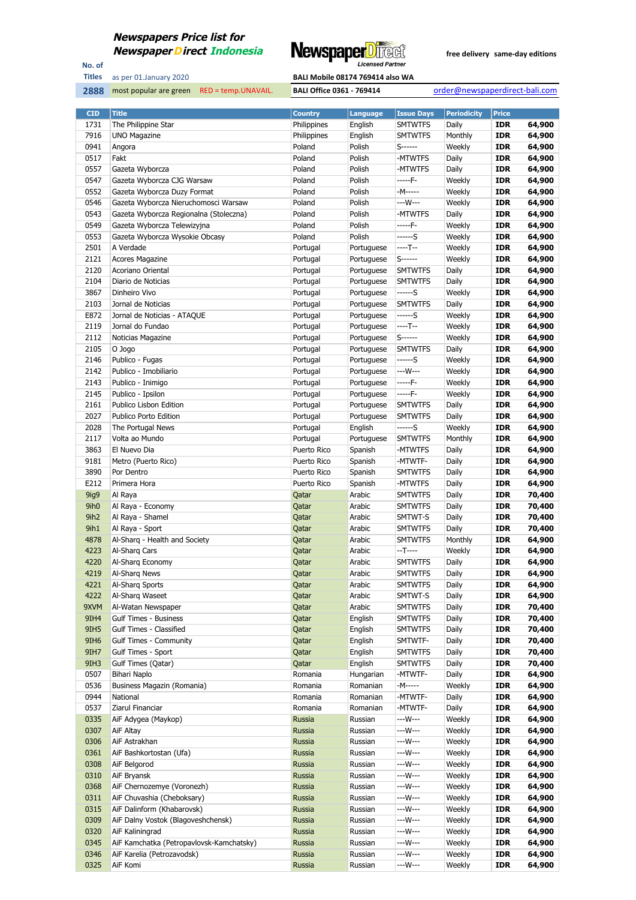

No. of **Titles**

| as per 01.January 2020 | <b>BALI Mobile 08174 769414 also WA</b> |
|------------------------|-----------------------------------------|
|                        |                                         |

| <b>CID</b>       | <b>Title</b>                             | <b>Country</b> | Language                 | <b>Issue Days</b>   | <b>Periodicity</b> | <b>Price</b> |        |
|------------------|------------------------------------------|----------------|--------------------------|---------------------|--------------------|--------------|--------|
| 1731             | The Philippine Star                      | Philippines    | English                  | <b>SMTWTFS</b>      | Daily              | <b>IDR</b>   | 64,900 |
| 7916             | <b>UNO Magazine</b>                      | Philippines    | English                  | <b>SMTWTFS</b>      | Monthly            | <b>IDR</b>   | 64,900 |
| 0941             | Angora                                   | Poland         | Polish                   | $S$ ------          | Weekly             | <b>IDR</b>   | 64,900 |
| 0517             | Fakt                                     | Poland         | Polish                   | -MTWTFS             | Daily              | IDR          | 64,900 |
| 0557             | Gazeta Wyborcza                          | Poland         | Polish                   | -MTWTFS             | Daily              | <b>IDR</b>   | 64,900 |
| 0547             | Gazeta Wyborcza CJG Warsaw               | Poland         | Polish                   | -----F-             | Weekly             | <b>IDR</b>   | 64,900 |
| 0552             | Gazeta Wyborcza Duzy Format              | Poland         | Polish                   | -M-----             | Weekly             | <b>IDR</b>   | 64,900 |
| 0546             | Gazeta Wyborcza Nieruchomosci Warsaw     | Poland         | Polish                   | ---W---             | Weekly             | IDR          | 64,900 |
| 0543             | Gazeta Wyborcza Regionalna (Stoleczna)   | Poland         | Polish                   | -MTWTFS             | Daily              | <b>IDR</b>   | 64,900 |
| 0549             | Gazeta Wyborcza Telewizyjna              | Poland         | Polish                   | -----F-             | Weekly             | <b>IDR</b>   | 64,900 |
| 0553             | Gazeta Wyborcza Wysokie Obcasy           | Poland         | Polish                   | ------S             | Weekly             | <b>IDR</b>   | 64,900 |
| 2501             | A Verdade                                | Portugal       | Portuguese               | ----T--             | Weekly             | <b>IDR</b>   | 64,900 |
| 2121             | Acores Magazine                          | Portugal       | Portuguese               | $S$ ------          | Weekly             | <b>IDR</b>   | 64,900 |
| 2120             | Acoriano Oriental                        | Portugal       | Portuguese               | <b>SMTWTFS</b>      | Daily              | <b>IDR</b>   | 64,900 |
| 2104             | Diario de Noticias                       | Portugal       | Portuguese               | <b>SMTWTFS</b>      | Daily              | <b>IDR</b>   | 64,900 |
| 3867             | Dinheiro Vivo                            | Portugal       | Portuguese               | ------S             | Weekly             | IDR          | 64,900 |
| 2103             | Jornal de Noticias                       | Portugal       |                          | <b>SMTWTFS</b>      | Daily              | <b>IDR</b>   | 64,900 |
|                  |                                          |                | Portuguese<br>Portuguese | ------S             | Weekly             | <b>IDR</b>   |        |
| E872             | Jornal de Noticias - ATAQUE              | Portugal       |                          | ----T--             |                    |              | 64,900 |
| 2119             | Jornal do Fundao                         | Portugal       | Portuguese               |                     | Weekly             | <b>IDR</b>   | 64,900 |
| 2112             | Noticias Magazine                        | Portugal       | Portuguese               | $S$ ------          | Weekly             | <b>IDR</b>   | 64,900 |
| 2105             | O Jogo                                   | Portugal       | Portuguese               | <b>SMTWTFS</b>      | Daily              | <b>IDR</b>   | 64,900 |
| 2146             | Publico - Fugas                          | Portugal       | Portuguese               | ------S             | Weekly             | <b>IDR</b>   | 64,900 |
| 2142             | Publico - Imobiliario                    | Portugal       | Portuguese               | ---W---             | Weekly             | <b>IDR</b>   | 64,900 |
| 2143             | Publico - Inimigo                        | Portugal       | Portuguese               | -----F-             | Weekly             | <b>IDR</b>   | 64,900 |
| 2145             | Publico - Ipsilon                        | Portugal       | Portuguese               | -----F-             | Weekly             | <b>IDR</b>   | 64,900 |
| 2161             | Publico Lisbon Edition                   | Portugal       | Portuguese               | <b>SMTWTFS</b>      | Daily              | <b>IDR</b>   | 64,900 |
| 2027             | Publico Porto Edition                    | Portugal       | Portuguese               | <b>SMTWTFS</b>      | Daily              | <b>IDR</b>   | 64,900 |
| 2028             | The Portugal News                        | Portugal       | English                  | ------S             | Weekly             | <b>IDR</b>   | 64,900 |
| 2117             | Volta ao Mundo                           | Portugal       | Portuguese               | <b>SMTWTFS</b>      | Monthly            | <b>IDR</b>   | 64,900 |
| 3863             | El Nuevo Dia                             | Puerto Rico    | Spanish                  | -MTWTFS             | Daily              | <b>IDR</b>   | 64,900 |
| 9181             | Metro (Puerto Rico)                      | Puerto Rico    | Spanish                  | -MTWTF-             | Daily              | <b>IDR</b>   | 64,900 |
| 3890             | Por Dentro                               | Puerto Rico    | Spanish                  | <b>SMTWTFS</b>      | Daily              | IDR          | 64,900 |
| E212             | Primera Hora                             | Puerto Rico    | Spanish                  | -MTWTFS             | Daily              | <b>IDR</b>   | 64,900 |
| 9ig9             | Al Raya                                  | Qatar          | Arabic                   | <b>SMTWTFS</b>      | Daily              | <b>IDR</b>   | 70,400 |
| 9ih <sub>0</sub> | Al Raya - Economy                        | Qatar          | Arabic                   | <b>SMTWTFS</b>      | Daily              | <b>IDR</b>   | 70,400 |
| 9ih <sub>2</sub> | Al Raya - Shamel                         | Qatar          | Arabic                   | SMTWT-S             | Daily              | <b>IDR</b>   | 70,400 |
| 9ih1             | Al Raya - Sport                          | Qatar          | Arabic                   | <b>SMTWTFS</b>      | Daily              | <b>IDR</b>   | 70,400 |
| 4878             | Al-Sharq - Health and Society            | Qatar          | Arabic                   | <b>SMTWTFS</b>      | Monthly            | <b>IDR</b>   | 64,900 |
| 4223             | Al-Sharg Cars                            | Qatar          | Arabic                   | $-T---$             | Weekly             | <b>IDR</b>   | 64,900 |
| 4220             | Al-Sharq Economy                         | Qatar          | Arabic                   | <b>SMTWTFS</b>      | Daily              | IDR          | 64,900 |
| 4219             | Al-Sharg News                            | Qatar          | Arabic                   | <b>SMTWTFS</b>      | Daily              | <b>IDR</b>   | 64,900 |
| 4221             | Al-Sharg Sports                          | Qatar          | Arabic                   | <b>SMTWTFS</b>      | Daily              | <b>IDR</b>   | 64,900 |
| 4222             | Al-Sharg Waseet                          | Qatar          | Arabic                   | SMTWT-S             | Daily              | <b>IDR</b>   | 64,900 |
| 9XVM             | Al-Watan Newspaper                       | Qatar          | Arabic                   | <b>SMTWTFS</b>      | Daily              | <b>IDR</b>   | 70,400 |
| 9IH4             | <b>Gulf Times - Business</b>             | Qatar          | English                  | <b>SMTWTFS</b>      | Daily              | <b>IDR</b>   | 70,400 |
| 9IH5             | <b>Gulf Times - Classified</b>           | Qatar          | English                  | <b>SMTWTFS</b>      | Daily              | <b>IDR</b>   | 70,400 |
| 9IH <sub>6</sub> | <b>Gulf Times - Community</b>            | Qatar          | English                  | SMTWTF-             | Daily              | <b>IDR</b>   | 70,400 |
| 9IH7             | Gulf Times - Sport                       | Qatar          | English                  | <b>SMTWTFS</b>      | Daily              | <b>IDR</b>   | 70,400 |
| 9IH3             | Gulf Times (Qatar)                       | Qatar          | English                  | <b>SMTWTFS</b>      | Daily              | <b>IDR</b>   | 70,400 |
| 0507             | Bihari Naplo                             | Romania        | Hungarian                | -MTWTF-             | Daily              | <b>IDR</b>   | 64,900 |
| 0536             | Business Magazin (Romania)               | Romania        | Romanian                 | -M-----             | Weekly             | <b>IDR</b>   | 64,900 |
| 0944             | National                                 | Romania        | Romanian                 | -MTWTF-             | Daily              | <b>IDR</b>   | 64,900 |
| 0537             | Ziarul Financiar                         | Romania        | Romanian                 | -MTWTF-             | Daily              | <b>IDR</b>   | 64,900 |
| 0335             |                                          | <b>Russia</b>  | Russian                  | ---W---             | Weekly             | <b>IDR</b>   | 64,900 |
|                  | AiF Adygea (Maykop)                      |                |                          |                     |                    |              |        |
| 0307             | AiF Altay                                | Russia         | Russian                  | ---W---             | Weekly             | <b>IDR</b>   | 64,900 |
| 0306             | AiF Astrakhan                            | Russia         | Russian                  | ---W---<br>$--W---$ | Weekly             | <b>IDR</b>   | 64,900 |
| 0361             | AiF Bashkortostan (Ufa)                  | Russia         | Russian                  |                     | Weekly             | <b>IDR</b>   | 64,900 |
| 0308             | AiF Belgorod                             | Russia         | Russian                  | ---W---             | Weekly             | <b>IDR</b>   | 64,900 |
| 0310             | AiF Bryansk                              | Russia         | Russian                  | ---W---             | Weekly             | <b>IDR</b>   | 64,900 |
| 0368             | AiF Chernozemye (Voronezh)               | Russia         | Russian                  | ---W---             | Weekly             | <b>IDR</b>   | 64,900 |
| 0311             | AiF Chuvashia (Cheboksary)               | Russia         | Russian                  | ---W---             | Weekly             | <b>IDR</b>   | 64,900 |
| 0315             | AiF Dalinform (Khabarovsk)               | Russia         | Russian                  | ---W---             | Weekly             | <b>IDR</b>   | 64,900 |
| 0309             | AiF Dalny Vostok (Blagoveshchensk)       | Russia         | Russian                  | ---W---             | Weekly             | <b>IDR</b>   | 64,900 |
| 0320             | AiF Kaliningrad                          | Russia         | Russian                  | ---W---             | Weekly             | <b>IDR</b>   | 64,900 |
| 0345             | AiF Kamchatka (Petropavlovsk-Kamchatsky) | Russia         | Russian                  | $--W---$            | Weekly             | <b>IDR</b>   | 64,900 |
| 0346             | AiF Karelia (Petrozavodsk)               | Russia         | Russian                  | ---W---             | Weekly             | <b>IDR</b>   | 64,900 |
| 0325             | AiF Komi                                 | Russia         | Russian                  | $--W---$            | Weekly             | <b>IDR</b>   | 64,900 |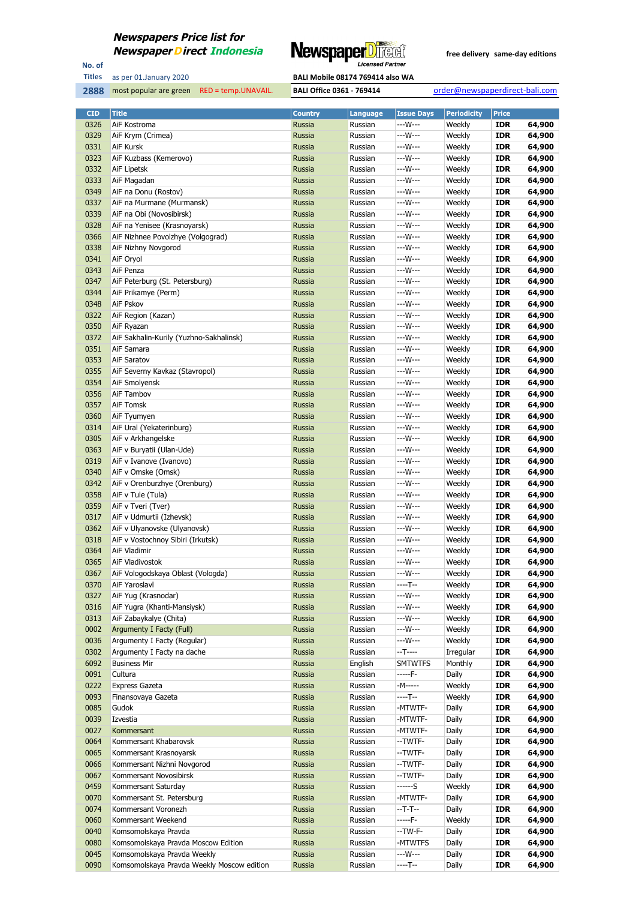

No. of **Titles**

most popular are green RED = temp.UNAVAIL. **BALI Office 0361 - 769414** order@newspaperdirect-bali.com

| <b>CID</b> | <b>Title</b>                                       | <b>Country</b> | Language | <b>Issue Days</b> | <b>Periodicity</b> | <b>Price</b> |        |
|------------|----------------------------------------------------|----------------|----------|-------------------|--------------------|--------------|--------|
| 0326       | AiF Kostroma                                       | Russia         | Russian  | ---W---           | Weekly             | <b>IDR</b>   | 64,900 |
| 0329       | AiF Krym (Crimea)                                  | <b>Russia</b>  | Russian  | ---W---           | Weekly             | <b>IDR</b>   | 64,900 |
| 0331       | AiF Kursk                                          | Russia         | Russian  | ---W---           | Weekly             | <b>IDR</b>   | 64,900 |
| 0323       | AiF Kuzbass (Kemerovo)                             | Russia         | Russian  | ---W---           | Weekly             | <b>IDR</b>   | 64,900 |
| 0332       | AiF Lipetsk                                        | Russia         | Russian  | ---W---           | Weekly             | <b>IDR</b>   | 64,900 |
| 0333       | AiF Magadan                                        | <b>Russia</b>  | Russian  | ---W---           | Weekly             | <b>IDR</b>   | 64,900 |
| 0349       | AiF na Donu (Rostov)                               | Russia         | Russian  | ---W---           | Weekly             | <b>IDR</b>   | 64,900 |
| 0337       | AiF na Murmane (Murmansk)                          | Russia         | Russian  | ---W---           | Weekly             | <b>IDR</b>   | 64,900 |
| 0339       | AiF na Obi (Novosibirsk)                           | Russia         | Russian  | $--W---$          | Weekly             | <b>IDR</b>   | 64,900 |
| 0328       | AiF na Yenisee (Krasnoyarsk)                       | <b>Russia</b>  | Russian  | ---W---           | Weekly             | <b>IDR</b>   | 64,900 |
| 0366       | AiF Nizhnee Povolzhye (Volgograd)                  | Russia         | Russian  | ---W---           | Weekly             | <b>IDR</b>   | 64,900 |
| 0338       | AiF Nizhny Novgorod                                | Russia         | Russian  | ---W---           | Weekly             | <b>IDR</b>   | 64,900 |
| 0341       |                                                    | Russia         |          | ---W---           | Weekly             | <b>IDR</b>   | 64,900 |
| 0343       | AiF Oryol<br>AiF Penza                             | <b>Russia</b>  | Russian  | ---W---           |                    | <b>IDR</b>   |        |
|            |                                                    |                | Russian  |                   | Weekly             |              | 64,900 |
| 0347       | AiF Peterburg (St. Petersburg)                     | Russia         | Russian  | ---W---           | Weekly             | <b>IDR</b>   | 64,900 |
| 0344       | AiF Prikamye (Perm)                                | Russia         | Russian  | ---W---           | Weekly             | <b>IDR</b>   | 64,900 |
| 0348       | AiF Pskov                                          | Russia         | Russian  | ---W---           | Weekly             | <b>IDR</b>   | 64,900 |
| 0322       | AiF Region (Kazan)                                 | <b>Russia</b>  | Russian  | ---W---           | Weekly             | <b>IDR</b>   | 64,900 |
| 0350       | AiF Ryazan                                         | Russia         | Russian  | $--W---$          | Weekly             | <b>IDR</b>   | 64,900 |
| 0372       | AiF Sakhalin-Kurily (Yuzhno-Sakhalinsk)            | Russia         | Russian  | ---W---           | Weekly             | <b>IDR</b>   | 64,900 |
| 0351       | AiF Samara                                         | Russia         | Russian  | ---W---           | Weekly             | <b>IDR</b>   | 64,900 |
| 0353       | AiF Saratov                                        | <b>Russia</b>  | Russian  | ---W---           | Weekly             | <b>IDR</b>   | 64,900 |
| 0355       | AiF Severny Kavkaz (Stavropol)                     | Russia         | Russian  | ---W---           | Weekly             | <b>IDR</b>   | 64,900 |
| 0354       | AiF Smolyensk                                      | Russia         | Russian  | ---W---           | Weekly             | <b>IDR</b>   | 64,900 |
| 0356       | AiF Tambov                                         | Russia         | Russian  | $--W---$          | Weekly             | <b>IDR</b>   | 64,900 |
| 0357       | AiF Tomsk                                          | <b>Russia</b>  | Russian  | ---W---           | Weekly             | <b>IDR</b>   | 64,900 |
| 0360       | AiF Tyumyen                                        | Russia         | Russian  | ---W---           | Weekly             | <b>IDR</b>   | 64,900 |
| 0314       | AiF Ural (Yekaterinburg)                           | Russia         | Russian  | ---W---           | Weekly             | <b>IDR</b>   | 64,900 |
| 0305       | AiF v Arkhangelske                                 | Russia         | Russian  | ---W---           | Weekly             | <b>IDR</b>   | 64,900 |
| 0363       | AiF v Buryatii (Ulan-Ude)                          | <b>Russia</b>  | Russian  | ---W---           | Weekly             | <b>IDR</b>   | 64,900 |
| 0319       | AiF v Ivanove (Ivanovo)                            | Russia         | Russian  | ---W---           | Weekly             | <b>IDR</b>   | 64,900 |
| 0340       | AiF v Omske (Omsk)                                 | Russia         | Russian  | ---W---           | Weekly             | <b>IDR</b>   | 64,900 |
| 0342       | AiF v Orenburzhye (Orenburg)                       | Russia         | Russian  | ---W---           | Weekly             | <b>IDR</b>   | 64,900 |
| 0358       | AiF v Tule (Tula)                                  | <b>Russia</b>  | Russian  | ---W---           | Weekly             | <b>IDR</b>   | 64,900 |
| 0359       | AiF v Tveri (Tver)                                 | Russia         | Russian  | ---W---           | Weekly             | <b>IDR</b>   | 64,900 |
| 0317       | AiF v Udmurtii (Izhevsk)                           | Russia         | Russian  | ---W---           | Weekly             | <b>IDR</b>   | 64,900 |
| 0362       | AiF v Ulyanovske (Ulyanovsk)                       | Russia         | Russian  | $--W---$          | Weekly             | <b>IDR</b>   | 64,900 |
| 0318       | AiF v Vostochnoy Sibiri (Irkutsk)                  | <b>Russia</b>  | Russian  | ---W---           | Weekly             | <b>IDR</b>   | 64,900 |
| 0364       | AiF Vladimir                                       | Russia         | Russian  | $--W---$          | Weekly             | <b>IDR</b>   | 64,900 |
| 0365       | AiF Vladivostok                                    | Russia         | Russian  | ---W---           | Weekly             | <b>IDR</b>   | 64,900 |
| 0367       | AiF Vologodskaya Oblast (Vologda)                  | Russia         | Russian  | ---W---           | Weekly             | <b>IDR</b>   | 64,900 |
| 0370       | AiF Yaroslavl                                      | Russia         | Russian  | $---T--$          | Weekly             | <b>IDR</b>   | 64,900 |
|            |                                                    |                |          | ---W---           |                    |              | 64,900 |
| 0327       | AiF Yug (Krasnodar)<br>AiF Yugra (Khanti-Mansiysk) | Russia         | Russian  | ---W---           | Weekly             | <b>IDR</b>   |        |
| 0316       |                                                    | Russia         | Russian  |                   | Weekly             | <b>IDR</b>   | 64,900 |
| 0313       | AiF Zabaykalye (Chita)                             | Russia         | Russian  | ---W---           | Weekly             | <b>IDR</b>   | 64,900 |
| 0002       | Argumenty I Facty (Full)                           | Russia         | Russian  | ---W---           | Weekly             | <b>IDR</b>   | 64,900 |
| 0036       | Argumenty I Facty (Regular)                        | Russia         | Russian  | ---W---           | Weekly             | <b>IDR</b>   | 64,900 |
| 0302       | Argumenty I Facty na dache                         | Russia         | Russian  | $-T---$           | Irregular          | <b>IDR</b>   | 64,900 |
| 6092       | <b>Business Mir</b>                                | Russia         | English  | <b>SMTWTFS</b>    | Monthly            | <b>IDR</b>   | 64,900 |
| 0091       | Cultura                                            | Russia         | Russian  | -----F-           | Daily              | <b>IDR</b>   | 64,900 |
| 0222       | <b>Express Gazeta</b>                              | Russia         | Russian  | -M-----           | Weekly             | <b>IDR</b>   | 64,900 |
| 0093       | Finansovaya Gazeta                                 | Russia         | Russian  | ----T--           | Weekly             | <b>IDR</b>   | 64,900 |
| 0085       | Gudok                                              | Russia         | Russian  | -MTWTF-           | Daily              | <b>IDR</b>   | 64,900 |
| 0039       | Izvestia                                           | Russia         | Russian  | -MTWTF-           | Daily              | <b>IDR</b>   | 64,900 |
| 0027       | Kommersant                                         | Russia         | Russian  | -MTWTF-           | Daily              | <b>IDR</b>   | 64,900 |
| 0064       | Kommersant Khabarovsk                              | Russia         | Russian  | --TWTF-           | Daily              | <b>IDR</b>   | 64,900 |
| 0065       | Kommersant Krasnoyarsk                             | Russia         | Russian  | --TWTF-           | Daily              | <b>IDR</b>   | 64,900 |
| 0066       | Kommersant Nizhni Novgorod                         | Russia         | Russian  | --TWTF-           | Daily              | <b>IDR</b>   | 64,900 |
| 0067       | Kommersant Novosibirsk                             | Russia         | Russian  | --TWTF-           | Daily              | <b>IDR</b>   | 64,900 |
| 0459       | Kommersant Saturday                                | Russia         | Russian  | ------S           | Weekly             | <b>IDR</b>   | 64,900 |
| 0070       | Kommersant St. Petersburg                          | Russia         | Russian  | -MTWTF-           | Daily              | <b>IDR</b>   | 64,900 |
| 0074       | Kommersant Voronezh                                | Russia         | Russian  | $-T-T-$           | Daily              | <b>IDR</b>   | 64,900 |
| 0060       | Kommersant Weekend                                 | Russia         | Russian  | -----F-           | Weekly             | <b>IDR</b>   | 64,900 |
| 0040       | Komsomolskaya Pravda                               | Russia         | Russian  | --TW-F-           | Daily              | <b>IDR</b>   | 64,900 |
| 0080       | Komsomolskaya Pravda Moscow Edition                | Russia         | Russian  | -MTWTFS           | Daily              | <b>IDR</b>   | 64,900 |
| 0045       | Komsomolskaya Pravda Weekly                        | Russia         | Russian  | ---W---           | Daily              | <b>IDR</b>   | 64,900 |
| 0090       | Komsomolskaya Pravda Weekly Moscow edition         | Russia         | Russian  | ----T--           | Daily              | <b>IDR</b>   | 64,900 |
|            |                                                    |                |          |                   |                    |              |        |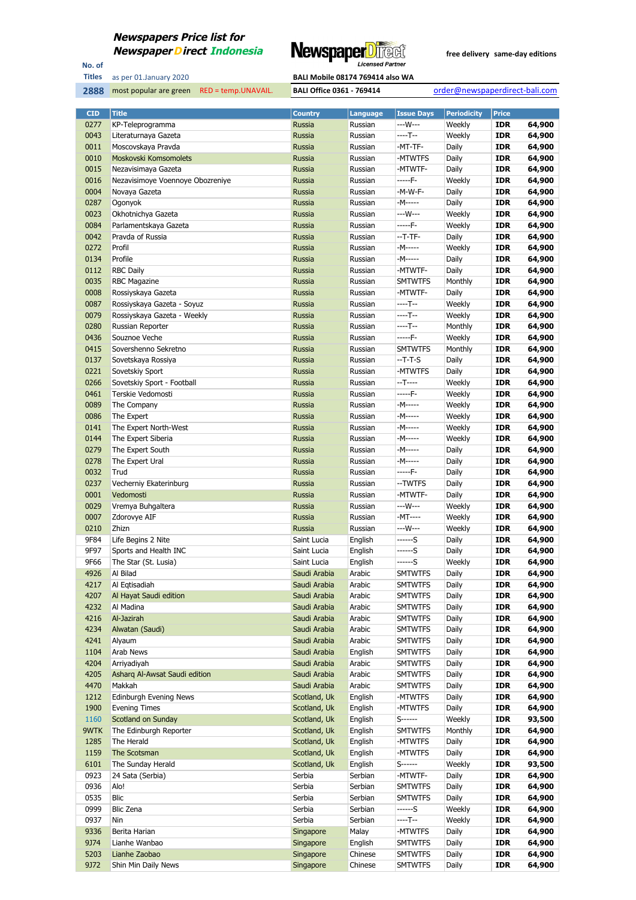

No. of **Titles**

as per 01.January 2020 **BALI Mobile 08174 769414 also WA** 

| <b>CID</b>   | <b>Title</b>                         | <b>Country</b>         | Language           | <b>Issue Days</b>                | <b>Periodicity</b> | <b>Price</b>             |                  |
|--------------|--------------------------------------|------------------------|--------------------|----------------------------------|--------------------|--------------------------|------------------|
| 0277         | KP-Teleprogramma                     | Russia                 | Russian            | ---W---                          | Weekly             | <b>IDR</b>               | 64,900           |
| 0043         | Literaturnaya Gazeta                 | <b>Russia</b>          | Russian            | $---T--$                         | Weekly             | <b>IDR</b>               | 64,900           |
| 0011         | Moscovskaya Pravda                   | Russia                 | Russian            | -MT-TF-                          | Daily              | <b>IDR</b>               | 64,900           |
| 0010         | Moskovski Komsomolets                | Russia                 | Russian            | -MTWTFS                          | Daily              | <b>IDR</b>               | 64,900           |
| 0015         | Nezavisimaya Gazeta                  | Russia                 | Russian            | -MTWTF-                          | Daily              | <b>IDR</b>               | 64,900           |
| 0016         | Nezavisimoye Voennoye Obozreniye     | Russia                 | Russian            | -----F-                          | Weekly             | <b>IDR</b>               | 64,900           |
| 0004         | Novaya Gazeta                        | Russia                 | Russian            | -M-W-F-                          | Daily              | IDR                      | 64,900           |
| 0287         | Ogonyok                              | Russia                 | Russian            | -M-----                          | Daily              | <b>IDR</b>               | 64,900           |
| 0023         | Okhotnichya Gazeta                   | Russia                 | Russian            | ---W---                          | Weekly             | <b>IDR</b>               | 64,900           |
| 0084         | Parlamentskaya Gazeta                | Russia                 | Russian            | $---F-$                          | Weekly             | <b>IDR</b>               | 64,900           |
| 0042         | Prayda of Russia                     | Russia                 | Russian            | --T-TF-                          | Daily              | <b>IDR</b>               | 64,900           |
| 0272         | Profil                               | Russia                 | Russian            | -M-----                          | Weekly             | <b>IDR</b>               | 64,900           |
| 0134         | Profile                              | Russia                 | Russian            | -M-----                          | Daily              | <b>IDR</b>               | 64,900           |
| 0112         | <b>RBC Daily</b>                     | Russia                 | Russian            | -MTWTF-                          | Daily              | <b>IDR</b>               | 64,900           |
| 0035         | <b>RBC Magazine</b>                  | Russia                 | Russian            | <b>SMTWTFS</b>                   | Monthly            | <b>IDR</b>               | 64,900           |
| 0008         | Rossiyskaya Gazeta                   | Russia                 | Russian            | -MTWTF-                          | Daily              | <b>IDR</b>               | 64,900           |
| 0087         | Rossiyskaya Gazeta - Soyuz           | Russia                 | Russian            | ----T--                          | Weekly             | <b>IDR</b>               | 64,900           |
| 0079         | Rossiyskaya Gazeta - Weekly          | Russia                 | Russian            | $---T--$                         | Weekly             | <b>IDR</b>               | 64,900           |
| 0280         | Russian Reporter                     | Russia                 | Russian            | ----T--                          | Monthly            | <b>IDR</b>               | 64,900           |
| 0436         | Souznoe Veche                        | Russia                 | Russian            | $---F-$                          | Weekly             | <b>IDR</b>               | 64,900           |
| 0415         | Sovershenno Sekretno                 | Russia                 | Russian            | <b>SMTWTFS</b>                   | Monthly            | <b>IDR</b>               | 64,900           |
| 0137         | Sovetskaya Rossiya                   | Russia                 | Russian            | $-T-T-S$                         | Daily              | <b>IDR</b>               | 64,900           |
| 0221         | Sovetskiy Sport                      | Russia                 | Russian            | -MTWTFS                          | Daily              | <b>IDR</b>               | 64,900           |
| 0266         | Sovetskiy Sport - Football           | Russia                 | Russian            | $-T$ -----                       | Weekly             | <b>IDR</b>               | 64,900           |
| 0461         | Terskie Vedomosti                    | Russia                 | Russian            | -----F-                          | Weekly             | <b>IDR</b>               | 64,900           |
| 0089         | The Company                          | Russia                 | Russian            | -M-----                          | Weekly             | <b>IDR</b>               | 64,900           |
| 0086         | The Expert                           | Russia                 | Russian            | -M-----                          | Weekly             | <b>IDR</b>               | 64,900           |
| 0141         | The Expert North-West                | Russia                 | Russian            | -M-----<br>-M-----               | Weekly             | <b>IDR</b>               | 64,900           |
| 0144<br>0279 | The Expert Siberia                   | Russia                 | Russian            | -M-----                          | Weekly<br>Daily    | <b>IDR</b><br><b>IDR</b> | 64,900<br>64,900 |
| 0278         | The Expert South<br>The Expert Ural  | Russia<br>Russia       | Russian<br>Russian | -M-----                          | Daily              | <b>IDR</b>               | 64,900           |
| 0032         | Trud                                 | Russia                 | Russian            | -----F-                          | Daily              | <b>IDR</b>               | 64,900           |
| 0237         | Vecherniy Ekaterinburg               | Russia                 | Russian            | --TWTFS                          | Daily              | <b>IDR</b>               | 64,900           |
| 0001         | Vedomosti                            | Russia                 | Russian            | -MTWTF-                          | Daily              | <b>IDR</b>               | 64,900           |
| 0029         | Vremya Buhgaltera                    | Russia                 | Russian            | ---W---                          | Weekly             | <b>IDR</b>               | 64,900           |
| 0007         | Zdorovye AIF                         | Russia                 | Russian            | -MT----                          | Weekly             | <b>IDR</b>               | 64,900           |
| 0210         | Zhizn                                | Russia                 | Russian            | ---W---                          | Weekly             | <b>IDR</b>               | 64,900           |
| 9F84         | Life Begins 2 Nite                   | Saint Lucia            | English            | $---S$                           | Daily              | <b>IDR</b>               | 64,900           |
| 9F97         | Sports and Health INC                | Saint Lucia            | English            | $---S$                           | Daily              | <b>IDR</b>               | 64,900           |
| 9F66         | The Star (St. Lusia)                 | Saint Lucia            | English            | ------S                          | Weekly             | <b>IDR</b>               | 64,900           |
| 4926         | Al Bilad                             | Saudi Arabia           | Arabic             | <b>SMTWTFS</b>                   | Daily              | <b>IDR</b>               | 64,900           |
| 4217         | Al Eqtisadiah                        | Saudi Arabia           | Arabic             | <b>SMTWTFS</b>                   | Daily              | <b>IDR</b>               | 64,900           |
| 4207         | Al Hayat Saudi edition               | Saudi Arabia           | Arabic             | <b>SMTWTFS</b>                   | Daily              | IDR                      | 64,900           |
| 4232         | Al Madina                            | Saudi Arabia           | Arabic             | <b>SMTWTFS</b>                   | Daily              | <b>IDR</b>               | 64,900           |
| 4216         | Al-Jazirah                           | Saudi Arabia           | Arabic             | <b>SMTWTFS</b>                   | Daily              | <b>IDR</b>               | 64,900           |
| 4234         | Alwatan (Saudi)                      | Saudi Arabia           | Arabic             | <b>SMTWTFS</b>                   | Daily              | <b>IDR</b>               | 64,900           |
| 4241         | Alyaum                               | Saudi Arabia           | Arabic             | <b>SMTWTFS</b>                   | Daily              | <b>IDR</b>               | 64,900           |
| 1104         | Arab News                            | Saudi Arabia           | English            | <b>SMTWTFS</b>                   | Daily              | <b>IDR</b>               | 64,900           |
| 4204         | Arriyadiyah                          | Saudi Arabia           | Arabic             | <b>SMTWTFS</b>                   | Daily              | IDR                      | 64,900           |
| 4205         | Asharg Al-Awsat Saudi edition        | Saudi Arabia           | Arabic             | <b>SMTWTFS</b>                   | Daily              | <b>IDR</b>               | 64,900           |
| 4470         | Makkah                               | Saudi Arabia           | Arabic             | <b>SMTWTFS</b>                   | Daily              | <b>IDR</b>               | 64,900           |
| 1212         | <b>Edinburgh Evening News</b>        | Scotland, Uk           | English            | -MTWTFS                          | Daily              | <b>IDR</b>               | 64,900           |
| 1900         | <b>Evening Times</b>                 | Scotland, Uk           | English            | -MTWTFS                          | Daily              | <b>IDR</b>               | 64,900           |
| 1160         | Scotland on Sunday                   | Scotland, Uk           | English            | S------                          | Weekly             | <b>IDR</b>               | 93,500           |
| 9WTK         | The Edinburgh Reporter               | Scotland, Uk           | English            | <b>SMTWTFS</b>                   | Monthly            | <b>IDR</b>               | 64,900           |
| 1285         | The Herald                           | Scotland, Uk           | English            | -MTWTFS                          | Daily              | <b>IDR</b>               | 64,900           |
| 1159         | The Scotsman                         | Scotland, Uk           | English            | -MTWTFS                          | Daily              | <b>IDR</b>               | 64,900           |
| 6101         | The Sunday Herald                    | Scotland, Uk           | English            | S-------                         | Weekly             | <b>IDR</b>               | 93,500           |
| 0923         | 24 Sata (Serbia)                     | Serbia                 | Serbian            | -MTWTF-                          | Daily              | IDR                      | 64,900           |
| 0936         | Alo!                                 | Serbia                 | Serbian            | <b>SMTWTFS</b>                   | Daily              | <b>IDR</b>               | 64,900           |
| 0535         | Blic                                 | Serbia                 | Serbian            | <b>SMTWTFS</b>                   | Daily              | <b>IDR</b>               | 64,900           |
| 0999         | Blic Zena                            | Serbia                 | Serbian            | ------S                          | Weekly             | <b>IDR</b>               | 64,900           |
| 0937         | Nin                                  | Serbia                 | Serbian            | ----T--                          | Weekly             | <b>IDR</b>               | 64,900           |
| 9336         | Berita Harian                        | Singapore              | Malay              | -MTWTFS                          | Daily              | <b>IDR</b>               | 64,900           |
| 9J74         | Lianhe Wanbao                        | Singapore              | English            | <b>SMTWTFS</b>                   | Daily              | <b>IDR</b>               | 64,900           |
| 5203<br>9J72 | Lianhe Zaobao<br>Shin Min Daily News | Singapore<br>Singapore | Chinese<br>Chinese | <b>SMTWTFS</b><br><b>SMTWTFS</b> | Daily<br>Daily     | <b>IDR</b><br><b>IDR</b> | 64,900<br>64,900 |
|              |                                      |                        |                    |                                  |                    |                          |                  |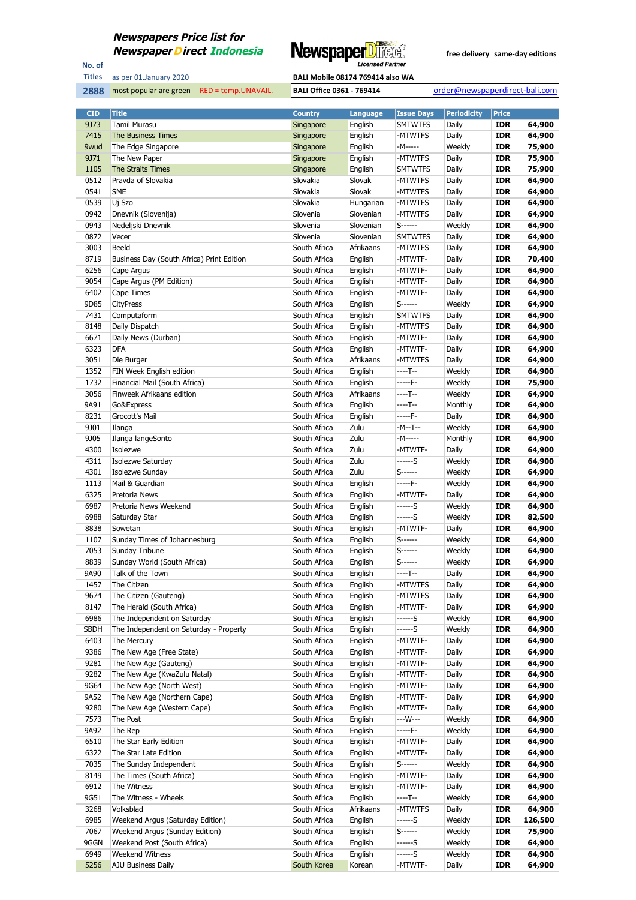

No. of **Titles**

| <b>BALI Mobile 08174 769414 also WA</b> |
|-----------------------------------------|
|                                         |
|                                         |

| <b>CID</b>  | <b>Title</b>                              | <b>Country</b> | <b>Language</b> | <b>Issue Days</b> | <b>Periodicity</b> | <b>Price</b> |         |
|-------------|-------------------------------------------|----------------|-----------------|-------------------|--------------------|--------------|---------|
| 9J73        | <b>Tamil Murasu</b>                       | Singapore      | English         | <b>SMTWTFS</b>    | Daily              | <b>IDR</b>   | 64,900  |
| 7415        | The Business Times                        | Singapore      | English         | -MTWTFS           | Daily              | <b>IDR</b>   | 64,900  |
| 9wud        | The Edge Singapore                        | Singapore      | English         | -M-----           | Weekly             | <b>IDR</b>   | 75,900  |
| 9J71        | The New Paper                             | Singapore      | English         | -MTWTFS           | Daily              | <b>IDR</b>   | 75,900  |
| 1105        | The Straits Times                         | Singapore      | English         | <b>SMTWTFS</b>    | Daily              | <b>IDR</b>   | 75,900  |
| 0512        | Pravda of Slovakia                        | Slovakia       | Slovak          | -MTWTFS           | Daily              | <b>IDR</b>   | 64,900  |
| 0541        | <b>SME</b>                                | Slovakia       | Slovak          | -MTWTFS           | Daily              | <b>IDR</b>   | 64,900  |
| 0539        | Uj Szo                                    | Slovakia       | Hungarian       | -MTWTFS           | Daily              | <b>IDR</b>   | 64,900  |
| 0942        | Dnevnik (Slovenija)                       | Slovenia       | Slovenian       | -MTWTFS           | Daily              | <b>IDR</b>   | 64,900  |
| 0943        | Nedeljski Dnevnik                         | Slovenia       | Slovenian       | $S$ ------        | Weekly             | <b>IDR</b>   | 64,900  |
| 0872        | Vecer                                     | Slovenia       | Slovenian       | <b>SMTWTFS</b>    | Daily              | <b>IDR</b>   | 64,900  |
| 3003        | Beeld                                     | South Africa   | Afrikaans       | -MTWTFS           | Daily              | <b>IDR</b>   | 64,900  |
| 8719        | Business Day (South Africa) Print Edition | South Africa   | English         | -MTWTF-           | Daily              | <b>IDR</b>   | 70,400  |
| 6256        | Cape Argus                                | South Africa   | English         | -MTWTF-           | Daily              | <b>IDR</b>   | 64,900  |
| 9054        | Cape Argus (PM Edition)                   | South Africa   | English         | -MTWTF-           | Daily              | <b>IDR</b>   | 64,900  |
| 6402        | Cape Times                                | South Africa   | English         | -MTWTF-           | Daily              | <b>IDR</b>   | 64,900  |
| 9D85        | <b>CityPress</b>                          | South Africa   | English         | S------           | Weekly             | <b>IDR</b>   | 64,900  |
| 7431        | Computaform                               | South Africa   | English         | <b>SMTWTFS</b>    | Daily              | <b>IDR</b>   | 64,900  |
| 8148        | Daily Dispatch                            | South Africa   | English         | -MTWTFS           | Daily              | <b>IDR</b>   | 64,900  |
| 6671        | Daily News (Durban)                       | South Africa   | English         | -MTWTF-           | Daily              | <b>IDR</b>   | 64,900  |
| 6323        | <b>DFA</b>                                | South Africa   | English         | -MTWTF-           | Daily              | <b>IDR</b>   | 64,900  |
| 3051        | Die Burger                                | South Africa   | Afrikaans       | -MTWTFS           | Daily              | <b>IDR</b>   | 64,900  |
| 1352        | FIN Week English edition                  | South Africa   | English         | ----T--           | Weekly             | <b>IDR</b>   | 64,900  |
| 1732        | Financial Mail (South Africa)             | South Africa   | English         | -----F-           | Weekly             | <b>IDR</b>   | 75,900  |
| 3056        | Finweek Afrikaans edition                 | South Africa   | Afrikaans       | ----T--           | Weekly             | <b>IDR</b>   | 64,900  |
| 9A91        | Go&Express                                | South Africa   | English         | ----T--           | Monthly            | <b>IDR</b>   | 64,900  |
| 8231        | Grocott's Mail                            | South Africa   | English         | -----F-           | Daily              | <b>IDR</b>   | 64,900  |
| 9J01        | Ilanga                                    | South Africa   | Zulu            | -M--T--           | Weekly             | <b>IDR</b>   | 64,900  |
| 9J05        | Ilanga langeSonto                         | South Africa   | Zulu            | -M-----           | Monthly            | <b>IDR</b>   | 64,900  |
| 4300        | Isolezwe                                  | South Africa   | Zulu            | -MTWTF-           | Daily              | <b>IDR</b>   | 64,900  |
| 4311        | Isolezwe Saturday                         | South Africa   | Zulu            | ------S           | Weekly             | <b>IDR</b>   | 64,900  |
| 4301        | Isolezwe Sunday                           | South Africa   | Zulu            | S------           | Weekly             | <b>IDR</b>   | 64,900  |
| 1113        | Mail & Guardian                           | South Africa   | English         | -----F-           | Weekly             | <b>IDR</b>   | 64,900  |
| 6325        | Pretoria News                             | South Africa   | English         | -MTWTF-           | Daily              | <b>IDR</b>   | 64,900  |
| 6987        | Pretoria News Weekend                     | South Africa   | English         | ------S           | Weekly             | <b>IDR</b>   | 64,900  |
| 6988        | Saturday Star                             | South Africa   | English         | ------S           | Weekly             | <b>IDR</b>   | 82,500  |
| 8838        | Sowetan                                   | South Africa   | English         | -MTWTF-           | Daily              | <b>IDR</b>   | 64,900  |
| 1107        | Sunday Times of Johannesburg              | South Africa   | English         | $S$ ------        | Weekly             | <b>IDR</b>   | 64,900  |
| 7053        | Sunday Tribune                            | South Africa   | English         | $S$ ------        | Weekly             | <b>IDR</b>   | 64,900  |
| 8839        | Sunday World (South Africa)               | South Africa   | English         | S------           | Weekly             | <b>IDR</b>   | 64,900  |
| 9A90        | Talk of the Town                          | South Africa   | English         | ----T--           | Daily              | <b>IDR</b>   | 64,900  |
| 1457        | The Citizen                               | South Africa   | English         | -MTWTFS           | Daily              | <b>IDR</b>   | 64,900  |
| 9674        | The Citizen (Gauteng)                     | South Africa   | English         | -MTWTFS           | Daily              | <b>IDR</b>   | 64,900  |
| 8147        | The Herald (South Africa)                 | South Africa   | English         | -MTWTF-           | Daily              | <b>IDR</b>   | 64,900  |
| 6986        | The Independent on Saturday               | South Africa   | English         | ------S           | Weekly             | <b>IDR</b>   | 64,900  |
| <b>SBDH</b> | The Independent on Saturday - Property    | South Africa   | English         | ------S           | Weekly             | <b>IDR</b>   | 64,900  |
| 6403        | The Mercury                               | South Africa   | English         | -MTWTF-           | Daily              | <b>IDR</b>   | 64,900  |
| 9386        | The New Age (Free State)                  | South Africa   | English         | -MTWTF-           | Daily              | <b>IDR</b>   | 64,900  |
| 9281        | The New Age (Gauteng)                     | South Africa   | English         | -MTWTF-           | Daily              | <b>IDR</b>   | 64,900  |
| 9282        | The New Age (KwaZulu Natal)               | South Africa   | English         | -MTWTF-           | Daily              | <b>IDR</b>   | 64,900  |
| 9G64        | The New Age (North West)                  | South Africa   | English         | -MTWTF-           | Daily              | <b>IDR</b>   | 64,900  |
| 9A52        | The New Age (Northern Cape)               | South Africa   | English         | -MTWTF-           | Daily              | <b>IDR</b>   | 64,900  |
| 9280        | The New Age (Western Cape)                | South Africa   | English         | -MTWTF-           | Daily              | <b>IDR</b>   | 64,900  |
| 7573        | The Post                                  | South Africa   | English         | ---W---           | Weekly             | <b>IDR</b>   | 64,900  |
| 9A92        | The Rep                                   | South Africa   | English         | -----F-           | Weekly             | <b>IDR</b>   | 64,900  |
| 6510        | The Star Early Edition                    | South Africa   | English         | -MTWTF-           | Daily              | <b>IDR</b>   | 64,900  |
| 6322        | The Star Late Edition                     | South Africa   | English         | -MTWTF-           | Daily              | <b>IDR</b>   | 64,900  |
| 7035        | The Sunday Independent                    | South Africa   | English         | $S$ ------        | Weekly             | <b>IDR</b>   | 64,900  |
| 8149        | The Times (South Africa)                  | South Africa   | English         | -MTWTF-           | Daily              | <b>IDR</b>   | 64,900  |
| 6912        | The Witness                               | South Africa   | English         | -MTWTF-           | Daily              | <b>IDR</b>   | 64,900  |
| 9G51        | The Witness - Wheels                      | South Africa   | English         | $---T--$          | Weekly             | <b>IDR</b>   | 64,900  |
| 3268        | Volksblad                                 | South Africa   | Afrikaans       | -MTWTFS           | Daily              | <b>IDR</b>   | 64,900  |
| 6985        | Weekend Argus (Saturday Edition)          | South Africa   | English         | ------S           | Weekly             | <b>IDR</b>   | 126,500 |
| 7067        | Weekend Argus (Sunday Edition)            | South Africa   | English         | S------           | Weekly             | <b>IDR</b>   | 75,900  |
| 9GGN        | Weekend Post (South Africa)               | South Africa   | English         | ------S           | Weekly             | <b>IDR</b>   | 64,900  |
| 6949        | Weekend Witness                           | South Africa   | English         | ------S           | Weekly             | <b>IDR</b>   | 64,900  |
| 5256        | AJU Business Daily                        | South Korea    | Korean          | -MTWTF-           | Daily              | <b>IDR</b>   | 64,900  |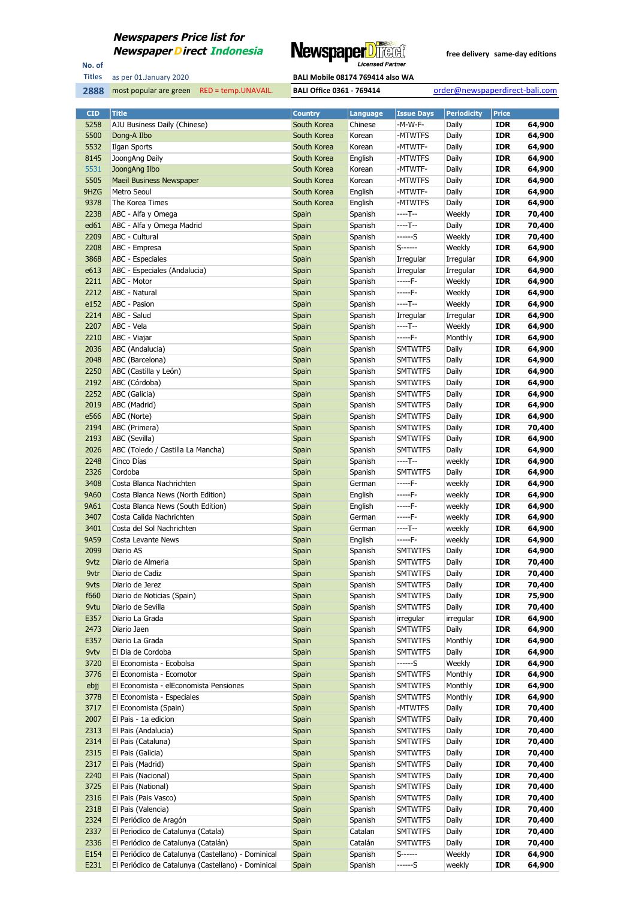

No. of **Titles**

most popular are green RED = temp.UNAVAIL. **BALI Office 0361 - 769414** order@newspaperdirect-bali.com

| <b>CID</b> | <b>Title</b>                                       | <b>Country</b> | <b>Language</b> | <b>Issue Days</b> | <b>Periodicity</b> | <b>Price</b> |        |
|------------|----------------------------------------------------|----------------|-----------------|-------------------|--------------------|--------------|--------|
| 5258       | AJU Business Daily (Chinese)                       | South Korea    | Chinese         | -M-W-F-           | Daily              | <b>IDR</b>   | 64,900 |
| 5500       | Dong-A Ilbo                                        | South Korea    | Korean          | -MTWTFS           | Daily              | <b>IDR</b>   | 64,900 |
| 5532       | Ilgan Sports                                       | South Korea    | Korean          | -MTWTF-           | Daily              | <b>IDR</b>   | 64,900 |
| 8145       | JoongAng Daily                                     | South Korea    | English         | -MTWTFS           | Daily              | <b>IDR</b>   | 64,900 |
| 5531       | JoongAng Ilbo                                      | South Korea    | Korean          | -MTWTF-           | Daily              | <b>IDR</b>   | 64,900 |
| 5505       | <b>Maeil Business Newspaper</b>                    | South Korea    | Korean          | -MTWTFS           | Daily              | <b>IDR</b>   | 64,900 |
| 9HZG       | Metro Seoul                                        | South Korea    | English         | -MTWTF-           | Daily              | <b>IDR</b>   | 64,900 |
| 9378       | The Korea Times                                    | South Korea    | English         | -MTWTFS           | Daily              | <b>IDR</b>   | 64,900 |
| 2238       | ABC - Alfa y Omega                                 | Spain          | Spanish         | ----T--           | Weekly             | <b>IDR</b>   | 70,400 |
| ed61       | ABC - Alfa y Omega Madrid                          | Spain          | Spanish         | ----T--           | Daily              | IDR          | 70,400 |
| 2209       | ABC - Cultural                                     | Spain          | Spanish         | $---S$            | Weekly             | <b>IDR</b>   | 70,400 |
| 2208       | ABC - Empresa                                      | Spain          | Spanish         | $S$ ------        | Weekly             | IDR          | 64,900 |
| 3868       | ABC - Especiales                                   | Spain          | Spanish         | Irregular         | Irregular          | <b>IDR</b>   | 64,900 |
| e613       | ABC - Especiales (Andalucia)                       | Spain          | Spanish         | Irregular         | Irregular          | <b>IDR</b>   | 64,900 |
| 2211       | ABC - Motor                                        | Spain          | Spanish         | -----F-           | Weekly             | <b>IDR</b>   | 64,900 |
| 2212       | ABC - Natural                                      | Spain          | Spanish         | -----F-           | Weekly             | IDR          | 64,900 |
| e152       | ABC - Pasion                                       | Spain          | Spanish         | $---T--$          | Weekly             | <b>IDR</b>   | 64,900 |
| 2214       | ABC - Salud                                        | Spain          | Spanish         | Irregular         | Irregular          | IDR          | 64,900 |
| 2207       | ABC - Vela                                         | Spain          | Spanish         | $---T--$          | Weekly             | <b>IDR</b>   | 64,900 |
| 2210       | ABC - Viajar                                       | Spain          | Spanish         | -----F-           | Monthly            | IDR          | 64,900 |
| 2036       | ABC (Andalucia)                                    | Spain          | Spanish         | <b>SMTWTFS</b>    | Daily              | <b>IDR</b>   | 64,900 |
| 2048       | ABC (Barcelona)                                    | Spain          | Spanish         | <b>SMTWTFS</b>    | Daily              | <b>IDR</b>   | 64,900 |
| 2250       | ABC (Castilla y León)                              | Spain          | Spanish         | <b>SMTWTFS</b>    | Daily              | <b>IDR</b>   | 64,900 |
| 2192       | ABC (Córdoba)                                      | Spain          | Spanish         | <b>SMTWTFS</b>    | Daily              | IDR          | 64,900 |
| 2252       | ABC (Galicia)                                      | Spain          | Spanish         | <b>SMTWTFS</b>    | Daily              | <b>IDR</b>   | 64,900 |
| 2019       | ABC (Madrid)                                       | Spain          | Spanish         | <b>SMTWTFS</b>    | Daily              | IDR          | 64,900 |
| e566       | ABC (Norte)                                        | Spain          | Spanish         | <b>SMTWTFS</b>    | Daily              | IDR          | 64,900 |
| 2194       | ABC (Primera)                                      | Spain          | Spanish         | <b>SMTWTFS</b>    | Daily              | IDR          | 70,400 |
| 2193       | ABC (Sevilla)                                      | Spain          | Spanish         | <b>SMTWTFS</b>    | Daily              | <b>IDR</b>   | 64,900 |
| 2026       | ABC (Toledo / Castilla La Mancha)                  | Spain          | Spanish         | <b>SMTWTFS</b>    | Daily              | <b>IDR</b>   | 64,900 |
| 2248       | Cinco Días                                         | Spain          | Spanish         | ----T--           | weekly             | <b>IDR</b>   | 64,900 |
| 2326       | Cordoba                                            | Spain          | Spanish         | <b>SMTWTFS</b>    | Daily              | IDR          | 64,900 |
| 3408       | Costa Blanca Nachrichten                           | Spain          | German          | -----F-           | weekly             | <b>IDR</b>   | 64,900 |
| 9A60       | Costa Blanca News (North Edition)                  | Spain          | English         | -----F-           | weekly             | <b>IDR</b>   | 64,900 |
| 9A61       | Costa Blanca News (South Edition)                  | Spain          | English         | -----F-           | weekly             | <b>IDR</b>   | 64,900 |
| 3407       | Costa Calida Nachrichten                           | Spain          | German          | -----F-           | weekly             | IDR          | 64,900 |
| 3401       | Costa del Sol Nachrichten                          | Spain          | German          | ----T--           | weekly             | <b>IDR</b>   | 64,900 |
| 9A59       | Costa Levante News                                 | Spain          | English         | -----F-           | weekly             | <b>IDR</b>   | 64,900 |
| 2099       | Diario AS                                          | Spain          | Spanish         | <b>SMTWTFS</b>    | Daily              | <b>IDR</b>   | 64,900 |
| 9vtz       | Diario de Almeria                                  | Spain          | Spanish         | <b>SMTWTFS</b>    | Daily              | <b>IDR</b>   | 70,400 |
| 9vtr       | Diario de Cadiz                                    | Spain          | Spanish         | <b>SMTWTFS</b>    | Daily              | <b>IDR</b>   | 70,400 |
| 9vts       | Diario de Jerez                                    | Spain          | Spanish         | <b>SMTWTFS</b>    | Daily              | IDR          | 70,400 |
| f660       | Diario de Noticias (Spain)                         | Spain          | Spanish         | <b>SMTWTFS</b>    | Daily              | <b>IDR</b>   | 75,900 |
| 9vtu       | Diario de Sevilla                                  | Spain          | Spanish         | <b>SMTWTFS</b>    | Daily              | <b>IDR</b>   | 70,400 |
| E357       | Diario La Grada                                    | Spain          | Spanish         | irregular         | irregular          | <b>IDR</b>   | 64,900 |
| 2473       | Diario Jaen                                        | Spain          | Spanish         | <b>SMTWTFS</b>    | Daily              | IDR          | 64,900 |
| E357       | Diario La Grada                                    | Spain          | Spanish         | <b>SMTWTFS</b>    | Monthly            | IDR          | 64,900 |
| 9vtv       | El Dia de Cordoba                                  | Spain          | Spanish         | <b>SMTWTFS</b>    | Daily              | IDR          | 64,900 |
| 3720       | El Economista - Ecobolsa                           | Spain          | Spanish         | ------S           | Weekly             | <b>IDR</b>   | 64,900 |
| 3776       | El Economista - Ecomotor                           | Spain          | Spanish         | <b>SMTWTFS</b>    | Monthly            | IDR          | 64,900 |
| ebjj       | El Economista - elEconomista Pensiones             | Spain          | Spanish         | <b>SMTWTFS</b>    | Monthly            | <b>IDR</b>   | 64,900 |
| 3778       | El Economista - Especiales                         | Spain          | Spanish         | <b>SMTWTFS</b>    | Monthly            | IDR          | 64,900 |
| 3717       | El Economista (Spain)                              | Spain          | Spanish         | -MTWTFS           | Daily              | <b>IDR</b>   | 70,400 |
| 2007       | El Pais - 1a edicion                               | Spain          | Spanish         | <b>SMTWTFS</b>    | Daily              | <b>IDR</b>   | 70,400 |
| 2313       | El Pais (Andalucia)                                | Spain          | Spanish         | <b>SMTWTFS</b>    | Daily              | <b>IDR</b>   | 70,400 |
| 2314       | El Pais (Cataluna)                                 | Spain          | Spanish         | <b>SMTWTFS</b>    | Daily              | <b>IDR</b>   | 70,400 |
| 2315       | El Pais (Galicia)                                  | Spain          | Spanish         | <b>SMTWTFS</b>    | Daily              | <b>IDR</b>   | 70,400 |
| 2317       | El Pais (Madrid)                                   | Spain          | Spanish         | <b>SMTWTFS</b>    | Daily              | <b>IDR</b>   | 70,400 |
| 2240       | El Pais (Nacional)                                 | Spain          | Spanish         | <b>SMTWTFS</b>    | Daily              | <b>IDR</b>   | 70,400 |
| 3725       | El Pais (National)                                 | Spain          | Spanish         | <b>SMTWTFS</b>    | Daily              | <b>IDR</b>   | 70,400 |
| 2316       | El Pais (Pais Vasco)                               | Spain          | Spanish         | <b>SMTWTFS</b>    | Daily              | <b>IDR</b>   | 70,400 |
| 2318       | El Pais (Valencia)                                 | Spain          | Spanish         | <b>SMTWTFS</b>    | Daily              | <b>IDR</b>   | 70,400 |
| 2324       | El Periódico de Aragón                             | Spain          | Spanish         | <b>SMTWTFS</b>    | Daily              | <b>IDR</b>   | 70,400 |
| 2337       | El Periodico de Catalunya (Catala)                 | Spain          | Catalan         | <b>SMTWTFS</b>    | Daily              | <b>IDR</b>   | 70,400 |
| 2336       | El Periódico de Catalunya (Catalán)                | Spain          | Catalán         | <b>SMTWTFS</b>    | Daily              | <b>IDR</b>   | 70,400 |
| E154       | El Periódico de Catalunya (Castellano) - Dominical | Spain          | Spanish         | $S$ ------        | Weekly             | <b>IDR</b>   | 64,900 |
| E231       | El Periódico de Catalunya (Castellano) - Dominical | Spain          | Spanish         | ------S           | weekly             | <b>IDR</b>   | 64,900 |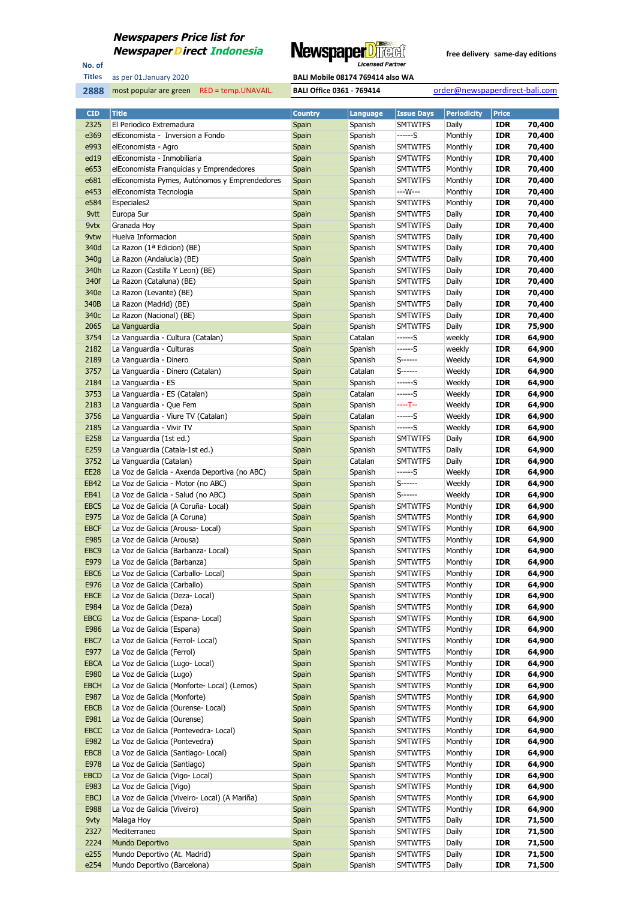

No. of **Titles**



| <b>CID</b>          | <b>Title</b>                                  | <b>Country</b> | <b>Language</b>    | <b>Issue Days</b>                | <b>Periodicity</b> | <b>Price</b>      |                  |
|---------------------|-----------------------------------------------|----------------|--------------------|----------------------------------|--------------------|-------------------|------------------|
| 2325                | El Periodico Extremadura                      | Spain          | Spanish            | <b>SMTWTFS</b>                   | Daily              | <b>IDR</b>        | 70,400           |
| e369                | elEconomista - Inversion a Fondo              | Spain          | Spanish            | ------S                          | Monthly            | <b>IDR</b>        | 70,400           |
| e993                | elEconomista - Agro                           | Spain          | Spanish            | <b>SMTWTFS</b>                   | Monthly            | <b>IDR</b>        | 70,400           |
| ed19                | elEconomista - Inmobiliaria                   | Spain          | Spanish            | <b>SMTWTFS</b>                   | Monthly            | IDR               | 70,400           |
| e653                | elEconomista Franquicias y Emprendedores      | Spain          | Spanish            | <b>SMTWTFS</b>                   | Monthly            | <b>IDR</b>        | 70,400           |
| e <sub>681</sub>    | elEconomista Pymes, Autónomos y Emprendedores | Spain          | Spanish            | <b>SMTWTFS</b>                   | Monthly            | <b>IDR</b>        | 70,400           |
| e453                | elEconomista Tecnologia                       | Spain          | Spanish            | ---W---                          | Monthly            | <b>IDR</b>        | 70,400           |
| e584                | Especiales2                                   | Spain          | Spanish            | <b>SMTWTFS</b>                   | Monthly            | IDR               | 70,400           |
| 9vtt                | Europa Sur                                    | Spain          | Spanish            | <b>SMTWTFS</b>                   | Daily              | <b>IDR</b>        | 70,400           |
| 9vtx                | Granada Hoy                                   | Spain          | Spanish            | <b>SMTWTFS</b>                   | Daily              | IDR               | 70,400           |
| 9vtw                | Huelva Informacion                            | Spain          | Spanish            | <b>SMTWTFS</b>                   | Daily              | IDR               | 70,400           |
| 340d                | La Razon (1ª Edicion) (BE)                    | Spain          | Spanish            | <b>SMTWTFS</b>                   | Daily              | IDR               | 70,400           |
| 340g                | La Razon (Andalucia) (BE)                     | Spain          | Spanish            | <b>SMTWTFS</b>                   | Daily              | IDR               | 70,400           |
| 340h                | La Razon (Castilla Y Leon) (BE)               | Spain          | Spanish            | <b>SMTWTFS</b>                   | Daily              | IDR               | 70,400           |
| 340f                |                                               |                | Spanish            | <b>SMTWTFS</b>                   | Daily              | IDR               | 70,400           |
|                     | La Razon (Cataluna) (BE)                      | Spain          |                    |                                  |                    |                   |                  |
| 340e                | La Razon (Levante) (BE)                       | Spain          | Spanish            | <b>SMTWTFS</b>                   | Daily              | IDR               | 70,400           |
| 340B                | La Razon (Madrid) (BE)                        | Spain          | Spanish            | <b>SMTWTFS</b>                   | Daily              | <b>IDR</b>        | 70,400           |
| 340c                | La Razon (Nacional) (BE)                      | Spain          | Spanish            | <b>SMTWTFS</b>                   | Daily              | IDR               | 70,400           |
| 2065                | La Vanguardia                                 | Spain          | Spanish            | <b>SMTWTFS</b>                   | Daily              | IDR               | 75,900           |
| 3754                | La Vanguardia - Cultura (Catalan)             | Spain          | Catalan            | ------S                          | weekly             | IDR               | 64,900           |
| 2182                | La Vanguardia - Culturas                      | Spain          | Spanish            | $---S$                           | weekly             | IDR               | 64,900           |
| 2189                | La Vanguardia - Dinero                        | Spain          | Spanish            | S-------                         | Weekly             | IDR               | 64,900           |
| 3757                | La Vanguardia - Dinero (Catalan)              | Spain          | Catalan            | S-------                         | Weekly             | IDR               | 64,900           |
| 2184                | La Vanguardia - ES                            | Spain          | Spanish            | ------S                          | Weekly             | IDR               | 64,900           |
| 3753                | La Vanguardia - ES (Catalan)                  | Spain          | Catalan            | ------S                          | Weekly             | <b>IDR</b>        | 64,900           |
| 2183                | La Vanguardia - Que Fem                       | Spain          | Spanish            | ----T--                          | Weekly             | IDR               | 64,900           |
| 3756                | La Vanguardia - Viure TV (Catalan)            | Spain          | Catalan            | ------S                          | Weekly             | IDR               | 64,900           |
| 2185                | La Vanguardia - Vivir TV                      | Spain          | Spanish            | ------S                          | Weekly             | IDR               | 64,900           |
| E258                | La Vanguardia (1st ed.)                       | Spain          | Spanish            | <b>SMTWTFS</b>                   | Daily              | IDR               | 64,900           |
| E259                | La Vanguardia (Catala-1st ed.)                | Spain          | Spanish            | <b>SMTWTFS</b>                   | Daily              | IDR               | 64,900           |
| 3752                | La Vanguardia (Catalan)                       | Spain          | Catalan            | <b>SMTWTFS</b>                   | Daily              | IDR               | 64,900           |
| <b>EE28</b>         | La Voz de Galicia - Axenda Deportiva (no ABC) | Spain          | Spanish            | ------S                          | Weekly             | IDR               | 64,900           |
| EB42                | La Voz de Galicia - Motor (no ABC)            | Spain          | Spanish            | S------                          | Weekly             | <b>IDR</b>        | 64,900           |
| EB41                | La Voz de Galicia - Salud (no ABC)            | Spain          | Spanish            | S------                          | Weekly             | IDR               | 64,900           |
| EBC5                | La Voz de Galicia (A Coruña- Local)           | Spain          | Spanish            | <b>SMTWTFS</b>                   | Monthly            | IDR               | 64,900           |
| E975                | La Voz de Galicia (A Coruna)                  | Spain          | Spanish            | <b>SMTWTFS</b>                   | Monthly            | IDR               | 64,900           |
| <b>EBCF</b>         | La Voz de Galicia (Arousa- Local)             | Spain          | Spanish            | <b>SMTWTFS</b>                   | Monthly            | IDR               | 64,900           |
| E985                | La Voz de Galicia (Arousa)                    | Spain          | Spanish            | <b>SMTWTFS</b>                   | Monthly            | IDR               | 64,900           |
| EBC <sub>9</sub>    | La Voz de Galicia (Barbanza- Local)           | Spain          | Spanish            | <b>SMTWTFS</b>                   | Monthly            | IDR               | 64,900           |
| E979                | La Voz de Galicia (Barbanza)                  | Spain          | Spanish            | <b>SMTWTFS</b>                   | Monthly            | IDR               | 64,900           |
| EBC6                | La Voz de Galicia (Carballo-Local)            | Spain          | Spanish            | <b>SMTWTFS</b>                   | Monthly            | <b>IDR</b>        | 64,900           |
| E976                | La Voz de Galicia (Carballo)                  | Spain          | Spanish            | <b>SMTWTFS</b>                   | Monthly            | <b>IDR</b>        | 64,900           |
| <b>EBCE</b>         | La Voz de Galicia (Deza- Local)               | Spain          | Spanish            | <b>SMTWTFS</b>                   | Monthly            | IDR               | 64,900           |
| E984                | La Voz de Galicia (Deza)                      | Spain          | Spanish            | <b>SMTWTFS</b>                   | Monthly            | IDR               | 64,900           |
| <b>EBCG</b>         | La Voz de Galicia (Espana- Local)             | Spain          | Spanish            | <b>SMTWTFS</b>                   | Monthly            | <b>IDR</b>        | 64,900           |
| E986                | La Voz de Galicia (Espana)                    | Spain          | Spanish            | <b>SMTWTFS</b>                   | Monthly            | IDR               | 64,900           |
| EBC7                | La Voz de Galicia (Ferrol- Local)             | Spain          | Spanish            | <b>SMTWTFS</b>                   | Monthly            | <b>IDR</b>        | 64,900           |
| E977                | La Voz de Galicia (Ferrol)                    | Spain          | Spanish            | <b>SMTWTFS</b>                   | Monthly            | IDR               | 64,900           |
| <b>EBCA</b>         | La Voz de Galicia (Lugo- Local)               | Spain          | Spanish            | <b>SMTWTFS</b>                   | Monthly            | <b>IDR</b>        | 64,900           |
| E980                | La Voz de Galicia (Lugo)                      | Spain          | Spanish            | <b>SMTWTFS</b>                   | Monthly            | IDR               | 64,900           |
| <b>EBCH</b>         | La Voz de Galicia (Monforte- Local) (Lemos)   | Spain          | Spanish            | <b>SMTWTFS</b>                   | Monthly            | <b>IDR</b>        | 64,900           |
|                     |                                               |                |                    |                                  |                    |                   |                  |
| E987<br><b>EBCB</b> | La Voz de Galicia (Monforte)                  | Spain          | Spanish<br>Spanish | <b>SMTWTFS</b><br><b>SMTWTFS</b> | Monthly<br>Monthly | IDR<br><b>IDR</b> | 64,900<br>64,900 |
|                     | La Voz de Galicia (Ourense- Local)            | Spain          |                    |                                  |                    |                   |                  |
| E981                | La Voz de Galicia (Ourense)                   | Spain          | Spanish            | <b>SMTWTFS</b>                   | Monthly            | IDR               | 64,900           |
| <b>EBCC</b>         | La Voz de Galicia (Pontevedra- Local)         | Spain          | Spanish            | <b>SMTWTFS</b>                   | Monthly            | <b>IDR</b>        | 64,900           |
| E982                | La Voz de Galicia (Pontevedra)                | Spain          | Spanish            | <b>SMTWTFS</b>                   | Monthly            | IDR               | 64,900           |
| EBC8                | La Voz de Galicia (Santiago- Local)           | Spain          | Spanish            | <b>SMTWTFS</b>                   | Monthly            | <b>IDR</b>        | 64,900           |
| E978                | La Voz de Galicia (Santiago)                  | Spain          | Spanish            | <b>SMTWTFS</b>                   | Monthly            | IDR               | 64,900           |
| <b>EBCD</b>         | La Voz de Galicia (Vigo- Local)               | Spain          | Spanish            | <b>SMTWTFS</b>                   | Monthly            | <b>IDR</b>        | 64,900           |
| E983                | La Voz de Galicia (Vigo)                      | Spain          | Spanish            | <b>SMTWTFS</b>                   | Monthly            | IDR               | 64,900           |
| EBCJ                | La Voz de Galicia (Viveiro- Local) (A Mariña) | Spain          | Spanish            | <b>SMTWTFS</b>                   | Monthly            | <b>IDR</b>        | 64,900           |
| E988                | La Voz de Galicia (Viveiro)                   | Spain          | Spanish            | <b>SMTWTFS</b>                   | Monthly            | IDR               | 64,900           |
| 9vty                | Malaga Hoy                                    | Spain          | Spanish            | <b>SMTWTFS</b>                   | Daily              | <b>IDR</b>        | 71,500           |
| 2327                | Mediterraneo                                  | Spain          | Spanish            | <b>SMTWTFS</b>                   | Daily              | IDR               | 71,500           |
| 2224                | Mundo Deportivo                               | Spain          | Spanish            | <b>SMTWTFS</b>                   | Daily              | <b>IDR</b>        | 71,500           |
| e255                | Mundo Deportivo (At. Madrid)                  | Spain          | Spanish            | <b>SMTWTFS</b>                   | Daily              | IDR               | 71,500           |
| e254                | Mundo Deportivo (Barcelona)                   | Spain          | Spanish            | <b>SMTWTFS</b>                   | Daily              | <b>IDR</b>        | 71,500           |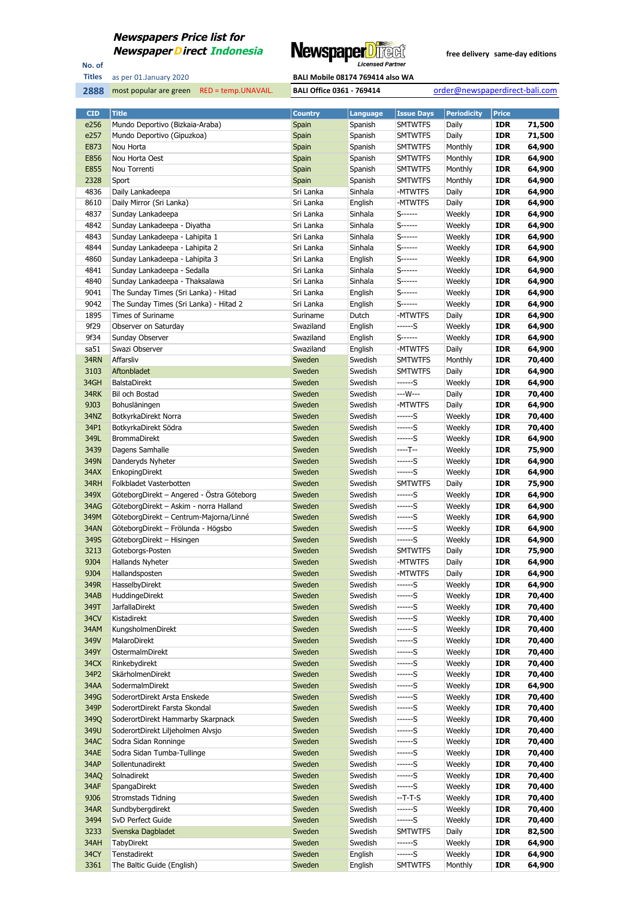

No. of **Titles**



| <b>CID</b> | <b>Title</b>                              | <b>Country</b>        | Language | <b>Issue Days</b> | <b>Periodicity</b> | <b>Price</b> |        |
|------------|-------------------------------------------|-----------------------|----------|-------------------|--------------------|--------------|--------|
| e256       | Mundo Deportivo (Bizkaia-Araba)           | Spain                 | Spanish  | <b>SMTWTFS</b>    | Daily              | <b>IDR</b>   | 71,500 |
| e257       | Mundo Deportivo (Gipuzkoa)                | Spain                 | Spanish  | <b>SMTWTFS</b>    | Daily              | <b>IDR</b>   | 71,500 |
| E873       | Nou Horta                                 | Spain                 | Spanish  | <b>SMTWTFS</b>    | Monthly            | <b>IDR</b>   | 64,900 |
| E856       | Nou Horta Oest                            | Spain                 | Spanish  | <b>SMTWTFS</b>    | Monthly            | <b>IDR</b>   | 64,900 |
| E855       | Nou Torrenti                              | Spain                 | Spanish  | <b>SMTWTFS</b>    | Monthly            | <b>IDR</b>   | 64,900 |
| 2328       | Sport                                     | Spain                 | Spanish  | <b>SMTWTFS</b>    | Monthly            | <b>IDR</b>   | 64,900 |
| 4836       | Daily Lankadeepa                          | Sri Lanka             | Sinhala  | -MTWTFS           | Daily              | <b>IDR</b>   | 64,900 |
| 8610       | Daily Mirror (Sri Lanka)                  | Sri Lanka             | English  | -MTWTFS           | Daily              | <b>IDR</b>   | 64,900 |
| 4837       | Sunday Lankadeepa                         | Sri Lanka             | Sinhala  | S------           | Weekly             | <b>IDR</b>   | 64,900 |
| 4842       | Sunday Lankadeepa - Diyatha               | Sri Lanka             | Sinhala  | S------           | Weekly             | <b>IDR</b>   | 64,900 |
| 4843       | Sunday Lankadeepa - Lahipita 1            | Sri Lanka             | Sinhala  | $S$ ------        | Weekly             | <b>IDR</b>   | 64,900 |
| 4844       | Sunday Lankadeepa - Lahipita 2            | Sri Lanka             | Sinhala  | S-------          | Weekly             | <b>IDR</b>   | 64,900 |
| 4860       | Sunday Lankadeepa - Lahipita 3            | Sri Lanka             | English  | S-------          | Weekly             | <b>IDR</b>   | 64,900 |
| 4841       | Sunday Lankadeepa - Sedalla               | Sri Lanka             | Sinhala  | S------           | Weekly             | <b>IDR</b>   | 64,900 |
| 4840       | Sunday Lankadeepa - Thaksalawa            | Sri Lanka             | Sinhala  | $S$ ------        | Weekly             | <b>IDR</b>   | 64,900 |
| 9041       | The Sunday Times (Sri Lanka) - Hitad      | Sri Lanka             | English  | S-------          | Weekly             | <b>IDR</b>   | 64,900 |
| 9042       | The Sunday Times (Sri Lanka) - Hitad 2    | Sri Lanka             | English  | S------           | Weekly             | <b>IDR</b>   | 64,900 |
| 1895       | Times of Suriname                         |                       | Dutch    | -MTWTFS           | Daily              | <b>IDR</b>   | 64,900 |
| 9f29       | Observer on Saturday                      | Suriname<br>Swaziland | English  | ------S           | Weekly             | <b>IDR</b>   | 64,900 |
|            |                                           |                       |          |                   | Weekly             |              |        |
| 9f34       | Sunday Observer                           | Swaziland             | English  | S------           |                    | <b>IDR</b>   | 64,900 |
| sa51       | Swazi Observer                            | Swaziland             | English  | -MTWTFS           | Daily              | <b>IDR</b>   | 64,900 |
| 34RN       | Affarsliv                                 | Sweden                | Swedish  | <b>SMTWTFS</b>    | Monthly            | <b>IDR</b>   | 70,400 |
| 3103       | Aftonbladet                               | Sweden                | Swedish  | <b>SMTWTFS</b>    | Daily              | <b>IDR</b>   | 64,900 |
| 34GH       | <b>BalstaDirekt</b>                       | Sweden                | Swedish  | ------S           | Weekly             | <b>IDR</b>   | 64,900 |
| 34RK       | Bil och Bostad                            | Sweden                | Swedish  | ---W---           | Daily              | <b>IDR</b>   | 70,400 |
| 9J03       | Bohusläningen                             | Sweden                | Swedish  | -MTWTFS           | Daily              | <b>IDR</b>   | 64,900 |
| 34NZ       | BotkyrkaDirekt Norra                      | Sweden                | Swedish  | ------S           | Weekly             | <b>IDR</b>   | 70,400 |
| 34P1       | BotkyrkaDirekt Södra                      | Sweden                | Swedish  | ------S           | Weekly             | <b>IDR</b>   | 70,400 |
| 349L       | <b>BrommaDirekt</b>                       | Sweden                | Swedish  | ------S           | Weekly             | <b>IDR</b>   | 64,900 |
| 3439       | Dagens Samhalle                           | Sweden                | Swedish  | ----T--           | Weekly             | <b>IDR</b>   | 75,900 |
| 349N       | Danderyds Nyheter                         | Sweden                | Swedish  | ------S           | Weekly             | <b>IDR</b>   | 64,900 |
| 34AX       | EnkopingDirekt                            | Sweden                | Swedish  | ------S           | Weekly             | <b>IDR</b>   | 64,900 |
| 34RH       | Folkbladet Vasterbotten                   | Sweden                | Swedish  | <b>SMTWTFS</b>    | Daily              | <b>IDR</b>   | 75,900 |
| 349X       | GöteborgDirekt – Angered - Ostra Göteborg | Sweden                | Swedish  | ------S           | Weekly             | <b>IDR</b>   | 64,900 |
| 34AG       | GöteborgDirekt - Askim - norra Halland    | Sweden                | Swedish  | $---S$            | Weekly             | <b>IDR</b>   | 64,900 |
| 349M       | GöteborgDirekt - Centrum-Majorna/Linné    | Sweden                | Swedish  | ------S           | Weekly             | <b>IDR</b>   | 64,900 |
| 34AN       | GöteborgDirekt - Frölunda - Högsbo        | Sweden                | Swedish  | ------S           | Weekly             | <b>IDR</b>   | 64,900 |
| 349S       | GöteborgDirekt - Hisingen                 | Sweden                | Swedish  | ------S           | Weekly             | <b>IDR</b>   | 64,900 |
| 3213       | Goteborgs-Posten                          | Sweden                | Swedish  | <b>SMTWTFS</b>    | Daily              | <b>IDR</b>   | 75,900 |
| 9J04       | Hallands Nyheter                          | Sweden                | Swedish  | -MTWTFS           | Daily              | <b>IDR</b>   | 64,900 |
| 9J04       | Hallandsposten                            | Sweden                | Swedish  | -MTWTFS           | Daily              | <b>IDR</b>   | 64,900 |
| 349R       | HasselbyDirekt                            | Sweden                | Swedish  |                   | Weekly             | <b>IDR</b>   | 64,900 |
| 34AB       | HuddingeDirekt                            | Sweden                | Swedish  | ------S           | Weekly             | <b>IDR</b>   | 70,400 |
| 349T       | <b>JarfallaDirekt</b>                     | Sweden                | Swedish  | ------S           | Weekly             | <b>IDR</b>   | 70,400 |
| 34CV       | Kistadirekt                               | Sweden                | Swedish  | ------S           | Weekly             | <b>IDR</b>   | 70,400 |
| 34AM       | KungsholmenDirekt                         | Sweden                | Swedish  | ------S           | Weekly             | <b>IDR</b>   | 70,400 |
| 349V       | MalaroDirekt                              | Sweden                | Swedish  | ------S           | Weekly             | <b>IDR</b>   | 70,400 |
| 349Y       | OstermalmDirekt                           | Sweden                | Swedish  | ------S           | Weekly             | <b>IDR</b>   | 70,400 |
| 34CX       | Rinkebydirekt                             | Sweden                | Swedish  | ------S           | Weekly             | <b>IDR</b>   | 70,400 |
| 34P2       | SkärholmenDirekt                          | Sweden                | Swedish  | ------S           | Weekly             | <b>IDR</b>   | 70,400 |
| 34AA       | SodermalmDirekt                           | Sweden                | Swedish  | ------S           | Weekly             | <b>IDR</b>   | 64,900 |
| 349G       | SoderortDirekt Arsta Enskede              | Sweden                | Swedish  | ------S           | Weekly             | <b>IDR</b>   | 70,400 |
| 349P       | SoderortDirekt Farsta Skondal             | Sweden                | Swedish  | ------S           | Weekly             | <b>IDR</b>   | 70,400 |
| 349Q       | SoderortDirekt Hammarby Skarpnack         | Sweden                | Swedish  | ------S           | Weekly             | <b>IDR</b>   | 70,400 |
| 349U       | SoderortDirekt Liljeholmen Alvsjo         | Sweden                | Swedish  | ------S           | Weekly             | <b>IDR</b>   | 70,400 |
| 34AC       | Sodra Sidan Ronninge                      | Sweden                | Swedish  | ------S           | Weekly             | <b>IDR</b>   | 70,400 |
| 34AE       | Sodra Sidan Tumba-Tullinge                | Sweden                | Swedish  | ------S           | Weekly             | <b>IDR</b>   | 70,400 |
| 34AP       | Sollentunadirekt                          | Sweden                | Swedish  | ------S           | Weekly             | <b>IDR</b>   | 70,400 |
| 34AQ       | Solnadirekt                               | Sweden                | Swedish  | ------S           | Weekly             | <b>IDR</b>   | 70,400 |
| 34AF       | SpangaDirekt                              | Sweden                | Swedish  | ------S           | Weekly             | <b>IDR</b>   | 70,400 |
| 9J06       | <b>Stromstads Tidning</b>                 | Sweden                | Swedish  | $-T-T-S$          | Weekly             | <b>IDR</b>   | 70,400 |
| 34AR       | Sundbybergdirekt                          | Sweden                | Swedish  | $---S$            | Weekly             | <b>IDR</b>   | 70,400 |
| 3494       | SvD Perfect Guide                         | Sweden                | Swedish  | ------S           | Weekly             | <b>IDR</b>   | 70,400 |
| 3233       | Svenska Dagbladet                         | Sweden                | Swedish  | <b>SMTWTFS</b>    | Daily              | <b>IDR</b>   | 82,500 |
| 34AH       | <b>TabyDirekt</b>                         | Sweden                | Swedish  | ------S           | Weekly             | <b>IDR</b>   | 64,900 |
| 34CY       | Tenstadirekt                              | Sweden                | English  | ------S           | Weekly             | <b>IDR</b>   | 64,900 |
| 3361       | The Baltic Guide (English)                | Sweden                | English  | <b>SMTWTFS</b>    | Monthly            | <b>IDR</b>   | 64,900 |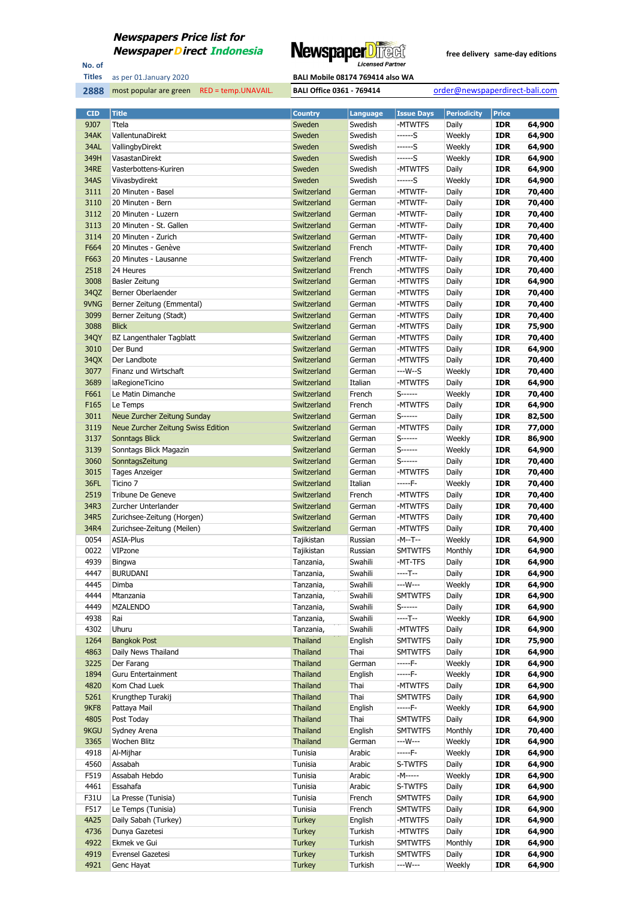

No. of **Titles**

#### as per 01.January 2020 **BALI Mobile 08174 769414 also WA**

| <b>CID</b>  | <b>Title</b>                       | <b>Country</b>  | <b>Language</b> | <b>Issue Days</b> | <b>Periodicity</b> | <b>Price</b> |        |
|-------------|------------------------------------|-----------------|-----------------|-------------------|--------------------|--------------|--------|
| 9J07        | Ttela                              | Sweden          | Swedish         | -MTWTFS           | Daily              | <b>IDR</b>   | 64,900 |
| 34AK        | VallentunaDirekt                   | Sweden          | Swedish         | ------S           | Weekly             | <b>IDR</b>   | 64,900 |
| 34AL        | VallingbyDirekt                    | Sweden          | Swedish         | ------S           | Weekly             | <b>IDR</b>   | 64,900 |
| 349H        | VasastanDirekt                     | Sweden          | Swedish         | ------S           | Weekly             | <b>IDR</b>   | 64,900 |
| 34RE        | Vasterbottens-Kuriren              | Sweden          | Swedish         | -MTWTFS           | Daily              | <b>IDR</b>   | 64,900 |
| <b>34AS</b> | Viivasbydirekt                     | Sweden          | Swedish         | ------S           | Weekly             | <b>IDR</b>   | 64,900 |
| 3111        | 20 Minuten - Basel                 | Switzerland     | German          | -MTWTF-           | Daily              | <b>IDR</b>   | 70,400 |
| 3110        | 20 Minuten - Bern                  | Switzerland     | German          | -MTWTF-           | Daily              | <b>IDR</b>   | 70,400 |
| 3112        | 20 Minuten - Luzern                | Switzerland     | German          | -MTWTF-           | Daily              | <b>IDR</b>   | 70,400 |
| 3113        | 20 Minuten - St. Gallen            | Switzerland     | German          | -MTWTF-           | Daily              | <b>IDR</b>   | 70,400 |
| 3114        | 20 Minuten - Zurich                |                 | German          | -MTWTF-           |                    | <b>IDR</b>   |        |
|             | 20 Minutes - Genève                | Switzerland     |                 |                   | Daily              |              | 70,400 |
| F664        |                                    | Switzerland     | French          | -MTWTF-           | Daily              | <b>IDR</b>   | 70,400 |
| F663        | 20 Minutes - Lausanne              | Switzerland     | French          | -MTWTF-           | Daily              | <b>IDR</b>   | 70,400 |
| 2518        | 24 Heures                          | Switzerland     | French          | -MTWTFS           | Daily              | <b>IDR</b>   | 70,400 |
| 3008        | Basler Zeitung                     | Switzerland     | German          | -MTWTFS           | Daily              | <b>IDR</b>   | 64,900 |
| 34QZ        | Berner Oberlaender                 | Switzerland     | German          | -MTWTFS           | Daily              | <b>IDR</b>   | 70,400 |
| 9VNG        | Berner Zeitung (Emmental)          | Switzerland     | German          | -MTWTFS           | Daily              | <b>IDR</b>   | 70,400 |
| 3099        | Berner Zeitung (Stadt)             | Switzerland     | German          | -MTWTFS           | Daily              | <b>IDR</b>   | 70,400 |
| 3088        | <b>Blick</b>                       | Switzerland     | German          | -MTWTFS           | Daily              | <b>IDR</b>   | 75,900 |
| 34QY        | BZ Langenthaler Tagblatt           | Switzerland     | German          | -MTWTFS           | Daily              | <b>IDR</b>   | 70,400 |
| 3010        | Der Bund                           | Switzerland     | German          | -MTWTFS           | Daily              | <b>IDR</b>   | 64,900 |
| 34QX        | Der Landbote                       | Switzerland     | German          | -MTWTFS           | Daily              | <b>IDR</b>   | 70,400 |
| 3077        | Finanz und Wirtschaft              | Switzerland     | German          | ---W--S           | Weekly             | <b>IDR</b>   | 70,400 |
| 3689        | laRegioneTicino                    | Switzerland     | Italian         | -MTWTFS           | Daily              | <b>IDR</b>   | 64,900 |
| F661        | Le Matin Dimanche                  | Switzerland     | French          | $S$ ------        | Weekly             | <b>IDR</b>   | 70,400 |
| F165        | Le Temps                           | Switzerland     | French          | -MTWTFS           | Daily              | <b>IDR</b>   | 64,900 |
| 3011        | Neue Zurcher Zeitung Sunday        | Switzerland     | German          | S-------          | Daily              | <b>IDR</b>   | 82,500 |
| 3119        | Neue Zurcher Zeitung Swiss Edition | Switzerland     | German          | -MTWTFS           | Daily              | <b>IDR</b>   | 77,000 |
| 3137        | Sonntags Blick                     | Switzerland     | German          | S------           | Weekly             | <b>IDR</b>   | 86,900 |
| 3139        | Sonntags Blick Magazin             | Switzerland     | German          | S-------          | Weekly             | <b>IDR</b>   | 64,900 |
| 3060        |                                    |                 | German          | S------           |                    | <b>IDR</b>   |        |
|             | SonntagsZeitung                    | Switzerland     |                 |                   | Daily              |              | 70,400 |
| 3015        | <b>Tages Anzeiger</b>              | Switzerland     | German          | -MTWTFS           | Daily              | <b>IDR</b>   | 70,400 |
| 36FL        | Ticino 7                           | Switzerland     | Italian         | -----F-           | Weekly             | <b>IDR</b>   | 70,400 |
| 2519        | Tribune De Geneve                  | Switzerland     | French          | -MTWTFS           | Daily              | <b>IDR</b>   | 70,400 |
| 34R3        | Zurcher Unterlander                | Switzerland     | German          | -MTWTFS           | Daily              | <b>IDR</b>   | 70,400 |
| 34R5        | Zurichsee-Zeitung (Horgen)         | Switzerland     | German          | -MTWTFS           | Daily              | <b>IDR</b>   | 70,400 |
| 34R4        | Zurichsee-Zeitung (Meilen)         | Switzerland     | German          | -MTWTFS           | Daily              | <b>IDR</b>   | 70,400 |
| 0054        | <b>ASIA-Plus</b>                   | Tajikistan      | Russian         | -M--T--           | Weekly             | <b>IDR</b>   | 64,900 |
| 0022        | VIPzone                            | Tajikistan      | Russian         | <b>SMTWTFS</b>    | Monthly            | <b>IDR</b>   | 64,900 |
| 4939        | Bingwa                             | Tanzania,       | Swahili         | -MT-TFS           | Daily              | <b>IDR</b>   | 64,900 |
| 4447        | <b>BURUDANI</b>                    | Tanzania,       | Swahili         | ----T--           | Daily              | <b>IDR</b>   | 64,900 |
| 4445        | Dimba                              | Tanzania,       | Swahili         | ---W---           | Weekly             | <b>IDR</b>   | 64,900 |
| 4444        | Mtanzania                          | Tanzania,       | Swahili         | <b>SMTWTFS</b>    | Daily              | <b>IDR</b>   | 64,900 |
| 4449        | <b>MZALENDO</b>                    | Tanzania,       | Swahili         | S-------          | Daily              | <b>IDR</b>   | 64,900 |
| 4938        | Rai                                | Tanzania,       | Swahili         | ----T--           | Weekly             | <b>IDR</b>   | 64,900 |
| 4302        | Uhuru                              | Tanzania,       | Swahili         | -MTWTFS           | Daily              | <b>IDR</b>   | 64,900 |
| 1264        | <b>Bangkok Post</b>                | Thailand        | English         | <b>SMTWTFS</b>    | Daily              | <b>IDR</b>   | 75,900 |
| 4863        | Daily News Thailand                | Thailand        | Thai            | <b>SMTWTFS</b>    | Daily              | <b>IDR</b>   | 64,900 |
| 3225        | Der Farang                         | Thailand        | German          | -----F-           | Weekly             | <b>IDR</b>   | 64,900 |
| 1894        | Guru Entertainment                 | <b>Thailand</b> | English         | -----F-           | Weekly             | <b>IDR</b>   | 64,900 |
| 4820        | Kom Chad Luek                      | Thailand        | Thai            | -MTWTFS           | Daily              | <b>IDR</b>   | 64,900 |
| 5261        | Krungthep Turakij                  | Thailand        | Thai            | SMTWTFS           | Daily              | <b>IDR</b>   | 64,900 |
| 9KF8        | Pattaya Mail                       | Thailand        | English         | -----F-           | Weekly             | <b>IDR</b>   | 64,900 |
| 4805        |                                    |                 |                 |                   |                    |              |        |
|             | Post Today                         | Thailand        | Thai            | <b>SMTWTFS</b>    | Daily              | <b>IDR</b>   | 64,900 |
| 9KGU        | Sydney Arena                       | Thailand        | English         | <b>SMTWTFS</b>    | Monthly            | <b>IDR</b>   | 70,400 |
| 3365        | Wochen Blitz                       | <b>Thailand</b> | German          | ---W---           | Weekly             | <b>IDR</b>   | 64,900 |
| 4918        | Al-Mijhar                          | Tunisia         | Arabic          | -----F-           | Weekly             | <b>IDR</b>   | 64,900 |
| 4560        | Assabah                            | Tunisia         | Arabic          | S-TWTFS           | Daily              | <b>IDR</b>   | 64,900 |
| F519        | Assabah Hebdo                      | Tunisia         | Arabic          | -M-----           | Weekly             | <b>IDR</b>   | 64,900 |
| 4461        | Essahafa                           | Tunisia         | Arabic          | S-TWTFS           | Daily              | <b>IDR</b>   | 64,900 |
| F31U        | La Presse (Tunisia)                | Tunisia         | French          | <b>SMTWTFS</b>    | Daily              | <b>IDR</b>   | 64,900 |
| F517        | Le Temps (Tunisia)                 | Tunisia         | French          | <b>SMTWTFS</b>    | Daily              | <b>IDR</b>   | 64,900 |
| 4A25        | Daily Sabah (Turkey)               | <b>Turkey</b>   | English         | -MTWTFS           | Daily              | <b>IDR</b>   | 64,900 |
| 4736        | Dunya Gazetesi                     | <b>Turkey</b>   | Turkish         | -MTWTFS           | Daily              | <b>IDR</b>   | 64,900 |
| 4922        | Ekmek ve Gui                       | <b>Turkey</b>   | Turkish         | <b>SMTWTFS</b>    | Monthly            | <b>IDR</b>   | 64,900 |
| 4919        | Evrensel Gazetesi                  | <b>Turkey</b>   | Turkish         | <b>SMTWTFS</b>    | Daily              | <b>IDR</b>   | 64,900 |
| 4921        | Genc Hayat                         | <b>Turkey</b>   | Turkish         | ---W---           | Weekly             | <b>IDR</b>   | 64,900 |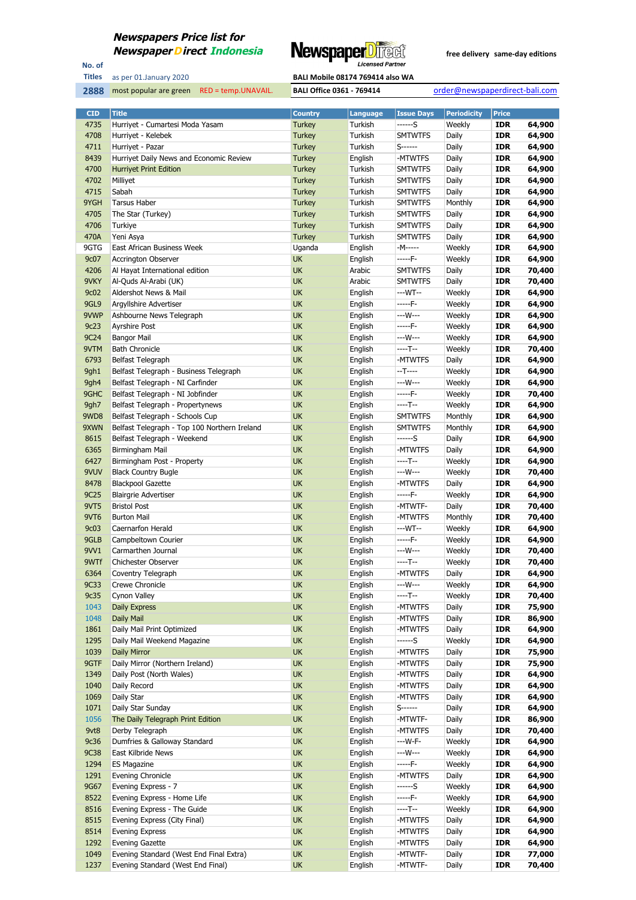

No. of **Titles**

**2888** most popular are green RED = temp.UNAVAIL. **BALI Office 0361 - 769414** order@newspaperdirect-bali.com

| <b>CID</b>  | <b>Title</b>                                 | <b>Country</b> | <b>Language</b> | <b>Issue Days</b> | <b>Periodicity</b> | <b>Price</b> |        |
|-------------|----------------------------------------------|----------------|-----------------|-------------------|--------------------|--------------|--------|
| 4735        | Hurriyet - Cumartesi Moda Yasam              | <b>Turkey</b>  | Turkish         | ------S           | Weekly             | <b>IDR</b>   | 64,900 |
| 4708        | Hurriyet - Kelebek                           | <b>Turkey</b>  | Turkish         | <b>SMTWTFS</b>    | Daily              | <b>IDR</b>   | 64,900 |
| 4711        | Hurriyet - Pazar                             | <b>Turkey</b>  | Turkish         | $S$ ------        | Daily              | <b>IDR</b>   | 64,900 |
| 8439        | Hurriyet Daily News and Economic Review      | <b>Turkey</b>  | English         | -MTWTFS           | Daily              | <b>IDR</b>   | 64,900 |
| 4700        | <b>Hurriyet Print Edition</b>                | <b>Turkey</b>  | Turkish         | <b>SMTWTFS</b>    | Daily              | <b>IDR</b>   | 64,900 |
| 4702        | Milliyet                                     | <b>Turkey</b>  | Turkish         | <b>SMTWTFS</b>    | Daily              | <b>IDR</b>   | 64,900 |
| 4715        | Sabah                                        | <b>Turkey</b>  | Turkish         | <b>SMTWTFS</b>    | Daily              | <b>IDR</b>   | 64,900 |
| 9YGH        | <b>Tarsus Haber</b>                          | <b>Turkey</b>  | Turkish         | <b>SMTWTFS</b>    | Monthly            | <b>IDR</b>   | 64,900 |
| 4705        | The Star (Turkey)                            | <b>Turkey</b>  | Turkish         | <b>SMTWTFS</b>    | Daily              | <b>IDR</b>   | 64,900 |
| 4706        | Turkiye                                      | <b>Turkey</b>  | Turkish         | <b>SMTWTFS</b>    | Daily              | <b>IDR</b>   | 64,900 |
| 470A        | Yeni Asya                                    | <b>Turkey</b>  | Turkish         | <b>SMTWTFS</b>    | Daily              | <b>IDR</b>   | 64,900 |
| 9GTG        | East African Business Week                   | Uganda         | English         | -M-----           | Weekly             | <b>IDR</b>   | 64,900 |
| 9c07        | <b>Accrington Observer</b>                   | <b>UK</b>      | English         | -----F-           | Weekly             | <b>IDR</b>   | 64,900 |
| 4206        | Al Hayat International edition               | <b>UK</b>      | Arabic          | <b>SMTWTFS</b>    | Daily              | <b>IDR</b>   | 70,400 |
| 9VKY        | Al-Quds Al-Arabi (UK)                        | <b>UK</b>      | Arabic          | <b>SMTWTFS</b>    | Daily              | <b>IDR</b>   | 70,400 |
| 9c02        | Aldershot News & Mail                        | UK             | English         | ---WT--           | Weekly             | <b>IDR</b>   | 64,900 |
| 9GL9        | Argyllshire Advertiser                       | <b>UK</b>      | English         | -----F-           | Weekly             | <b>IDR</b>   | 64,900 |
| 9VWP        | Ashbourne News Telegraph                     | UK             | English         | ---W---           | Weekly             | <b>IDR</b>   | 64,900 |
| 9c23        | Ayrshire Post                                | UK             | English         | -----F-           | Weekly             | <b>IDR</b>   | 64,900 |
| 9C24        | <b>Bangor Mail</b>                           | UK             | English         | ---W---           | Weekly             | <b>IDR</b>   | 64,900 |
| 9VTM        | <b>Bath Chronicle</b>                        | <b>UK</b>      | English         | ----T--           | Weekly             | <b>IDR</b>   | 70,400 |
| 6793        | Belfast Telegraph                            | UK             | English         | -MTWTFS           | Daily              | <b>IDR</b>   | 64,900 |
| 9gh1        | Belfast Telegraph - Business Telegraph       | <b>UK</b>      | English         | --T----           | Weekly             | <b>IDR</b>   | 64,900 |
| 9gh4        | Belfast Telegraph - NI Carfinder             | UK             | English         | ---W---           | Weekly             | <b>IDR</b>   | 64,900 |
| 9GHC        | Belfast Telegraph - NI Jobfinder             | UK             | English         | -----F-           | Weekly             | <b>IDR</b>   | 70,400 |
| 9gh7        | Belfast Telegraph - Propertynews             | UK             | English         | $---T--$          | Weekly             | <b>IDR</b>   | 64,900 |
| 9WD8        | Belfast Telegraph - Schools Cup              | UK             | English         | <b>SMTWTFS</b>    | Monthly            | <b>IDR</b>   | 64,900 |
| 9XWN        | Belfast Telegraph - Top 100 Northern Ireland | UK             | English         | <b>SMTWTFS</b>    | Monthly            | <b>IDR</b>   | 64,900 |
| 8615        | Belfast Telegraph - Weekend                  | <b>UK</b>      | English         | ------S           | Daily              | <b>IDR</b>   | 64,900 |
| 6365        | Birmingham Mail                              | UK             | English         | -MTWTFS           | Daily              | <b>IDR</b>   | 64,900 |
| 6427        | Birmingham Post - Property                   | UK             | English         | ----T--           | Weekly             | <b>IDR</b>   | 64,900 |
| 9VUV        | <b>Black Country Bugle</b>                   | UK             | English         | ---W---           | Weekly             | <b>IDR</b>   | 70,400 |
| 8478        | <b>Blackpool Gazette</b>                     | UK             | English         | -MTWTFS           | Daily              | <b>IDR</b>   | 64,900 |
| 9C25        | <b>Blairgrie Advertiser</b>                  | UK             | English         | -----F-           | Weekly             | <b>IDR</b>   | 64,900 |
| 9VT5        | <b>Bristol Post</b>                          | UK             | English         | -MTWTF-           | Daily              | <b>IDR</b>   | 70,400 |
| 9VT6        | <b>Burton Mail</b>                           | UK             | English         | -MTWTFS           | Monthly            | <b>IDR</b>   | 70,400 |
| 9c03        | <b>Caernarfon Herald</b>                     | <b>UK</b>      | English         | ---WT--           | Weekly             | <b>IDR</b>   | 64,900 |
| 9GLB        | Campbeltown Courier                          | UK             | English         | -----F-           | Weekly             | <b>IDR</b>   | 64,900 |
| 9VV1        | Carmarthen Journal                           | UK             | English         | ---W---           | Weekly             | IDR          | 70,400 |
| 9WTf        | Chichester Observer                          | UK             | English         | ----T--           | Weekly             | <b>IDR</b>   | 70,400 |
| 6364        | Coventry Telegraph                           | UK             | English         | -MTWTFS           | Daily              | <b>IDR</b>   | 64,900 |
| <b>9C33</b> | <b>Crewe Chronicle</b>                       | UK             | English         | ---W---           | Weekly             | <b>IDR</b>   | 64,900 |
| 9c35        | Cynon Valley                                 | <b>UK</b>      | English         | ----T--           | Weekly             | <b>IDR</b>   | 70,400 |
| 1043        | Daily Express                                | <b>UK</b>      | English         | -MTWTFS           | Daily              | <b>IDR</b>   | 75,900 |
| 1048        | Daily Mail                                   | <b>UK</b>      | English         | -MTWTFS           | Daily              | <b>IDR</b>   | 86,900 |
| 1861        | Daily Mail Print Optimized                   | <b>UK</b>      | English         | -MTWTFS           | Daily              | <b>IDR</b>   | 64,900 |
| 1295        | Daily Mail Weekend Magazine                  | <b>UK</b>      | English         | ------S           | Weekly             | <b>IDR</b>   | 64,900 |
| 1039        | Daily Mirror                                 | UK             | English         | -MTWTFS           | Daily              | <b>IDR</b>   | 75,900 |
| 9GTF        | Daily Mirror (Northern Ireland)              | <b>UK</b>      | English         | -MTWTFS           | Daily              | <b>IDR</b>   | 75,900 |
| 1349        | Daily Post (North Wales)                     | <b>UK</b>      | English         | -MTWTFS           | Daily              | <b>IDR</b>   | 64,900 |
| 1040        | Daily Record                                 | <b>UK</b>      | English         | -MTWTFS           | Daily              | IDR          | 64,900 |
| 1069        | Daily Star                                   | UK             | English         | -MTWTFS           | Daily              | <b>IDR</b>   | 64,900 |
| 1071        | Daily Star Sunday                            | <b>UK</b>      | English         | $S$ ------        | Daily              | <b>IDR</b>   | 64,900 |
| 1056        | The Daily Telegraph Print Edition            | <b>UK</b>      | English         | -MTWTF-           | Daily              | <b>IDR</b>   | 86,900 |
| 9vt8        | Derby Telegraph                              | <b>UK</b>      | English         | -MTWTFS           | Daily              | <b>IDR</b>   | 70,400 |
| 9c36        | Dumfries & Galloway Standard                 | <b>UK</b>      | English         | ---W-F-           | Weekly             | <b>IDR</b>   | 64,900 |
| <b>9C38</b> | East Kilbride News                           | <b>UK</b>      | English         | ---W---           | Weekly             | <b>IDR</b>   | 64,900 |
| 1294        | <b>ES Magazine</b>                           | <b>UK</b>      | English         | -----F-           | Weekly             | <b>IDR</b>   | 64,900 |
| 1291        | Evening Chronicle                            | <b>UK</b>      | English         | -MTWTFS           | Daily              | <b>IDR</b>   | 64,900 |
| 9G67        | Evening Express - 7                          | UK             | English         | ------S           | Weekly             | <b>IDR</b>   | 64,900 |
| 8522        | Evening Express - Home Life                  | <b>UK</b>      | English         | -----F-           | Weekly             | <b>IDR</b>   | 64,900 |
| 8516        | Evening Express - The Guide                  | <b>UK</b>      | English         | ----T--           | Weekly             | <b>IDR</b>   | 64,900 |
| 8515        | Evening Express (City Final)                 | <b>UK</b>      | English         | -MTWTFS           | Daily              | <b>IDR</b>   | 64,900 |
| 8514        | <b>Evening Express</b>                       | UK             | English         | -MTWTFS           | Daily              | <b>IDR</b>   | 64,900 |
| 1292        | <b>Evening Gazette</b>                       | <b>UK</b>      | English         | -MTWTFS           | Daily              | <b>IDR</b>   | 64,900 |
| 1049        | Evening Standard (West End Final Extra)      | <b>UK</b>      | English         | -MTWTF-           | Daily              | <b>IDR</b>   | 77,000 |
| 1237        | Evening Standard (West End Final)            | <b>UK</b>      | English         | -MTWTF-           | Daily              | <b>IDR</b>   | 70,400 |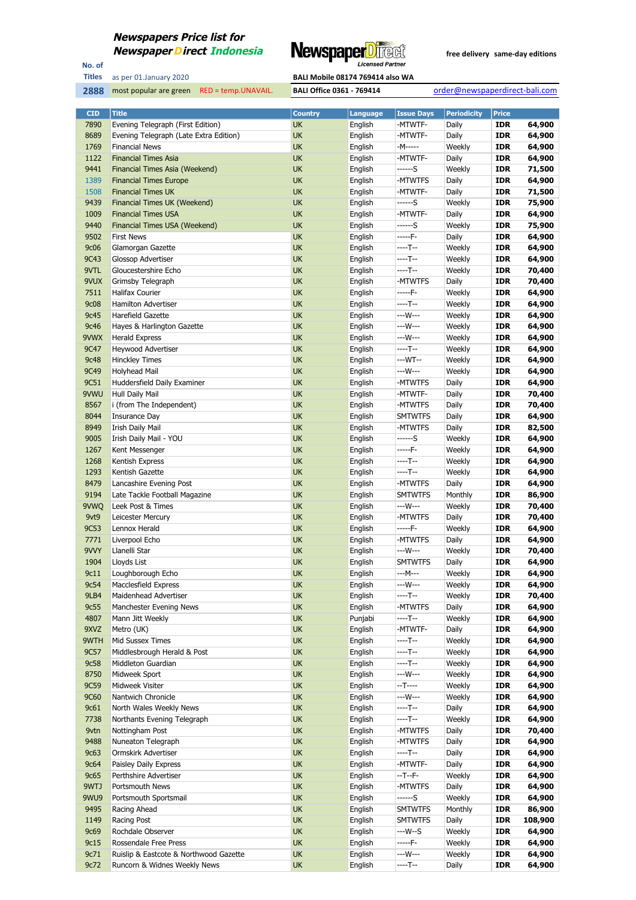

No. of **Titles**



| <b>CID</b>  | <b>Title</b>                           | <b>Country</b> | Language           | <b>Issue Days</b> | <b>Periodicity</b> | <b>Price</b> |         |
|-------------|----------------------------------------|----------------|--------------------|-------------------|--------------------|--------------|---------|
| 7890        | Evening Telegraph (First Edition)      | UK             | English            | -MTWTF-           | Daily              | <b>IDR</b>   | 64,900  |
| 8689        | Evening Telegraph (Late Extra Edition) | UK             | English            | -MTWTF-           | Daily              | <b>IDR</b>   | 64,900  |
| 1769        | <b>Financial News</b>                  | UK             | English            | -M-----           | Weekly             | <b>IDR</b>   | 64,900  |
| 1122        | <b>Financial Times Asia</b>            | UK             | English            | -MTWTF-           | Daily              | <b>IDR</b>   | 64,900  |
| 9441        | Financial Times Asia (Weekend)         | <b>UK</b>      | English            | ------S           | Weekly             | <b>IDR</b>   | 71,500  |
| 1389        | <b>Financial Times Europe</b>          | UK             | English            | -MTWTFS           | Daily              | <b>IDR</b>   | 64,900  |
| 1508        | <b>Financial Times UK</b>              | UK             | English            | -MTWTF-           | Daily              | <b>IDR</b>   | 71,500  |
| 9439        | Financial Times UK (Weekend)           | UK             | English            | ------S           | Weekly             | <b>IDR</b>   | 75,900  |
| 1009        | <b>Financial Times USA</b>             | UK             | English            | -MTWTF-           | Daily              | <b>IDR</b>   | 64,900  |
| 9440        | Financial Times USA (Weekend)          | UK             | English            | $---S$            | Weekly             | <b>IDR</b>   | 75,900  |
| 9502        | <b>First News</b>                      | UK             | English            | -----F-           | Daily              | <b>IDR</b>   | 64,900  |
| <b>9c06</b> | Glamorgan Gazette                      | UK             | English            | $---T--$          | Weekly             | <b>IDR</b>   | 64,900  |
| 9C43        | Glossop Advertiser                     | UK             | English            | $---T--$          | Weekly             | <b>IDR</b>   | 64,900  |
| 9VTL        | Gloucestershire Echo                   | UK             | English            | $---T--$          | Weekly             | <b>IDR</b>   | 70,400  |
| 9VUX        | Grimsby Telegraph                      | UK             | English            | -MTWTFS           | Daily              | <b>IDR</b>   | 70,400  |
| 7511        | <b>Halifax Courier</b>                 | UK             | English            | -----F-           | Weekly             | <b>IDR</b>   | 64,900  |
| <b>9c08</b> | <b>Hamilton Advertiser</b>             | UK             | English            | $---T--$          | Weekly             | <b>IDR</b>   | 64,900  |
| 9c45        | Harefield Gazette                      | UK             | English            | ---W---           | Weekly             | <b>IDR</b>   | 64,900  |
| 9c46        | Hayes & Harlington Gazette             | UK             | English            | ---W---           | Weekly             | <b>IDR</b>   | 64,900  |
| 9VWX        | <b>Herald Express</b>                  | UK             | English            | ---W---           | Weekly             | <b>IDR</b>   | 64,900  |
| 9C47        | Heywood Advertiser                     | UK             | English            | $---T--$          | Weekly             | <b>IDR</b>   | 64,900  |
| <b>9c48</b> | <b>Hinckley Times</b>                  | UK             | English            | ---WT--           | Weekly             | <b>IDR</b>   | 64,900  |
| 9C49        | Holyhead Mail                          | UK             | English            | ---W---           | Weekly             | <b>IDR</b>   | 64,900  |
| 9C51        | Huddersfield Daily Examiner            | UK             | English            | -MTWTFS           | Daily              | <b>IDR</b>   | 64,900  |
| 9VWU        | Hull Daily Mail                        | UK             | English            | -MTWTF-           | Daily              | <b>IDR</b>   | 70,400  |
| 8567        | i (from The Independent)               | UK             | English            | -MTWTFS           | Daily              | <b>IDR</b>   | 70,400  |
| 8044        | Insurance Day                          | UK             | English            | <b>SMTWTFS</b>    | Daily              | <b>IDR</b>   | 64,900  |
| 8949        | Irish Daily Mail                       | UK             | English            | -MTWTFS           | Daily              | <b>IDR</b>   | 82,500  |
| 9005        | Irish Daily Mail - YOU                 | UK             | English            | ------S           | Weekly             | <b>IDR</b>   | 64,900  |
| 1267        | Kent Messenger                         | UK             | English            | $---F-$           | Weekly             | <b>IDR</b>   | 64,900  |
| 1268        | Kentish Express                        | UK             | English            | $---T--$          | Weekly             | <b>IDR</b>   | 64,900  |
| 1293        | Kentish Gazette                        | UK             |                    | $---T--$          | Weekly             | <b>IDR</b>   | 64,900  |
| 8479        | Lancashire Evening Post                | UK             | English<br>English | -MTWTFS           | Daily              | <b>IDR</b>   | 64,900  |
| 9194        | Late Tackle Football Magazine          | UK             | English            | <b>SMTWTFS</b>    | Monthly            | <b>IDR</b>   | 86,900  |
| 9VWQ        | Leek Post & Times                      | UK             | English            | ---W---           | Weekly             | <b>IDR</b>   | 70,400  |
| 9vt9        | Leicester Mercury                      | UK             | English            | -MTWTFS           | Daily              | <b>IDR</b>   | 70,400  |
| 9C53        | Lennox Herald                          | UK             | English            | -----F-           | Weekly             | <b>IDR</b>   | 64,900  |
| 7771        | Liverpool Echo                         | UK             | English            | -MTWTFS           | Daily              | <b>IDR</b>   | 64,900  |
| 9VVY        | Llanelli Star                          | UK             | English            | ---W---           | Weekly             | <b>IDR</b>   | 70,400  |
| 1904        | Lloyds List                            | UK             | English            | <b>SMTWTFS</b>    | Daily              | <b>IDR</b>   | 64,900  |
| 9c11        | Loughborough Echo                      | <b>UK</b>      | English            | ---M---           | Weekly             | <b>IDR</b>   | 64,900  |
| 9c54        | Macclesfield Express                   | UK             | English            | ---W---           | Weekly             | <b>IDR</b>   | 64,900  |
| 9LB4        | Maidenhead Advertiser                  | UK             | English            | $---T--$          | Weekly             | <b>IDR</b>   | 70,400  |
| 9c55        | Manchester Evening News                | UK             | English            | -MTWTFS           | Daily              | <b>IDR</b>   | 64,900  |
| 4807        | Mann Jitt Weekly                       | UK             | Punjabi            | $---T--$          | Weekly             | <b>IDR</b>   | 64,900  |
| 9XVZ        |                                        | UK             | English            | -MTWTF-           | Daily              | <b>IDR</b>   | 64,900  |
| 9WTH        | Metro (UK)<br>Mid Sussex Times         | UK             | English            | $---T--$          | Weekly             | <b>IDR</b>   | 64,900  |
| 9C57        | Middlesbrough Herald & Post            | UK             | English            | $---T--$          | Weekly             | <b>IDR</b>   | 64,900  |
| 9c58        | Middleton Guardian                     | UK             | English            | $---T--$          | Weekly             | <b>IDR</b>   | 64,900  |
| 8750        | Midweek Sport                          | UK             | English            | ---W---           | Weekly             | <b>IDR</b>   | 64,900  |
| 9C59        | Midweek Visiter                        | UK             | English            | $-T$ -----        | Weekly             | <b>IDR</b>   | 64,900  |
| 9C60        | Nantwich Chronicle                     | UK             | English            | ---W---           | Weekly             | <b>IDR</b>   | 64,900  |
| 9c61        | North Wales Weekly News                | UK             | English            | $---T--$          | Daily              | <b>IDR</b>   | 64,900  |
| 7738        | Northants Evening Telegraph            | UK             | English            | $---T--$          | Weekly             | <b>IDR</b>   | 64,900  |
| 9vtn        | Nottingham Post                        | UK             | English            | -MTWTFS           | Daily              | <b>IDR</b>   | 70,400  |
| 9488        | Nuneaton Telegraph                     | UK             | English            | -MTWTFS           | Daily              | <b>IDR</b>   | 64,900  |
| 9c63        | Ormskirk Advertiser                    | UK             | English            | $---T--$          | Daily              | <b>IDR</b>   | 64,900  |
| 9c64        | Paisley Daily Express                  | UK             | English            | -MTWTF-           | Daily              | <b>IDR</b>   | 64,900  |
| 9c65        | Perthshire Advertiser                  | UK             | English            | $-T-T$            | Weekly             | <b>IDR</b>   | 64,900  |
| 9WTJ        | Portsmouth News                        | UK             | English            | -MTWTFS           | Daily              | <b>IDR</b>   | 64,900  |
| 9WU9        | Portsmouth Sportsmail                  | UK             | English            | ------S           | Weekly             | <b>IDR</b>   | 64,900  |
| 9495        | Racing Ahead                           | UK             | English            | <b>SMTWTFS</b>    | Monthly            | <b>IDR</b>   | 86,900  |
| 1149        | Racing Post                            | UK             | English            | <b>SMTWTFS</b>    | Daily              | <b>IDR</b>   | 108,900 |
| <b>9c69</b> | Rochdale Observer                      | UK             | English            | $--W--S$          | Weekly             | <b>IDR</b>   | 64,900  |
| 9c15        | Rossendale Free Press                  | UK             | English            | $---F-$           | Weekly             | <b>IDR</b>   | 64,900  |
| 9c71        | Ruislip & Eastcote & Northwood Gazette | UK             | English            | ---W---           | Weekly             | <b>IDR</b>   | 64,900  |
| 9c72        | Runcorn & Widnes Weekly News           | UK             | English            | $---T--$          | Daily              | <b>IDR</b>   | 64,900  |
|             |                                        |                |                    |                   |                    |              |         |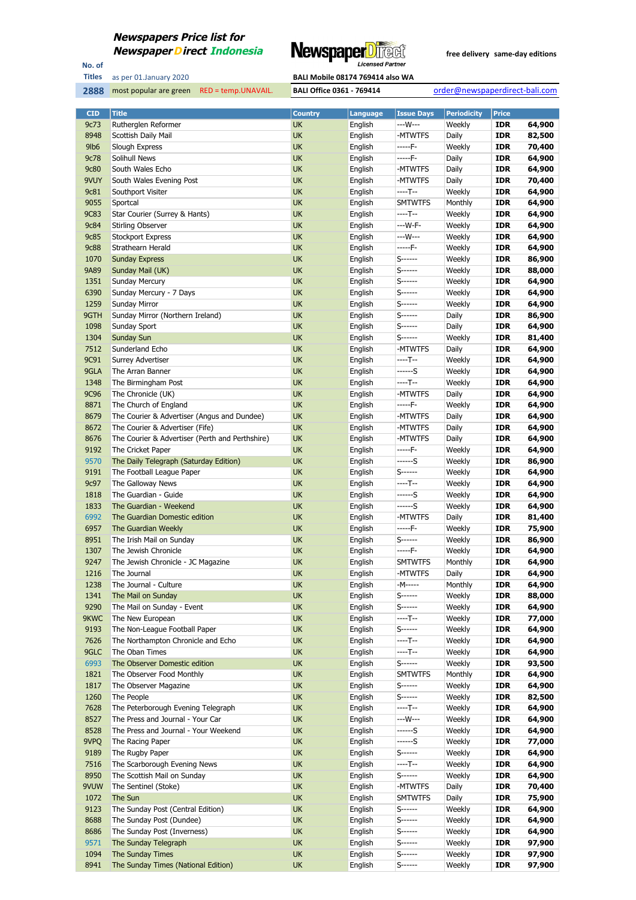

No. of **Titles**

most popular are green RED = temp.UNAVAIL. **BALI Office 0361 - 769414** order@newspaperdirect-bali.com

| <b>CID</b>  | <b>Title</b>                                    | <b>Country</b> | Language | <b>Issue Days</b> | <b>Periodicity</b> | <b>Price</b> |        |
|-------------|-------------------------------------------------|----------------|----------|-------------------|--------------------|--------------|--------|
| 9c73        | Rutherglen Reformer                             | <b>UK</b>      | English  | ---W---           | Weekly             | <b>IDR</b>   | 64,900 |
| 8948        | Scottish Daily Mail                             | <b>UK</b>      | English  | -MTWTFS           | Daily              | <b>IDR</b>   | 82,500 |
| 9lb6        | Slough Express                                  | UK             | English  | $---F-$           | Weekly             | <b>IDR</b>   | 70,400 |
| 9c78        | Solihull News                                   | <b>UK</b>      | English  | $---F-$           | Daily              | <b>IDR</b>   | 64,900 |
| <b>9c80</b> | South Wales Echo                                | <b>UK</b>      | English  | -MTWTFS           | Daily              | <b>IDR</b>   | 64,900 |
| 9VUY        | South Wales Evening Post                        | <b>UK</b>      | English  | -MTWTFS           | Daily              | <b>IDR</b>   | 70,400 |
| 9c81        | Southport Visiter                               | <b>UK</b>      | English  | $---T--$          | Weekly             | <b>IDR</b>   | 64,900 |
| 9055        | Sportcal                                        | UK             | English  | <b>SMTWTFS</b>    | Monthly            | <b>IDR</b>   | 64,900 |
| <b>9C83</b> | Star Courier (Surrey & Hants)                   | <b>UK</b>      |          | ----T--           | Weekly             | <b>IDR</b>   | 64,900 |
|             |                                                 | <b>UK</b>      | English  | $--W-F-$          |                    |              |        |
| 9c84        | Stirling Observer                               |                | English  | ---W---           | Weekly             | <b>IDR</b>   | 64,900 |
| <b>9c85</b> | <b>Stockport Express</b>                        | <b>UK</b>      | English  |                   | Weekly             | <b>IDR</b>   | 64,900 |
| <b>9c88</b> | Strathearn Herald                               | UK             | English  | $---F-$           | Weekly             | <b>IDR</b>   | 64,900 |
| 1070        | <b>Sunday Express</b>                           | <b>UK</b>      | English  | $S$ ------        | Weekly             | <b>IDR</b>   | 86,900 |
| 9A89        | Sunday Mail (UK)                                | <b>UK</b>      | English  | S------           | Weekly             | <b>IDR</b>   | 88,000 |
| 1351        | <b>Sunday Mercury</b>                           | <b>UK</b>      | English  | $S$ ------        | Weekly             | <b>IDR</b>   | 64,900 |
| 6390        | Sunday Mercury - 7 Days                         | UK             | English  | $S$ ------        | Weekly             | <b>IDR</b>   | 64,900 |
| 1259        | Sunday Mirror                                   | <b>UK</b>      | English  | $S$ ------        | Weekly             | <b>IDR</b>   | 64,900 |
| 9GTH        | Sunday Mirror (Northern Ireland)                | <b>UK</b>      | English  | S------           | Daily              | <b>IDR</b>   | 86,900 |
| 1098        | Sunday Sport                                    | <b>UK</b>      | English  | S------           | Daily              | <b>IDR</b>   | 64,900 |
| 1304        | <b>Sunday Sun</b>                               | <b>UK</b>      | English  | S-------          | Weekly             | <b>IDR</b>   | 81,400 |
| 7512        | Sunderland Echo                                 | <b>UK</b>      | English  | -MTWTFS           | Daily              | <b>IDR</b>   | 64,900 |
| 9C91        | Surrey Advertiser                               | <b>UK</b>      | English  | $---T--$          | Weekly             | <b>IDR</b>   | 64,900 |
| 9GLA        | The Arran Banner                                | <b>UK</b>      | English  | ------S           | Weekly             | <b>IDR</b>   | 64,900 |
| 1348        | The Birmingham Post                             | UK             | English  | $---T--$          | Weekly             | <b>IDR</b>   | 64,900 |
| <b>9C96</b> | The Chronicle (UK)                              | <b>UK</b>      | English  | -MTWTFS           | Daily              | <b>IDR</b>   | 64,900 |
| 8871        | The Church of England                           | <b>UK</b>      | English  | $---F-$           | Weekly             | <b>IDR</b>   | 64,900 |
| 8679        | The Courier & Advertiser (Angus and Dundee)     | UK             | English  | -MTWTFS           | Daily              | <b>IDR</b>   | 64,900 |
| 8672        | The Courier & Advertiser (Fife)                 | <b>UK</b>      | English  | -MTWTFS           | Daily              | <b>IDR</b>   | 64,900 |
| 8676        | The Courier & Advertiser (Perth and Perthshire) | <b>UK</b>      | English  | -MTWTFS           | Daily              | <b>IDR</b>   | 64,900 |
| 9192        | The Cricket Paper                               | <b>UK</b>      | English  | $---F-$           | Weekly             | <b>IDR</b>   | 64,900 |
| 9570        | The Daily Telegraph (Saturday Edition)          | <b>UK</b>      | English  | ------S           | Weekly             | <b>IDR</b>   | 86,900 |
| 9191        | The Football League Paper                       | UK             | English  | S------           | Weekly             | <b>IDR</b>   | 64,900 |
| 9c97        | The Galloway News                               | <b>UK</b>      |          | ----T--           | Weekly             | <b>IDR</b>   | 64,900 |
|             |                                                 | <b>UK</b>      | English  | $---S$            |                    |              |        |
| 1818        | The Guardian - Guide                            |                | English  |                   | Weekly             | <b>IDR</b>   | 64,900 |
| 1833        | The Guardian - Weekend                          | <b>UK</b>      | English  | ------S           | Weekly             | <b>IDR</b>   | 64,900 |
| 6992        | The Guardian Domestic edition                   | <b>UK</b>      | English  | -MTWTFS           | Daily              | <b>IDR</b>   | 81,400 |
| 6957        | The Guardian Weekly                             | <b>UK</b>      | English  | -----F-           | Weekly             | IDR          | 75,900 |
| 8951        | The Irish Mail on Sunday                        | <b>UK</b>      | English  | S------           | Weekly             | <b>IDR</b>   | 86,900 |
| 1307        | The Jewish Chronicle                            | UK             | English  | $---F-$           | Weekly             | <b>IDR</b>   | 64,900 |
| 9247        | The Jewish Chronicle - JC Magazine              | UK             | English  | <b>SMTWTFS</b>    | Monthly            | <b>IDR</b>   | 64,900 |
| 1216        | The Journal                                     | <b>UK</b>      | English  | -MTWTFS           | Daily              | <b>IDR</b>   | 64,900 |
| 1238        | The Journal - Culture                           | UK             | English  | -M-----           | Monthly            | <b>IDR</b>   | 64,900 |
| 1341        | The Mail on Sunday                              | <b>UK</b>      | English  | $S$ ------        | Weekly             | IDR          | 88,000 |
| 9290        | The Mail on Sunday - Event                      | <b>UK</b>      | English  | $S$ ------        | Weekly             | <b>IDR</b>   | 64,900 |
| 9KWC        | The New European                                | <b>UK</b>      | English  | $---T--$          | Weekly             | <b>IDR</b>   | 77,000 |
| 9193        | The Non-League Football Paper                   | <b>UK</b>      | English  | $S$ ------        | Weekly             | <b>IDR</b>   | 64,900 |
| 7626        | The Northampton Chronicle and Echo              | UK             | English  | $---T--$          | Weekly             | <b>IDR</b>   | 64,900 |
| 9GLC        | The Oban Times                                  | <b>UK</b>      | English  | $---T--$          | Weekly             | <b>IDR</b>   | 64,900 |
| 6993        | The Observer Domestic edition                   | <b>UK</b>      | English  | $S$ ------        | Weekly             | <b>IDR</b>   | 93,500 |
| 1821        | The Observer Food Monthly                       | <b>UK</b>      | English  | <b>SMTWTFS</b>    | Monthly            | <b>IDR</b>   | 64,900 |
| 1817        | The Observer Magazine                           | UK             | English  | S------           | Weekly             | <b>IDR</b>   | 64,900 |
| 1260        | The People                                      | <b>UK</b>      | English  | S------           | Weekly             | <b>IDR</b>   | 82,500 |
| 7628        | The Peterborough Evening Telegraph              | <b>UK</b>      | English  | $---T--$          | Weekly             | <b>IDR</b>   | 64,900 |
| 8527        | The Press and Journal - Your Car                | <b>UK</b>      | English  | $--W---$          | Weekly             | <b>IDR</b>   | 64,900 |
| 8528        | The Press and Journal - Your Weekend            | UK             | English  | ------S           | Weekly             | <b>IDR</b>   | 64,900 |
| 9VPQ        | The Racing Paper                                | <b>UK</b>      | English  | $---S$            | Weekly             | <b>IDR</b>   | 77,000 |
| 9189        | The Rugby Paper                                 | <b>UK</b>      | English  | $S$ ------        | Weekly             | <b>IDR</b>   | 64,900 |
| 7516        | The Scarborough Evening News                    | <b>UK</b>      | English  | $---T--$          | Weekly             | <b>IDR</b>   | 64,900 |
| 8950        | The Scottish Mail on Sunday                     | UK             | English  | S------           | Weekly             | <b>IDR</b>   | 64,900 |
| 9VUW        | The Sentinel (Stoke)                            | <b>UK</b>      | English  | -MTWTFS           | Daily              | <b>IDR</b>   | 70,400 |
| 1072        | The Sun                                         | <b>UK</b>      | English  | <b>SMTWTFS</b>    | Daily              | <b>IDR</b>   | 75,900 |
| 9123        | The Sunday Post (Central Edition)               | <b>UK</b>      | English  | $S$ ------        | Weekly             | <b>IDR</b>   | 64,900 |
|             | The Sunday Post (Dundee)                        |                |          | $S$ ------        |                    |              |        |
| 8688        |                                                 | UK             | English  |                   | Weekly             | <b>IDR</b>   | 64,900 |
| 8686        | The Sunday Post (Inverness)                     | <b>UK</b>      | English  | S-------          | Weekly             | <b>IDR</b>   | 64,900 |
| 9571        | The Sunday Telegraph                            | <b>UK</b>      | English  | $S$ ------        | Weekly             | <b>IDR</b>   | 97,900 |
| 1094        | The Sunday Times                                | <b>UK</b>      | English  | $S$ ------        | Weekly             | <b>IDR</b>   | 97,900 |
| 8941        | The Sunday Times (National Edition)             | <b>UK</b>      | English  | $S$ ------        | Weekly             | <b>IDR</b>   | 97,900 |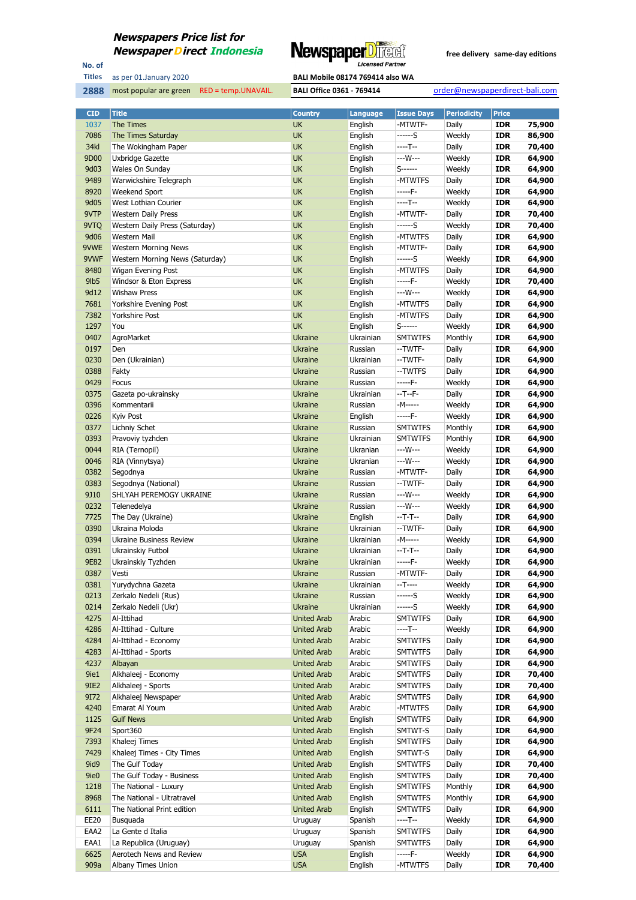

No. of **Titles**

**2888** most popular are green RED = temp.UNAVAIL. **BALI Office 0361 - 769414** order@newspaperdirect-bali.com

| <b>CID</b>       | <b>Title</b>                          | <b>Country</b>                           | <b>Language</b>      | <b>Issue Days</b>         | <b>Periodicity</b> | <b>Price</b>             |                  |
|------------------|---------------------------------------|------------------------------------------|----------------------|---------------------------|--------------------|--------------------------|------------------|
| 1037             | The Times                             | <b>UK</b>                                | English              | -MTWTF-                   | Daily              | <b>IDR</b>               | 75,900           |
| 7086             | The Times Saturday                    | <b>UK</b>                                | English              | ------S                   | Weekly             | <b>IDR</b>               | 86,900           |
| 34kl             | The Wokingham Paper                   | <b>UK</b>                                | English              | $---T--$                  | Daily              | <b>IDR</b>               | 70,400           |
| 9D00             | Uxbridge Gazette                      | <b>UK</b>                                | English              | ---W---                   | Weekly             | <b>IDR</b>               | 64,900           |
| 9d03             | Wales On Sunday                       | <b>UK</b>                                | English              | $S$ ------                | Weekly             | <b>IDR</b>               | 64,900           |
| 9489             | Warwickshire Telegraph                | <b>UK</b>                                | English              | -MTWTFS                   | Daily              | <b>IDR</b>               | 64,900           |
| 8920             | Weekend Sport                         | <b>UK</b>                                | English              | -----F-                   | Weekly             | <b>IDR</b>               | 64,900           |
| 9d05             | West Lothian Courier                  | <b>UK</b>                                | English              | $---T--$                  | Weekly             | <b>IDR</b>               | 64,900           |
| 9VTP             | <b>Western Daily Press</b>            | <b>UK</b>                                | English              | -MTWTF-                   | Daily              | <b>IDR</b>               | 70,400           |
| 9VTQ             | Western Daily Press (Saturday)        | <b>UK</b>                                | English              | ------S                   | Weekly             | <b>IDR</b>               | 70,400           |
| 9d06             | Western Mail                          | <b>UK</b>                                | English              | -MTWTFS                   | Daily              | <b>IDR</b>               | 64,900           |
| 9VWE             | <b>Western Morning News</b>           | <b>UK</b>                                | English              | -MTWTF-                   | Daily              | <b>IDR</b>               | 64,900           |
| 9VWF             | Western Morning News (Saturday)       | <b>UK</b>                                | English              | ------S                   | Weekly             | <b>IDR</b>               | 64,900           |
| 8480             | Wigan Evening Post                    | <b>UK</b>                                | English              | -MTWTFS                   | Daily              | <b>IDR</b>               | 64,900           |
| 9 <sub>lb5</sub> | Windsor & Eton Express                | <b>UK</b>                                | English              | -----F-                   | Weekly             | <b>IDR</b>               | 70,400           |
| 9d12             | <b>Wishaw Press</b>                   | <b>UK</b>                                | English              | ---W---                   | Weekly             | <b>IDR</b>               | 64,900           |
| 7681             | Yorkshire Evening Post                | <b>UK</b>                                | English              | -MTWTFS                   | Daily              | <b>IDR</b>               | 64,900           |
| 7382<br>1297     | <b>Yorkshire Post</b>                 | <b>UK</b><br><b>UK</b>                   | English              | -MTWTFS<br>$S$ ------     | Daily              | <b>IDR</b>               | 64,900           |
| 0407             | You                                   |                                          | English<br>Ukrainian |                           | Weekly             | <b>IDR</b>               | 64,900           |
| 0197             | AgroMarket<br>Den                     | <b>Ukraine</b><br><b>Ukraine</b>         | Russian              | <b>SMTWTFS</b><br>--TWTF- | Monthly<br>Daily   | <b>IDR</b><br><b>IDR</b> | 64,900<br>64,900 |
| 0230             | Den (Ukrainian)                       | <b>Ukraine</b>                           | Ukrainian            | --TWTF-                   | Daily              | <b>IDR</b>               | 64,900           |
| 0388             | Fakty                                 | <b>Ukraine</b>                           | Russian              | --TWTFS                   | Daily              | <b>IDR</b>               | 64,900           |
| 0429             | Focus                                 | <b>Ukraine</b>                           | Russian              | -----F-                   | Weekly             | <b>IDR</b>               | 64,900           |
| 0375             | Gazeta po-ukrainsky                   | <b>Ukraine</b>                           | Ukrainian            | $-T-F-$                   | Daily              | <b>IDR</b>               | 64,900           |
| 0396             | Kommentarii                           | <b>Ukraine</b>                           | Russian              | -M-----                   | Weekly             | <b>IDR</b>               | 64,900           |
| 0226             | Kyiv Post                             | <b>Ukraine</b>                           | English              | -----F-                   | Weekly             | <b>IDR</b>               | 64,900           |
| 0377             | Lichniy Schet                         | <b>Ukraine</b>                           | Russian              | <b>SMTWTFS</b>            | Monthly            | <b>IDR</b>               | 64,900           |
| 0393             | Pravoviy tyzhden                      | <b>Ukraine</b>                           | Ukrainian            | <b>SMTWTFS</b>            | Monthly            | <b>IDR</b>               | 64,900           |
| 0044             | RIA (Ternopil)                        | <b>Ukraine</b>                           | Ukranian             | ---W---                   | Weekly             | <b>IDR</b>               | 64,900           |
| 0046             | RIA (Vinnytsya)                       | <b>Ukraine</b>                           | Ukranian             | ---W---                   | Weekly             | <b>IDR</b>               | 64,900           |
| 0382             | Segodnya                              | <b>Ukraine</b>                           | Russian              | -MTWTF-                   | Daily              | <b>IDR</b>               | 64,900           |
| 0383             | Segodnya (National)                   | <b>Ukraine</b>                           | Russian              | --TWTF-                   | Daily              | <b>IDR</b>               | 64,900           |
| 9J10             | SHLYAH PEREMOGY UKRAINE               | <b>Ukraine</b>                           | Russian              | ---W---                   | Weekly             | <b>IDR</b>               | 64,900           |
| 0232             | Telenedelya                           | <b>Ukraine</b>                           | Russian              | ---W---                   | Weekly             | <b>IDR</b>               | 64,900           |
| 7725             | The Day (Ukraine)                     | <b>Ukraine</b>                           | English              | $-T-T-$                   | Daily              | <b>IDR</b>               | 64,900           |
| 0390             | Ukraina Moloda                        | <b>Ukraine</b>                           | Ukrainian            | --TWTF-                   | Daily              | <b>IDR</b>               | 64,900           |
| 0394             | <b>Ukraine Business Review</b>        | <b>Ukraine</b>                           | Ukrainian            | -M-----                   | Weekly             | <b>IDR</b>               | 64,900           |
| 0391             | Ukrainskiy Futbol                     | <b>Ukraine</b>                           | Ukrainian            | $-T-T-$                   | Daily              | <b>IDR</b>               | 64,900           |
| 9E82             | Ukrainskiy Tyzhden                    | <b>Ukraine</b>                           | Ukrainian            | -----F-                   | Weekly             | <b>IDR</b>               | 64,900           |
| 0387             | Vesti                                 | <b>Ukraine</b>                           | Russian              | -MTWTF-                   | Daily              | <b>IDR</b>               | 64,900           |
| 0381             | Yurydychna Gazeta                     | Ukraine                                  | Ukrainian            | $-T---$                   | Weekly             | <b>IDR</b>               | 64,900           |
| 0213             | Zerkalo Nedeli (Rus)                  | <b>Ukraine</b>                           | Russian              | ------S                   | Weekly             | <b>IDR</b>               | 64,900           |
| 0214             | Zerkalo Nedeli (Ukr)                  | <b>Ukraine</b>                           | Ukrainian            | ------S                   | Weekly             | <b>IDR</b>               | 64,900           |
| 4275             | Al-Ittihad                            | <b>United Arab</b>                       | Arabic               | <b>SMTWTFS</b>            | Daily              | <b>IDR</b>               | 64,900           |
| 4286             | Al-Ittihad - Culture                  | <b>United Arab</b>                       | Arabic               | ----T--                   | Weekly             | <b>IDR</b>               | 64,900           |
| 4284             | Al-Ittihad - Economy                  | <b>United Arab</b>                       | Arabic               | <b>SMTWTFS</b>            | Daily              | <b>IDR</b>               | 64,900           |
| 4283             | Al-Ittihad - Sports                   | <b>United Arab</b>                       | Arabic               | <b>SMTWTFS</b>            | Daily              | IDR                      | 64,900           |
| 4237             | Albayan                               | <b>United Arab</b>                       | Arabic               | <b>SMTWTFS</b>            | Daily              | <b>IDR</b>               | 64,900           |
| 9ie1             | Alkhaleej - Economy                   | <b>United Arab</b>                       | Arabic               | <b>SMTWTFS</b>            | Daily              | <b>IDR</b>               | 70,400           |
| 9IE2             | Alkhaleej - Sports                    | <b>United Arab</b>                       | Arabic               | <b>SMTWTFS</b>            | Daily              | <b>IDR</b>               | 70,400           |
| 9172<br>4240     | Alkhaleej Newspaper<br>Emarat Al Youm | <b>United Arab</b><br><b>United Arab</b> | Arabic<br>Arabic     | <b>SMTWTFS</b><br>-MTWTFS | Daily<br>Daily     | <b>IDR</b><br><b>IDR</b> | 64,900<br>64,900 |
| 1125             | <b>Gulf News</b>                      | <b>United Arab</b>                       | English              | <b>SMTWTFS</b>            | Daily              | <b>IDR</b>               | 64,900           |
| 9F24             | Sport360                              | <b>United Arab</b>                       | English              | SMTWT-S                   | Daily              | <b>IDR</b>               | 64,900           |
| 7393             | Khaleej Times                         | <b>United Arab</b>                       | English              | <b>SMTWTFS</b>            | Daily              | <b>IDR</b>               | 64,900           |
| 7429             | Khaleej Times - City Times            | <b>United Arab</b>                       | English              | SMTWT-S                   | Daily              | <b>IDR</b>               | 64,900           |
| 9id9             | The Gulf Today                        | <b>United Arab</b>                       | English              | <b>SMTWTFS</b>            | Daily              | <b>IDR</b>               | 70,400           |
| 9ie0             | The Gulf Today - Business             | <b>United Arab</b>                       | English              | <b>SMTWTFS</b>            | Daily              | <b>IDR</b>               | 70,400           |
| 1218             | The National - Luxury                 | <b>United Arab</b>                       | English              | <b>SMTWTFS</b>            | Monthly            | <b>IDR</b>               | 64,900           |
| 8968             | The National - Ultratravel            | <b>United Arab</b>                       | English              | <b>SMTWTFS</b>            | Monthly            | <b>IDR</b>               | 64,900           |
| 6111             | The National Print edition            | <b>United Arab</b>                       | English              | <b>SMTWTFS</b>            | Daily              | <b>IDR</b>               | 64,900           |
| EE20             | Busquada                              | Uruguay                                  | Spanish              | ----T--                   | Weekly             | <b>IDR</b>               | 64,900           |
| EAA2             | La Gente d Italia                     | Uruguay                                  | Spanish              | <b>SMTWTFS</b>            | Daily              | <b>IDR</b>               | 64,900           |
| EAA1             | La Republica (Uruguay)                | Uruguay                                  | Spanish              | <b>SMTWTFS</b>            | Daily              | <b>IDR</b>               | 64,900           |
| 6625             | Aerotech News and Review              | <b>USA</b>                               | English              | -----F-                   | Weekly             | <b>IDR</b>               | 64,900           |
| 909a             | Albany Times Union                    | <b>USA</b>                               | English              | -MTWTFS                   | Daily              | <b>IDR</b>               | 70,400           |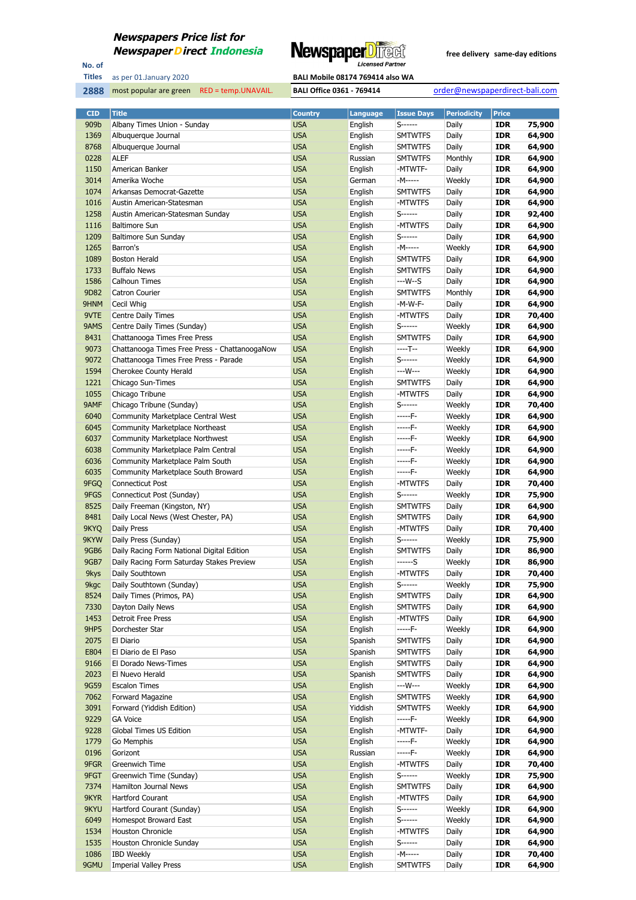

No. of **Titles**



| <b>CID</b>   | <b>Title</b>                                                    | <b>Country</b>           | <b>Language</b>    | <b>Issue Days</b>  | <b>Periodicity</b> | <b>Price</b>             |                  |
|--------------|-----------------------------------------------------------------|--------------------------|--------------------|--------------------|--------------------|--------------------------|------------------|
| 909b         | Albany Times Union - Sunday                                     | <b>USA</b>               | English            | S------            | Daily              | <b>IDR</b>               | 75,900           |
| 1369         | Albuquerque Journal                                             | <b>USA</b>               | English            | <b>SMTWTFS</b>     | Daily              | <b>IDR</b>               | 64,900           |
| 8768         | Albuquerque Journal                                             | <b>USA</b>               | English            | <b>SMTWTFS</b>     | Daily              | <b>IDR</b>               | 64,900           |
| 0228         | <b>ALEF</b>                                                     | <b>USA</b>               | Russian            | <b>SMTWTFS</b>     | Monthly            | <b>IDR</b>               | 64,900           |
| 1150         | American Banker                                                 | <b>USA</b>               | English            | -MTWTF-            | Daily              | <b>IDR</b>               | 64,900           |
| 3014         | Amerika Woche                                                   | <b>USA</b>               | German             | -M-----            | Weekly             | <b>IDR</b>               | 64,900           |
| 1074         | Arkansas Democrat-Gazette                                       | <b>USA</b>               | English            | <b>SMTWTFS</b>     | Daily              | <b>IDR</b>               | 64,900           |
| 1016         | Austin American-Statesman                                       | <b>USA</b>               | English            | -MTWTFS            | Daily              | <b>IDR</b>               | 64,900           |
| 1258         | Austin American-Statesman Sunday                                | <b>USA</b>               | English            | S------            | Daily              | <b>IDR</b>               | 92,400           |
| 1116         | <b>Baltimore Sun</b>                                            | <b>USA</b>               | English            | -MTWTFS            | Daily              | <b>IDR</b>               | 64,900           |
| 1209         | Baltimore Sun Sunday                                            | <b>USA</b>               | English            | S------            | Daily              | <b>IDR</b>               | 64,900           |
| 1265         | Barron's                                                        | <b>USA</b>               | English            | -M-----            | Weekly             | <b>IDR</b>               | 64,900           |
| 1089         | <b>Boston Herald</b>                                            | <b>USA</b>               | English            | <b>SMTWTFS</b>     | Daily              | <b>IDR</b>               | 64,900           |
| 1733         | <b>Buffalo News</b>                                             | <b>USA</b>               | English            | <b>SMTWTFS</b>     | Daily              | <b>IDR</b>               | 64,900           |
| 1586         | <b>Calhoun Times</b>                                            | <b>USA</b>               | English            | ---W--S            | Daily              | <b>IDR</b>               | 64,900           |
| 9D82         | <b>Catron Courier</b>                                           | <b>USA</b>               | English            | <b>SMTWTFS</b>     | Monthly            | <b>IDR</b>               | 64,900           |
| 9HNM         | Cecil Whig                                                      | <b>USA</b>               | English            | -M-W-F-            | Daily              | <b>IDR</b>               | 64,900           |
| 9VTE         | Centre Daily Times                                              | <b>USA</b>               | English            | -MTWTFS            | Daily              | <b>IDR</b>               | 70,400           |
| 9AMS         | Centre Daily Times (Sunday)                                     | <b>USA</b>               | English            | S------            | Weekly             | <b>IDR</b>               | 64,900           |
| 8431         | Chattanooga Times Free Press                                    | <b>USA</b>               | English            | <b>SMTWTFS</b>     | Daily              | <b>IDR</b>               | 64,900           |
| 9073         | Chattanooga Times Free Press - ChattanoogaNow                   | <b>USA</b><br><b>USA</b> | English            | ----T--<br>S------ | Weekly             | <b>IDR</b><br><b>IDR</b> | 64,900           |
| 9072<br>1594 | Chattanooga Times Free Press - Parade<br>Cherokee County Herald | <b>USA</b>               | English            | ---W---            | Weekly             | <b>IDR</b>               | 64,900<br>64,900 |
| 1221         |                                                                 | <b>USA</b>               | English<br>English | <b>SMTWTFS</b>     | Weekly<br>Daily    | <b>IDR</b>               | 64,900           |
| 1055         | Chicago Sun-Times<br>Chicago Tribune                            | <b>USA</b>               | English            | -MTWTFS            | Daily              | <b>IDR</b>               | 64,900           |
| 9AMF         | Chicago Tribune (Sunday)                                        | <b>USA</b>               | English            | S------            | Weekly             | <b>IDR</b>               | 70,400           |
| 6040         | Community Marketplace Central West                              | <b>USA</b>               | English            | -----F-            | Weekly             | <b>IDR</b>               | 64,900           |
| 6045         | <b>Community Marketplace Northeast</b>                          | <b>USA</b>               | English            | -----F-            | Weekly             | <b>IDR</b>               | 64,900           |
| 6037         | Community Marketplace Northwest                                 | <b>USA</b>               | English            | -----F-            | Weekly             | <b>IDR</b>               | 64,900           |
| 6038         | Community Marketplace Palm Central                              | <b>USA</b>               | English            | -----F-            | Weekly             | <b>IDR</b>               | 64,900           |
| 6036         | Community Marketplace Palm South                                | <b>USA</b>               | English            | -----F-            | Weekly             | <b>IDR</b>               | 64,900           |
| 6035         | Community Marketplace South Broward                             | <b>USA</b>               | English            | -----F-            | Weekly             | <b>IDR</b>               | 64,900           |
| 9FGQ         | Connecticut Post                                                | <b>USA</b>               | English            | -MTWTFS            | Daily              | <b>IDR</b>               | 70,400           |
| 9FGS         | Connecticut Post (Sunday)                                       | <b>USA</b>               | English            | S------            | Weekly             | <b>IDR</b>               | 75,900           |
| 8525         | Daily Freeman (Kingston, NY)                                    | <b>USA</b>               | English            | <b>SMTWTFS</b>     | Daily              | <b>IDR</b>               | 64,900           |
| 8481         | Daily Local News (West Chester, PA)                             | <b>USA</b>               | English            | <b>SMTWTFS</b>     | Daily              | <b>IDR</b>               | 64,900           |
| 9KYQ         | Daily Press                                                     | <b>USA</b>               | English            | -MTWTFS            | Daily              | <b>IDR</b>               | 70,400           |
| 9KYW         | Daily Press (Sunday)                                            | <b>USA</b>               | English            | S------            | Weekly             | <b>IDR</b>               | 75,900           |
| <b>9GB6</b>  | Daily Racing Form National Digital Edition                      | <b>USA</b>               | English            | <b>SMTWTFS</b>     | Daily              | <b>IDR</b>               | 86,900           |
| <b>9GB7</b>  | Daily Racing Form Saturday Stakes Preview                       | <b>USA</b>               | English            | ------S            | Weekly             | <b>IDR</b>               | 86,900           |
| 9kys         | Daily Southtown                                                 | <b>USA</b>               | English            | -MTWTFS            | Daily              | <b>IDR</b>               | 70,400           |
| 9kgc         | Daily Southtown (Sunday)                                        | <b>USA</b>               | English            | S------            | Weekly             | <b>IDR</b>               | 75,900           |
| 8524         | Daily Times (Primos, PA)                                        | <b>USA</b>               | English            | SMTWTFS            | Daily              | <b>IDR</b>               | 64,900           |
| 7330         | Dayton Daily News                                               | <b>USA</b>               | English            | SMTWTFS            | Daily              | <b>IDR</b>               | 64,900           |
| 1453         | Detroit Free Press                                              | <b>USA</b>               | English            | -MTWTFS            | Daily              | <b>IDR</b>               | 64,900           |
| 9HP5         | Dorchester Star                                                 | <b>USA</b>               | English            | -----F-            | Weekly             | <b>IDR</b>               | 64,900           |
| 2075         | El Diario                                                       | <b>USA</b>               | Spanish            | <b>SMTWTFS</b>     | Daily              | <b>IDR</b>               | 64,900           |
| E804         | El Diario de El Paso                                            | <b>USA</b>               | Spanish            | SMTWTFS            | Daily              | <b>IDR</b>               | 64,900           |
| 9166         | El Dorado News-Times                                            | <b>USA</b>               | English            | <b>SMTWTFS</b>     | Daily              | <b>IDR</b>               | 64,900           |
| 2023         | El Nuevo Herald                                                 | <b>USA</b>               | Spanish            | <b>SMTWTFS</b>     | Daily              | <b>IDR</b>               | 64,900           |
| 9G59         | <b>Escalon Times</b>                                            | <b>USA</b>               | English            | ---W---            | Weekly             | <b>IDR</b>               | 64,900           |
| 7062         | Forward Magazine                                                | <b>USA</b>               | English            | <b>SMTWTFS</b>     | Weekly             | <b>IDR</b>               | 64,900           |
| 3091         | Forward (Yiddish Edition)                                       | <b>USA</b>               | Yiddish            | <b>SMTWTFS</b>     | Weekly             | <b>IDR</b>               | 64,900           |
| 9229         | <b>GA Voice</b>                                                 | <b>USA</b>               | English            | -----F-            | Weekly             | <b>IDR</b>               | 64,900           |
| 9228<br>1779 | Global Times US Edition                                         | <b>USA</b><br><b>USA</b> | English<br>English | -MTWTF-<br>-----F- | Daily<br>Weekly    | <b>IDR</b><br><b>IDR</b> | 64,900<br>64,900 |
| 0196         | Go Memphis<br>Gorizont                                          | <b>USA</b>               | Russian            | $---F-$            | Weekly             | <b>IDR</b>               | 64,900           |
| 9FGR         | Greenwich Time                                                  | <b>USA</b>               | English            | -MTWTFS            | Daily              | <b>IDR</b>               | 70,400           |
| 9FGT         | Greenwich Time (Sunday)                                         | <b>USA</b>               | English            | S-------           | Weekly             | <b>IDR</b>               | 75,900           |
| 7374         | Hamilton Journal News                                           | <b>USA</b>               | English            | <b>SMTWTFS</b>     | Daily              | <b>IDR</b>               | 64,900           |
| 9KYR         | Hartford Courant                                                | <b>USA</b>               | English            | -MTWTFS            | Daily              | <b>IDR</b>               | 64,900           |
| 9KYU         | Hartford Courant (Sunday)                                       | <b>USA</b>               | English            | S-------           | Weekly             | <b>IDR</b>               | 64,900           |
| 6049         | Homespot Broward East                                           | <b>USA</b>               | English            | S------            | Weekly             | <b>IDR</b>               | 64,900           |
| 1534         | Houston Chronicle                                               | <b>USA</b>               | English            | -MTWTFS            | Daily              | <b>IDR</b>               | 64,900           |
| 1535         | Houston Chronicle Sunday                                        | <b>USA</b>               | English            | S------            | Daily              | <b>IDR</b>               | 64,900           |
| 1086         | <b>IBD Weekly</b>                                               | <b>USA</b>               | English            | -M-----            | Daily              | <b>IDR</b>               | 70,400           |
| 9GMU         | <b>Imperial Valley Press</b>                                    | <b>USA</b>               | English            | <b>SMTWTFS</b>     | Daily              | <b>IDR</b>               | 64,900           |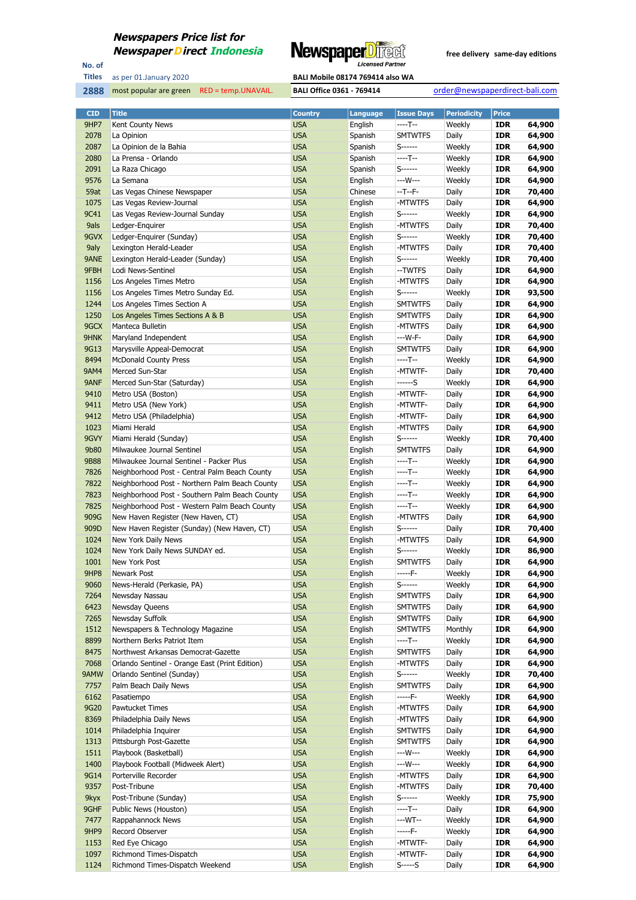

No. of **Titles**

**2888** most popular are green RED = temp.UNAVAIL. **BALI Office 0361 - 769414** order@newspaperdirect-bali.com

| <b>CID</b>  | <b>Title</b>                                   | <b>Country</b> | <b>Language</b> | <b>Issue Days</b> | <b>Periodicity</b> | <b>Price</b> |        |
|-------------|------------------------------------------------|----------------|-----------------|-------------------|--------------------|--------------|--------|
| 9HP7        | Kent County News                               | <b>USA</b>     | English         | $---T--$          | Weekly             | <b>IDR</b>   | 64,900 |
| 2078        | La Opinion                                     | <b>USA</b>     | Spanish         | <b>SMTWTFS</b>    | Daily              | <b>IDR</b>   | 64,900 |
| 2087        | La Opinion de la Bahia                         | <b>USA</b>     | Spanish         | S------           | Weekly             | <b>IDR</b>   | 64,900 |
| 2080        | La Prensa - Orlando                            | <b>USA</b>     | Spanish         | $---T--$          | Weekly             | <b>IDR</b>   | 64,900 |
| 2091        | La Raza Chicago                                | <b>USA</b>     | Spanish         | $S$ ------        | Weekly             | <b>IDR</b>   | 64,900 |
| 9576        | La Semana                                      | <b>USA</b>     | English         | ---W---           | Weekly             | <b>IDR</b>   | 64,900 |
| 59at        | Las Vegas Chinese Newspaper                    | <b>USA</b>     | Chinese         | $-T - F -$        | Daily              | <b>IDR</b>   | 70,400 |
|             |                                                |                |                 |                   |                    |              |        |
| 1075        | Las Vegas Review-Journal                       | <b>USA</b>     | English         | -MTWTFS           | Daily              | <b>IDR</b>   | 64,900 |
| 9C41        | Las Vegas Review-Journal Sunday                | <b>USA</b>     | English         | S------           | Weekly             | <b>IDR</b>   | 64,900 |
| 9als        | Ledger-Enquirer                                | <b>USA</b>     | English         | -MTWTFS           | Daily              | <b>IDR</b>   | 70,400 |
| 9GVX        | Ledger-Enquirer (Sunday)                       | <b>USA</b>     | English         | S------           | Weekly             | <b>IDR</b>   | 70,400 |
| 9aly        | Lexington Herald-Leader                        | <b>USA</b>     | English         | -MTWTFS           | Daily              | <b>IDR</b>   | 70,400 |
| 9ANE        | Lexington Herald-Leader (Sunday)               | <b>USA</b>     | English         | S------           | Weekly             | <b>IDR</b>   | 70,400 |
| 9FBH        | Lodi News-Sentinel                             | <b>USA</b>     | English         | --TWTFS           | Daily              | <b>IDR</b>   | 64,900 |
| 1156        | Los Angeles Times Metro                        | <b>USA</b>     | English         | -MTWTFS           | Daily              | <b>IDR</b>   | 64,900 |
| 1156        | Los Angeles Times Metro Sunday Ed.             | <b>USA</b>     | English         | S------           | Weekly             | <b>IDR</b>   | 93,500 |
| 1244        | Los Angeles Times Section A                    | <b>USA</b>     | English         | <b>SMTWTFS</b>    | Daily              | <b>IDR</b>   | 64,900 |
| 1250        | Los Angeles Times Sections A & B               | <b>USA</b>     | English         | <b>SMTWTFS</b>    | Daily              | <b>IDR</b>   | 64,900 |
| 9GCX        | Manteca Bulletin                               | <b>USA</b>     | English         | -MTWTFS           | Daily              | <b>IDR</b>   | 64,900 |
| 9HNK        | Maryland Independent                           | <b>USA</b>     | English         | ---W-F-           | Daily              | <b>IDR</b>   | 64,900 |
| 9G13        | Marysville Appeal-Democrat                     | <b>USA</b>     | English         | <b>SMTWTFS</b>    | Daily              | <b>IDR</b>   | 64,900 |
| 8494        | <b>McDonald County Press</b>                   | <b>USA</b>     | English         | ----T--           | Weekly             | <b>IDR</b>   | 64,900 |
| <b>9AM4</b> | Merced Sun-Star                                | <b>USA</b>     | English         | -MTWTF-           | Daily              | <b>IDR</b>   | 70,400 |
| 9ANF        |                                                |                |                 |                   |                    |              |        |
|             | Merced Sun-Star (Saturday)                     | <b>USA</b>     | English         | ------S           | Weekly             | <b>IDR</b>   | 64,900 |
| 9410        | Metro USA (Boston)                             | <b>USA</b>     | English         | -MTWTF-           | Daily              | <b>IDR</b>   | 64,900 |
| 9411        | Metro USA (New York)                           | <b>USA</b>     | English         | -MTWTF-           | Daily              | <b>IDR</b>   | 64,900 |
| 9412        | Metro USA (Philadelphia)                       | <b>USA</b>     | English         | -MTWTF-           | Daily              | <b>IDR</b>   | 64,900 |
| 1023        | Miami Herald                                   | <b>USA</b>     | English         | -MTWTFS           | Daily              | <b>IDR</b>   | 64,900 |
| 9GVY        | Miami Herald (Sunday)                          | <b>USA</b>     | English         | S------           | Weekly             | <b>IDR</b>   | 70,400 |
| 9b80        | Milwaukee Journal Sentinel                     | <b>USA</b>     | English         | <b>SMTWTFS</b>    | Daily              | <b>IDR</b>   | 64,900 |
| <b>9B88</b> | Milwaukee Journal Sentinel - Packer Plus       | <b>USA</b>     | English         | $---T--$          | Weekly             | <b>IDR</b>   | 64,900 |
| 7826        | Neighborhood Post - Central Palm Beach County  | <b>USA</b>     | English         | ----T--           | Weekly             | <b>IDR</b>   | 64,900 |
| 7822        | Neighborhood Post - Northern Palm Beach County | <b>USA</b>     | English         | ----T--           | Weekly             | <b>IDR</b>   | 64,900 |
| 7823        | Neighborhood Post - Southern Palm Beach County | <b>USA</b>     | English         | $---T--$          | Weekly             | <b>IDR</b>   | 64,900 |
| 7825        | Neighborhood Post - Western Palm Beach County  | <b>USA</b>     | English         | $---T--$          | Weekly             | <b>IDR</b>   | 64,900 |
| 909G        | New Haven Register (New Haven, CT)             | <b>USA</b>     | English         | -MTWTFS           | Daily              | <b>IDR</b>   | 64,900 |
| 909D        | New Haven Register (Sunday) (New Haven, CT)    | <b>USA</b>     | English         | S------           | Daily              | <b>IDR</b>   | 70,400 |
| 1024        | New York Daily News                            | <b>USA</b>     | English         | -MTWTFS           | Daily              | <b>IDR</b>   | 64,900 |
| 1024        | New York Daily News SUNDAY ed.                 | <b>USA</b>     | English         | S------           | Weekly             | <b>IDR</b>   | 86,900 |
|             |                                                |                |                 |                   |                    |              |        |
| 1001        | New York Post                                  | <b>USA</b>     | English         | <b>SMTWTFS</b>    | Daily              | <b>IDR</b>   | 64,900 |
| 9HP8        | Newark Post                                    | <b>USA</b>     | English         | -----F-           | Weekly             | <b>IDR</b>   | 64,900 |
| 9060        | News-Herald (Perkasie, PA)                     | <b>USA</b>     | English         | $S$ -------       | Weekly             | <b>IDR</b>   | 64,900 |
| 7264        | Newsday Nassau                                 | <b>USA</b>     | English         | <b>SMTWTFS</b>    | Daily              | IDR          | 64,900 |
| 6423        | Newsday Queens                                 | <b>USA</b>     | English         | <b>SMTWTFS</b>    | Daily              | <b>IDR</b>   | 64,900 |
| 7265        | Newsday Suffolk                                | <b>USA</b>     | English         | <b>SMTWTFS</b>    | Daily              | <b>IDR</b>   | 64,900 |
| 1512        | Newspapers & Technology Magazine               | <b>USA</b>     | English         | <b>SMTWTFS</b>    | Monthly            | <b>IDR</b>   | 64,900 |
| 8899        | Northern Berks Patriot Item                    | <b>USA</b>     | English         | ----T--           | Weekly             | <b>IDR</b>   | 64,900 |
| 8475        | Northwest Arkansas Democrat-Gazette            | <b>USA</b>     | English         | <b>SMTWTFS</b>    | Daily              | <b>IDR</b>   | 64,900 |
| 7068        | Orlando Sentinel - Orange East (Print Edition) | <b>USA</b>     | English         | -MTWTFS           | Daily              | <b>IDR</b>   | 64,900 |
| 9AMW        | Orlando Sentinel (Sunday)                      | <b>USA</b>     | English         | $S$ ------        | Weekly             | <b>IDR</b>   | 70,400 |
| 7757        | Palm Beach Daily News                          | <b>USA</b>     | English         | <b>SMTWTFS</b>    | Daily              | <b>IDR</b>   | 64,900 |
| 6162        | Pasatiempo                                     | <b>USA</b>     | English         | -----F-           | Weekly             | <b>IDR</b>   | 64,900 |
| 9G20        | Pawtucket Times                                | <b>USA</b>     | English         | -MTWTFS           | Daily              | <b>IDR</b>   | 64,900 |
| 8369        | Philadelphia Daily News                        | <b>USA</b>     | English         | -MTWTFS           | Daily              | <b>IDR</b>   | 64,900 |
| 1014        | Philadelphia Inquirer                          | <b>USA</b>     | English         | <b>SMTWTFS</b>    | Daily              | <b>IDR</b>   | 64,900 |
| 1313        | Pittsburgh Post-Gazette                        | <b>USA</b>     | English         | <b>SMTWTFS</b>    | Daily              | <b>IDR</b>   | 64,900 |
| 1511        | Playbook (Basketball)                          | <b>USA</b>     | English         | ---W---           | Weekly             | <b>IDR</b>   | 64,900 |
|             |                                                |                |                 | $--W---$          | Weekly             |              |        |
| 1400        | Playbook Football (Midweek Alert)              | <b>USA</b>     | English         |                   |                    | <b>IDR</b>   | 64,900 |
| 9G14        | Porterville Recorder                           | <b>USA</b>     | English         | -MTWTFS           | Daily              | <b>IDR</b>   | 64,900 |
| 9357        | Post-Tribune                                   | <b>USA</b>     | English         | -MTWTFS           | Daily              | <b>IDR</b>   | 70,400 |
| 9kyx        | Post-Tribune (Sunday)                          | <b>USA</b>     | English         | S------           | Weekly             | <b>IDR</b>   | 75,900 |
| 9GHF        | Public News (Houston)                          | <b>USA</b>     | English         | $---T--$          | Daily              | <b>IDR</b>   | 64,900 |
| 7477        | Rappahannock News                              | <b>USA</b>     | English         | ---WT--           | Weekly             | <b>IDR</b>   | 64,900 |
| 9HP9        | Record Observer                                | <b>USA</b>     | English         | -----F-           | Weekly             | <b>IDR</b>   | 64,900 |
| 1153        | Red Eye Chicago                                | <b>USA</b>     | English         | -MTWTF-           | Daily              | <b>IDR</b>   | 64,900 |
| 1097        | Richmond Times-Dispatch                        | <b>USA</b>     | English         | -MTWTF-           | Daily              | <b>IDR</b>   | 64,900 |
| 1124        | Richmond Times-Dispatch Weekend                | <b>USA</b>     | English         | $S$ ----- $S$     | Daily              | <b>IDR</b>   | 64,900 |
|             |                                                |                |                 |                   |                    |              |        |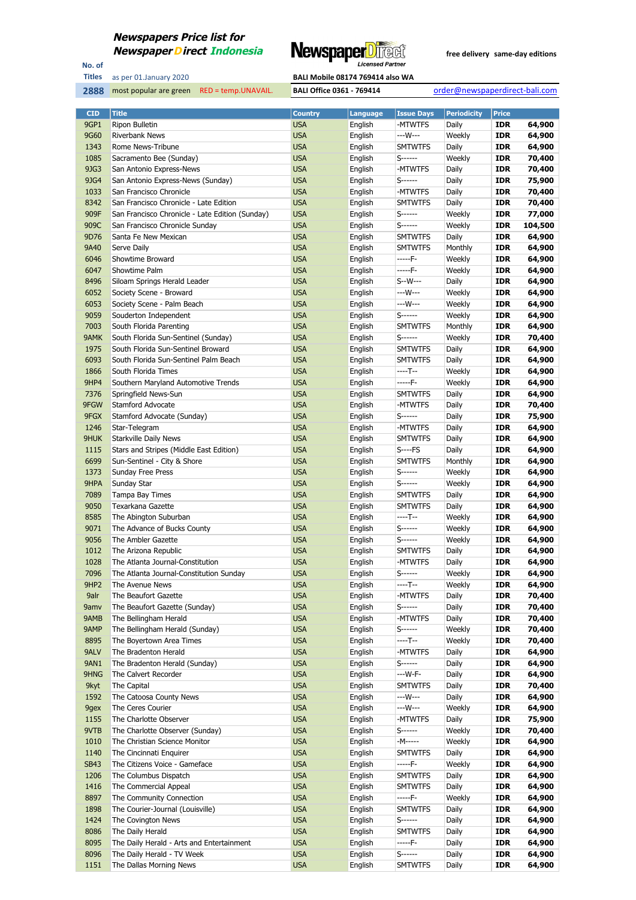

No. of **Titles**



| <b>CID</b>       | <b>Title</b>                                    | <b>Country</b> | Language | <b>Issue Days</b> | <b>Periodicity</b> | <b>Price</b> |         |
|------------------|-------------------------------------------------|----------------|----------|-------------------|--------------------|--------------|---------|
| 9GP1             | Ripon Bulletin                                  | <b>USA</b>     | English  | -MTWTFS           | Daily              | <b>IDR</b>   | 64,900  |
| 9G60             | <b>Riverbank News</b>                           | <b>USA</b>     | English  | ---W---           | Weekly             | <b>IDR</b>   | 64,900  |
| 1343             | Rome News-Tribune                               | <b>USA</b>     | English  | <b>SMTWTFS</b>    | Daily              | <b>IDR</b>   | 64,900  |
| 1085             | Sacramento Bee (Sunday)                         | <b>USA</b>     | English  | S------           | Weekly             | <b>IDR</b>   | 70,400  |
| 9JG3             | San Antonio Express-News                        | <b>USA</b>     | English  | -MTWTFS           | Daily              | <b>IDR</b>   | 70,400  |
| 9JG4             | San Antonio Express-News (Sunday)               | <b>USA</b>     | English  | S------           | Daily              | <b>IDR</b>   | 75,900  |
| 1033             | San Francisco Chronicle                         | <b>USA</b>     | English  | -MTWTFS           | Daily              | <b>IDR</b>   | 70,400  |
| 8342             | San Francisco Chronicle - Late Edition          | <b>USA</b>     | English  | <b>SMTWTFS</b>    | Daily              | <b>IDR</b>   | 70,400  |
| 909F             | San Francisco Chronicle - Late Edition (Sunday) | <b>USA</b>     | English  | S------           | Weekly             | <b>IDR</b>   | 77,000  |
| 909C             | San Francisco Chronicle Sunday                  | <b>USA</b>     | English  | $S$ ------        | Weekly             | <b>IDR</b>   | 104,500 |
| 9D76             | Santa Fe New Mexican                            | <b>USA</b>     | English  | <b>SMTWTFS</b>    | Daily              | <b>IDR</b>   | 64,900  |
| 9A40             | Serve Daily                                     | <b>USA</b>     | English  | <b>SMTWTFS</b>    | Monthly            | IDR          | 64,900  |
| 6046             | Showtime Broward                                | <b>USA</b>     | English  | -----F-           | Weekly             | <b>IDR</b>   | 64,900  |
| 6047             | Showtime Palm                                   | <b>USA</b>     | English  | $---F-$           | Weekly             | <b>IDR</b>   | 64,900  |
| 8496             | Siloam Springs Herald Leader                    | <b>USA</b>     | English  | S--W---           | Daily              | <b>IDR</b>   | 64,900  |
| 6052             | Society Scene - Broward                         | <b>USA</b>     | English  | ---W---           | Weekly             | <b>IDR</b>   | 64,900  |
| 6053             | Society Scene - Palm Beach                      | <b>USA</b>     | English  | ---W---           | Weekly             | <b>IDR</b>   | 64,900  |
|                  |                                                 | <b>USA</b>     |          | $S$ ------        |                    | <b>IDR</b>   |         |
| 9059             | Souderton Independent                           |                | English  | <b>SMTWTFS</b>    | Weekly             |              | 64,900  |
| 7003             | South Florida Parenting                         | <b>USA</b>     | English  |                   | Monthly            | <b>IDR</b>   | 64,900  |
| 9AMK             | South Florida Sun-Sentinel (Sunday)             | <b>USA</b>     | English  | $S$ ------        | Weekly             | <b>IDR</b>   | 70,400  |
| 1975             | South Florida Sun-Sentinel Broward              | <b>USA</b>     | English  | <b>SMTWTFS</b>    | Daily              | <b>IDR</b>   | 64,900  |
| 6093             | South Florida Sun-Sentinel Palm Beach           | <b>USA</b>     | English  | <b>SMTWTFS</b>    | Daily              | <b>IDR</b>   | 64,900  |
| 1866             | South Florida Times                             | <b>USA</b>     | English  | ----T--           | Weekly             | <b>IDR</b>   | 64,900  |
| 9HP4             | Southern Maryland Automotive Trends             | <b>USA</b>     | English  | -----F-           | Weekly             | <b>IDR</b>   | 64,900  |
| 7376             | Springfield News-Sun                            | <b>USA</b>     | English  | <b>SMTWTFS</b>    | Daily              | <b>IDR</b>   | 64,900  |
| 9FGW             | Stamford Advocate                               | <b>USA</b>     | English  | -MTWTFS           | Daily              | <b>IDR</b>   | 70,400  |
| 9FGX             | Stamford Advocate (Sunday)                      | <b>USA</b>     | English  | S------           | Daily              | <b>IDR</b>   | 75,900  |
| 1246             | Star-Telegram                                   | <b>USA</b>     | English  | -MTWTFS           | Daily              | IDR          | 64,900  |
| 9HUK             | <b>Starkville Daily News</b>                    | <b>USA</b>     | English  | <b>SMTWTFS</b>    | Daily              | <b>IDR</b>   | 64,900  |
| 1115             | Stars and Stripes (Middle East Edition)         | <b>USA</b>     | English  | $S$ ----FS        | Daily              | <b>IDR</b>   | 64,900  |
| 6699             | Sun-Sentinel - City & Shore                     | <b>USA</b>     | English  | <b>SMTWTFS</b>    | Monthly            | <b>IDR</b>   | 64,900  |
| 1373             | <b>Sunday Free Press</b>                        | <b>USA</b>     | English  | S------           | Weekly             | <b>IDR</b>   | 64,900  |
| 9HPA             | Sunday Star                                     | <b>USA</b>     | English  | $S$ ------        | Weekly             | <b>IDR</b>   | 64,900  |
| 7089             | Tampa Bay Times                                 | <b>USA</b>     | English  | <b>SMTWTFS</b>    | Daily              | <b>IDR</b>   | 64,900  |
| 9050             | Texarkana Gazette                               | <b>USA</b>     | English  | <b>SMTWTFS</b>    | Daily              | <b>IDR</b>   | 64,900  |
| 8585             | The Abington Suburban                           | <b>USA</b>     | English  | ----T--           | Weekly             | IDR          | 64,900  |
| 9071             | The Advance of Bucks County                     | <b>USA</b>     | English  | S------           | Weekly             | <b>IDR</b>   | 64,900  |
| 9056             | The Ambler Gazette                              | <b>USA</b>     | English  | S------           | Weekly             | <b>IDR</b>   | 64,900  |
| 1012             | The Arizona Republic                            | <b>USA</b>     | English  | <b>SMTWTFS</b>    | Daily              | <b>IDR</b>   | 64,900  |
| 1028             | The Atlanta Journal-Constitution                | <b>USA</b>     | English  | -MTWTFS           | Daily              | <b>IDR</b>   | 64,900  |
| 7096             | The Atlanta Journal-Constitution Sunday         | <b>USA</b>     | English  | $S$ ------        | Weekly             | <b>IDR</b>   | 64,900  |
| 9HP <sub>2</sub> | The Avenue News                                 | <b>USA</b>     | English  | $---T--$          | Weekly             | <b>IDR</b>   | 64,900  |
| 9alr             | The Beaufort Gazette                            | <b>USA</b>     | English  | -MTWTFS           | Daily              | IDR          | 70,400  |
| 9amv             | The Beaufort Gazette (Sunday)                   | <b>USA</b>     | English  | S------           | Daily              | <b>IDR</b>   | 70,400  |
| 9AMB             | The Bellingham Herald                           | <b>USA</b>     | English  | -MTWTFS           | Daily              | <b>IDR</b>   | 70,400  |
| 9AMP             | The Bellingham Herald (Sunday)                  | <b>USA</b>     | English  | S-------          | Weekly             | <b>IDR</b>   | 70,400  |
| 8895             | The Boyertown Area Times                        | <b>USA</b>     | English  | ----T--           | Weekly             | <b>IDR</b>   | 70,400  |
| 9ALV             | The Bradenton Herald                            | <b>USA</b>     | English  | -MTWTFS           | Daily              | <b>IDR</b>   | 64,900  |
| <b>9AN1</b>      | The Bradenton Herald (Sunday)                   | <b>USA</b>     | English  | S------           | Daily              | <b>IDR</b>   | 64,900  |
| 9HNG             | The Calvert Recorder                            | <b>USA</b>     | English  | $--W-F-$          | Daily              | <b>IDR</b>   | 64,900  |
| 9kyt             | The Capital                                     | <b>USA</b>     | English  | <b>SMTWTFS</b>    | Daily              | <b>IDR</b>   | 70,400  |
| 1592             | The Catoosa County News                         | <b>USA</b>     | English  | ---W---           | Daily              | <b>IDR</b>   | 64,900  |
| 9gex             | The Ceres Courier                               | <b>USA</b>     | English  | ---W---           | Weekly             | <b>IDR</b>   | 64,900  |
| 1155             | The Charlotte Observer                          | <b>USA</b>     | English  | -MTWTFS           | Daily              | <b>IDR</b>   | 75,900  |
| 9VTB             | The Charlotte Observer (Sunday)                 | <b>USA</b>     | English  | S------           | Weekly             | <b>IDR</b>   | 70,400  |
| 1010             | The Christian Science Monitor                   | <b>USA</b>     | English  | -M-----           | Weekly             | <b>IDR</b>   | 64,900  |
| 1140             | The Cincinnati Enquirer                         | <b>USA</b>     | English  | <b>SMTWTFS</b>    | Daily              | <b>IDR</b>   | 64,900  |
| <b>SB43</b>      | The Citizens Voice - Gameface                   | <b>USA</b>     | English  | -----F-           | Weekly             | <b>IDR</b>   | 64,900  |
| 1206             | The Columbus Dispatch                           | <b>USA</b>     | English  | <b>SMTWTFS</b>    | Daily              | <b>IDR</b>   | 64,900  |
| 1416             | The Commercial Appeal                           | <b>USA</b>     | English  | <b>SMTWTFS</b>    | Daily              | <b>IDR</b>   | 64,900  |
| 8897             | The Community Connection                        | <b>USA</b>     | English  | -----F-           | Weekly             | <b>IDR</b>   | 64,900  |
| 1898             | The Courier-Journal (Louisville)                | <b>USA</b>     | English  | <b>SMTWTFS</b>    | Daily              | <b>IDR</b>   | 64,900  |
| 1424             | The Covington News                              | <b>USA</b>     | English  | S------           | Daily              | <b>IDR</b>   | 64,900  |
| 8086             | The Daily Herald                                | <b>USA</b>     | English  | <b>SMTWTFS</b>    | Daily              | <b>IDR</b>   | 64,900  |
| 8095             | The Daily Herald - Arts and Entertainment       | <b>USA</b>     | English  | -----F-           | Daily              | <b>IDR</b>   | 64,900  |
| 8096             | The Daily Herald - TV Week                      | <b>USA</b>     | English  | S------           | Daily              | <b>IDR</b>   | 64,900  |
| 1151             | The Dallas Morning News                         | <b>USA</b>     | English  | <b>SMTWTFS</b>    | Daily              | <b>IDR</b>   | 64,900  |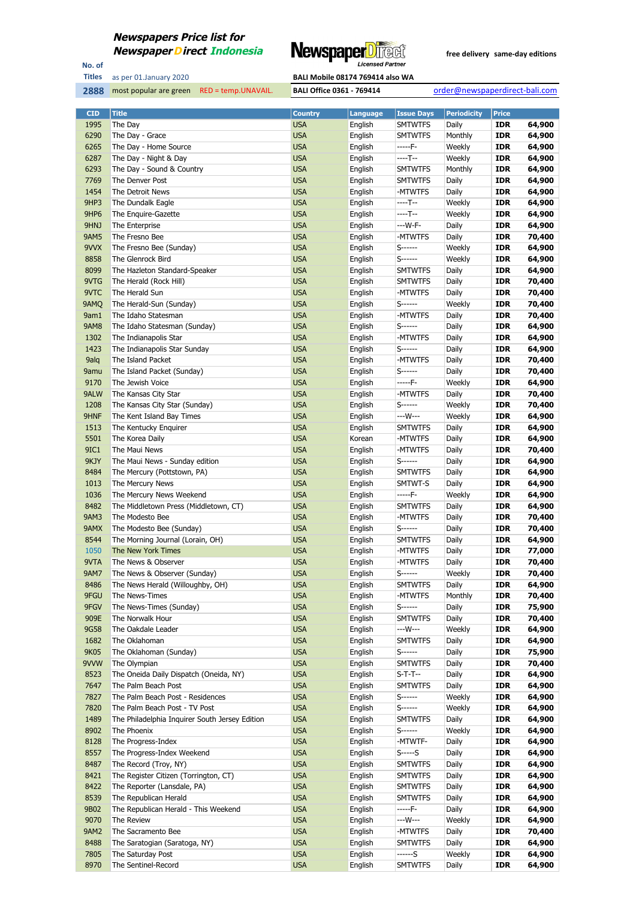

No. of **Titles**

as per 01.January 2020 **BALI Mobile 08174 769414 also WA** 

| <b>CID</b>   | <b>Title</b>                                   | <b>Country</b> | <b>Language</b>    | <b>Issue Days</b>   | <b>Periodicity</b> | <b>Price</b> |                  |
|--------------|------------------------------------------------|----------------|--------------------|---------------------|--------------------|--------------|------------------|
| 1995         | The Day                                        | <b>USA</b>     | English            | <b>SMTWTFS</b>      | Daily              | <b>IDR</b>   | 64,900           |
| 6290         | The Day - Grace                                | <b>USA</b>     | English            | <b>SMTWTFS</b>      | Monthly            | <b>IDR</b>   | 64,900           |
| 6265         | The Day - Home Source                          | <b>USA</b>     | English            | -----F-             | Weekly             | <b>IDR</b>   | 64,900           |
| 6287         | The Day - Night & Day                          | <b>USA</b>     | English            | ----T--             | Weekly             | <b>IDR</b>   | 64,900           |
| 6293         | The Day - Sound & Country                      | <b>USA</b>     | English            | <b>SMTWTFS</b>      | Monthly            | <b>IDR</b>   | 64,900           |
| 7769         | The Denver Post                                | <b>USA</b>     | English            | <b>SMTWTFS</b>      | Daily              | <b>IDR</b>   | 64,900           |
| 1454         | The Detroit News                               | <b>USA</b>     | English            | -MTWTFS             | Daily              | <b>IDR</b>   | 64,900           |
| 9HP3         | The Dundalk Eagle                              | <b>USA</b>     | English            | ----T--             | Weekly             | <b>IDR</b>   | 64,900           |
| 9HP6         | The Enguire-Gazette                            |                |                    | ----T--             |                    | <b>IDR</b>   |                  |
|              |                                                | <b>USA</b>     | English<br>English | ---W-F-             | Weekly             |              | 64,900           |
| 9HNJ         | The Enterprise                                 | <b>USA</b>     |                    |                     | Daily              | <b>IDR</b>   | 64,900<br>70,400 |
| <b>9AM5</b>  | The Fresno Bee                                 | <b>USA</b>     | English            | -MTWTFS<br>S------- | Daily              | <b>IDR</b>   |                  |
| 9VVX         | The Fresno Bee (Sunday)                        | <b>USA</b>     | English            |                     | Weekly             | <b>IDR</b>   | 64,900           |
| 8858         | The Glenrock Bird                              | <b>USA</b>     | English            | S------             | Weekly             | <b>IDR</b>   | 64,900           |
| 8099         | The Hazleton Standard-Speaker                  | <b>USA</b>     | English            | <b>SMTWTFS</b>      | Daily              | <b>IDR</b>   | 64,900           |
| 9VTG<br>9VTC | The Herald (Rock Hill)                         | <b>USA</b>     | English            | <b>SMTWTFS</b>      | Daily              | <b>IDR</b>   | 70,400           |
|              | The Herald Sun                                 | <b>USA</b>     | English            | -MTWTFS             | Daily              | <b>IDR</b>   | 70,400           |
| 9AMQ         | The Herald-Sun (Sunday)                        | <b>USA</b>     | English            | S------             | Weekly             | <b>IDR</b>   | 70,400           |
| 9am1         | The Idaho Statesman                            | <b>USA</b>     | English            | -MTWTFS             | Daily              | <b>IDR</b>   | 70,400           |
| 9AM8         | The Idaho Statesman (Sunday)                   | <b>USA</b>     | English            | S------             | Daily              | <b>IDR</b>   | 64,900           |
| 1302         | The Indianapolis Star                          | <b>USA</b>     | English            | -MTWTFS             | Daily              | <b>IDR</b>   | 64,900           |
| 1423         | The Indianapolis Star Sunday                   | <b>USA</b>     | English            | S-------            | Daily              | <b>IDR</b>   | 64,900           |
| 9alq         | The Island Packet                              | <b>USA</b>     | English            | -MTWTFS             | Daily              | <b>IDR</b>   | 70,400           |
| 9amu         | The Island Packet (Sunday)                     | <b>USA</b>     | English            | S-------            | Daily              | <b>IDR</b>   | 70,400           |
| 9170         | The Jewish Voice                               | <b>USA</b>     | English            | -----F-             | Weekly             | <b>IDR</b>   | 64,900           |
| 9ALW         | The Kansas City Star                           | <b>USA</b>     | English            | -MTWTFS             | Daily              | <b>IDR</b>   | 70,400           |
| 1208         | The Kansas City Star (Sunday)                  | <b>USA</b>     | English            | S------             | Weekly             | <b>IDR</b>   | 70,400           |
| 9HNF         | The Kent Island Bay Times                      | <b>USA</b>     | English            | ---W---             | Weekly             | <b>IDR</b>   | 64,900           |
| 1513         | The Kentucky Enquirer                          | <b>USA</b>     | English            | <b>SMTWTFS</b>      | Daily              | <b>IDR</b>   | 64,900           |
| 5501         | The Korea Daily                                | <b>USA</b>     | Korean             | -MTWTFS             | Daily              | <b>IDR</b>   | 64,900           |
| 9IC1         | The Maui News                                  | <b>USA</b>     | English            | -MTWTFS             | Daily              | <b>IDR</b>   | 70,400           |
| 9KJY         | The Maui News - Sunday edition                 | <b>USA</b>     | English            | S------             | Daily              | <b>IDR</b>   | 64,900           |
| 8484         | The Mercury (Pottstown, PA)                    | <b>USA</b>     | English            | <b>SMTWTFS</b>      | Daily              | <b>IDR</b>   | 64,900           |
| 1013         | The Mercury News                               | <b>USA</b>     | English            | SMTWT-S             | Daily              | <b>IDR</b>   | 64,900           |
| 1036         | The Mercury News Weekend                       | <b>USA</b>     | English            | -----F-             | Weekly             | <b>IDR</b>   | 64,900           |
| 8482         | The Middletown Press (Middletown, CT)          | <b>USA</b>     | English            | <b>SMTWTFS</b>      | Daily              | <b>IDR</b>   | 64,900           |
| <b>9AM3</b>  | The Modesto Bee                                | <b>USA</b>     | English            | -MTWTFS             | Daily              | <b>IDR</b>   | 70,400           |
| 9AMX         | The Modesto Bee (Sunday)                       | <b>USA</b>     | English            | S------             | Daily              | <b>IDR</b>   | 70,400           |
| 8544         | The Morning Journal (Lorain, OH)               | <b>USA</b>     | English            | <b>SMTWTFS</b>      | Daily              | <b>IDR</b>   | 64,900           |
| 1050         | The New York Times                             | <b>USA</b>     | English            | -MTWTFS             | Daily              | <b>IDR</b>   | 77,000           |
| 9VTA         | The News & Observer                            | <b>USA</b>     | English            | -MTWTFS             | Daily              | <b>IDR</b>   | 70,400           |
| <b>9AM7</b>  | The News & Observer (Sunday)                   | <b>USA</b>     | English            | S------             | Weekly             | <b>IDR</b>   | 70,400           |
| 8486         | The News Herald (Willoughby, OH)               | <b>USA</b>     | English            | <b>SMTWTFS</b>      | Daily              | <b>IDR</b>   | 64,900           |
| 9FGU         | The News-Times                                 | <b>USA</b>     | English            | -MTWTFS             | Monthly            | <b>IDR</b>   | 70,400           |
| 9FGV         | The News-Times (Sunday)                        | <b>USA</b>     | English            | S-------            | Daily              | <b>IDR</b>   | 75,900           |
| 909E         | The Norwalk Hour                               | <b>USA</b>     | English            | <b>SMTWTFS</b>      | Daily              | <b>IDR</b>   | 70,400           |
| 9G58         | The Oakdale Leader                             | <b>USA</b>     | English            | ---W---             | Weekly             | <b>IDR</b>   | 64,900           |
| 1682         | The Oklahoman                                  | <b>USA</b>     | English            | <b>SMTWTFS</b>      | Daily              | <b>IDR</b>   | 64,900           |
| 9K05         | The Oklahoman (Sunday)                         | <b>USA</b>     | English            | S-------            | Daily              | <b>IDR</b>   | 75,900           |
| 9VVW         | The Olympian                                   | <b>USA</b>     | English            | <b>SMTWTFS</b>      | Daily              | <b>IDR</b>   | 70,400           |
| 8523         | The Oneida Daily Dispatch (Oneida, NY)         | <b>USA</b>     | English            | $S-T-T-$            | Daily              | <b>IDR</b>   | 64,900           |
| 7647         | The Palm Beach Post                            | <b>USA</b>     | English            | <b>SMTWTFS</b>      | Daily              | <b>IDR</b>   | 64,900           |
| 7827         | The Palm Beach Post - Residences               | <b>USA</b>     | English            | S------             | Weekly             | <b>IDR</b>   | 64,900           |
| 7820         | The Palm Beach Post - TV Post                  | <b>USA</b>     | English            | S-------            | Weekly             | <b>IDR</b>   | 64,900           |
| 1489         | The Philadelphia Inquirer South Jersey Edition | <b>USA</b>     | English            | <b>SMTWTFS</b>      | Daily              | <b>IDR</b>   | 64,900           |
| 8902         | The Phoenix                                    | <b>USA</b>     | English            | S-------            | Weekly             | <b>IDR</b>   | 64,900           |
| 8128         | The Progress-Index                             | <b>USA</b>     | English            | -MTWTF-             | Daily              | <b>IDR</b>   | 64,900           |
| 8557         | The Progress-Index Weekend                     | <b>USA</b>     | English            | S-----S             | Daily              | <b>IDR</b>   | 64,900           |
| 8487         | The Record (Troy, NY)                          | <b>USA</b>     | English            | <b>SMTWTFS</b>      | Daily              | <b>IDR</b>   | 64,900           |
| 8421         | The Register Citizen (Torrington, CT)          | <b>USA</b>     | English            | <b>SMTWTFS</b>      | Daily              | <b>IDR</b>   | 64,900           |
| 8422         | The Reporter (Lansdale, PA)                    | <b>USA</b>     | English            | <b>SMTWTFS</b>      | Daily              | <b>IDR</b>   | 64,900           |
| 8539         | The Republican Herald                          | <b>USA</b>     | English            | <b>SMTWTFS</b>      | Daily              | <b>IDR</b>   | 64,900           |
| 9B02         | The Republican Herald - This Weekend           | <b>USA</b>     | English            | -----F-             | Daily              | <b>IDR</b>   | 64,900           |
| 9070         | The Review                                     | <b>USA</b>     | English            | ---W---             | Weekly             | <b>IDR</b>   | 64,900           |
| <b>9AM2</b>  | The Sacramento Bee                             | <b>USA</b>     | English            | -MTWTFS             | Daily              | <b>IDR</b>   | 70,400           |
| 8488         | The Saratogian (Saratoga, NY)                  | <b>USA</b>     | English            | <b>SMTWTFS</b>      | Daily              | <b>IDR</b>   | 64,900           |
| 7805         | The Saturday Post                              | <b>USA</b>     | English            | ------S             | Weekly             | <b>IDR</b>   | 64,900           |
| 8970         | The Sentinel-Record                            | <b>USA</b>     | English            | <b>SMTWTFS</b>      | Daily              | <b>IDR</b>   | 64,900           |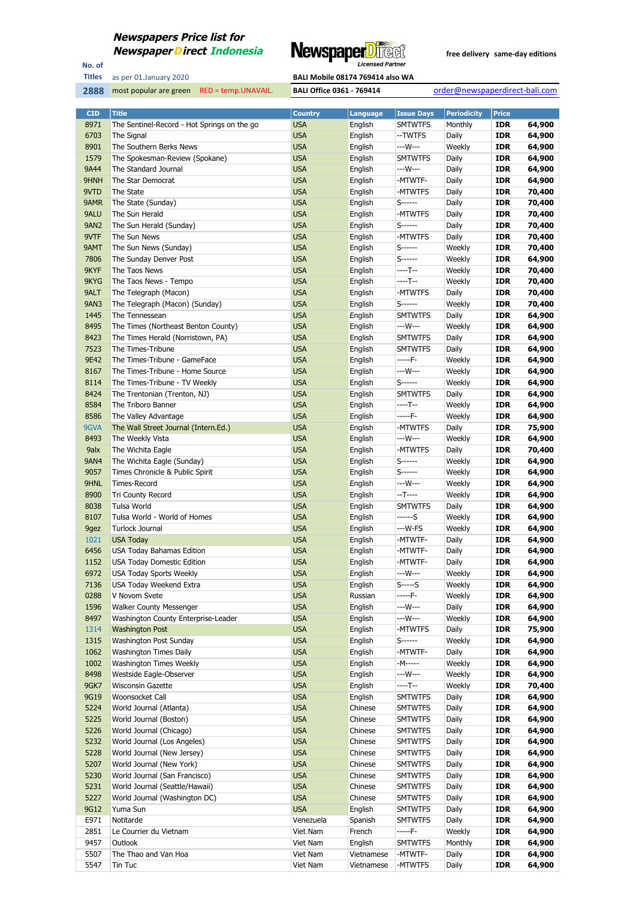

No. of **Titles**

most popular are green RED = temp.UNAVAIL. **BALI Office 0361 - 769414** order@newspaperdirect-bali.com

| <b>CID</b>  | <b>Title</b>                                | <b>Country</b> | Language   | <b>Issue Days</b> | <b>Periodicity</b> | Price      |        |
|-------------|---------------------------------------------|----------------|------------|-------------------|--------------------|------------|--------|
| 8971        | The Sentinel-Record - Hot Springs on the go | <b>USA</b>     | English    | <b>SMTWTFS</b>    | Monthly            | <b>IDR</b> | 64,900 |
| 6703        | The Signal                                  | <b>USA</b>     | English    | --TWTFS           | Daily              | <b>IDR</b> | 64,900 |
| 8901        | The Southern Berks News                     | <b>USA</b>     | English    | ---W---           | Weekly             | <b>IDR</b> | 64,900 |
| 1579        | The Spokesman-Review (Spokane)              | <b>USA</b>     | English    | <b>SMTWTFS</b>    | Daily              | <b>IDR</b> | 64,900 |
| 9A44        | The Standard Journal                        | <b>USA</b>     | English    | ---W---           | Daily              | <b>IDR</b> | 64,900 |
|             |                                             |                |            |                   |                    |            |        |
| 9HNH        | The Star Democrat                           | <b>USA</b>     | English    | -MTWTF-           | Daily              | <b>IDR</b> | 64,900 |
| 9VTD        | The State                                   | <b>USA</b>     | English    | -MTWTFS           | Daily              | <b>IDR</b> | 70,400 |
| 9AMR        | The State (Sunday)                          | <b>USA</b>     | English    | S-------          | Daily              | <b>IDR</b> | 70,400 |
| 9ALU        | The Sun Herald                              | <b>USA</b>     | English    | -MTWTFS           | Daily              | <b>IDR</b> | 70,400 |
| <b>9AN2</b> | The Sun Herald (Sunday)                     | <b>USA</b>     | English    | S-------          | Daily              | <b>IDR</b> | 70,400 |
| 9VTF        | The Sun News                                | <b>USA</b>     | English    | -MTWTFS           | Daily              | <b>IDR</b> | 70,400 |
| 9AMT        | The Sun News (Sunday)                       | <b>USA</b>     | English    | S------           | Weekly             | <b>IDR</b> | 70,400 |
| 7806        | The Sunday Denver Post                      | <b>USA</b>     | English    | $S$ ------        | Weekly             | <b>IDR</b> | 64,900 |
|             |                                             |                |            | ----T--           |                    |            |        |
| 9KYF        | The Taos News                               | <b>USA</b>     | English    |                   | Weekly             | <b>IDR</b> | 70,400 |
| 9KYG        | The Taos News - Tempo                       | <b>USA</b>     | English    | ----T--           | Weekly             | <b>IDR</b> | 70,400 |
| 9ALT        | The Telegraph (Macon)                       | <b>USA</b>     | English    | -MTWTFS           | Daily              | <b>IDR</b> | 70,400 |
| <b>9AN3</b> | The Telegraph (Macon) (Sunday)              | <b>USA</b>     | English    | $S$ ------        | Weekly             | <b>IDR</b> | 70,400 |
| 1445        | The Tennessean                              | <b>USA</b>     | English    | <b>SMTWTFS</b>    | Daily              | <b>IDR</b> | 64,900 |
| 8495        | The Times (Northeast Benton County)         | <b>USA</b>     | English    | ---W---           | Weekly             | <b>IDR</b> | 64,900 |
| 8423        | The Times Herald (Norristown, PA)           | <b>USA</b>     | English    | <b>SMTWTFS</b>    | Daily              | <b>IDR</b> | 64,900 |
| 7523        | The Times-Tribune                           | <b>USA</b>     | English    | <b>SMTWTFS</b>    | Daily              | <b>IDR</b> | 64,900 |
|             |                                             |                |            |                   |                    |            |        |
| 9E42        | The Times-Tribune - GameFace                | <b>USA</b>     | English    | -----F-           | Weekly             | <b>IDR</b> | 64,900 |
| 8167        | The Times-Tribune - Home Source             | <b>USA</b>     | English    | ---W---           | Weekly             | <b>IDR</b> | 64,900 |
| 8114        | The Times-Tribune - TV Weekly               | <b>USA</b>     | English    | $S$ ------        | Weekly             | <b>IDR</b> | 64,900 |
| 8424        | The Trentonian (Trenton, NJ)                | <b>USA</b>     | English    | <b>SMTWTFS</b>    | Daily              | <b>IDR</b> | 64,900 |
| 8584        | The Triboro Banner                          | <b>USA</b>     | English    | ----T--           | Weekly             | <b>IDR</b> | 64,900 |
| 8586        | The Valley Advantage                        | <b>USA</b>     | English    | -----F-           | Weekly             | <b>IDR</b> | 64,900 |
| 9GVA        | The Wall Street Journal (Intern.Ed.)        | <b>USA</b>     | English    | -MTWTFS           | Daily              | <b>IDR</b> | 75,900 |
| 8493        | The Weekly Vista                            | <b>USA</b>     | English    | ---W---           | Weekly             | <b>IDR</b> | 64,900 |
| 9alx        |                                             |                |            | -MTWTFS           |                    | <b>IDR</b> |        |
|             | The Wichita Eagle                           | <b>USA</b>     | English    |                   | Daily              |            | 70,400 |
| <b>9AN4</b> | The Wichita Eagle (Sunday)                  | <b>USA</b>     | English    | S-------          | Weekly             | <b>IDR</b> | 64,900 |
| 9057        | Times Chronicle & Public Spirit             | <b>USA</b>     | English    | S-------          | Weekly             | <b>IDR</b> | 64,900 |
| 9HNL        | Times-Record                                | <b>USA</b>     | English    | ---W---           | Weekly             | <b>IDR</b> | 64,900 |
| 8900        | <b>Tri County Record</b>                    | <b>USA</b>     | English    | $-T$ -----        | Weekly             | <b>IDR</b> | 64,900 |
| 8038        | Tulsa World                                 | <b>USA</b>     | English    | <b>SMTWTFS</b>    | Daily              | <b>IDR</b> | 64,900 |
| 8107        | Tulsa World - World of Homes                | <b>USA</b>     | English    | ------S           | Weekly             | <b>IDR</b> | 64,900 |
| 9gez        | Turlock Journal                             | <b>USA</b>     | English    | ---W-FS           | Weekly             | <b>IDR</b> | 64,900 |
| 1021        | <b>USA Today</b>                            | <b>USA</b>     | English    | -MTWTF-           | Daily              | <b>IDR</b> | 64,900 |
|             |                                             |                |            |                   |                    |            |        |
| 6456        | USA Today Bahamas Edition                   | <b>USA</b>     | English    | -MTWTF-           | Daily              | <b>IDR</b> | 64,900 |
| 1152        | <b>USA Today Domestic Edition</b>           | <b>USA</b>     | English    | -MTWTF-           | Daily              | <b>IDR</b> | 64,900 |
| 6972        | <b>USA Today Sports Weekly</b>              | <b>USA</b>     | English    | ---W---           | Weekly             | <b>IDR</b> | 64,900 |
| 7136        | USA Today Weekend Extra                     | <b>USA</b>     | English    | $S$ ----- $S$     | Weekly             | <b>IDR</b> | 64,900 |
| 0288        | V Novom Svete                               | <b>USA</b>     | Russian    | -----F-           | Weekly             | IDR        | 64,900 |
| 1596        | <b>Walker County Messenger</b>              | <b>USA</b>     | English    | ---W---           | Daily              | <b>IDR</b> | 64,900 |
| 8497        | Washington County Enterprise-Leader         | <b>USA</b>     | English    | ---W---           | Weekly             | <b>IDR</b> | 64,900 |
| 1314        | <b>Washington Post</b>                      | <b>USA</b>     | English    | -MTWTFS           | Daily              | <b>IDR</b> | 75,900 |
| 1315        | Washington Post Sunday                      | <b>USA</b>     | English    | S-------          | Weekly             | <b>IDR</b> | 64,900 |
| 1062        |                                             |                |            | -MTWTF-           |                    |            |        |
|             | Washington Times Daily                      | <b>USA</b>     | English    |                   | Daily              | <b>IDR</b> | 64,900 |
| 1002        | Washington Times Weekly                     | <b>USA</b>     | English    | -M-----           | Weekly             | <b>IDR</b> | 64,900 |
| 8498        | Westside Eagle-Observer                     | <b>USA</b>     | English    | ---W---           | Weekly             | <b>IDR</b> | 64,900 |
| 9GK7        | Wisconsin Gazette                           | <b>USA</b>     | English    | ----T--           | Weekly             | <b>IDR</b> | 70,400 |
| 9G19        | Woonsocket Call                             | <b>USA</b>     | English    | <b>SMTWTFS</b>    | Daily              | <b>IDR</b> | 64,900 |
| 5224        | World Journal (Atlanta)                     | <b>USA</b>     | Chinese    | <b>SMTWTFS</b>    | Daily              | <b>IDR</b> | 64,900 |
| 5225        | World Journal (Boston)                      | <b>USA</b>     | Chinese    | <b>SMTWTFS</b>    | Daily              | <b>IDR</b> | 64,900 |
| 5226        | World Journal (Chicago)                     | <b>USA</b>     | Chinese    | <b>SMTWTFS</b>    | Daily              | <b>IDR</b> | 64,900 |
| 5232        | World Journal (Los Angeles)                 | <b>USA</b>     | Chinese    | <b>SMTWTFS</b>    | Daily              | <b>IDR</b> | 64,900 |
| 5228        |                                             |                |            |                   |                    |            |        |
|             | World Journal (New Jersey)                  | <b>USA</b>     | Chinese    | <b>SMTWTFS</b>    | Daily              | <b>IDR</b> | 64,900 |
| 5207        | World Journal (New York)                    | <b>USA</b>     | Chinese    | <b>SMTWTFS</b>    | Daily              | <b>IDR</b> | 64,900 |
| 5230        | World Journal (San Francisco)               | <b>USA</b>     | Chinese    | <b>SMTWTFS</b>    | Daily              | <b>IDR</b> | 64,900 |
| 5231        | World Journal (Seattle/Hawaii)              | <b>USA</b>     | Chinese    | <b>SMTWTFS</b>    | Daily              | <b>IDR</b> | 64,900 |
| 5227        | World Journal (Washington DC)               | <b>USA</b>     | Chinese    | <b>SMTWTFS</b>    | Daily              | <b>IDR</b> | 64,900 |
| 9G12        | Yuma Sun                                    | <b>USA</b>     | English    | <b>SMTWTFS</b>    | Daily              | <b>IDR</b> | 64,900 |
| E971        | Notitarde                                   | Venezuela      | Spanish    | <b>SMTWTFS</b>    | Daily              | <b>IDR</b> | 64,900 |
| 2851        | Le Courrier du Vietnam                      | Viet Nam       | French     | -----F-           | Weekly             | <b>IDR</b> | 64,900 |
| 9457        | Outlook                                     | Viet Nam       | English    | <b>SMTWTFS</b>    | Monthly            | <b>IDR</b> | 64,900 |
| 5507        | The Thao and Van Hoa                        | Viet Nam       | Vietnamese | -MTWTF-           | Daily              | <b>IDR</b> | 64,900 |
|             |                                             |                |            |                   |                    |            |        |
| 5547        | Tin Tuc                                     | Viet Nam       | Vietnamese | -MTWTFS           | Daily              | <b>IDR</b> | 64,900 |